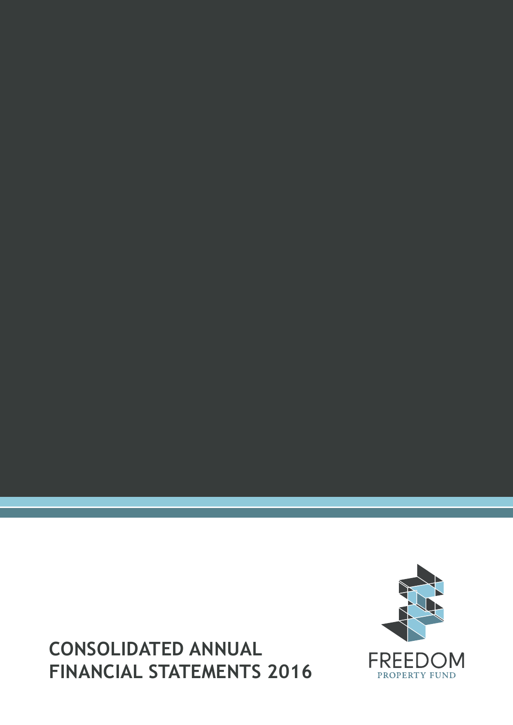# **CONSOLIDATED ANNUAL FINANCIAL STATEMENTS 2016**

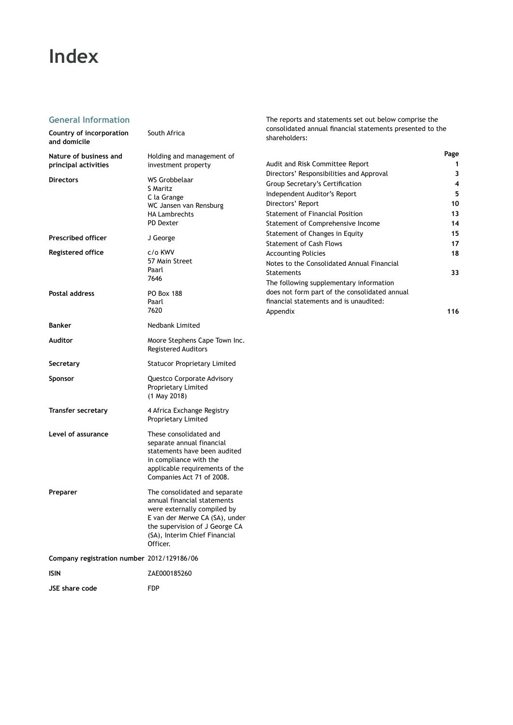# **Index**

### **General Information**

| Country of incorporation<br>and domicile       | South Africa                                                                                                                                                                                                 |
|------------------------------------------------|--------------------------------------------------------------------------------------------------------------------------------------------------------------------------------------------------------------|
| Nature of business and<br>principal activities | Holding and management of<br>investment property                                                                                                                                                             |
| <b>Directors</b>                               | <b>WS Grobbelaar</b><br>S Maritz<br>C la Grange<br>WC Jansen van Rensburg<br><b>HA Lambrechts</b><br><b>PD Dexter</b>                                                                                        |
| <b>Prescribed officer</b>                      | J George                                                                                                                                                                                                     |
| Registered office                              | c/o KWV<br>57 Main Street<br>Paarl<br>7646                                                                                                                                                                   |
| Postal address                                 | PO Box 188<br>Paarl<br>7620                                                                                                                                                                                  |
| <b>Banker</b>                                  | <b>Nedbank Limited</b>                                                                                                                                                                                       |
| Auditor                                        | Moore Stephens Cape Town Inc.<br><b>Registered Auditors</b>                                                                                                                                                  |
| Secretary                                      | <b>Statucor Proprietary Limited</b>                                                                                                                                                                          |
| Sponsor                                        | Questco Corporate Advisory<br>Proprietary Limited<br>(1 May 2018)                                                                                                                                            |
| <b>Transfer secretary</b>                      | 4 Africa Exchange Registry<br>Proprietary Limited                                                                                                                                                            |
| Level of assurance                             | These consolidated and<br>separate annual financial<br>statements have been audited<br>in compliance with the<br>applicable requirements of the<br>Companies Act 71 of 2008.                                 |
| Preparer                                       | The consolidated and separate<br>annual financial statements<br>were externally compiled by<br>E van der Merwe CA (SA), under<br>the supervision of J George CA<br>(SA), Interim Chief Financial<br>Officer. |
| Company registration number 2012/129186/06     |                                                                                                                                                                                                              |
| <b>ISIN</b>                                    | ZAE000185260                                                                                                                                                                                                 |
| <b>JSE</b> share code                          | <b>FDP</b>                                                                                                                                                                                                   |

The reports and statements set out below comprise the consolidated annual financial statements presented to the shareholders:

|                                               | Page |
|-----------------------------------------------|------|
| Audit and Risk Committee Report               | 1    |
| Directors' Responsibilities and Approval      | 3    |
| Group Secretary's Certification               | 4    |
| Independent Auditor's Report                  | 5    |
| Directors' Report                             | 10   |
| <b>Statement of Financial Position</b>        | 13   |
| Statement of Comprehensive Income             | 14   |
| Statement of Changes in Equity                | 15   |
| <b>Statement of Cash Flows</b>                | 17   |
| <b>Accounting Policies</b>                    | 18   |
| Notes to the Consolidated Annual Financial    |      |
| <b>Statements</b>                             | 33   |
| The following supplementary information       |      |
| does not form part of the consolidated annual |      |
| financial statements and is unaudited:        |      |
| Appendix                                      | 116  |
|                                               |      |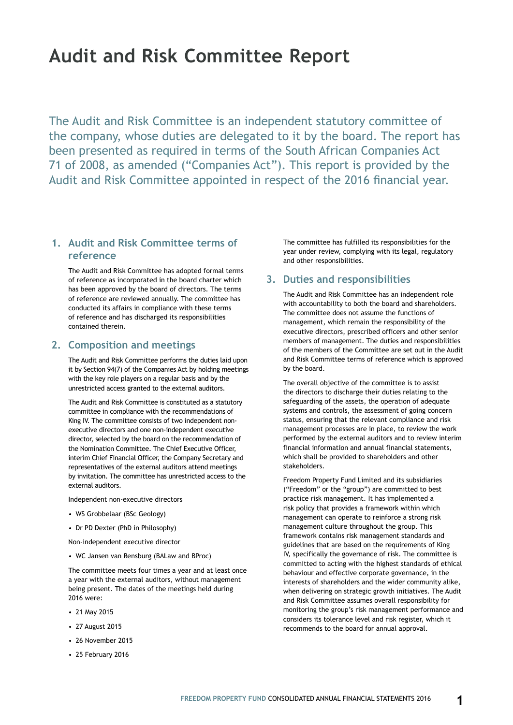# **Audit and Risk Committee Report**

The Audit and Risk Committee is an independent statutory committee of the company, whose duties are delegated to it by the board. The report has been presented as required in terms of the South African Companies Act 71 of 2008, as amended ("Companies Act"). This report is provided by the Audit and Risk Committee appointed in respect of the 2016 financial year.

# **1. Audit and Risk Committee terms of reference**

The Audit and Risk Committee has adopted formal terms of reference as incorporated in the board charter which has been approved by the board of directors. The terms of reference are reviewed annually. The committee has conducted its affairs in compliance with these terms of reference and has discharged its responsibilities contained therein.

## **2. Composition and meetings**

The Audit and Risk Committee performs the duties laid upon it by Section 94(7) of the Companies Act by holding meetings with the key role players on a regular basis and by the unrestricted access granted to the external auditors.

The Audit and Risk Committee is constituted as a statutory committee in compliance with the recommendations of King IV. The committee consists of two independent nonexecutive directors and one non-independent executive director, selected by the board on the recommendation of the Nomination Committee. The Chief Executive Officer, interim Chief Financial Officer, the Company Secretary and representatives of the external auditors attend meetings by invitation. The committee has unrestricted access to the external auditors.

Independent non-executive directors

- WS Grobbelaar (BSc Geology)
- Dr PD Dexter (PhD in Philosophy)
- Non-independent executive director
- WC Jansen van Rensburg (BALaw and BProc)

The committee meets four times a year and at least once a year with the external auditors, without management being present. The dates of the meetings held during 2016 were:

- 21 May 2015
- 27 August 2015
- 26 November 2015
- 25 February 2016

The committee has fulfilled its responsibilities for the year under review, complying with its legal, regulatory and other responsibilities.

## **3. Duties and responsibilities**

The Audit and Risk Committee has an independent role with accountability to both the board and shareholders. The committee does not assume the functions of management, which remain the responsibility of the executive directors, prescribed officers and other senior members of management. The duties and responsibilities of the members of the Committee are set out in the Audit and Risk Committee terms of reference which is approved by the board.

The overall objective of the committee is to assist the directors to discharge their duties relating to the safeguarding of the assets, the operation of adequate systems and controls, the assessment of going concern status, ensuring that the relevant compliance and risk management processes are in place, to review the work performed by the external auditors and to review interim financial information and annual financial statements, which shall be provided to shareholders and other stakeholders.

Freedom Property Fund Limited and its subsidiaries ("Freedom" or the "group") are committed to best practice risk management. It has implemented a risk policy that provides a framework within which management can operate to reinforce a strong risk management culture throughout the group. This framework contains risk management standards and guidelines that are based on the requirements of King IV, specifically the governance of risk. The committee is committed to acting with the highest standards of ethical behaviour and effective corporate governance, in the interests of shareholders and the wider community alike, when delivering on strategic growth initiatives. The Audit and Risk Committee assumes overall responsibility for monitoring the group's risk management performance and considers its tolerance level and risk register, which it recommends to the board for annual approval.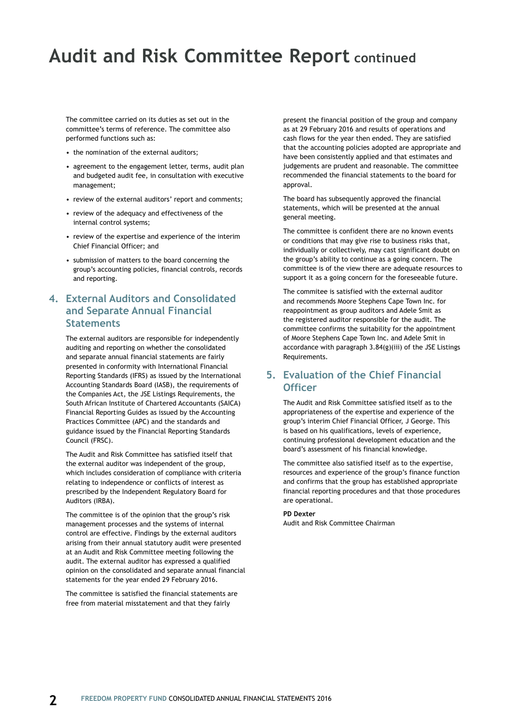# **Audit and Risk Committee Report continued**

The committee carried on its duties as set out in the committee's terms of reference. The committee also performed functions such as:

- the nomination of the external auditors;
- agreement to the engagement letter, terms, audit plan and budgeted audit fee, in consultation with executive management;
- review of the external auditors' report and comments;
- review of the adequacy and effectiveness of the internal control systems;
- review of the expertise and experience of the interim Chief Financial Officer; and
- submission of matters to the board concerning the group's accounting policies, financial controls, records and reporting.

# **4. External Auditors and Consolidated and Separate Annual Financial Statements**

The external auditors are responsible for independently auditing and reporting on whether the consolidated and separate annual financial statements are fairly presented in conformity with International Financial Reporting Standards (IFRS) as issued by the International Accounting Standards Board (IASB), the requirements of the Companies Act, the JSE Listings Requirements, the South African Institute of Chartered Accountants (SAICA) Financial Reporting Guides as issued by the Accounting Practices Committee (APC) and the standards and guidance issued by the Financial Reporting Standards Council (FRSC).

The Audit and Risk Committee has satisfied itself that the external auditor was independent of the group, which includes consideration of compliance with criteria relating to independence or conflicts of interest as prescribed by the Independent Regulatory Board for Auditors (IRBA).

The committee is of the opinion that the group's risk management processes and the systems of internal control are effective. Findings by the external auditors arising from their annual statutory audit were presented at an Audit and Risk Committee meeting following the audit. The external auditor has expressed a qualified opinion on the consolidated and separate annual financial statements for the year ended 29 February 2016.

The committee is satisfied the financial statements are free from material misstatement and that they fairly

present the financial position of the group and company as at 29 February 2016 and results of operations and cash flows for the year then ended. They are satisfied that the accounting policies adopted are appropriate and have been consistently applied and that estimates and judgements are prudent and reasonable. The committee recommended the financial statements to the board for approval.

The board has subsequently approved the financial statements, which will be presented at the annual general meeting.

The committee is confident there are no known events or conditions that may give rise to business risks that, individually or collectively, may cast significant doubt on the group's ability to continue as a going concern. The committee is of the view there are adequate resources to support it as a going concern for the foreseeable future.

The commitee is satisfied with the external auditor and recommends Moore Stephens Cape Town Inc. for reappointment as group auditors and Adele Smit as the registered auditor responsible for the audit. The committee confirms the suitability for the appointment of Moore Stephens Cape Town Inc. and Adele Smit in accordance with paragraph 3.84(g)(iii) of the JSE Listings **Requirements** 

# **5. Evaluation of the Chief Financial Officer**

The Audit and Risk Committee satisfied itself as to the appropriateness of the expertise and experience of the group's interim Chief Financial Officer, J George. This is based on his qualifications, levels of experience, continuing professional development education and the board's assessment of his financial knowledge.

The committee also satisfied itself as to the expertise, resources and experience of the group's finance function and confirms that the group has established appropriate financial reporting procedures and that those procedures are operational.

### **PD Dexter**

Audit and Risk Committee Chairman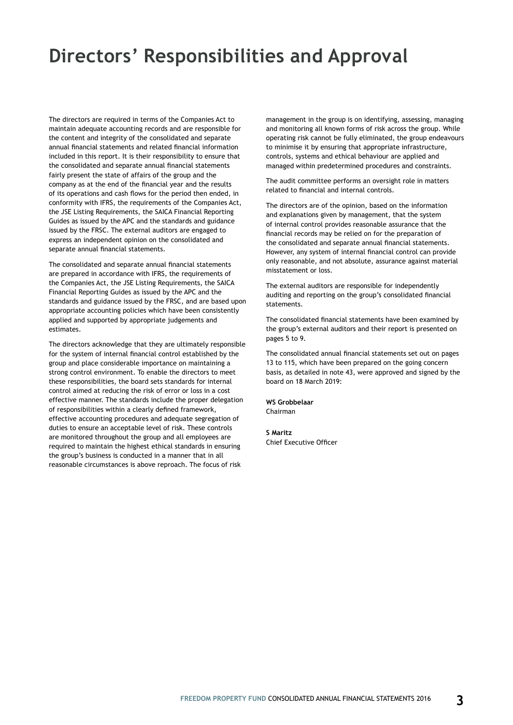# **Directors' Responsibilities and Approval**

The directors are required in terms of the Companies Act to maintain adequate accounting records and are responsible for the content and integrity of the consolidated and separate annual financial statements and related financial information included in this report. It is their responsibility to ensure that the consolidated and separate annual financial statements fairly present the state of affairs of the group and the company as at the end of the financial year and the results of its operations and cash flows for the period then ended, in conformity with IFRS, the requirements of the Companies Act, the JSE Listing Requirements, the SAICA Financial Reporting Guides as issued by the APC and the standards and guidance issued by the FRSC. The external auditors are engaged to express an independent opinion on the consolidated and separate annual financial statements.

The consolidated and separate annual financial statements are prepared in accordance with IFRS, the requirements of the Companies Act, the JSE Listing Requirements, the SAICA Financial Reporting Guides as issued by the APC and the standards and guidance issued by the FRSC, and are based upon appropriate accounting policies which have been consistently applied and supported by appropriate judgements and estimates.

The directors acknowledge that they are ultimately responsible for the system of internal financial control established by the group and place considerable importance on maintaining a strong control environment. To enable the directors to meet these responsibilities, the board sets standards for internal control aimed at reducing the risk of error or loss in a cost effective manner. The standards include the proper delegation of responsibilities within a clearly defined framework, effective accounting procedures and adequate segregation of duties to ensure an acceptable level of risk. These controls are monitored throughout the group and all employees are required to maintain the highest ethical standards in ensuring the group's business is conducted in a manner that in all reasonable circumstances is above reproach. The focus of risk

management in the group is on identifying, assessing, managing and monitoring all known forms of risk across the group. While operating risk cannot be fully eliminated, the group endeavours to minimise it by ensuring that appropriate infrastructure, controls, systems and ethical behaviour are applied and managed within predetermined procedures and constraints.

The audit committee performs an oversight role in matters related to financial and internal controls.

The directors are of the opinion, based on the information and explanations given by management, that the system of internal control provides reasonable assurance that the financial records may be relied on for the preparation of the consolidated and separate annual financial statements. However, any system of internal financial control can provide only reasonable, and not absolute, assurance against material misstatement or loss.

The external auditors are responsible for independently auditing and reporting on the group's consolidated financial statements.

The consolidated financial statements have been examined by the group's external auditors and their report is presented on pages 5 to 9.

The consolidated annual financial statements set out on pages 13 to 115, which have been prepared on the going concern basis, as detailed in note 43, were approved and signed by the board on 18 March 2019:

### **WS Grobbelaar**

Chairman

**S Maritz** Chief Executive Officer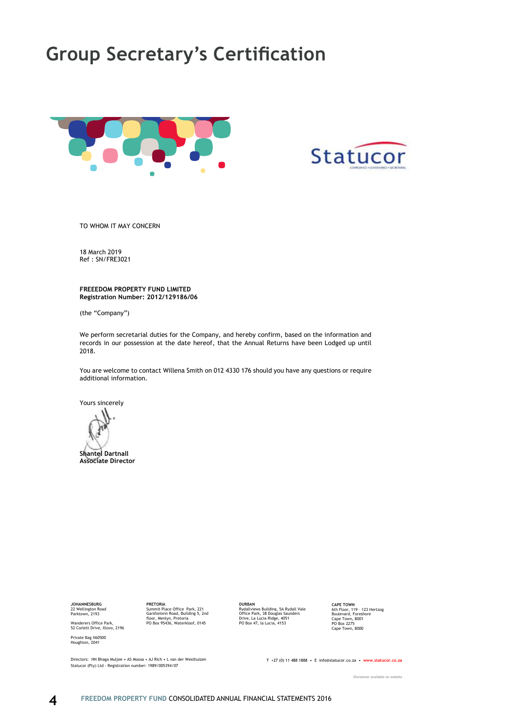# **Group Secretary's Certification**





TO WHOM IT MAY CONCERN

18 March 2019 Ref : SN/FRE3021

#### **FREEEDOM PROPERTY FUND LIMITED Registration Number: 2012/129186/06**

(the "Company")

We perform secretarial duties for the Company, and hereby confirm, based on the information and records in our possession at the date hereof, that the Annual Returns have been Lodged up until 2018.

You are welcome to contact Willena Smith on 012 4330 176 should you have any questions or require additional information.

Yours sincerely

**Shantel Dartnall Associate Director**

**JOHANNESBURG** 22 Wellington Road Parktown, 2193

Private Bag X60500 Houghton, 2041

Wanderers Office Park, 52 Corlett Drive, Illovo, 2196

PRETORIA<br>Summit Place Office Park, 221<br>Garsfontein Road, Building 5, 2nd<br>floor, Menlyn, Pretoria<br>PO Box 95436, Waterkloof, 0145

**DURBAN** Rydallviews Building, 5A Rydall Vale Office Park, 38 Douglas Saunders Drive, La Lucia Ridge, 4051 PO Box 47, la Lucia, 4153

**CAPE TOWN** 6th Floor, 119 – 123 Hertzog Boulevard, Foreshore Cape Town, 8001 PO Box 2275 Cape Town, 8000

Directors: HN Bhaga Muljee • AS Moosa • AJ Rich • L van der Westhuizen Statucor (Pty) Ltd - Registration number: 1989/005394/07

T +27 (0) 11 488 1888 • E info@statucor.co.za • **www.statucor.co.za**

Disclaimer available on website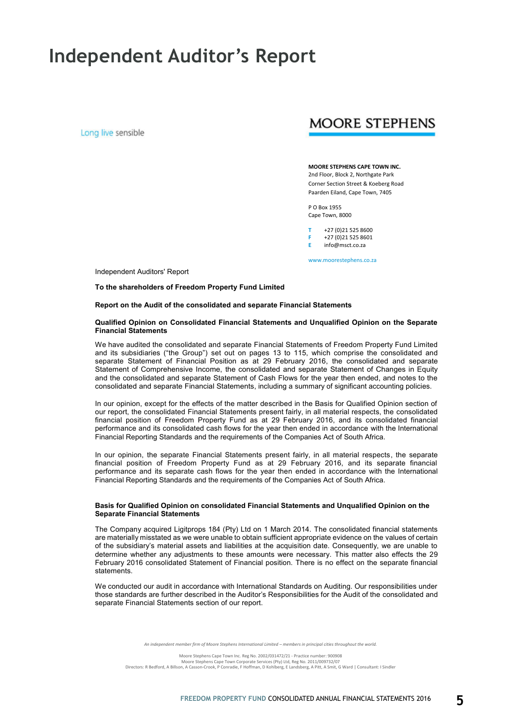# **Independent Auditor's Report**

Long live sensible

# **MOORE STEPHENS**

**MOORE STEPHENS CAPE TOWN INC.** 2nd Floor, Block 2, Northgate Park Corner Section Street & Koeberg Road Paarden Eiland, Cape Town, 7405

P O Box 1955 Cape Town, 8000

**T** +27 (0)21 525 8600 **F** +27 (0)21 525 8601 **E** info@msct.co.za

www.moorestephens.co.za

Independent Auditors' Report

**To the shareholders of Freedom Property Fund Limited**

#### **Report on the Audit of the consolidated and separate Financial Statements**

#### **Qualified Opinion on Consolidated Financial Statements and Unqualified Opinion on the Separate Financial Statements**

We have audited the consolidated and separate Financial Statements of Freedom Property Fund Limited and its subsidiaries ("the Group") set out on pages 13 to 115, which comprise the consolidated and separate Statement of Financial Position as at 29 February 2016, the consolidated and separate Statement of Comprehensive Income, the consolidated and separate Statement of Changes in Equity and the consolidated and separate Statement of Cash Flows for the year then ended, and notes to the consolidated and separate Financial Statements, including a summary of significant accounting policies.

In our opinion, except for the effects of the matter described in the Basis for Qualified Opinion section of our report, the consolidated Financial Statements present fairly, in all material respects, the consolidated financial position of Freedom Property Fund as at 29 February 2016, and its consolidated financial performance and its consolidated cash flows for the year then ended in accordance with the International Financial Reporting Standards and the requirements of the Companies Act of South Africa.

In our opinion, the separate Financial Statements present fairly, in all material respects, the separate financial position of Freedom Property Fund as at 29 February 2016, and its separate financial performance and its separate cash flows for the year then ended in accordance with the International Financial Reporting Standards and the requirements of the Companies Act of South Africa.

#### **Basis for Qualified Opinion on consolidated Financial Statements and Unqualified Opinion on the Separate Financial Statements**

The Company acquired Ligitprops 184 (Pty) Ltd on 1 March 2014. The consolidated financial statements are materially misstated as we were unable to obtain sufficient appropriate evidence on the values of certain of the subsidiary's material assets and liabilities at the acquisition date. Consequently, we are unable to determine whether any adjustments to these amounts were necessary. This matter also effects the 29 February 2016 consolidated Statement of Financial position. There is no effect on the separate financial statements.

We conducted our audit in accordance with International Standards on Auditing. Our responsibilities under those standards are further described in the Auditor's Responsibilities for the Audit of the consolidated and separate Financial Statements section of our report.

*An independent member firm of Moore Stephens International Limited – members in principal cities throughout the world.*

Moore Stephens Cape Town Inc. Reg No. 2002/031472/21 - Practice number: 900908 Moore Stephens Cape Town Corporate Services (Pty) Ltd, Reg No. 2011/009732/07 Directors: R Bedford, A Billson, A Casson-Crook, P Conradie, F Hoffman, D Kohlberg, E Landsberg, A Pitt, A Smit, G Ward | Consultant: I Sindler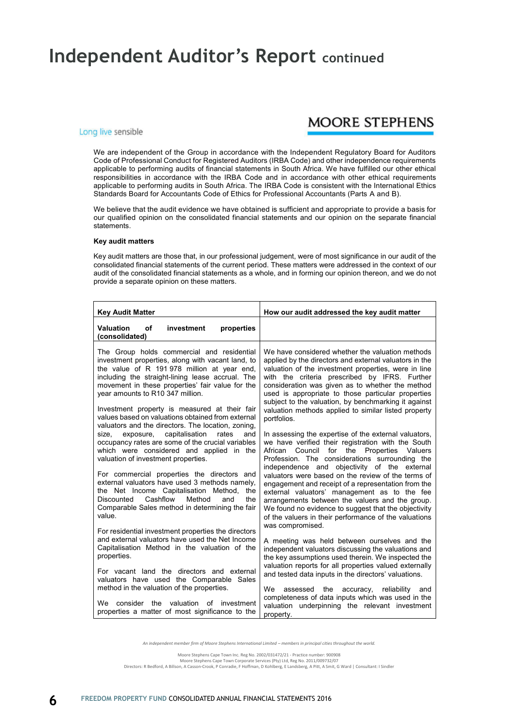# **Independent Auditor's Report continued**

# **MOORE STEPHENS**

### Long live sensible

We are independent of the Group in accordance with the Independent Regulatory Board for Auditors Code of Professional Conduct for Registered Auditors (IRBA Code) and other independence requirements applicable to performing audits of financial statements in South Africa. We have fulfilled our other ethical responsibilities in accordance with the IRBA Code and in accordance with other ethical requirements applicable to performing audits in South Africa. The IRBA Code is consistent with the International Ethics Standards Board for Accountants Code of Ethics for Professional Accountants (Parts A and B).

We believe that the audit evidence we have obtained is sufficient and appropriate to provide a basis for our qualified opinion on the consolidated financial statements and our opinion on the separate financial statements.

#### **Key audit matters**

Key audit matters are those that, in our professional judgement, were of most significance in our audit of the consolidated financial statements of the current period. These matters were addressed in the context of our audit of the consolidated financial statements as a whole, and in forming our opinion thereon, and we do not provide a separate opinion on these matters.

| <b>Key Audit Matter</b>                                                                                                                                                                                                                                                                    | How our audit addressed the key audit matter                                                                                                                                                                                                                                                                                                                                          |  |  |  |  |
|--------------------------------------------------------------------------------------------------------------------------------------------------------------------------------------------------------------------------------------------------------------------------------------------|---------------------------------------------------------------------------------------------------------------------------------------------------------------------------------------------------------------------------------------------------------------------------------------------------------------------------------------------------------------------------------------|--|--|--|--|
| <b>Valuation</b><br><b>of</b><br>investment<br>properties<br>(consolidated)                                                                                                                                                                                                                |                                                                                                                                                                                                                                                                                                                                                                                       |  |  |  |  |
| The Group holds commercial and residential<br>investment properties, along with vacant land, to<br>the value of R 191 978 million at year end,<br>including the straight-lining lease accrual. The<br>movement in these properties' fair value for the<br>year amounts to R10 347 million. | We have considered whether the valuation methods<br>applied by the directors and external valuators in the<br>valuation of the investment properties, were in line<br>with the criteria prescribed by IFRS. Further<br>consideration was given as to whether the method<br>used is appropriate to those particular properties<br>subject to the valuation, by benchmarking it against |  |  |  |  |
| Investment property is measured at their fair<br>values based on valuations obtained from external<br>valuators and the directors. The location, zoning,                                                                                                                                   | valuation methods applied to similar listed property<br>portfolios.                                                                                                                                                                                                                                                                                                                   |  |  |  |  |
| capitalisation<br>rates<br>and<br>size.<br>exposure,<br>occupancy rates are some of the crucial variables<br>which were considered and applied in the<br>valuation of investment properties.                                                                                               | In assessing the expertise of the external valuators,<br>we have verified their registration with the South<br>Council<br>for<br>the<br>Properties<br>Valuers<br>African<br>Profession. The considerations surrounding the<br>independence and objectivity of the external                                                                                                            |  |  |  |  |
| For commercial properties the directors and<br>external valuators have used 3 methods namely,<br>the Net Income Capitalisation Method,<br>the<br>Cashflow<br>Discounted<br>Method<br>the<br>and<br>Comparable Sales method in determining the fair<br>value.                               | valuators were based on the review of the terms of<br>engagement and receipt of a representation from the<br>external valuators' management as to the fee<br>arrangements between the valuers and the group.<br>We found no evidence to suggest that the objectivity<br>of the valuers in their performance of the valuations<br>was compromised.                                     |  |  |  |  |
| For residential investment properties the directors<br>and external valuators have used the Net Income<br>Capitalisation Method in the valuation of the<br>properties.                                                                                                                     | A meeting was held between ourselves and the<br>independent valuators discussing the valuations and<br>the key assumptions used therein. We inspected the                                                                                                                                                                                                                             |  |  |  |  |
| For vacant land the directors and external<br>valuators have used the Comparable Sales                                                                                                                                                                                                     | valuation reports for all properties valued externally<br>and tested data inputs in the directors' valuations.                                                                                                                                                                                                                                                                        |  |  |  |  |
| method in the valuation of the properties.<br>valuation of investment<br>We<br>consider<br>the<br>properties a matter of most significance to the                                                                                                                                          | <b>We</b><br>the<br>accuracy, reliability and<br>assessed<br>completeness of data inputs which was used in the<br>valuation underpinning the relevant investment<br>property.                                                                                                                                                                                                         |  |  |  |  |

*An independent member firm of Moore Stephens International Limited – members in principal cities throughout the world.*

Moore Stephens Cape Town Inc. Reg No. 2002/031472/21 - Practice number: 900908

Moore Stephens Cape Town Corporate Services (Pty) Ltd, Reg No. 2011/009732/07 Directors: R Bedford, A Billson, A Casson-Crook, P Conradie, F Hoffman, D Kohlberg, E Landsberg, A Pitt, A Smit, G Ward | Consultant: I Sindler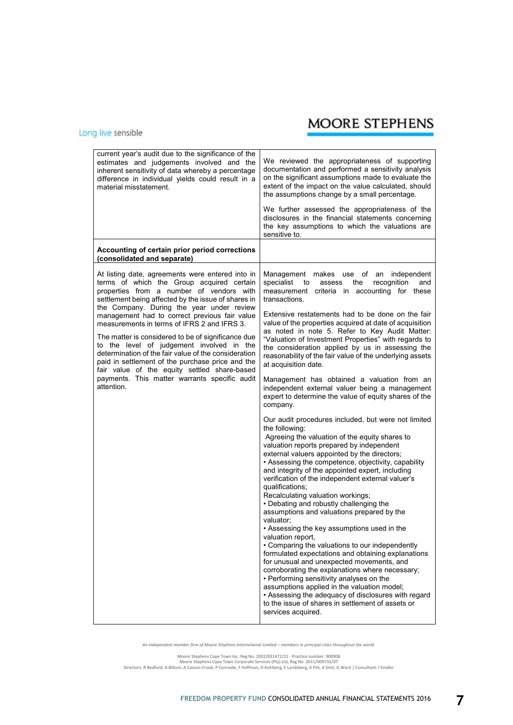# **MOORE STEPHENS**

# Long live sensible

| current year's audit due to the significance of the<br>estimates and judgements involved and the<br>inherent sensitivity of data whereby a percentage<br>difference in individual yields could result in a<br>material misstatement.                                                                                                                                                                                                                                                                                                                                                                                                                                        | We reviewed the appropriateness of supporting<br>documentation and performed a sensitivity analysis<br>on the significant assumptions made to evaluate the<br>extent of the impact on the value calculated, should<br>the assumptions change by a small percentage.<br>We further assessed the appropriateness of the<br>disclosures in the financial statements concerning<br>the key assumptions to which the valuations are<br>sensitive to.                                                                                                                                                                                                                                                                                                                                                                                                                                                                                                                                                                                                                                                                                                                                                                                                                                                                                                                                                                                                                                                                                                                                                                                                                                                                                                                            |
|-----------------------------------------------------------------------------------------------------------------------------------------------------------------------------------------------------------------------------------------------------------------------------------------------------------------------------------------------------------------------------------------------------------------------------------------------------------------------------------------------------------------------------------------------------------------------------------------------------------------------------------------------------------------------------|----------------------------------------------------------------------------------------------------------------------------------------------------------------------------------------------------------------------------------------------------------------------------------------------------------------------------------------------------------------------------------------------------------------------------------------------------------------------------------------------------------------------------------------------------------------------------------------------------------------------------------------------------------------------------------------------------------------------------------------------------------------------------------------------------------------------------------------------------------------------------------------------------------------------------------------------------------------------------------------------------------------------------------------------------------------------------------------------------------------------------------------------------------------------------------------------------------------------------------------------------------------------------------------------------------------------------------------------------------------------------------------------------------------------------------------------------------------------------------------------------------------------------------------------------------------------------------------------------------------------------------------------------------------------------------------------------------------------------------------------------------------------------|
| Accounting of certain prior period corrections<br>(consolidated and separate)                                                                                                                                                                                                                                                                                                                                                                                                                                                                                                                                                                                               |                                                                                                                                                                                                                                                                                                                                                                                                                                                                                                                                                                                                                                                                                                                                                                                                                                                                                                                                                                                                                                                                                                                                                                                                                                                                                                                                                                                                                                                                                                                                                                                                                                                                                                                                                                            |
| At listing date, agreements were entered into in<br>terms of which the Group acquired certain<br>properties from a number of vendors with<br>settlement being affected by the issue of shares in<br>the Company. During the year under review<br>management had to correct previous fair value<br>measurements in terms of IFRS 2 and IFRS 3.<br>The matter is considered to be of significance due<br>to the level of judgement involved in the<br>determination of the fair value of the consideration<br>paid in settlement of the purchase price and the<br>fair value of the equity settled share-based<br>payments. This matter warrants specific audit<br>attention. | Management makes use of an independent<br>recognition<br>specialist<br>to<br>the<br>and<br>assess<br>measurement criteria in accounting for these<br>transactions.<br>Extensive restatements had to be done on the fair<br>value of the properties acquired at date of acquisition<br>as noted in note 5. Refer to Key Audit Matter:<br>"Valuation of Investment Properties" with regards to<br>the consideration applied by us in assessing the<br>reasonability of the fair value of the underlying assets<br>at acquisition date.<br>Management has obtained a valuation from an<br>independent external valuer being a management<br>expert to determine the value of equity shares of the<br>company.<br>Our audit procedures included, but were not limited<br>the following:<br>Agreeing the valuation of the equity shares to<br>valuation reports prepared by independent<br>external valuers appointed by the directors;<br>• Assessing the competence, objectivity, capability<br>and integrity of the appointed expert, including<br>verification of the independent external valuer's<br>qualifications:<br>Recalculating valuation workings;<br>• Debating and robustly challenging the<br>assumptions and valuations prepared by the<br>valuator:<br>• Assessing the key assumptions used in the<br>valuation report,<br>• Comparing the valuations to our independently<br>formulated expectations and obtaining explanations<br>for unusual and unexpected movements, and<br>corroborating the explanations where necessary;<br>• Performing sensitivity analyses on the<br>assumptions applied in the valuation model;<br>• Assessing the adequacy of disclosures with regard<br>to the issue of shares in settlement of assets or<br>services acquired. |
|                                                                                                                                                                                                                                                                                                                                                                                                                                                                                                                                                                                                                                                                             |                                                                                                                                                                                                                                                                                                                                                                                                                                                                                                                                                                                                                                                                                                                                                                                                                                                                                                                                                                                                                                                                                                                                                                                                                                                                                                                                                                                                                                                                                                                                                                                                                                                                                                                                                                            |

*An independent member firm of Moore Stephens International Limited – members in principal cities throughout the world.*

Moore Stephens Cape Town Inc. Reg No. 2002/031472/21 - Practice number: 900908<br>Moore Stephens Cape Town Corporate Services (Pty) Ltd, Reg No. 2011/009732/07<br>Directors: R Bedford, A Billson, A Casson-Crook, P Conradie, F Ho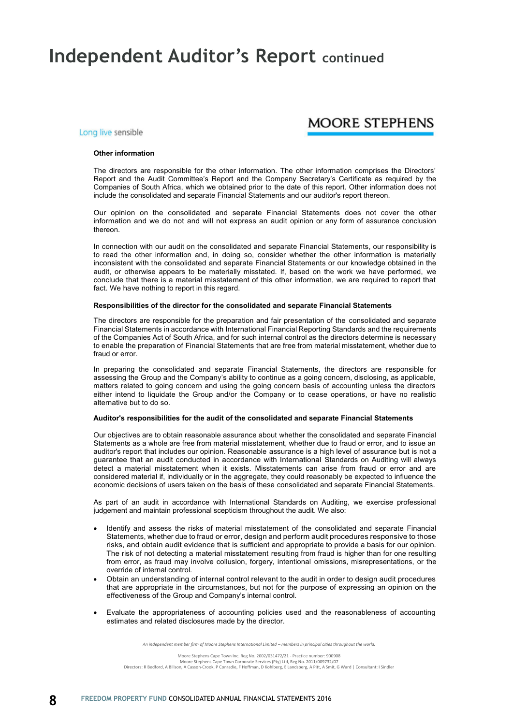# **Independent Auditor's Report continued**

# **MOORE STEPHENS**

### Long live sensible

#### **Other information**

The directors are responsible for the other information. The other information comprises the Directors' Report and the Audit Committee's Report and the Company Secretary's Certificate as required by the Companies of South Africa, which we obtained prior to the date of this report. Other information does not include the consolidated and separate Financial Statements and our auditor's report thereon.

Our opinion on the consolidated and separate Financial Statements does not cover the other information and we do not and will not express an audit opinion or any form of assurance conclusion thereon.

In connection with our audit on the consolidated and separate Financial Statements, our responsibility is to read the other information and, in doing so, consider whether the other information is materially inconsistent with the consolidated and separate Financial Statements or our knowledge obtained in the audit, or otherwise appears to be materially misstated. If, based on the work we have performed, we conclude that there is a material misstatement of this other information, we are required to report that fact. We have nothing to report in this regard.

#### **Responsibilities of the director for the consolidated and separate Financial Statements**

The directors are responsible for the preparation and fair presentation of the consolidated and separate Financial Statements in accordance with International Financial Reporting Standards and the requirements of the Companies Act of South Africa, and for such internal control as the directors determine is necessary to enable the preparation of Financial Statements that are free from material misstatement, whether due to fraud or error.

In preparing the consolidated and separate Financial Statements, the directors are responsible for assessing the Group and the Company's ability to continue as a going concern, disclosing, as applicable, matters related to going concern and using the going concern basis of accounting unless the directors either intend to liquidate the Group and/or the Company or to cease operations, or have no realistic alternative but to do so.

#### **Auditor's responsibilities for the audit of the consolidated and separate Financial Statements**

Our objectives are to obtain reasonable assurance about whether the consolidated and separate Financial Statements as a whole are free from material misstatement, whether due to fraud or error, and to issue an auditor's report that includes our opinion. Reasonable assurance is a high level of assurance but is not a guarantee that an audit conducted in accordance with International Standards on Auditing will always detect a material misstatement when it exists. Misstatements can arise from fraud or error and are considered material if, individually or in the aggregate, they could reasonably be expected to influence the economic decisions of users taken on the basis of these consolidated and separate Financial Statements.

As part of an audit in accordance with International Standards on Auditing, we exercise professional judgement and maintain professional scepticism throughout the audit. We also:

- Identify and assess the risks of material misstatement of the consolidated and separate Financial Statements, whether due to fraud or error, design and perform audit procedures responsive to those risks, and obtain audit evidence that is sufficient and appropriate to provide a basis for our opinion. The risk of not detecting a material misstatement resulting from fraud is higher than for one resulting from error, as fraud may involve collusion, forgery, intentional omissions, misrepresentations, or the override of internal control.
- Obtain an understanding of internal control relevant to the audit in order to design audit procedures that are appropriate in the circumstances, but not for the purpose of expressing an opinion on the effectiveness of the Group and Company's internal control.
- Evaluate the appropriateness of accounting policies used and the reasonableness of accounting estimates and related disclosures made by the director.

*An independent member firm of Moore Stephens International Limited – members in principal cities throughout the world.*

Moore Stephens Cape Town Inc. Reg No. 2002/031472/21 - Practice number: 900908 Moore Stephens Cape Town Corporate Services (Pty) Ltd, Reg No. 2011/009732/07 Directors: R Bedford, A Billson, A Casson-Crook, P Conradie, F Hoffman, D Kohlberg, E Landsberg, A Pitt, A Smit, G Ward | Consultant: I Sindler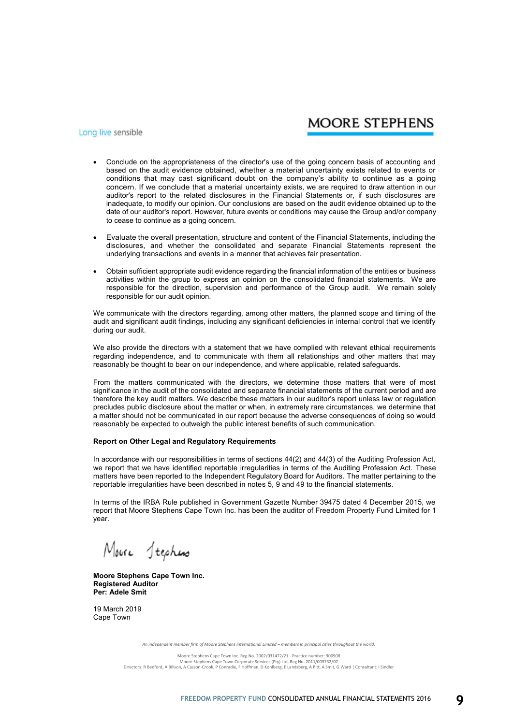#### Long live sensible

# **MOORE STEPHENS**

- Conclude on the appropriateness of the director's use of the going concern basis of accounting and based on the audit evidence obtained, whether a material uncertainty exists related to events or conditions that may cast significant doubt on the company's ability to continue as a going concern. If we conclude that a material uncertainty exists, we are required to draw attention in our auditor's report to the related disclosures in the Financial Statements or, if such disclosures are inadequate, to modify our opinion. Our conclusions are based on the audit evidence obtained up to the date of our auditor's report. However, future events or conditions may cause the Group and/or company to cease to continue as a going concern.
- Evaluate the overall presentation, structure and content of the Financial Statements, including the disclosures, and whether the consolidated and separate Financial Statements represent the underlying transactions and events in a manner that achieves fair presentation.
- Obtain sufficient appropriate audit evidence regarding the financial information of the entities or business activities within the group to express an opinion on the consolidated financial statements. We are responsible for the direction, supervision and performance of the Group audit. We remain solely responsible for our audit opinion.

We communicate with the directors regarding, among other matters, the planned scope and timing of the audit and significant audit findings, including any significant deficiencies in internal control that we identify during our audit.

We also provide the directors with a statement that we have complied with relevant ethical requirements regarding independence, and to communicate with them all relationships and other matters that may reasonably be thought to bear on our independence, and where applicable, related safeguards.

From the matters communicated with the directors, we determine those matters that were of most significance in the audit of the consolidated and separate financial statements of the current period and are therefore the key audit matters. We describe these matters in our auditor's report unless law or regulation precludes public disclosure about the matter or when, in extremely rare circumstances, we determine that a matter should not be communicated in our report because the adverse consequences of doing so would reasonably be expected to outweigh the public interest benefits of such communication.

#### **Report on Other Legal and Regulatory Requirements**

In accordance with our responsibilities in terms of sections 44(2) and 44(3) of the Auditing Profession Act, we report that we have identified reportable irregularities in terms of the Auditing Profession Act. These matters have been reported to the Independent Regulatory Board for Auditors. The matter pertaining to the reportable irregularities have been described in notes 5, 9 and 49 to the financial statements.

In terms of the IRBA Rule published in Government Gazette Number 39475 dated 4 December 2015, we report that Moore Stephens Cape Town Inc. has been the auditor of Freedom Property Fund Limited for 1 year.

Moure Jeephens

**Moore Stephens Cape Town Inc. Registered Auditor Per: Adele Smit**

19 March 2019 Cape Town

*An independent member firm of Moore Stephens International Limited – members in principal cities throughout the world.*

Moore Stephens Cape Town Inc. Reg No. 2002/031472/21 - Practice number: 900908 Moore Stephens Cape Town Corporate Services (Pty) Ltd, Reg No. 2011/009732/07 Directors: R Bedford, A Billson, A Casson-Crook, P Conradie, F Hoffman, D Kohlberg, E Landsberg, A Pitt, A Smit, G Ward | Consultant: I Sindler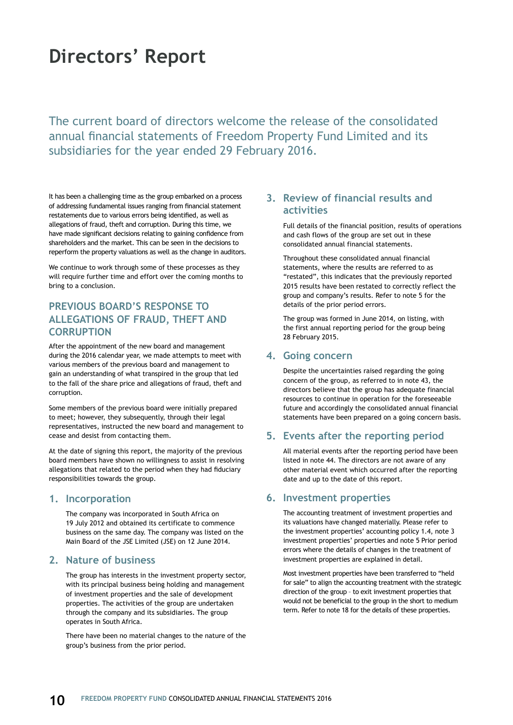# **Directors' Report**

# The current board of directors welcome the release of the consolidated annual financial statements of Freedom Property Fund Limited and its subsidiaries for the year ended 29 February 2016.

It has been a challenging time as the group embarked on a process of addressing fundamental issues ranging from financial statement restatements due to various errors being identified, as well as allegations of fraud, theft and corruption. During this time, we have made significant decisions relating to gaining confidence from shareholders and the market. This can be seen in the decisions to reperform the property valuations as well as the change in auditors.

We continue to work through some of these processes as they will require further time and effort over the coming months to bring to a conclusion.

# **PREVIOUS BOARD'S RESPONSE TO ALLEGATIONS OF FRAUD, THEFT AND CORRUPTION**

After the appointment of the new board and management during the 2016 calendar year, we made attempts to meet with various members of the previous board and management to gain an understanding of what transpired in the group that led to the fall of the share price and allegations of fraud, theft and corruption.

Some members of the previous board were initially prepared to meet; however, they subsequently, through their legal representatives, instructed the new board and management to cease and desist from contacting them.

At the date of signing this report, the majority of the previous board members have shown no willingness to assist in resolving allegations that related to the period when they had fiduciary responsibilities towards the group.

## **1. Incorporation**

The company was incorporated in South Africa on 19 July 2012 and obtained its certificate to commence business on the same day. The company was listed on the Main Board of the JSE Limited (JSE) on 12 June 2014.

# **2. Nature of business**

The group has interests in the investment property sector, with its principal business being holding and management of investment properties and the sale of development properties. The activities of the group are undertaken through the company and its subsidiaries. The group operates in South Africa.

There have been no material changes to the nature of the group's business from the prior period.

# **3. Review of financial results and activities**

Full details of the financial position, results of operations and cash flows of the group are set out in these consolidated annual financial statements.

Throughout these consolidated annual financial statements, where the results are referred to as "restated", this indicates that the previously reported 2015 results have been restated to correctly reflect the group and company's results. Refer to note 5 for the details of the prior period errors.

The group was formed in June 2014, on listing, with the first annual reporting period for the group being 28 February 2015.

# **4. Going concern**

Despite the uncertainties raised regarding the going concern of the group, as referred to in note 43, the directors believe that the group has adequate financial resources to continue in operation for the foreseeable future and accordingly the consolidated annual financial statements have been prepared on a going concern basis.

# **5. Events after the reporting period**

All material events after the reporting period have been listed in note 44. The directors are not aware of any other material event which occurred after the reporting date and up to the date of this report.

## **6. Investment properties**

The accounting treatment of investment properties and its valuations have changed materially. Please refer to the investment properties' accounting policy 1.4, note 3 investment properties' properties and note 5 Prior period errors where the details of changes in the treatment of investment properties are explained in detail.

Most investment properties have been transferred to "held for sale" to align the accounting treatment with the strategic direction of the group – to exit investment properties that would not be beneficial to the group in the short to medium term. Refer to note 18 for the details of these properties.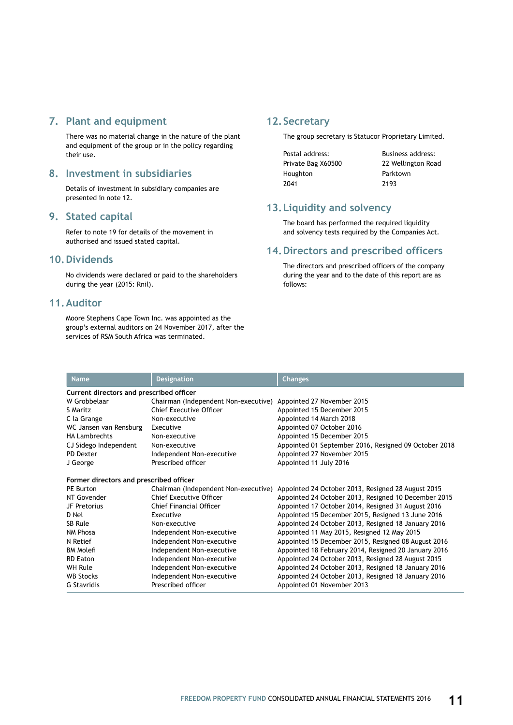# **7. Plant and equipment**

There was no material change in the nature of the plant and equipment of the group or in the policy regarding their use.

# **8. Investment in subsidiaries**

Details of investment in subsidiary companies are presented in note 12.

## **9. Stated capital**

Refer to note 19 for details of the movement in authorised and issued stated capital.

# **10.Dividends**

No dividends were declared or paid to the shareholders during the year (2015: Rnil).

### **11.Auditor**

Moore Stephens Cape Town Inc. was appointed as the group's external auditors on 24 November 2017, after the services of RSM South Africa was terminated.

# **12.Secretary**

The group secretary is Statucor Proprietary Limited.

| Postal address:    | Business address:  |
|--------------------|--------------------|
| Private Bag X60500 | 22 Wellington Road |
| Houghton           | Parktown           |
| 2041               | 2193               |

# **13.Liquidity and solvency**

The board has performed the required liquidity and solvency tests required by the Companies Act.

## **14.Directors and prescribed officers**

The directors and prescribed officers of the company during the year and to the date of this report are as follows:

| Name                                     | <b>Designation</b>                   | <b>Changes</b>                                        |  |  |  |  |  |  |
|------------------------------------------|--------------------------------------|-------------------------------------------------------|--|--|--|--|--|--|
| Current directors and prescribed officer |                                      |                                                       |  |  |  |  |  |  |
| W Grobbelaar                             | Chairman (Independent Non-executive) | Appointed 27 November 2015                            |  |  |  |  |  |  |
| S Maritz                                 | Chief Executive Officer              | Appointed 15 December 2015                            |  |  |  |  |  |  |
| C la Grange                              | Non-executive                        | Appointed 14 March 2018                               |  |  |  |  |  |  |
| WC Jansen van Rensburg                   | Executive                            | Appointed 07 October 2016                             |  |  |  |  |  |  |
| <b>HA Lambrechts</b>                     | Non-executive                        | Appointed 15 December 2015                            |  |  |  |  |  |  |
| CJ Sidego Independent                    | Non-executive                        | Appointed 01 September 2016, Resigned 09 October 2018 |  |  |  |  |  |  |
| <b>PD Dexter</b>                         | Independent Non-executive            | Appointed 27 November 2015                            |  |  |  |  |  |  |
| J George                                 | Prescribed officer                   | Appointed 11 July 2016                                |  |  |  |  |  |  |
| Former directors and prescribed officer  |                                      |                                                       |  |  |  |  |  |  |
| PF Burton                                | Chairman (Independent Non-executive) | Appointed 24 October 2013, Resigned 28 August 2015    |  |  |  |  |  |  |
| NT Govender                              | <b>Chief Executive Officer</b>       | Appointed 24 October 2013, Resigned 10 December 2015  |  |  |  |  |  |  |
| JF Pretorius                             | <b>Chief Financial Officer</b>       | Appointed 17 October 2014, Resigned 31 August 2016    |  |  |  |  |  |  |
| D Nel                                    | Executive                            | Appointed 15 December 2015, Resigned 13 June 2016     |  |  |  |  |  |  |
| SB Rule                                  | Non-executive                        | Appointed 24 October 2013, Resigned 18 January 2016   |  |  |  |  |  |  |
| NM Phosa                                 | Independent Non-executive            | Appointed 11 May 2015, Resigned 12 May 2015           |  |  |  |  |  |  |
| N Retief                                 | Independent Non-executive            | Appointed 15 December 2015, Resigned 08 August 2016   |  |  |  |  |  |  |
| <b>BM Molefi</b>                         | Independent Non-executive            | Appointed 18 February 2014, Resigned 20 January 2016  |  |  |  |  |  |  |
| <b>RD Eaton</b>                          | Independent Non-executive            | Appointed 24 October 2013, Resigned 28 August 2015    |  |  |  |  |  |  |
| WH Rule                                  | Independent Non-executive            | Appointed 24 October 2013, Resigned 18 January 2016   |  |  |  |  |  |  |
| <b>WB Stocks</b>                         | Independent Non-executive            | Appointed 24 October 2013, Resigned 18 January 2016   |  |  |  |  |  |  |
| <b>G</b> Stavridis                       | Prescribed officer                   | Appointed 01 November 2013                            |  |  |  |  |  |  |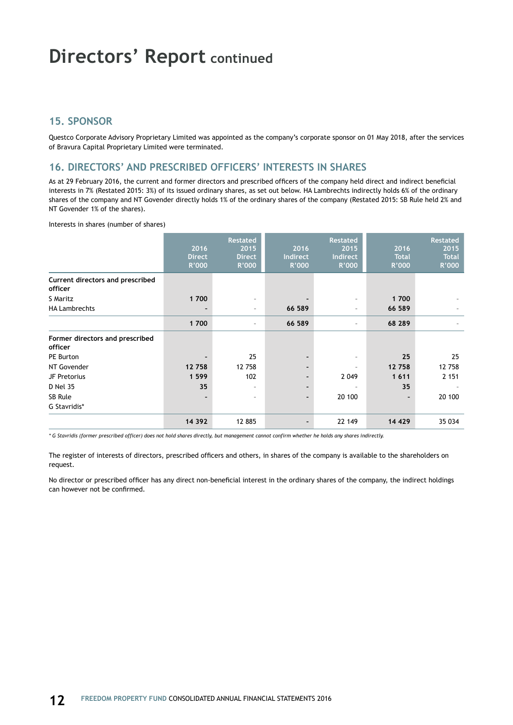# **Directors' Report continued**

# **15. SPONSOR**

Questco Corporate Advisory Proprietary Limited was appointed as the company's corporate sponsor on 01 May 2018, after the services of Bravura Capital Proprietary Limited were terminated.

# **16. DIRECTORS' AND PRESCRIBED OFFICERS' INTERESTS IN SHARES**

As at 29 February 2016, the current and former directors and prescribed officers of the company held direct and indirect beneficial interests in 7% (Restated 2015: 3%) of its issued ordinary shares, as set out below. HA Lambrechts indirectly holds 6% of the ordinary shares of the company and NT Govender directly holds 1% of the ordinary shares of the company (Restated 2015: SB Rule held 2% and NT Govender 1% of the shares).

Interests in shares (number of shares)

|                                             | 2016<br><b>Direct</b><br>R'000 | <b>Restated</b><br>2015<br><b>Direct</b><br>R'000 | 2016<br>Indirect<br>R'000 | <b>Restated</b><br>2015<br><b>Indirect</b><br>R'000 | 2016<br><b>Total</b><br>R'000 | <b>Restated</b><br>2015<br><b>Total</b><br>R'000 |
|---------------------------------------------|--------------------------------|---------------------------------------------------|---------------------------|-----------------------------------------------------|-------------------------------|--------------------------------------------------|
| Current directors and prescribed<br>officer |                                |                                                   |                           |                                                     |                               |                                                  |
| S Maritz                                    | 1700                           | -                                                 |                           | $\overline{\phantom{a}}$                            | 1700                          |                                                  |
| <b>HA Lambrechts</b>                        | $\overline{\phantom{0}}$       | $\overline{\phantom{a}}$                          | 66 589                    | $\overline{\phantom{a}}$                            | 66 589                        |                                                  |
|                                             | 1700                           | $\overline{\phantom{a}}$                          | 66 589                    | $\overline{\phantom{a}}$                            | 68 289                        |                                                  |
| Former directors and prescribed<br>officer  |                                |                                                   |                           |                                                     |                               |                                                  |
| PE Burton                                   |                                | 25                                                |                           |                                                     | 25                            | 25                                               |
| NT Govender                                 | 12758                          | 12 758                                            |                           |                                                     | 12758                         | 12 758                                           |
| JF Pretorius                                | 1 5 9 9                        | 102                                               |                           | 2 0 4 9                                             | 1611                          | 2 1 5 1                                          |
| <b>D</b> Nel 35                             | 35                             | $\overline{\phantom{0}}$                          |                           |                                                     | 35                            |                                                  |
| SB Rule                                     |                                | $\overline{\phantom{a}}$                          | $\overline{\phantom{a}}$  | 20 100                                              |                               | 20 100                                           |
| G Stavridis*                                |                                |                                                   |                           |                                                     |                               |                                                  |
|                                             | 14 392                         | 12 885                                            |                           | 22 149                                              | 14 4 29                       | 35 0 34                                          |

*\* G Stavridis (former prescribed officer) does not hold shares directly, but management cannot confirm whether he holds any shares indirectly.*

The register of interests of directors, prescribed officers and others, in shares of the company is available to the shareholders on request.

No director or prescribed officer has any direct non-beneficial interest in the ordinary shares of the company, the indirect holdings can however not be confirmed.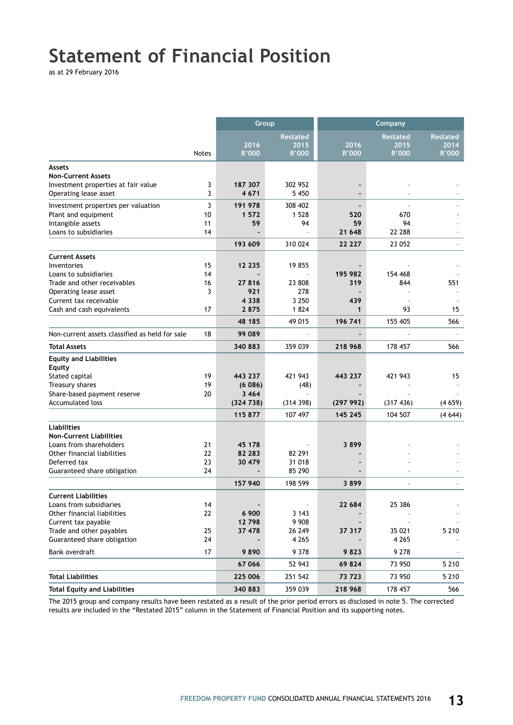# **Statement of Financial Position**

as at 29 February 2016

|                                                |              | Group        |                 | Company      |                 |                 |
|------------------------------------------------|--------------|--------------|-----------------|--------------|-----------------|-----------------|
|                                                |              |              | <b>Restated</b> |              | <b>Restated</b> | <b>Restated</b> |
|                                                |              | 2016         | 2015            | 2016         | 2015            | 2014            |
|                                                | <b>Notes</b> | <b>R'000</b> | R'000           | <b>R'000</b> | <b>R'000</b>    | R'000           |
| <b>Assets</b>                                  |              |              |                 |              |                 |                 |
| <b>Non-Current Assets</b>                      |              |              |                 |              |                 |                 |
| Investment properties at fair value            | 3            | 187 307      | 302 952         |              |                 |                 |
| Operating lease asset                          | 3            | 4671         | 5 4 5 0         |              |                 |                 |
| Investment properties per valuation            | 3            | 191 978      | 308 402         |              |                 |                 |
| Plant and equipment                            | 10           | 1 5 7 2      | 1 5 2 8         | 520          | 670             |                 |
| Intangible assets                              | 11           | 59           | 94              | 59           | 94              |                 |
| Loans to subsidiaries                          | 14           |              |                 | 21 648       | 22 288          |                 |
|                                                |              | 193 609      | 310 024         | 22 227       | 23 052          |                 |
| <b>Current Assets</b>                          |              |              |                 |              |                 |                 |
| Inventories                                    | 15           | 12 2 3 5     | 19 855          |              |                 |                 |
| Loans to subsidiaries                          | 14           |              |                 | 195 982      | 154 468         |                 |
| Trade and other receivables                    | 16           | 27816        | 23 808          | 319          | 844             | 551             |
| Operating lease asset                          | 3            | 921          | 278             |              |                 |                 |
| Current tax receivable                         |              | 4 3 3 8      | 3 2 5 0         | 439          |                 |                 |
| Cash and cash equivalents                      | 17           | 2875         | 1824            | $\mathbf 1$  | 93              | 15              |
|                                                |              | 48 185       | 49 015          | 196 741      | 155 405         | 566             |
| Non-current assets classified as held for sale | 18           | 99 089       |                 |              |                 |                 |
| <b>Total Assets</b>                            |              | 340 883      | 359 039         | 218 968      | 178 457         | 566             |
| <b>Equity and Liabilities</b>                  |              |              |                 |              |                 |                 |
| <b>Equity</b>                                  |              |              |                 |              |                 |                 |
| Stated capital                                 | 19           | 443 237      | 421 943         | 443 237      | 421 943         | 15              |
| Treasury shares                                | 19           | (6086)       | (48)            |              |                 |                 |
| Share-based payment reserve                    | 20           | 3 4 6 4      |                 |              |                 |                 |
| <b>Accumulated loss</b>                        |              | (324738)     | (314 398)       | (297992)     | (317 436)       | (4659)          |
|                                                |              | 115 877      | 107 497         | 145 245      | 104 507         | (4644)          |
| <b>Liabilities</b>                             |              |              |                 |              |                 |                 |
| <b>Non-Current Liabilities</b>                 |              |              |                 |              |                 |                 |
| Loans from shareholders                        | 21           | 45 178       |                 | 3899         |                 |                 |
| Other financial liabilities                    | 22           | 82 283       | 82 291          |              |                 |                 |
| Deferred tax                                   | 23           | 30 479       | 31 018          |              |                 |                 |
| Guaranteed share obligation                    | 24           |              | 85 290          |              |                 |                 |
|                                                |              | 157 940      | 198 599         | 3899         |                 |                 |
| <b>Current Liabilities</b>                     |              |              |                 |              |                 |                 |
| Loans from subsidiaries                        | 14           |              |                 | 22 684       | 25 38 6         |                 |
| Other financial liabilities                    | 22           | 6 900        | 3 1 4 3         |              |                 |                 |
| Current tax payable                            |              | 12 798       | 9 9 0 8         |              |                 |                 |
| Trade and other payables                       | 25           | 37 478       | 26 249          | 37 317       | 35 021          | 5 2 1 0         |
| Guaranteed share obligation                    | 24           |              | 4 2 6 5         |              | 4 2 6 5         |                 |
| Bank overdraft                                 | 17           | 9890         | 9 3 7 8         | 9823         | 9 2 7 8         |                 |
|                                                |              | 67 066       | 52 943          | 69824        | 73 950          | 5 2 1 0         |
| <b>Total Liabilities</b>                       |              | 225 006      | 251 542         | 73 723       | 73 950          | 5 2 1 0         |
| <b>Total Equity and Liabilities</b>            |              | 340 883      | 359 039         | 218 968      | 178 457         | 566             |

The 2015 group and company results have been restated as a result of the prior period errors as disclosed in note 5. The corrected results are included in the "Restated 2015" column in the Statement of Financial Position and its supporting notes.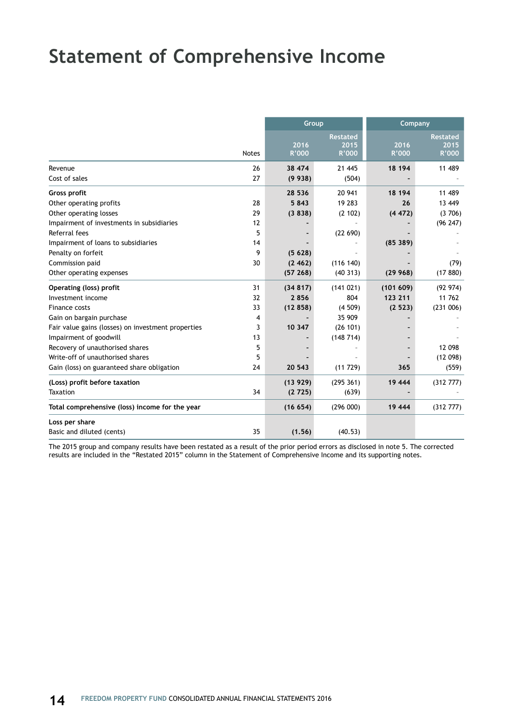# **Statement of Comprehensive Income**

|                                                    |              | Group         |                 | Company       |                 |
|----------------------------------------------------|--------------|---------------|-----------------|---------------|-----------------|
|                                                    |              |               | <b>Restated</b> |               | <b>Restated</b> |
|                                                    | <b>Notes</b> | 2016<br>R'000 | 2015<br>R'000   | 2016<br>R'000 | 2015<br>R'000   |
|                                                    |              |               |                 |               |                 |
| Revenue                                            | 26           | 38 474        | 21 4 4 5        | 18 194        | 11 489          |
| Cost of sales                                      | 27           | (9938)        | (504)           |               |                 |
| Gross profit                                       |              | 28 536        | 20 941          | 18 194        | 11 489          |
| Other operating profits                            | 28           | 5843          | 19 283          | 26            | 13 449          |
| Other operating losses                             | 29           | (3838)        | (2 102)         | (4472)        | (3706)          |
| Impairment of investments in subsidiaries          | 12           |               |                 |               | (96 247)        |
| Referral fees                                      | 5            |               | (22690)         |               |                 |
| Impairment of loans to subsidiaries                | 14           |               |                 | (85389)       |                 |
| Penalty on forfeit                                 | 9            | (5628)        |                 |               |                 |
| Commission paid                                    | 30           | (2462)        | (116 140)       |               | (79)            |
| Other operating expenses                           |              | (57268)       | (40313)         | (29968)       | (17880)         |
| Operating (loss) profit                            | 31           | (34817)       | (141 021)       | (101609)      | (92974)         |
| Investment income                                  | 32           | 2856          | 804             | 123 211       | 11762           |
| Finance costs                                      | 33           | (12858)       | (4509)          | (2523)        | (231006)        |
| Gain on bargain purchase                           | 4            |               | 35 909          |               |                 |
| Fair value gains (losses) on investment properties | 3            | 10 347        | (26 101)        |               |                 |
| Impairment of goodwill                             | 13           |               | (148714)        |               |                 |
| Recovery of unauthorised shares                    | 5            |               |                 |               | 12 098          |
| Write-off of unauthorised shares                   | 5            |               |                 |               | (12098)         |
| Gain (loss) on guaranteed share obligation         | 24           | 20 543        | (11729)         | 365           | (559)           |
| (Loss) profit before taxation                      |              | (13929)       | (295 361)       | 19 4 44       | (312 777)       |
| <b>Taxation</b>                                    | 34           | (2725)        | (639)           |               |                 |
| Total comprehensive (loss) income for the year     |              | (16654)       | (296 000)       | 19 444        | (312 777)       |
| Loss per share                                     |              |               |                 |               |                 |
| Basic and diluted (cents)                          | 35           | (1.56)        | (40.53)         |               |                 |

The 2015 group and company results have been restated as a result of the prior period errors as disclosed in note 5. The corrected results are included in the "Restated 2015" column in the Statement of Comprehensive Income and its supporting notes.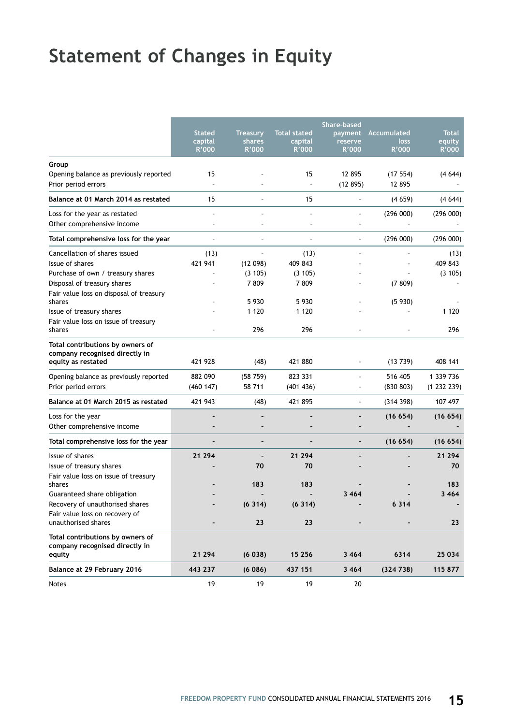# **Statement of Changes in Equity**

|                                                |                                 |                           |                                       | <b>Share-based</b> |                     |                        |
|------------------------------------------------|---------------------------------|---------------------------|---------------------------------------|--------------------|---------------------|------------------------|
|                                                | <b>Stated</b><br><b>capital</b> | <b>Treasury</b><br>shares | <b>Total stated</b><br><b>capital</b> | payment<br>reserve | Accumulated<br>loss | <b>Total</b><br>equity |
|                                                | <b>R'000</b>                    | R'000                     | R'000                                 | <b>R'000</b>       | <b>R'000</b>        | R'000                  |
| Group                                          |                                 |                           |                                       |                    |                     |                        |
| Opening balance as previously reported         | 15                              |                           | 15                                    | 12895              | (17554)             | (4644)                 |
| Prior period errors                            | L.                              |                           | ÷,                                    | (12895)            | 12 895              |                        |
| Balance at 01 March 2014 as restated           | 15                              |                           | 15                                    |                    | (4659)              | (4644)                 |
| Loss for the year as restated                  |                                 |                           | $\overline{a}$                        |                    | (296 000)           | (296 000)              |
| Other comprehensive income                     |                                 |                           |                                       |                    |                     |                        |
| Total comprehensive loss for the year          |                                 |                           | $\overline{a}$                        | ä,                 | (296000)            | (296 000)              |
| Cancellation of shares issued                  | (13)                            |                           | (13)                                  |                    |                     | (13)                   |
| Issue of shares                                | 421 941                         | (12098)                   | 409 843                               |                    |                     | 409 843                |
| Purchase of own / treasury shares              | $\overline{a}$                  | (3105)                    | (3105)                                |                    |                     | (3105)                 |
| Disposal of treasury shares                    |                                 | 7 8 0 9                   | 7809                                  |                    | (7809)              |                        |
| Fair value loss on disposal of treasury        |                                 |                           |                                       |                    |                     |                        |
| shares                                         |                                 | 5930                      | 5 930                                 |                    | (5930)              |                        |
| Issue of treasury shares                       |                                 | 1 1 2 0                   | 1 1 2 0                               |                    |                     | 1 1 2 0                |
| Fair value loss on issue of treasury<br>shares |                                 | 296                       | 296                                   |                    |                     | 296                    |
| Total contributions by owners of               |                                 |                           |                                       |                    |                     |                        |
| company recognised directly in                 |                                 |                           |                                       |                    |                     |                        |
| equity as restated                             | 421 928                         | (48)                      | 421 880                               |                    | (13739)             | 408 141                |
| Opening balance as previously reported         | 882 090                         | (58759)                   | 823 331                               | ÷,                 | 516 405             | 1 339 736              |
| Prior period errors                            | (460147)                        | 58 711                    | (401 436)                             |                    | (830 803)           | (1 232 239)            |
| Balance at 01 March 2015 as restated           | 421 943                         | (48)                      | 421 895                               | ÷,                 | (314 398)           | 107 497                |
| Loss for the year                              |                                 |                           |                                       |                    | (16654)             | (16654)                |
| Other comprehensive income                     |                                 |                           |                                       |                    |                     |                        |
| Total comprehensive loss for the year          |                                 |                           |                                       |                    | (16654)             | (16 654)               |
| Issue of shares                                | 21 294                          |                           | 21 294                                |                    |                     | 21 294                 |
| Issue of treasury shares                       |                                 | 70                        | 70                                    |                    |                     | 70                     |
| Fair value loss on issue of treasury           |                                 |                           |                                       |                    |                     |                        |
| shares                                         |                                 | 183                       | 183                                   |                    |                     | 183                    |
| Guaranteed share obligation                    |                                 |                           |                                       | 3 4 6 4            |                     | 3 4 6 4                |
| Recovery of unauthorised shares                |                                 | (6314)                    | (6314)                                |                    | 6 3 1 4             |                        |
| Fair value loss on recovery of                 |                                 |                           |                                       |                    |                     |                        |
| unauthorised shares                            |                                 | 23                        | 23                                    |                    |                     | 23                     |
| Total contributions by owners of               |                                 |                           |                                       |                    |                     |                        |
| company recognised directly in                 |                                 |                           |                                       |                    |                     |                        |
| equity                                         | 21 294                          | (6038)                    | 15 25 6                               | 3 4 6 4            | 6314                | 25 034                 |
| Balance at 29 February 2016                    | 443 237                         | (6086)                    | 437 151                               | 3 4 6 4            | (324738)            | 115 877                |
| Notes                                          | 19                              | 19                        | 19                                    | 20                 |                     |                        |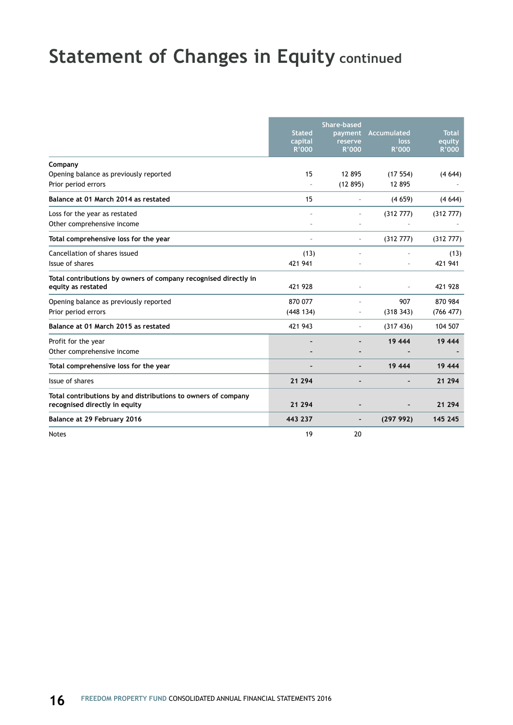# **Statement of Changes in Equity continued**

|                                                                                                | <b>Stated</b><br>capital<br>R'000 | Share-based<br>payment<br>reserve<br><b>R'000</b> | Accumulated<br>loss<br>R'000 | <b>Total</b><br>equity<br>R'000 |
|------------------------------------------------------------------------------------------------|-----------------------------------|---------------------------------------------------|------------------------------|---------------------------------|
| Company                                                                                        |                                   |                                                   |                              |                                 |
| Opening balance as previously reported<br>Prior period errors                                  | 15                                | 12 895<br>(12895)                                 | (17554)<br>12 8 95           | (4644)                          |
| Balance at 01 March 2014 as restated                                                           | 15                                |                                                   | (4659)                       | (4644)                          |
| Loss for the year as restated<br>Other comprehensive income                                    |                                   |                                                   | (312 777)                    | (312 777)                       |
| Total comprehensive loss for the year                                                          | $\overline{\phantom{a}}$          | ÷,                                                | (312 777)                    | (312 777)                       |
| Cancellation of shares issued<br>Issue of shares                                               | (13)<br>421 941                   |                                                   |                              | (13)<br>421 941                 |
| Total contributions by owners of company recognised directly in<br>equity as restated          | 421 928                           |                                                   |                              | 421 928                         |
| Opening balance as previously reported                                                         | 870 077                           |                                                   | 907                          | 870 984                         |
| Prior period errors                                                                            | (448134)                          |                                                   | (318343)                     | (766 477)                       |
| Balance at 01 March 2015 as restated                                                           | 421 943                           |                                                   | (317 436)                    | 104 507                         |
| Profit for the year                                                                            |                                   |                                                   | 19 4 44                      | 19 444                          |
| Other comprehensive income                                                                     |                                   |                                                   |                              |                                 |
| Total comprehensive loss for the year                                                          |                                   |                                                   | 19 444                       | 19 444                          |
| Issue of shares                                                                                | 21 294                            |                                                   |                              | 21 294                          |
| Total contributions by and distributions to owners of company<br>recognised directly in equity | 21 294                            |                                                   |                              | 21 294                          |
| Balance at 29 February 2016                                                                    | 443 237                           | $\qquad \qquad \blacksquare$                      | (297992)                     | 145 245                         |
| <b>Notes</b>                                                                                   | 19                                | 20                                                |                              |                                 |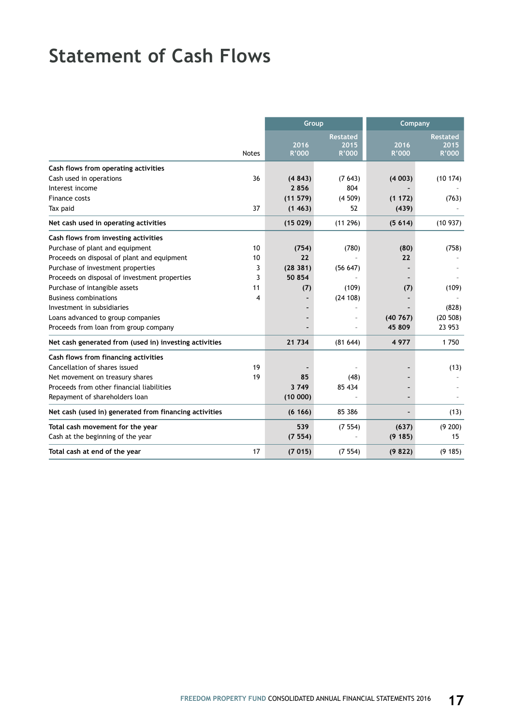# **Statement of Cash Flows**

|                                                        |              |               | Group                | Company       |                 |
|--------------------------------------------------------|--------------|---------------|----------------------|---------------|-----------------|
|                                                        |              |               | <b>Restated</b>      |               | <b>Restated</b> |
|                                                        | <b>Notes</b> | 2016<br>R'000 | 2015<br><b>R'000</b> | 2016<br>R'000 | 2015<br>R'000   |
|                                                        |              |               |                      |               |                 |
| Cash flows from operating activities                   |              |               |                      |               |                 |
| Cash used in operations                                | 36           | (4843)        | (7643)               | (4003)        | (10174)         |
| Interest income                                        |              | 2856          | 804                  |               |                 |
| Finance costs                                          |              | (11 579)      | (4509)               | (1172)        | (763)           |
| Tax paid                                               | 37           | (1463)        | 52                   | (439)         |                 |
| Net cash used in operating activities                  |              | (15029)       | (11 296)             | (5614)        | (10937)         |
| Cash flows from investing activities                   |              |               |                      |               |                 |
| Purchase of plant and equipment                        | 10           | (754)         | (780)                | (80)          | (758)           |
| Proceeds on disposal of plant and equipment            | 10           | 22            |                      | 22            |                 |
| Purchase of investment properties                      | 3            | (28381)       | (56647)              |               |                 |
| Proceeds on disposal of investment properties          | 3            | 50 854        |                      |               |                 |
| Purchase of intangible assets                          | 11           | (7)           | (109)                | (7)           | (109)           |
| <b>Business combinations</b>                           | 4            |               | (24108)              |               |                 |
| Investment in subsidiaries                             |              |               |                      |               | (828)           |
| Loans advanced to group companies                      |              |               |                      | (40767)       | (20 508)        |
| Proceeds from loan from group company                  |              |               |                      | 45 809        | 23 953          |
| Net cash generated from (used in) investing activities |              | 21 7 34       | (81644)              | 4 9 7 7       | 1750            |
| Cash flows from financing activities                   |              |               |                      |               |                 |
| Cancellation of shares issued                          | 19           |               |                      |               | (13)            |
| Net movement on treasury shares                        | 19           | 85            | (48)                 |               |                 |
| Proceeds from other financial liabilities              |              | 3749          | 85 434               |               |                 |
| Repayment of shareholders loan                         |              | (10000)       |                      |               |                 |
| Net cash (used in) generated from financing activities |              | (6166)        | 85 386               |               | (13)            |
| Total cash movement for the year                       |              | 539           | (7554)               | (637)         | (9 200)         |
| Cash at the beginning of the year                      |              | (7554)        |                      | (9185)        | 15              |
| Total cash at end of the year                          | 17           | (7015)        | (7554)               | (9822)        | (9185)          |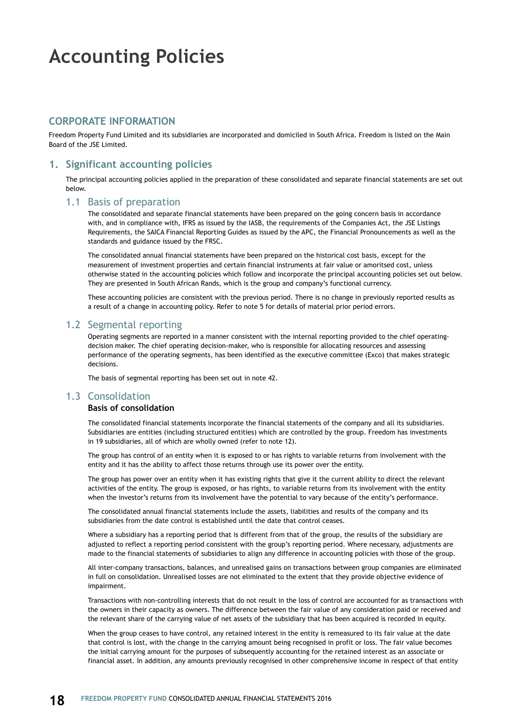# **Accounting Policies**

# **CORPORATE INFORMATION**

Freedom Property Fund Limited and its subsidiaries are incorporated and domiciled in South Africa. Freedom is listed on the Main Board of the JSE Limited.

# **1. Significant accounting policies**

The principal accounting policies applied in the preparation of these consolidated and separate financial statements are set out below.

### 1.1 Basis of preparation

The consolidated and separate financial statements have been prepared on the going concern basis in accordance with, and in compliance with, IFRS as issued by the IASB, the requirements of the Companies Act, the JSE Listings Requirements, the SAICA Financial Reporting Guides as issued by the APC, the Financial Pronouncements as well as the standards and guidance issued by the FRSC.

The consolidated annual financial statements have been prepared on the historical cost basis, except for the measurement of investment properties and certain financial instruments at fair value or amoritsed cost, unless otherwise stated in the accounting policies which follow and incorporate the principal accounting policies set out below. They are presented in South African Rands, which is the group and company's functional currency.

These accounting policies are consistent with the previous period. There is no change in previously reported results as a result of a change in accounting policy. Refer to note 5 for details of material prior period errors.

### 1.2 Segmental reporting

Operating segments are reported in a manner consistent with the internal reporting provided to the chief operatingdecision maker. The chief operating decision-maker, who is responsible for allocating resources and assessing performance of the operating segments, has been identified as the executive committee (Exco) that makes strategic decisions.

The basis of segmental reporting has been set out in note 42.

### 1.3 Consolidation

### **Basis of consolidation**

The consolidated financial statements incorporate the financial statements of the company and all its subsidiaries. Subsidiaries are entities (including structured entities) which are controlled by the group. Freedom has investments in 19 subsidiaries, all of which are wholly owned (refer to note 12).

The group has control of an entity when it is exposed to or has rights to variable returns from involvement with the entity and it has the ability to affect those returns through use its power over the entity.

The group has power over an entity when it has existing rights that give it the current ability to direct the relevant activities of the entity. The group is exposed, or has rights, to variable returns from its involvement with the entity when the investor's returns from its involvement have the potential to vary because of the entity's performance.

The consolidated annual financial statements include the assets, liabilities and results of the company and its subsidiaries from the date control is established until the date that control ceases.

Where a subsidiary has a reporting period that is different from that of the group, the results of the subsidiary are adjusted to reflect a reporting period consistent with the group's reporting period. Where necessary, adjustments are made to the financial statements of subsidiaries to align any difference in accounting policies with those of the group.

All inter-company transactions, balances, and unrealised gains on transactions between group companies are eliminated in full on consolidation. Unrealised losses are not eliminated to the extent that they provide objective evidence of impairment.

Transactions with non-controlling interests that do not result in the loss of control are accounted for as transactions with the owners in their capacity as owners. The difference between the fair value of any consideration paid or received and the relevant share of the carrying value of net assets of the subsidiary that has been acquired is recorded in equity.

When the group ceases to have control, any retained interest in the entity is remeasured to its fair value at the date that control is lost, with the change in the carrying amount being recognised in profit or loss. The fair value becomes the initial carrying amount for the purposes of subsequently accounting for the retained interest as an associate or financial asset. In addition, any amounts previously recognised in other comprehensive income in respect of that entity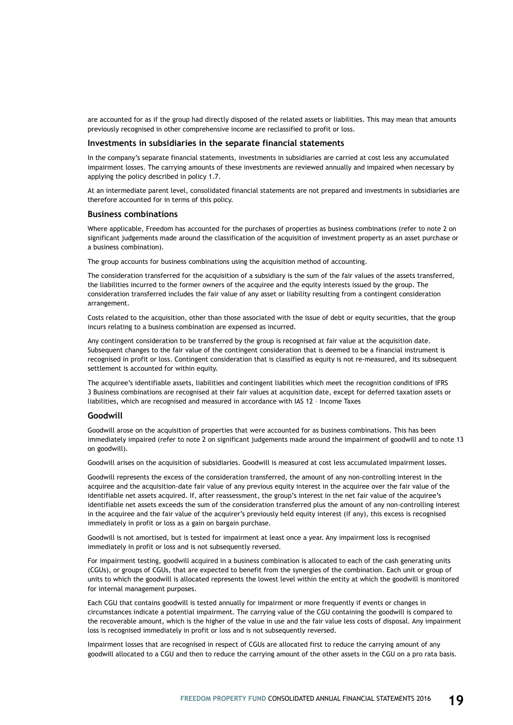are accounted for as if the group had directly disposed of the related assets or liabilities. This may mean that amounts previously recognised in other comprehensive income are reclassified to profit or loss.

#### **Investments in subsidiaries in the separate financial statements**

In the company's separate financial statements, investments in subsidiaries are carried at cost less any accumulated impairment losses. The carrying amounts of these investments are reviewed annually and impaired when necessary by applying the policy described in policy 1.7.

At an intermediate parent level, consolidated financial statements are not prepared and investments in subsidiaries are therefore accounted for in terms of this policy.

### **Business combinations**

Where applicable, Freedom has accounted for the purchases of properties as business combinations (refer to note 2 on significant judgements made around the classification of the acquisition of investment property as an asset purchase or a business combination).

The group accounts for business combinations using the acquisition method of accounting.

The consideration transferred for the acquisition of a subsidiary is the sum of the fair values of the assets transferred, the liabilities incurred to the former owners of the acquiree and the equity interests issued by the group. The consideration transferred includes the fair value of any asset or liability resulting from a contingent consideration arrangement.

Costs related to the acquisition, other than those associated with the issue of debt or equity securities, that the group incurs relating to a business combination are expensed as incurred.

Any contingent consideration to be transferred by the group is recognised at fair value at the acquisition date. Subsequent changes to the fair value of the contingent consideration that is deemed to be a financial instrument is recognised in profit or loss. Contingent consideration that is classified as equity is not re-measured, and its subsequent settlement is accounted for within equity.

The acquiree's identifiable assets, liabilities and contingent liabilities which meet the recognition conditions of IFRS 3 Business combinations are recognised at their fair values at acquisition date, except for deferred taxation assets or liabilities, which are recognised and measured in accordance with IAS 12 – Income Taxes

#### **Goodwill**

Goodwill arose on the acquisition of properties that were accounted for as business combinations. This has been immediately impaired (refer to note 2 on significant judgements made around the impairment of goodwill and to note 13 on goodwill).

Goodwill arises on the acquisition of subsidiaries. Goodwill is measured at cost less accumulated impairment losses.

Goodwill represents the excess of the consideration transferred, the amount of any non-controlling interest in the acquiree and the acquisition-date fair value of any previous equity interest in the acquiree over the fair value of the identifiable net assets acquired. If, after reassessment, the group's interest in the net fair value of the acquiree's identifiable net assets exceeds the sum of the consideration transferred plus the amount of any non-controlling interest in the acquiree and the fair value of the acquirer's previously held equity interest (if any), this excess is recognised immediately in profit or loss as a gain on bargain purchase.

Goodwill is not amortised, but is tested for impairment at least once a year. Any impairment loss is recognised immediately in profit or loss and is not subsequently reversed.

For impairment testing, goodwill acquired in a business combination is allocated to each of the cash generating units (CGUs), or groups of CGUs, that are expected to benefit from the synergies of the combination. Each unit or group of units to which the goodwill is allocated represents the lowest level within the entity at which the goodwill is monitored for internal management purposes.

Each CGU that contains goodwill is tested annually for impairment or more frequently if events or changes in circumstances indicate a potential impairment. The carrying value of the CGU containing the goodwill is compared to the recoverable amount, which is the higher of the value in use and the fair value less costs of disposal. Any impairment loss is recognised immediately in profit or loss and is not subsequently reversed.

Impairment losses that are recognised in respect of CGUs are allocated first to reduce the carrying amount of any goodwill allocated to a CGU and then to reduce the carrying amount of the other assets in the CGU on a pro rata basis.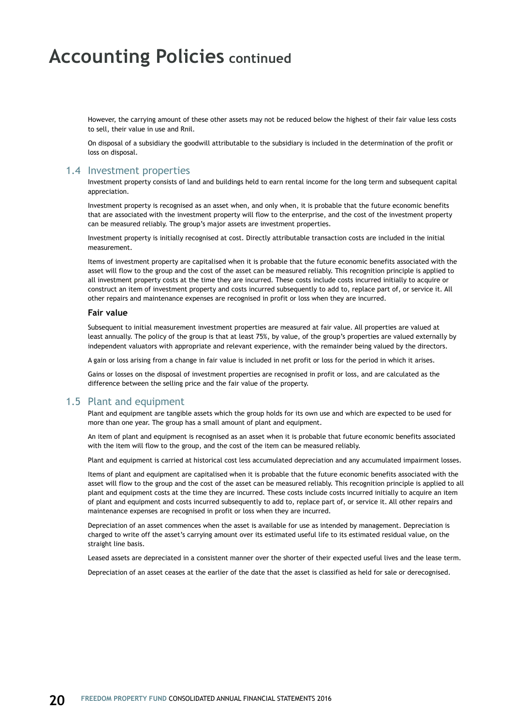# **Accounting Policies continued**

However, the carrying amount of these other assets may not be reduced below the highest of their fair value less costs to sell, their value in use and Rnil.

On disposal of a subsidiary the goodwill attributable to the subsidiary is included in the determination of the profit or loss on disposal.

## 1.4 Investment properties

Investment property consists of land and buildings held to earn rental income for the long term and subsequent capital appreciation.

Investment property is recognised as an asset when, and only when, it is probable that the future economic benefits that are associated with the investment property will flow to the enterprise, and the cost of the investment property can be measured reliably. The group's major assets are investment properties.

Investment property is initially recognised at cost. Directly attributable transaction costs are included in the initial measurement.

Items of investment property are capitalised when it is probable that the future economic benefits associated with the asset will flow to the group and the cost of the asset can be measured reliably. This recognition principle is applied to all investment property costs at the time they are incurred. These costs include costs incurred initially to acquire or construct an item of investment property and costs incurred subsequently to add to, replace part of, or service it. All other repairs and maintenance expenses are recognised in profit or loss when they are incurred.

### **Fair value**

Subsequent to initial measurement investment properties are measured at fair value. All properties are valued at least annually. The policy of the group is that at least 75%, by value, of the group's properties are valued externally by independent valuators with appropriate and relevant experience, with the remainder being valued by the directors.

A gain or loss arising from a change in fair value is included in net profit or loss for the period in which it arises.

Gains or losses on the disposal of investment properties are recognised in profit or loss, and are calculated as the difference between the selling price and the fair value of the property.

## 1.5 Plant and equipment

Plant and equipment are tangible assets which the group holds for its own use and which are expected to be used for more than one year. The group has a small amount of plant and equipment.

An item of plant and equipment is recognised as an asset when it is probable that future economic benefits associated with the item will flow to the group, and the cost of the item can be measured reliably.

Plant and equipment is carried at historical cost less accumulated depreciation and any accumulated impairment losses.

Items of plant and equipment are capitalised when it is probable that the future economic benefits associated with the asset will flow to the group and the cost of the asset can be measured reliably. This recognition principle is applied to all plant and equipment costs at the time they are incurred. These costs include costs incurred initially to acquire an item of plant and equipment and costs incurred subsequently to add to, replace part of, or service it. All other repairs and maintenance expenses are recognised in profit or loss when they are incurred.

Depreciation of an asset commences when the asset is available for use as intended by management. Depreciation is charged to write off the asset's carrying amount over its estimated useful life to its estimated residual value, on the straight line basis.

Leased assets are depreciated in a consistent manner over the shorter of their expected useful lives and the lease term.

Depreciation of an asset ceases at the earlier of the date that the asset is classified as held for sale or derecognised.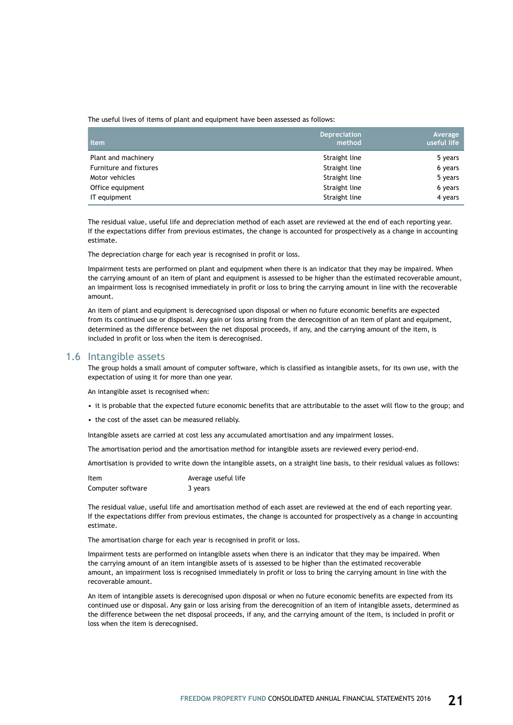The useful lives of items of plant and equipment have been assessed as follows:

| <b>Item</b>            | <b>Depreciation</b><br>method | Average<br>useful life |
|------------------------|-------------------------------|------------------------|
| Plant and machinery    | Straight line                 | 5 years                |
| Furniture and fixtures | Straight line                 | 6 years                |
| Motor vehicles         | Straight line                 | 5 years                |
| Office equipment       | Straight line                 | 6 years                |
| IT equipment           | Straight line                 | 4 years                |

The residual value, useful life and depreciation method of each asset are reviewed at the end of each reporting year. If the expectations differ from previous estimates, the change is accounted for prospectively as a change in accounting estimate.

The depreciation charge for each year is recognised in profit or loss.

Impairment tests are performed on plant and equipment when there is an indicator that they may be impaired. When the carrying amount of an item of plant and equipment is assessed to be higher than the estimated recoverable amount, an impairment loss is recognised immediately in profit or loss to bring the carrying amount in line with the recoverable amount.

An item of plant and equipment is derecognised upon disposal or when no future economic benefits are expected from its continued use or disposal. Any gain or loss arising from the derecognition of an item of plant and equipment, determined as the difference between the net disposal proceeds, if any, and the carrying amount of the item, is included in profit or loss when the item is derecognised.

### 1.6 Intangible assets

The group holds a small amount of computer software, which is classified as intangible assets, for its own use, with the expectation of using it for more than one year.

An intangible asset is recognised when:

- it is probable that the expected future economic benefits that are attributable to the asset will flow to the group; and
- the cost of the asset can be measured reliably.

Intangible assets are carried at cost less any accumulated amortisation and any impairment losses.

The amortisation period and the amortisation method for intangible assets are reviewed every period-end.

Amortisation is provided to write down the intangible assets, on a straight line basis, to their residual values as follows:

| Item              | Average useful life |
|-------------------|---------------------|
| Computer software | 3 years             |

The residual value, useful life and amortisation method of each asset are reviewed at the end of each reporting year. If the expectations differ from previous estimates, the change is accounted for prospectively as a change in accounting estimate.

The amortisation charge for each year is recognised in profit or loss.

Impairment tests are performed on intangible assets when there is an indicator that they may be impaired. When the carrying amount of an item intangible assets of is assessed to be higher than the estimated recoverable amount, an impairment loss is recognised immediately in profit or loss to bring the carrying amount in line with the recoverable amount.

An item of intangible assets is derecognised upon disposal or when no future economic benefits are expected from its continued use or disposal. Any gain or loss arising from the derecognition of an item of intangible assets, determined as the difference between the net disposal proceeds, if any, and the carrying amount of the item, is included in profit or loss when the item is derecognised.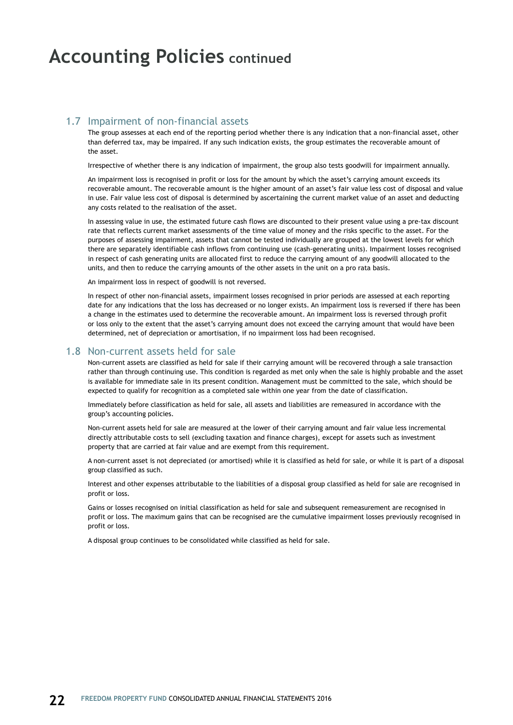# **Accounting Policies continued**

# 1.7 Impairment of non-financial assets

The group assesses at each end of the reporting period whether there is any indication that a non-financial asset, other than deferred tax, may be impaired. If any such indication exists, the group estimates the recoverable amount of the asset.

Irrespective of whether there is any indication of impairment, the group also tests goodwill for impairment annually.

An impairment loss is recognised in profit or loss for the amount by which the asset's carrying amount exceeds its recoverable amount. The recoverable amount is the higher amount of an asset's fair value less cost of disposal and value in use. Fair value less cost of disposal is determined by ascertaining the current market value of an asset and deducting any costs related to the realisation of the asset.

In assessing value in use, the estimated future cash flows are discounted to their present value using a pre-tax discount rate that reflects current market assessments of the time value of money and the risks specific to the asset. For the purposes of assessing impairment, assets that cannot be tested individually are grouped at the lowest levels for which there are separately identifiable cash inflows from continuing use (cash-generating units). Impairment losses recognised in respect of cash generating units are allocated first to reduce the carrying amount of any goodwill allocated to the units, and then to reduce the carrying amounts of the other assets in the unit on a pro rata basis.

An impairment loss in respect of goodwill is not reversed.

In respect of other non-financial assets, impairment losses recognised in prior periods are assessed at each reporting date for any indications that the loss has decreased or no longer exists. An impairment loss is reversed if there has been a change in the estimates used to determine the recoverable amount. An impairment loss is reversed through profit or loss only to the extent that the asset's carrying amount does not exceed the carrying amount that would have been determined, net of depreciation or amortisation, if no impairment loss had been recognised.

# 1.8 Non-current assets held for sale

Non-current assets are classified as held for sale if their carrying amount will be recovered through a sale transaction rather than through continuing use. This condition is regarded as met only when the sale is highly probable and the asset is available for immediate sale in its present condition. Management must be committed to the sale, which should be expected to qualify for recognition as a completed sale within one year from the date of classification.

Immediately before classification as held for sale, all assets and liabilities are remeasured in accordance with the group's accounting policies.

Non-current assets held for sale are measured at the lower of their carrying amount and fair value less incremental directly attributable costs to sell (excluding taxation and finance charges), except for assets such as investment property that are carried at fair value and are exempt from this requirement.

A non-current asset is not depreciated (or amortised) while it is classified as held for sale, or while it is part of a disposal group classified as such.

Interest and other expenses attributable to the liabilities of a disposal group classified as held for sale are recognised in profit or loss.

Gains or losses recognised on initial classification as held for sale and subsequent remeasurement are recognised in profit or loss. The maximum gains that can be recognised are the cumulative impairment losses previously recognised in profit or loss.

A disposal group continues to be consolidated while classified as held for sale.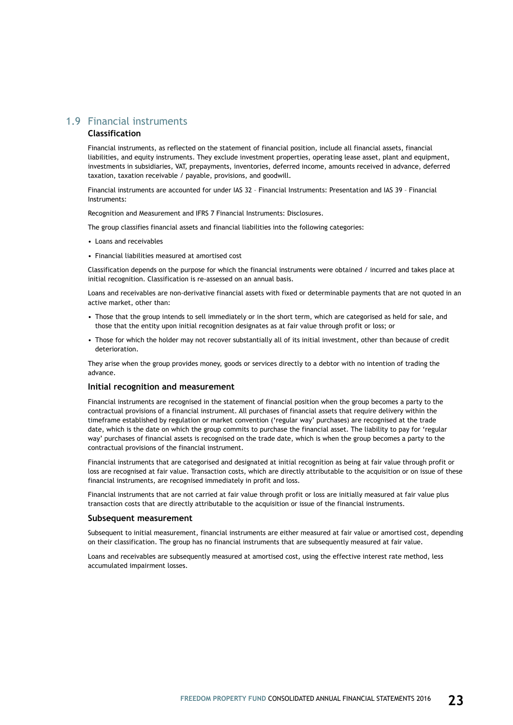# 1.9 Financial instruments

### **Classification**

Financial instruments, as reflected on the statement of financial position, include all financial assets, financial liabilities, and equity instruments. They exclude investment properties, operating lease asset, plant and equipment, investments in subsidiaries, VAT, prepayments, inventories, deferred income, amounts received in advance, deferred taxation, taxation receivable / payable, provisions, and goodwill.

Financial instruments are accounted for under IAS 32 – Financial Instruments: Presentation and IAS 39 – Financial Instruments:

Recognition and Measurement and IFRS 7 Financial Instruments: Disclosures.

The group classifies financial assets and financial liabilities into the following categories:

- Loans and receivables
- Financial liabilities measured at amortised cost

Classification depends on the purpose for which the financial instruments were obtained / incurred and takes place at initial recognition. Classification is re-assessed on an annual basis.

Loans and receivables are non-derivative financial assets with fixed or determinable payments that are not quoted in an active market, other than:

- Those that the group intends to sell immediately or in the short term, which are categorised as held for sale, and those that the entity upon initial recognition designates as at fair value through profit or loss; or
- Those for which the holder may not recover substantially all of its initial investment, other than because of credit deterioration.

They arise when the group provides money, goods or services directly to a debtor with no intention of trading the advance.

#### **Initial recognition and measurement**

Financial instruments are recognised in the statement of financial position when the group becomes a party to the contractual provisions of a financial instrument. All purchases of financial assets that require delivery within the timeframe established by regulation or market convention ('regular way' purchases) are recognised at the trade date, which is the date on which the group commits to purchase the financial asset. The liability to pay for 'regular way' purchases of financial assets is recognised on the trade date, which is when the group becomes a party to the contractual provisions of the financial instrument.

Financial instruments that are categorised and designated at initial recognition as being at fair value through profit or loss are recognised at fair value. Transaction costs, which are directly attributable to the acquisition or on issue of these financial instruments, are recognised immediately in profit and loss.

Financial instruments that are not carried at fair value through profit or loss are initially measured at fair value plus transaction costs that are directly attributable to the acquisition or issue of the financial instruments.

#### **Subsequent measurement**

Subsequent to initial measurement, financial instruments are either measured at fair value or amortised cost, depending on their classification. The group has no financial instruments that are subsequently measured at fair value.

Loans and receivables are subsequently measured at amortised cost, using the effective interest rate method, less accumulated impairment losses.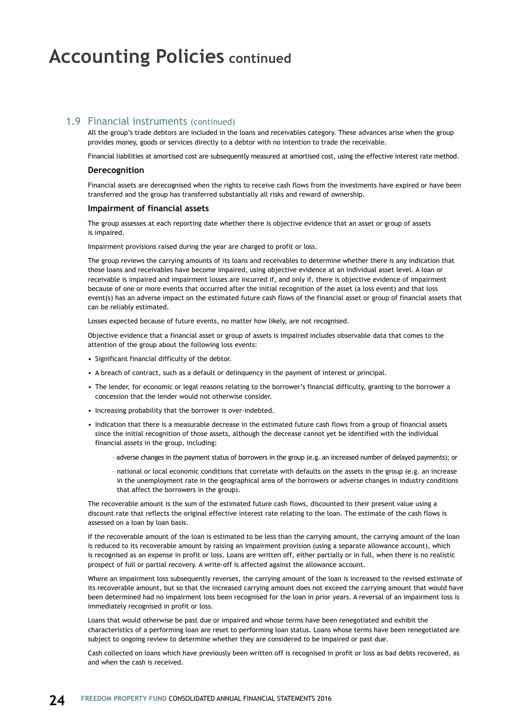# **Accounting Policies continued**

### 1.9 Financial instruments (continued)

All the group's trade debtors are included in the loans and receivables category. These advances arise when the group provides money, goods or services directly to a debtor with no intention to trade the receivable.

Financial liabilities at amortised cost are subsequently measured at amortised cost, using the effective interest rate method.

#### **Derecognition**

Financial assets are derecognised when the rights to receive cash flows from the investments have expired or have been transferred and the group has transferred substantially all risks and reward of ownership.

#### **Impairment of financial assets**

The group assesses at each reporting date whether there is objective evidence that an asset or group of assets is impaired.

Impairment provisions raised during the year are charged to profit or loss.

The group reviews the carrying amounts of its loans and receivables to determine whether there is any indication that those loans and receivables have become impaired, using objective evidence at an individual asset level. A loan or receivable is impaired and impairment losses are incurred if, and only if, there is objective evidence of impairment because of one or more events that occurred after the initial recognition of the asset (a loss event) and that loss event(s) has an adverse impact on the estimated future cash flows of the financial asset or group of financial assets that can be reliably estimated.

Losses expected because of future events, no matter how likely, are not recognised.

Objective evidence that a financial asset or group of assets is impaired includes observable data that comes to the attention of the group about the following loss events:

- Significant financial difficulty of the debtor.
- A breach of contract, such as a default or delinquency in the payment of interest or principal.
- The lender, for economic or legal reasons relating to the borrower's financial difficulty, granting to the borrower a concession that the lender would not otherwise consider.
- Increasing probability that the borrower is over-indebted.
- Indication that there is a measurable decrease in the estimated future cash flows from a group of financial assets since the initial recognition of those assets, although the decrease cannot yet be identified with the individual financial assets in the group, including:
	- adverse changes in the payment status of borrowers in the group (e.g. an increased number of delayed payments); or
	- national or local economic conditions that correlate with defaults on the assets in the group (e.g. an increase in the unemployment rate in the geographical area of the borrowers or adverse changes in industry conditions that affect the borrowers in the group).

The recoverable amount is the sum of the estimated future cash flows, discounted to their present value using a discount rate that reflects the original effective interest rate relating to the loan. The estimate of the cash flows is assessed on a loan by loan basis.

If the recoverable amount of the loan is estimated to be less than the carrying amount, the carrying amount of the loan is reduced to its recoverable amount by raising an impairment provision (using a separate allowance account), which is recognised as an expense in profit or loss. Loans are written off, either partially or in full, when there is no realistic prospect of full or partial recovery. A write-off is affected against the allowance account.

Where an impairment loss subsequently reverses, the carrying amount of the loan is increased to the revised estimate of its recoverable amount, but so that the increased carrying amount does not exceed the carrying amount that would have been determined had no impairment loss been recognised for the loan in prior years. A reversal of an impairment loss is immediately recognised in profit or loss.

Loans that would otherwise be past due or impaired and whose terms have been renegotiated and exhibit the characteristics of a performing loan are reset to performing loan status. Loans whose terms have been renegotiated are subject to ongoing review to determine whether they are considered to be impaired or past due.

Cash collected on loans which have previously been written off is recognised in profit or loss as bad debts recovered, as and when the cash is received.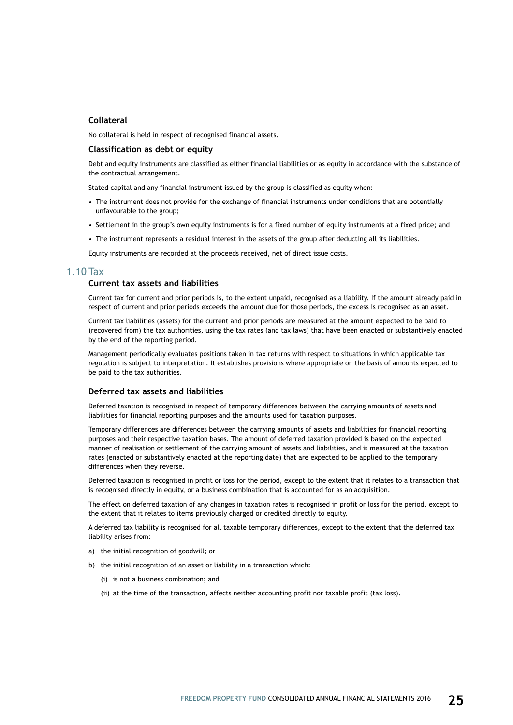### **Collateral**

No collateral is held in respect of recognised financial assets.

#### **Classification as debt or equity**

Debt and equity instruments are classified as either financial liabilities or as equity in accordance with the substance of the contractual arrangement.

Stated capital and any financial instrument issued by the group is classified as equity when:

- The instrument does not provide for the exchange of financial instruments under conditions that are potentially unfavourable to the group;
- Settlement in the group's own equity instruments is for a fixed number of equity instruments at a fixed price; and
- The instrument represents a residual interest in the assets of the group after deducting all its liabilities.

Equity instruments are recorded at the proceeds received, net of direct issue costs.

# 1.10 Tax

### **Current tax assets and liabilities**

Current tax for current and prior periods is, to the extent unpaid, recognised as a liability. If the amount already paid in respect of current and prior periods exceeds the amount due for those periods, the excess is recognised as an asset.

Current tax liabilities (assets) for the current and prior periods are measured at the amount expected to be paid to (recovered from) the tax authorities, using the tax rates (and tax laws) that have been enacted or substantively enacted by the end of the reporting period.

Management periodically evaluates positions taken in tax returns with respect to situations in which applicable tax regulation is subject to interpretation. It establishes provisions where appropriate on the basis of amounts expected to be paid to the tax authorities.

### **Deferred tax assets and liabilities**

Deferred taxation is recognised in respect of temporary differences between the carrying amounts of assets and liabilities for financial reporting purposes and the amounts used for taxation purposes.

Temporary differences are differences between the carrying amounts of assets and liabilities for financial reporting purposes and their respective taxation bases. The amount of deferred taxation provided is based on the expected manner of realisation or settlement of the carrying amount of assets and liabilities, and is measured at the taxation rates (enacted or substantively enacted at the reporting date) that are expected to be applied to the temporary differences when they reverse.

Deferred taxation is recognised in profit or loss for the period, except to the extent that it relates to a transaction that is recognised directly in equity, or a business combination that is accounted for as an acquisition.

The effect on deferred taxation of any changes in taxation rates is recognised in profit or loss for the period, except to the extent that it relates to items previously charged or credited directly to equity.

A deferred tax liability is recognised for all taxable temporary differences, except to the extent that the deferred tax liability arises from:

- a) the initial recognition of goodwill; or
- b) the initial recognition of an asset or liability in a transaction which:
	- (i) is not a business combination; and
	- (ii) at the time of the transaction, affects neither accounting profit nor taxable profit (tax loss).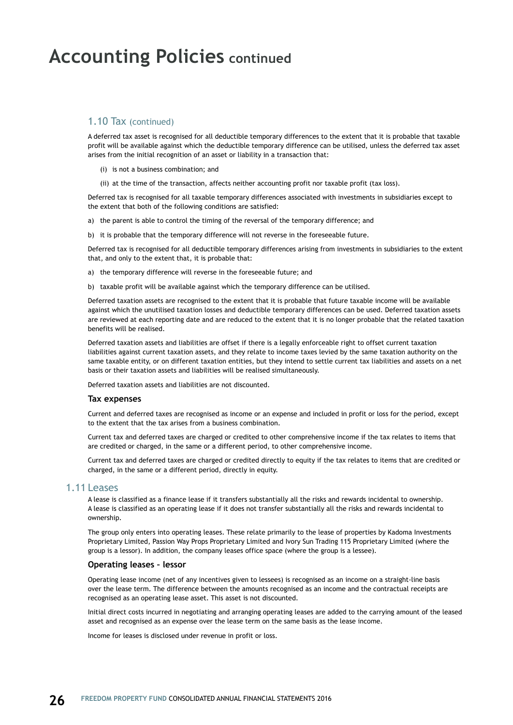# **Accounting Policies continued**

# 1.10 Tax (continued)

A deferred tax asset is recognised for all deductible temporary differences to the extent that it is probable that taxable profit will be available against which the deductible temporary difference can be utilised, unless the deferred tax asset arises from the initial recognition of an asset or liability in a transaction that:

- (i) is not a business combination; and
- (ii) at the time of the transaction, affects neither accounting profit nor taxable profit (tax loss).

Deferred tax is recognised for all taxable temporary differences associated with investments in subsidiaries except to the extent that both of the following conditions are satisfied:

- a) the parent is able to control the timing of the reversal of the temporary difference; and
- b) it is probable that the temporary difference will not reverse in the foreseeable future.

Deferred tax is recognised for all deductible temporary differences arising from investments in subsidiaries to the extent that, and only to the extent that, it is probable that:

- a) the temporary difference will reverse in the foreseeable future; and
- b) taxable profit will be available against which the temporary difference can be utilised.

Deferred taxation assets are recognised to the extent that it is probable that future taxable income will be available against which the unutilised taxation losses and deductible temporary differences can be used. Deferred taxation assets are reviewed at each reporting date and are reduced to the extent that it is no longer probable that the related taxation benefits will be realised.

Deferred taxation assets and liabilities are offset if there is a legally enforceable right to offset current taxation liabilities against current taxation assets, and they relate to income taxes levied by the same taxation authority on the same taxable entity, or on different taxation entities, but they intend to settle current tax liabilities and assets on a net basis or their taxation assets and liabilities will be realised simultaneously.

Deferred taxation assets and liabilities are not discounted.

### **Tax expenses**

Current and deferred taxes are recognised as income or an expense and included in profit or loss for the period, except to the extent that the tax arises from a business combination.

Current tax and deferred taxes are charged or credited to other comprehensive income if the tax relates to items that are credited or charged, in the same or a different period, to other comprehensive income.

Current tax and deferred taxes are charged or credited directly to equity if the tax relates to items that are credited or charged, in the same or a different period, directly in equity.

### $1.11$  eases

A lease is classified as a finance lease if it transfers substantially all the risks and rewards incidental to ownership. A lease is classified as an operating lease if it does not transfer substantially all the risks and rewards incidental to ownership.

The group only enters into operating leases. These relate primarily to the lease of properties by Kadoma Investments Proprietary Limited, Passion Way Props Proprietary Limited and Ivory Sun Trading 115 Proprietary Limited (where the group is a lessor). In addition, the company leases office space (where the group is a lessee).

#### **Operating leases – lessor**

Operating lease income (net of any incentives given to lessees) is recognised as an income on a straight-line basis over the lease term. The difference between the amounts recognised as an income and the contractual receipts are recognised as an operating lease asset. This asset is not discounted.

Initial direct costs incurred in negotiating and arranging operating leases are added to the carrying amount of the leased asset and recognised as an expense over the lease term on the same basis as the lease income.

Income for leases is disclosed under revenue in profit or loss.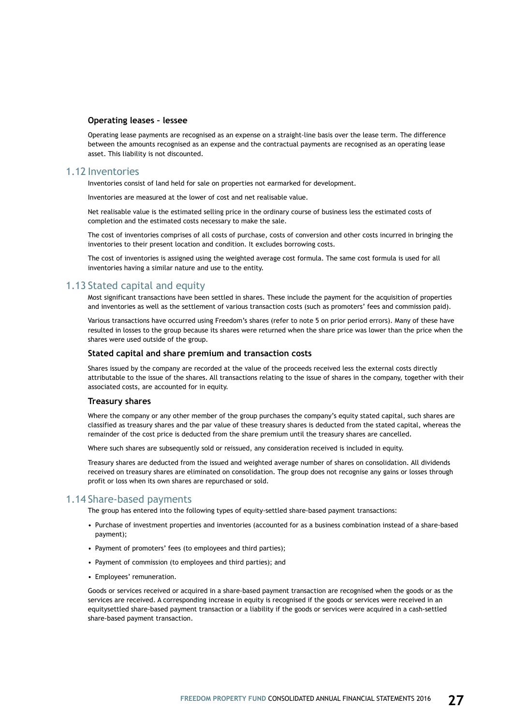### **Operating leases – lessee**

Operating lease payments are recognised as an expense on a straight-line basis over the lease term. The difference between the amounts recognised as an expense and the contractual payments are recognised as an operating lease asset. This liability is not discounted.

### 1.12 Inventories

Inventories consist of land held for sale on properties not earmarked for development.

Inventories are measured at the lower of cost and net realisable value.

Net realisable value is the estimated selling price in the ordinary course of business less the estimated costs of completion and the estimated costs necessary to make the sale.

The cost of inventories comprises of all costs of purchase, costs of conversion and other costs incurred in bringing the inventories to their present location and condition. It excludes borrowing costs.

The cost of inventories is assigned using the weighted average cost formula. The same cost formula is used for all inventories having a similar nature and use to the entity.

# 1.13 Stated capital and equity

Most significant transactions have been settled in shares. These include the payment for the acquisition of properties and inventories as well as the settlement of various transaction costs (such as promoters' fees and commission paid).

Various transactions have occurred using Freedom's shares (refer to note 5 on prior period errors). Many of these have resulted in losses to the group because its shares were returned when the share price was lower than the price when the shares were used outside of the group.

### **Stated capital and share premium and transaction costs**

Shares issued by the company are recorded at the value of the proceeds received less the external costs directly attributable to the issue of the shares. All transactions relating to the issue of shares in the company, together with their associated costs, are accounted for in equity.

### **Treasury shares**

Where the company or any other member of the group purchases the company's equity stated capital, such shares are classified as treasury shares and the par value of these treasury shares is deducted from the stated capital, whereas the remainder of the cost price is deducted from the share premium until the treasury shares are cancelled.

Where such shares are subsequently sold or reissued, any consideration received is included in equity.

Treasury shares are deducted from the issued and weighted average number of shares on consolidation. All dividends received on treasury shares are eliminated on consolidation. The group does not recognise any gains or losses through profit or loss when its own shares are repurchased or sold.

### 1.14 Share-based payments

The group has entered into the following types of equity-settled share-based payment transactions:

- Purchase of investment properties and inventories (accounted for as a business combination instead of a share-based payment);
- Payment of promoters' fees (to employees and third parties);
- Payment of commission (to employees and third parties); and
- Employees' remuneration.

Goods or services received or acquired in a share-based payment transaction are recognised when the goods or as the services are received. A corresponding increase in equity is recognised if the goods or services were received in an equitysettled share-based payment transaction or a liability if the goods or services were acquired in a cash-settled share-based payment transaction.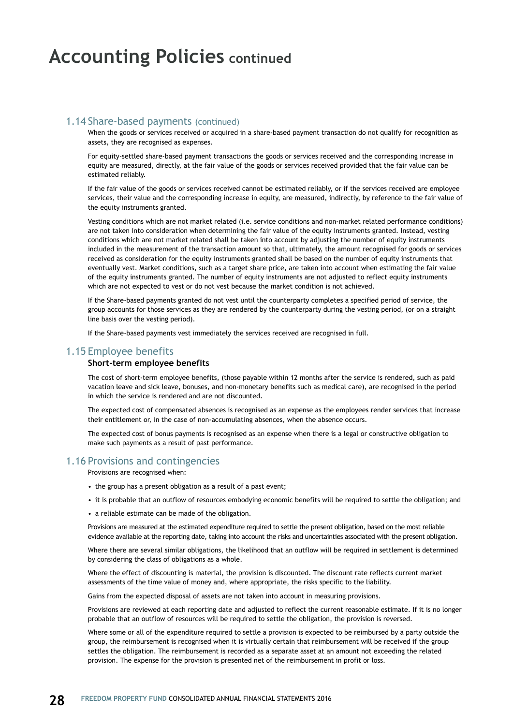# **Accounting Policies continued**

### 1.14 Share-based payments (continued)

When the goods or services received or acquired in a share-based payment transaction do not qualify for recognition as assets, they are recognised as expenses.

For equity-settled share-based payment transactions the goods or services received and the corresponding increase in equity are measured, directly, at the fair value of the goods or services received provided that the fair value can be estimated reliably.

If the fair value of the goods or services received cannot be estimated reliably, or if the services received are employee services, their value and the corresponding increase in equity, are measured, indirectly, by reference to the fair value of the equity instruments granted.

Vesting conditions which are not market related (i.e. service conditions and non-market related performance conditions) are not taken into consideration when determining the fair value of the equity instruments granted. Instead, vesting conditions which are not market related shall be taken into account by adjusting the number of equity instruments included in the measurement of the transaction amount so that, ultimately, the amount recognised for goods or services received as consideration for the equity instruments granted shall be based on the number of equity instruments that eventually vest. Market conditions, such as a target share price, are taken into account when estimating the fair value of the equity instruments granted. The number of equity instruments are not adjusted to reflect equity instruments which are not expected to vest or do not vest because the market condition is not achieved.

If the Share-based payments granted do not vest until the counterparty completes a specified period of service, the group accounts for those services as they are rendered by the counterparty during the vesting period, (or on a straight line basis over the vesting period).

If the Share-based payments vest immediately the services received are recognised in full.

### 1.15 Employee benefits

### **Short-term employee benefits**

The cost of short-term employee benefits, (those payable within 12 months after the service is rendered, such as paid vacation leave and sick leave, bonuses, and non-monetary benefits such as medical care), are recognised in the period in which the service is rendered and are not discounted.

The expected cost of compensated absences is recognised as an expense as the employees render services that increase their entitlement or, in the case of non-accumulating absences, when the absence occurs.

The expected cost of bonus payments is recognised as an expense when there is a legal or constructive obligation to make such payments as a result of past performance.

### 1.16 Provisions and contingencies

Provisions are recognised when:

- the group has a present obligation as a result of a past event;
- it is probable that an outflow of resources embodying economic benefits will be required to settle the obligation; and
- a reliable estimate can be made of the obligation.

Provisions are measured at the estimated expenditure required to settle the present obligation, based on the most reliable evidence available at the reporting date, taking into account the risks and uncertainties associated with the present obligation.

Where there are several similar obligations, the likelihood that an outflow will be required in settlement is determined by considering the class of obligations as a whole.

Where the effect of discounting is material, the provision is discounted. The discount rate reflects current market assessments of the time value of money and, where appropriate, the risks specific to the liability.

Gains from the expected disposal of assets are not taken into account in measuring provisions.

Provisions are reviewed at each reporting date and adjusted to reflect the current reasonable estimate. If it is no longer probable that an outflow of resources will be required to settle the obligation, the provision is reversed.

Where some or all of the expenditure required to settle a provision is expected to be reimbursed by a party outside the group, the reimbursement is recognised when it is virtually certain that reimbursement will be received if the group settles the obligation. The reimbursement is recorded as a separate asset at an amount not exceeding the related provision. The expense for the provision is presented net of the reimbursement in profit or loss.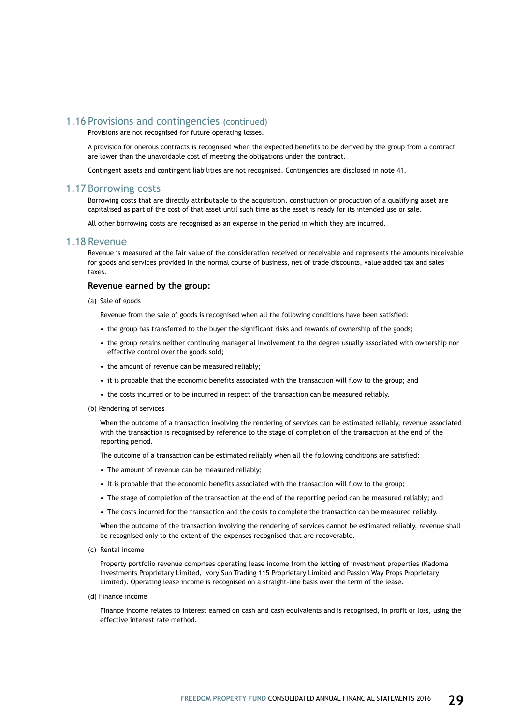### 1.16 Provisions and contingencies (continued)

Provisions are not recognised for future operating losses.

A provision for onerous contracts is recognised when the expected benefits to be derived by the group from a contract are lower than the unavoidable cost of meeting the obligations under the contract.

Contingent assets and contingent liabilities are not recognised. Contingencies are disclosed in note 41.

### 1.17 Borrowing costs

Borrowing costs that are directly attributable to the acquisition, construction or production of a qualifying asset are capitalised as part of the cost of that asset until such time as the asset is ready for its intended use or sale.

All other borrowing costs are recognised as an expense in the period in which they are incurred.

### 1.18 Revenue

Revenue is measured at the fair value of the consideration received or receivable and represents the amounts receivable for goods and services provided in the normal course of business, net of trade discounts, value added tax and sales taxes.

### **Revenue earned by the group:**

(a) Sale of goods

Revenue from the sale of goods is recognised when all the following conditions have been satisfied:

- the group has transferred to the buyer the significant risks and rewards of ownership of the goods;
- the group retains neither continuing managerial involvement to the degree usually associated with ownership nor effective control over the goods sold;
- the amount of revenue can be measured reliably;
- it is probable that the economic benefits associated with the transaction will flow to the group; and
- the costs incurred or to be incurred in respect of the transaction can be measured reliably.
- (b) Rendering of services

When the outcome of a transaction involving the rendering of services can be estimated reliably, revenue associated with the transaction is recognised by reference to the stage of completion of the transaction at the end of the reporting period.

The outcome of a transaction can be estimated reliably when all the following conditions are satisfied:

- The amount of revenue can be measured reliably;
- It is probable that the economic benefits associated with the transaction will flow to the group;
- The stage of completion of the transaction at the end of the reporting period can be measured reliably; and

• The costs incurred for the transaction and the costs to complete the transaction can be measured reliably.

When the outcome of the transaction involving the rendering of services cannot be estimated reliably, revenue shall be recognised only to the extent of the expenses recognised that are recoverable.

(c) Rental income

Property portfolio revenue comprises operating lease income from the letting of investment properties (Kadoma Investments Proprietary Limited, Ivory Sun Trading 115 Proprietary Limited and Passion Way Props Proprietary Limited). Operating lease income is recognised on a straight-line basis over the term of the lease.

(d) Finance income

Finance income relates to interest earned on cash and cash equivalents and is recognised, in profit or loss, using the effective interest rate method.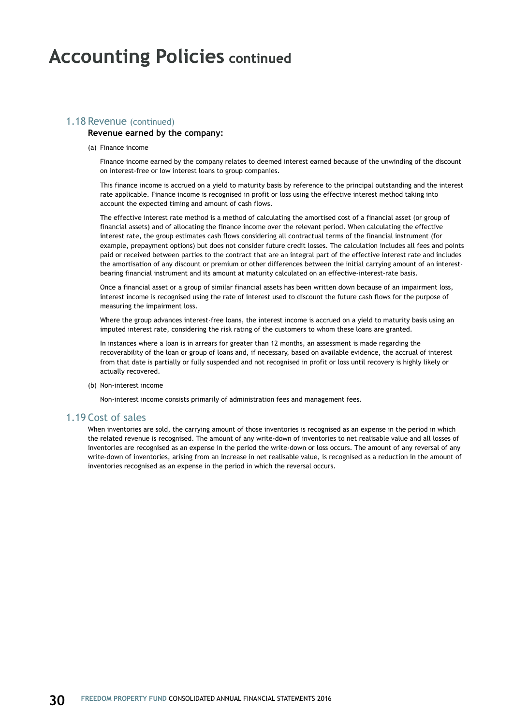# **Accounting Policies continued**

### 1.18 Revenue (continued)

### **Revenue earned by the company:**

#### (a) Finance income

Finance income earned by the company relates to deemed interest earned because of the unwinding of the discount on interest-free or low interest loans to group companies.

This finance income is accrued on a yield to maturity basis by reference to the principal outstanding and the interest rate applicable. Finance income is recognised in profit or loss using the effective interest method taking into account the expected timing and amount of cash flows.

The effective interest rate method is a method of calculating the amortised cost of a financial asset (or group of financial assets) and of allocating the finance income over the relevant period. When calculating the effective interest rate, the group estimates cash flows considering all contractual terms of the financial instrument (for example, prepayment options) but does not consider future credit losses. The calculation includes all fees and points paid or received between parties to the contract that are an integral part of the effective interest rate and includes the amortisation of any discount or premium or other differences between the initial carrying amount of an interestbearing financial instrument and its amount at maturity calculated on an effective-interest-rate basis.

Once a financial asset or a group of similar financial assets has been written down because of an impairment loss, interest income is recognised using the rate of interest used to discount the future cash flows for the purpose of measuring the impairment loss.

Where the group advances interest-free loans, the interest income is accrued on a yield to maturity basis using an imputed interest rate, considering the risk rating of the customers to whom these loans are granted.

In instances where a loan is in arrears for greater than 12 months, an assessment is made regarding the recoverability of the loan or group of loans and, if necessary, based on available evidence, the accrual of interest from that date is partially or fully suspended and not recognised in profit or loss until recovery is highly likely or actually recovered.

(b) Non-interest income

Non-interest income consists primarily of administration fees and management fees.

### 1.19 Cost of sales

When inventories are sold, the carrying amount of those inventories is recognised as an expense in the period in which the related revenue is recognised. The amount of any write-down of inventories to net realisable value and all losses of inventories are recognised as an expense in the period the write-down or loss occurs. The amount of any reversal of any write-down of inventories, arising from an increase in net realisable value, is recognised as a reduction in the amount of inventories recognised as an expense in the period in which the reversal occurs.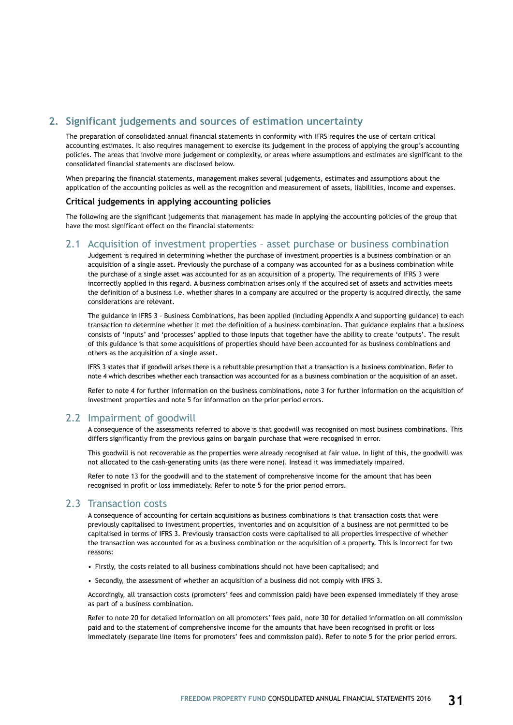# **2. Significant judgements and sources of estimation uncertainty**

The preparation of consolidated annual financial statements in conformity with IFRS requires the use of certain critical accounting estimates. It also requires management to exercise its judgement in the process of applying the group's accounting policies. The areas that involve more judgement or complexity, or areas where assumptions and estimates are significant to the consolidated financial statements are disclosed below.

When preparing the financial statements, management makes several judgements, estimates and assumptions about the application of the accounting policies as well as the recognition and measurement of assets, liabilities, income and expenses.

### **Critical judgements in applying accounting policies**

The following are the significant judgements that management has made in applying the accounting policies of the group that have the most significant effect on the financial statements:

### 2.1 Acquisition of investment properties – asset purchase or business combination

Judgement is required in determining whether the purchase of investment properties is a business combination or an acquisition of a single asset. Previously the purchase of a company was accounted for as a business combination while the purchase of a single asset was accounted for as an acquisition of a property. The requirements of IFRS 3 were incorrectly applied in this regard. A business combination arises only if the acquired set of assets and activities meets the definition of a business i.e. whether shares in a company are acquired or the property is acquired directly, the same considerations are relevant.

The guidance in IFRS 3 – Business Combinations, has been applied (including Appendix A and supporting guidance) to each transaction to determine whether it met the definition of a business combination. That guidance explains that a business consists of 'inputs' and 'processes' applied to those inputs that together have the ability to create 'outputs'. The result of this guidance is that some acquisitions of properties should have been accounted for as business combinations and others as the acquisition of a single asset.

IFRS 3 states that if goodwill arises there is a rebuttable presumption that a transaction is a business combination. Refer to note 4 which describes whether each transaction was accounted for as a business combination or the acquisition of an asset.

Refer to note 4 for further information on the business combinations, note 3 for further information on the acquisition of investment properties and note 5 for information on the prior period errors.

## 2.2 Impairment of goodwill

A consequence of the assessments referred to above is that goodwill was recognised on most business combinations. This differs significantly from the previous gains on bargain purchase that were recognised in error.

This goodwill is not recoverable as the properties were already recognised at fair value. In light of this, the goodwill was not allocated to the cash-generating units (as there were none). Instead it was immediately impaired.

Refer to note 13 for the goodwill and to the statement of comprehensive income for the amount that has been recognised in profit or loss immediately. Refer to note 5 for the prior period errors.

# 2.3 Transaction costs

A consequence of accounting for certain acquisitions as business combinations is that transaction costs that were previously capitalised to investment properties, inventories and on acquisition of a business are not permitted to be capitalised in terms of IFRS 3. Previously transaction costs were capitalised to all properties irrespective of whether the transaction was accounted for as a business combination or the acquisition of a property. This is incorrect for two reasons:

- Firstly, the costs related to all business combinations should not have been capitalised; and
- Secondly, the assessment of whether an acquisition of a business did not comply with IFRS 3.

Accordingly, all transaction costs (promoters' fees and commission paid) have been expensed immediately if they arose as part of a business combination.

Refer to note 20 for detailed information on all promoters' fees paid, note 30 for detailed information on all commission paid and to the statement of comprehensive income for the amounts that have been recognised in profit or loss immediately (separate line items for promoters' fees and commission paid). Refer to note 5 for the prior period errors.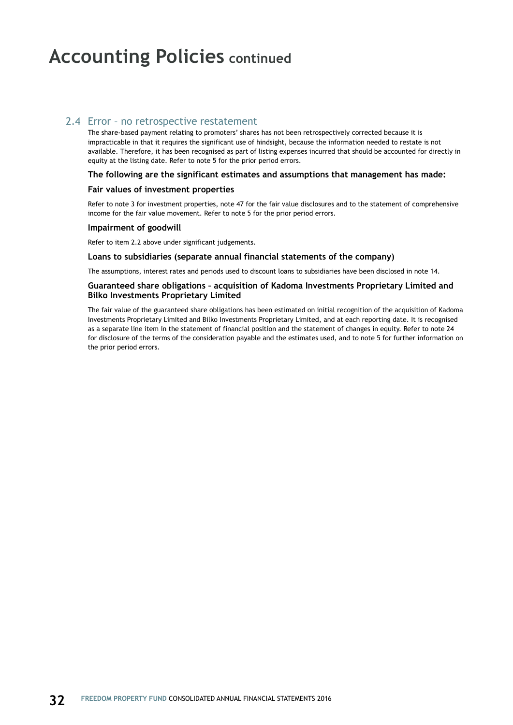# **Accounting Policies continued**

# 2.4 Error – no retrospective restatement

The share-based payment relating to promoters' shares has not been retrospectively corrected because it is impracticable in that it requires the significant use of hindsight, because the information needed to restate is not available. Therefore, it has been recognised as part of listing expenses incurred that should be accounted for directly in equity at the listing date. Refer to note 5 for the prior period errors.

### **The following are the significant estimates and assumptions that management has made:**

### **Fair values of investment properties**

Refer to note 3 for investment properties, note 47 for the fair value disclosures and to the statement of comprehensive income for the fair value movement. Refer to note 5 for the prior period errors.

### **Impairment of goodwill**

Refer to item 2.2 above under significant judgements.

### **Loans to subsidiaries (separate annual financial statements of the company)**

The assumptions, interest rates and periods used to discount loans to subsidiaries have been disclosed in note 14.

### **Guaranteed share obligations – acquisition of Kadoma Investments Proprietary Limited and Bilko Investments Proprietary Limited**

The fair value of the guaranteed share obligations has been estimated on initial recognition of the acquisition of Kadoma Investments Proprietary Limited and Bilko Investments Proprietary Limited, and at each reporting date. It is recognised as a separate line item in the statement of financial position and the statement of changes in equity. Refer to note 24 for disclosure of the terms of the consideration payable and the estimates used, and to note 5 for further information on the prior period errors.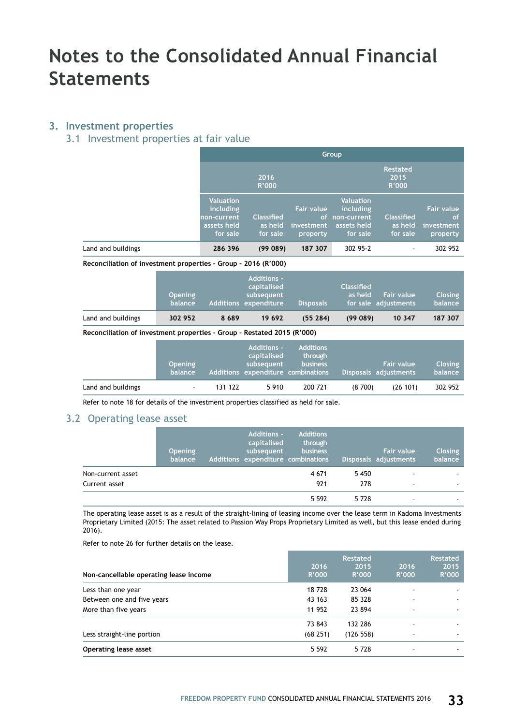# **Notes to the Consolidated Annual Financial Statements**

# **3. Investment properties**

# 3.1 Investment properties at fair value

|                    | Group                                                                   |                                          |                                             |                                                                            |                                          |                                                          |
|--------------------|-------------------------------------------------------------------------|------------------------------------------|---------------------------------------------|----------------------------------------------------------------------------|------------------------------------------|----------------------------------------------------------|
|                    | 2016<br>R'000                                                           |                                          |                                             |                                                                            | <b>Restated</b><br>2015<br>R'000         |                                                          |
|                    | <b>Valuation</b><br>including<br>non-current<br>assets held<br>for sale | <b>Classified</b><br>as held<br>for sale | <b>Fair value</b><br>investment<br>property | <b>Valuation</b><br>including<br>of non-current<br>assets held<br>for sale | <b>Classified</b><br>as held<br>for sale | <b>Fair value</b><br><b>of</b><br>investment<br>property |
| Land and buildings | 286 396                                                                 | (99089)                                  | 187 307                                     | 302 95-2                                                                   |                                          | 302 952                                                  |

**Reconciliation of investment properties – Group – 2016 (R'000)**

|                    | <b>Opening</b><br>balance |      | Additions -<br>capitalised<br>subsequent<br>Additions expenditure | <b>Disposals</b> | <b>Classified</b><br>as held | <b>Fair value</b><br>for sale adjustments | <b>Closing</b><br>balance |
|--------------------|---------------------------|------|-------------------------------------------------------------------|------------------|------------------------------|-------------------------------------------|---------------------------|
| Land and buildings | 302 952                   | 8689 | 19 692                                                            | (55 284)         | (99089)                      | 10 347                                    | 187 307                   |

**Reconciliation of investment properties – Group – Restated 2015 (R'000)**

|                    | <b>Opening</b><br>balance |         | <b>Additions - A</b><br>capitalised<br>subsequent | <b>Additions</b><br>through<br><b>business</b><br>Additions expenditure combinations |         | <b>Fair value</b><br>Disposals adjustments | <b>Closing</b><br>balance |
|--------------------|---------------------------|---------|---------------------------------------------------|--------------------------------------------------------------------------------------|---------|--------------------------------------------|---------------------------|
| Land and buildings | $\overline{\phantom{a}}$  | 131 122 | 5910                                              | 200 721                                                                              | (8,700) | (26101)                                    | 302 952                   |

Refer to note 18 for details of the investment properties classified as held for sale.

# 3.2 Operating lease asset

|                   | <b>Opening</b><br>balance | <b>Additions -</b><br>capitalised<br>subsequent<br>Additions expenditure combinations | <b>Additions</b><br>through<br>business |         | <b>Fair value</b><br>Disposals adjustments | <b>Closing</b><br>balance |
|-------------------|---------------------------|---------------------------------------------------------------------------------------|-----------------------------------------|---------|--------------------------------------------|---------------------------|
| Non-current asset |                           |                                                                                       | 4 6 7 1                                 | 5 4 5 0 |                                            |                           |
| Current asset     |                           |                                                                                       | 921                                     | 278     | ۰                                          | $\overline{\phantom{0}}$  |
|                   |                           |                                                                                       | 5 5 9 2                                 | 5728    |                                            | $\overline{\phantom{0}}$  |

The operating lease asset is as a result of the straight-lining of leasing income over the lease term in Kadoma Investments Proprietary Limited (2015: The asset related to Passion Way Props Proprietary Limited as well, but this lease ended during 2016).

Refer to note 26 for further details on the lease.

| Non-cancellable operating lease income | 2016<br>R'000 | <b>Restated</b><br>2015<br>R'000 | 2016<br><b>R'000</b>     | <b>Restated</b><br>2015<br>R'000 |
|----------------------------------------|---------------|----------------------------------|--------------------------|----------------------------------|
| Less than one year                     | 18728         | 23 064                           |                          |                                  |
| Between one and five years             | 43 163        | 85 328                           |                          |                                  |
| More than five years                   | 11 952        | 23 894                           | -                        | $\overline{\phantom{0}}$         |
|                                        | 73 843        | 132 286                          |                          |                                  |
| Less straight-line portion             | (68251)       | (126 558)                        | $\overline{\phantom{0}}$ | $\overline{\phantom{0}}$         |
| Operating lease asset                  | 5 5 9 2       | 5728                             |                          |                                  |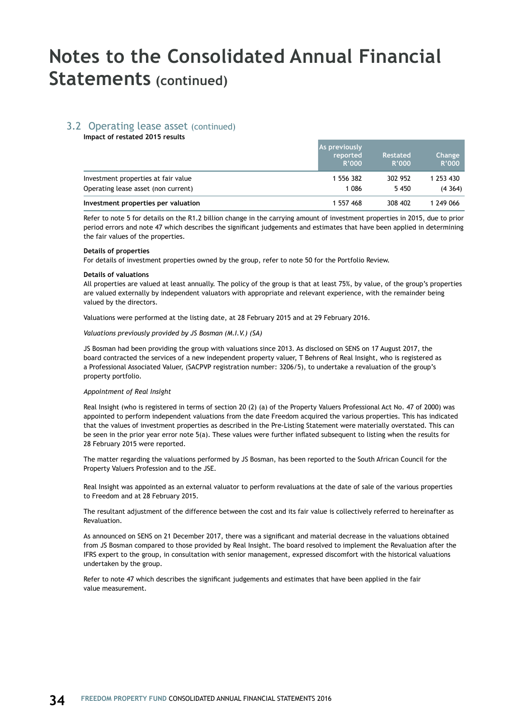# **Notes to the Consolidated Annual Financial Statements (continued)**

# 3.2 Operating lease asset (continued)

**Impact of restated 2015 results**

|                                     | As previously<br>reported<br><b>R'000</b> | <b>Restated</b><br><b>R'000</b> | Change<br><b>R'000</b> |
|-------------------------------------|-------------------------------------------|---------------------------------|------------------------|
| Investment properties at fair value | 1 556 382                                 | 302 952                         | 1 253 430              |
| Operating lease asset (non current) | 1 086                                     | 5450                            | $(4\,364)$             |
| Investment properties per valuation | 1 557 468                                 | 308 402                         | 1 249 066              |

Refer to note 5 for details on the R1.2 billion change in the carrying amount of investment properties in 2015, due to prior period errors and note 47 which describes the significant judgements and estimates that have been applied in determining the fair values of the properties.

#### **Details of properties**

For details of investment properties owned by the group, refer to note 50 for the Portfolio Review.

#### **Details of valuations**

All properties are valued at least annually. The policy of the group is that at least 75%, by value, of the group's properties are valued externally by independent valuators with appropriate and relevant experience, with the remainder being valued by the directors.

Valuations were performed at the listing date, at 28 February 2015 and at 29 February 2016.

### *Valuations previously provided by JS Bosman (M.I.V.) (SA)*

JS Bosman had been providing the group with valuations since 2013. As disclosed on SENS on 17 August 2017, the board contracted the services of a new independent property valuer, T Behrens of Real Insight, who is registered as a Professional Associated Valuer, (SACPVP registration number: 3206/5), to undertake a revaluation of the group's property portfolio.

#### *Appointment of Real Insight*

Real Insight (who is registered in terms of section 20 (2) (a) of the Property Valuers Professional Act No. 47 of 2000) was appointed to perform independent valuations from the date Freedom acquired the various properties. This has indicated that the values of investment properties as described in the Pre-Listing Statement were materially overstated. This can be seen in the prior year error note 5(a). These values were further inflated subsequent to listing when the results for 28 February 2015 were reported.

The matter regarding the valuations performed by JS Bosman, has been reported to the South African Council for the Property Valuers Profession and to the JSE.

Real Insight was appointed as an external valuator to perform revaluations at the date of sale of the various properties to Freedom and at 28 February 2015.

The resultant adjustment of the difference between the cost and its fair value is collectively referred to hereinafter as Revaluation.

As announced on SENS on 21 December 2017, there was a significant and material decrease in the valuations obtained from JS Bosman compared to those provided by Real Insight. The board resolved to implement the Revaluation after the IFRS expert to the group, in consultation with senior management, expressed discomfort with the historical valuations undertaken by the group.

Refer to note 47 which describes the significant judgements and estimates that have been applied in the fair value measurement.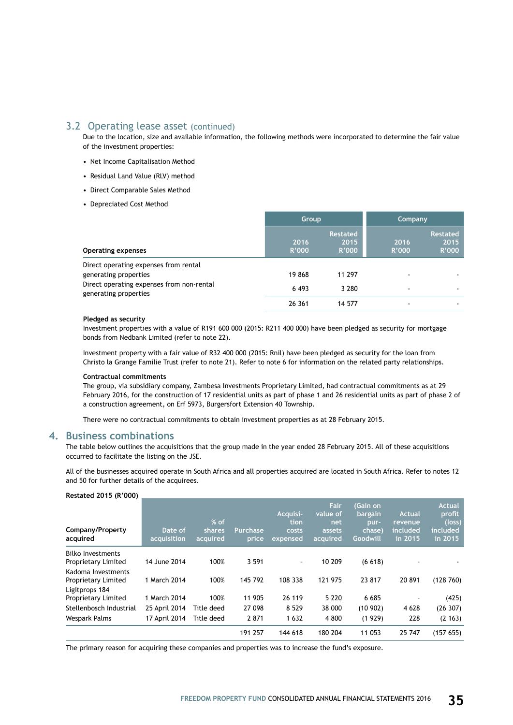## 3.2 Operating lease asset (continued)

Due to the location, size and available information, the following methods were incorporated to determine the fair value of the investment properties:

- Net Income Capitalisation Method
- Residual Land Value (RLV) method
- Direct Comparable Sales Method
- Depreciated Cost Method

|                                                                    | Group         |                                         | Company              |                                         |
|--------------------------------------------------------------------|---------------|-----------------------------------------|----------------------|-----------------------------------------|
| <b>Operating expenses</b>                                          | 2016<br>R'000 | <b>Restated</b><br>2015<br><b>R'000</b> | 2016<br><b>R'000</b> | <b>Restated</b><br>2015<br><b>R'000</b> |
| Direct operating expenses from rental<br>generating properties     | 19 868        | 11 297                                  |                      |                                         |
| Direct operating expenses from non-rental<br>generating properties | 6 4 9 3       | 3 2 8 0                                 | $\blacksquare$       | $\overline{\phantom{0}}$                |
|                                                                    | 26 361        | 14 577                                  | -                    | $\overline{\phantom{0}}$                |

#### **Pledged as security**

Investment properties with a value of R191 600 000 (2015: R211 400 000) have been pledged as security for mortgage bonds from Nedbank Limited (refer to note 22).

Investment property with a fair value of R32 400 000 (2015: Rnil) have been pledged as security for the loan from Christo la Grange Familie Trust (refer to note 21). Refer to note 6 for information on the related party relationships.

#### **Contractual commitments**

The group, via subsidiary company, Zambesa Investments Proprietary Limited, had contractual commitments as at 29 February 2016, for the construction of 17 residential units as part of phase 1 and 26 residential units as part of phase 2 of a construction agreement, on Erf 5973, Burgersfort Extension 40 Township.

There were no contractual commitments to obtain investment properties as at 28 February 2015.

## **4. Business combinations**

The table below outlines the acquisitions that the group made in the year ended 28 February 2015. All of these acquisitions occurred to facilitate the listing on the JSE.

All of the businesses acquired operate in South Africa and all properties acquired are located in South Africa. Refer to notes 12 and 50 for further details of the acquirees.

## **Restated 2015 (R'000)**

| Company/Property<br>acquired | Date of<br>acquisition | $%$ of<br>shares<br>acquired | <b>Purchase</b><br>price | Acquisi-<br>tion<br>costs<br>expensed | Fair<br>value of<br>net<br>assets<br>acquired | (Gain on<br>bargain<br>pur-<br>chase)<br>Goodwill | <b>Actual</b><br>revenue<br>included<br>in 2015 | <b>Actual</b><br>profit<br>(loss)<br>included<br>in 2015 |
|------------------------------|------------------------|------------------------------|--------------------------|---------------------------------------|-----------------------------------------------|---------------------------------------------------|-------------------------------------------------|----------------------------------------------------------|
| <b>Bilko Investments</b>     |                        |                              |                          |                                       |                                               |                                                   |                                                 |                                                          |
| Proprietary Limited          | 14 June 2014           | 100%                         | 3 5 9 1                  | $\overline{\phantom{a}}$              | 10 209                                        | (6618)                                            | ٠                                               |                                                          |
| Kadoma Investments           |                        |                              |                          |                                       |                                               |                                                   |                                                 |                                                          |
| Proprietary Limited          | 1 March 2014           | 100%                         | 145 792                  | 108 338                               | 121 975                                       | 23 817                                            | 20 891                                          | (128760)                                                 |
| Ligitprops 184               |                        |                              |                          |                                       |                                               |                                                   |                                                 |                                                          |
| Proprietary Limited          | 1 March 2014           | 100%                         | 11 905                   | 26 119                                | 5 2 2 0                                       | 6 6 8 5                                           |                                                 | (425)                                                    |
| Stellenbosch Industrial      | 25 April 2014          | Title deed                   | 27 098                   | 8 5 2 9                               | 38 000                                        | (10902)                                           | 4 6 2 8                                         | (26 307)                                                 |
| Wespark Palms                | 17 April 2014          | Title deed                   | 2 8 7 1                  | 1632                                  | 4 800                                         | (1929)                                            | 228                                             | (2.163)                                                  |
|                              |                        |                              | 191 257                  | 144 618                               | 180 204                                       | 11 053                                            | 25 747                                          | (15765)                                                  |

The primary reason for acquiring these companies and properties was to increase the fund's exposure.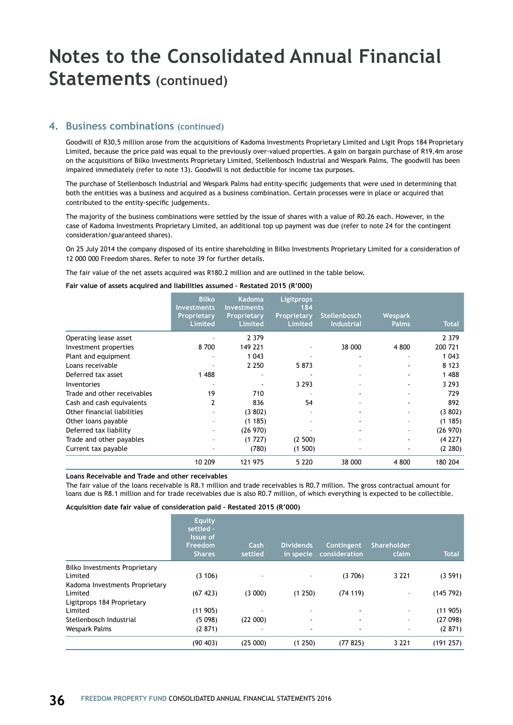## **4. Business combinations (continued)**

Goodwill of R30,5 million arose from the acquisitions of Kadoma Investments Proprietary Limited and Ligit Props 184 Proprietary Limited, because the price paid was equal to the previously over-valued properties. A gain on bargain purchase of R19.4m arose on the acquisitions of Bilko Investments Proprietary Limited, Stellenbosch Industrial and Wespark Palms. The goodwill has been impaired immediately (refer to note 13). Goodwill is not deductible for income tax purposes.

The purchase of Stellenbosch Industrial and Wespark Palms had entity-specific judgements that were used in determining that both the entities was a business and acquired as a business combination. Certain processes were in place or acquired that contributed to the entity-specific judgements.

The majority of the business combinations were settled by the issue of shares with a value of R0.26 each. However, in the case of Kadoma Investments Proprietary Limited, an additional top up payment was due (refer to note 24 for the contingent consideration/guaranteed shares).

On 25 July 2014 the company disposed of its entire shareholding in Bilko Investments Proprietary Limited for a consideration of 12 000 000 Freedom shares. Refer to note 39 for further details.

The fair value of the net assets acquired was R180.2 million and are outlined in the table below.

**Fair value of assets acquired and liabilities assumed – Restated 2015 (R'000)**

|                             | <b>Bilko</b><br><b>Investments</b><br>Proprietary | <b>Kadoma</b><br><b>Investments</b><br>Proprietary | <b>Ligitprops</b><br>184<br>Proprietary | Stellenbosch             | <b>Wespark</b>           |              |
|-----------------------------|---------------------------------------------------|----------------------------------------------------|-----------------------------------------|--------------------------|--------------------------|--------------|
|                             | Limited                                           | <b>Limited</b>                                     | Limited                                 | <b>Industrial</b>        | <b>Palms</b>             | <b>Total</b> |
| Operating lease asset       |                                                   | 2 3 7 9                                            |                                         |                          |                          | 2 3 7 9      |
| Investment properties       | 8700                                              | 149 221                                            |                                         | 38 000                   | 4 800                    | 200 721      |
| Plant and equipment         |                                                   | 1 0 4 3                                            | $\overline{\phantom{0}}$                |                          | ٠                        | 1 0 4 3      |
| Loans receivable            |                                                   | 2 2 5 0                                            | 5873                                    |                          | ٠                        | 8 1 2 3      |
| Deferred tax asset          | 1488                                              |                                                    |                                         | $\overline{\phantom{0}}$ | ٠                        | 1 488        |
| Inventories                 |                                                   |                                                    | 3 2 9 3                                 |                          |                          | 3 2 9 3      |
| Trade and other receivables | 19                                                | 710                                                |                                         | ٠                        |                          | 729          |
| Cash and cash equivalents   | 2                                                 | 836                                                | 54                                      |                          |                          | 892          |
| Other financial liabilities |                                                   | (3802)                                             | $\overline{\phantom{0}}$                | $\blacksquare$           |                          | (3802)       |
| Other loans payable         | -                                                 | (1185)                                             | $\overline{\phantom{0}}$                | ٠                        | $\overline{\phantom{a}}$ | (1185)       |
| Deferred tax liability      | -                                                 | (26970)                                            | -                                       | $\blacksquare$           | -                        | (26970)      |
| Trade and other payables    |                                                   | (1727)                                             | (2, 500)                                | $\overline{\phantom{0}}$ |                          | (4227)       |
| Current tax payable         |                                                   | (780)                                              | 500)<br>(1)                             |                          |                          | (2 280)      |
|                             | 10 209                                            | 121 975                                            | 5 2 2 0                                 | 38 000                   | 4 800                    | 180 204      |

#### **Loans Receivable and Trade and other receivables**

The fair value of the loans receivable is R8.1 million and trade receivables is R0.7 million. The gross contractual amount for loans due is R8.1 million and for trade receivables due is also R0.7 million, of which everything is expected to be collectible.

**Acquisition date fair value of consideration paid – Restated 2015 (R'000)**

|                                      | <b>Equity</b><br>settled -<br><b>Issue of</b><br>Freedom<br><b>Shares</b> | Cash<br>settled          | <b>Dividends</b><br>in specie | Contingent<br>consideration | Shareholder<br>claim     | <b>Total</b> |
|--------------------------------------|---------------------------------------------------------------------------|--------------------------|-------------------------------|-----------------------------|--------------------------|--------------|
| <b>Bilko Investments Proprietary</b> |                                                                           |                          |                               |                             |                          |              |
| Limited                              | (3 106)                                                                   | $\overline{\phantom{0}}$ |                               | (3706)                      | 3 2 2 1                  | (3591)       |
| Kadoma Investments Proprietary       |                                                                           |                          |                               |                             |                          |              |
| Limited                              | (67 423)                                                                  | (3 000)                  | (1250)                        | (74119)                     | $\overline{\phantom{a}}$ | (145 792)    |
| Ligitprops 184 Proprietary           |                                                                           |                          |                               |                             |                          |              |
| Limited                              | (11905)                                                                   | -                        | $\overline{\phantom{0}}$      |                             | $\overline{\phantom{a}}$ | (11905)      |
| Stellenbosch Industrial              | (5098)                                                                    | (22 000)                 | $\blacksquare$                | ٠                           | $\overline{\phantom{a}}$ | (27098)      |
| Wespark Palms                        | (2871)                                                                    | -                        |                               | $\overline{\phantom{0}}$    | $\overline{\phantom{a}}$ | (2871)       |
|                                      | (90, 403)                                                                 | (25000)                  | (1250)                        | (77825)                     | 3 2 2 1                  | (191 257)    |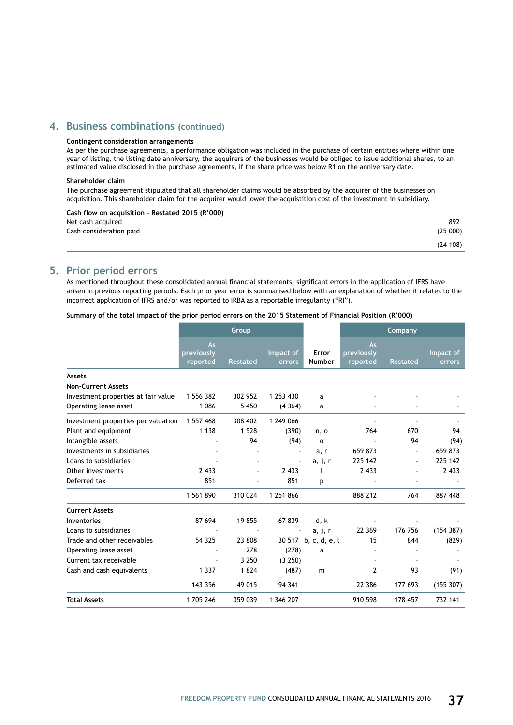## **4. Business combinations (continued)**

#### **Contingent consideration arrangements**

As per the purchase agreements, a performance obligation was included in the purchase of certain entities where within one year of listing, the listing date anniversary, the aqquirers of the businesses would be obliged to issue additional shares, to an estimated value disclosed in the purchase agreements, if the share price was below R1 on the anniversary date.

#### **Shareholder claim**

The purchase agreement stipulated that all shareholder claims would be absorbed by the acquirer of the businesses on acquisition. This shareholder claim for the acquirer would lower the acquistition cost of the investment in subsidiary.

| Cash flow on acquisition - Restated 2015 (R'000) |         |
|--------------------------------------------------|---------|
| Net cash acquired                                | 892     |
| Cash consideration paid                          | (25000) |
|                                                  | (24108) |

## **5. Prior period errors**

As mentioned throughout these consolidated annual financial statements, significant errors in the application of IFRS have arisen in previous reporting periods. Each prior year error is summarised below with an explanation of whether it relates to the incorrect application of IFRS and/or was reported to IRBA as a reportable irregularity ("RI").

### **Summary of the total impact of the prior period errors on the 2015 Statement of Financial Position (R'000)**

|                                     | Group                        |                 |                     |                        | Company                      |                 |                     |
|-------------------------------------|------------------------------|-----------------|---------------------|------------------------|------------------------------|-----------------|---------------------|
|                                     | As<br>previously<br>reported | <b>Restated</b> | Impact of<br>errors | Error<br><b>Number</b> | As<br>previously<br>reported | <b>Restated</b> | Impact of<br>errors |
| Assets                              |                              |                 |                     |                        |                              |                 |                     |
| <b>Non-Current Assets</b>           |                              |                 |                     |                        |                              |                 |                     |
| Investment properties at fair value | 1 556 382                    | 302 952         | 1 253 430           | a                      |                              |                 |                     |
| Operating lease asset               | 1 0 8 6                      | 5 4 5 0         | $(4\,364)$          | a                      |                              |                 |                     |
| Investment properties per valuation | 1 557 468                    | 308 402         | 1 249 066           |                        |                              |                 |                     |
| Plant and equipment                 | 1 1 3 8                      | 1 5 2 8         | (390)               | n, o                   | 764                          | 670             | 94                  |
| Intangible assets                   |                              | 94              | (94)                | $\circ$                |                              | 94              | (94)                |
| Investments in subsidiaries         |                              |                 |                     | a, r                   | 659 873                      |                 | 659 873             |
| Loans to subsidiaries               |                              |                 |                     | a, j, r                | 225 142                      | ٠               | 225 142             |
| Other investments                   | 2 4 3 3                      |                 | 2 4 3 3             |                        | 2 4 3 3                      |                 | 2 4 3 3             |
| Deferred tax                        | 851                          |                 | 851                 | p                      |                              |                 |                     |
|                                     | 1 561 890                    | 310 024         | 1 251 866           |                        | 888 212                      | 764             | 887 448             |
| <b>Current Assets</b>               |                              |                 |                     |                        |                              |                 |                     |
| Inventories                         | 87 694                       | 19 855          | 67839               | d, k                   |                              |                 |                     |
| Loans to subsidiaries               |                              |                 |                     | a, j, r                | 22 369                       | 176 756         | (154387)            |
| Trade and other receivables         | 54 325                       | 23 808          |                     | 30 517 b, c, d, e, l   | 15                           | 844             | (829)               |
| Operating lease asset               |                              | 278             | (278)               | a                      |                              |                 |                     |
| Current tax receivable              |                              | 3 2 5 0         | (3 250)             |                        |                              |                 |                     |
| Cash and cash equivalents           | 1 3 3 7                      | 1824            | (487)               | m                      | 2                            | 93              | (91)                |
|                                     | 143 356                      | 49 015          | 94 341              |                        | 22 38 6                      | 177 693         | (155 307)           |
| <b>Total Assets</b>                 | 1705246                      | 359 039         | 1 346 207           |                        | 910 598                      | 178 457         | 732 141             |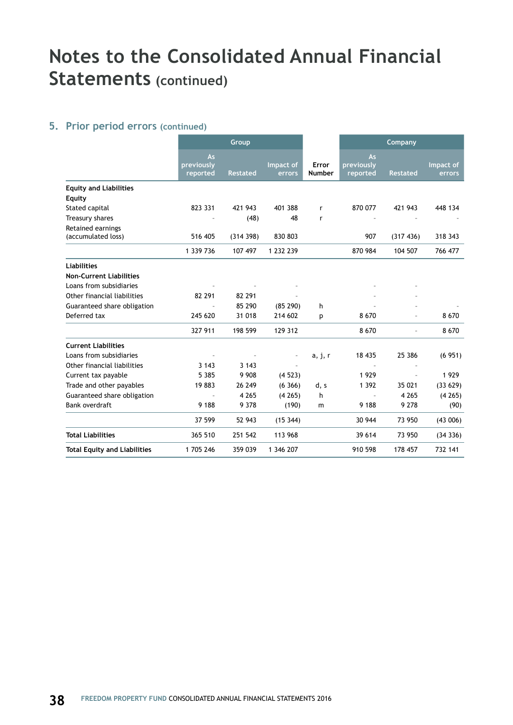## **5. Prior period errors (continued)**

|                                         |                              | Group           |                          |                 | Company                      |                          |                     |
|-----------------------------------------|------------------------------|-----------------|--------------------------|-----------------|------------------------------|--------------------------|---------------------|
|                                         | As<br>previously<br>reported | <b>Restated</b> | Impact of<br>errors      | Error<br>Number | As<br>previously<br>reported | <b>Restated</b>          | Impact of<br>errors |
| <b>Equity and Liabilities</b>           |                              |                 |                          |                 |                              |                          |                     |
| <b>Equity</b>                           |                              |                 |                          |                 |                              |                          |                     |
| Stated capital                          | 823 331                      | 421 943         | 401 388                  | r               | 870 077                      | 421 943                  | 448 134             |
| Treasury shares                         |                              | (48)            | 48                       | r               |                              |                          |                     |
| Retained earnings<br>(accumulated loss) | 516 405                      | (314398)        | 830 803                  |                 | 907                          | (317 436)                | 318 343             |
|                                         | 1 339 736                    | 107 497         | 1 232 239                |                 | 870 984                      | 104 507                  | 766 477             |
| Liabilities                             |                              |                 |                          |                 |                              |                          |                     |
| <b>Non-Current Liabilities</b>          |                              |                 |                          |                 |                              |                          |                     |
| Loans from subsidiaries                 |                              |                 |                          |                 |                              |                          |                     |
| Other financial liabilities             | 82 291                       | 82 291          |                          |                 |                              |                          |                     |
| Guaranteed share obligation             |                              | 85 290          | (85 290)                 | h               |                              |                          |                     |
| Deferred tax                            | 245 620                      | 31 018          | 214 602                  | p               | 8 6 7 0                      |                          | 8670                |
|                                         | 327 911                      | 198 599         | 129 312                  |                 | 8 6 7 0                      |                          | 8 6 7 0             |
| <b>Current Liabilities</b>              |                              |                 |                          |                 |                              |                          |                     |
| Loans from subsidiaries                 |                              |                 | $\overline{\phantom{m}}$ | a, j, r         | 18 435                       | 25 386                   | (6951)              |
| Other financial liabilities             | 3 1 4 3                      | 3 1 4 3         |                          |                 |                              |                          |                     |
| Current tax payable                     | 5 3 8 5                      | 9 9 0 8         | (4523)                   |                 | 1929                         | $\overline{\phantom{a}}$ | 1929                |
| Trade and other payables                | 19883                        | 26 249          | (6366)                   | d, s            | 1 3 9 2                      | 35 021                   | (33629)             |
| Guaranteed share obligation             |                              | 4 2 6 5         | (4265)                   | h               |                              | 4 2 6 5                  | (4265)              |
| <b>Bank overdraft</b>                   | 9 188                        | 9 3 7 8         | (190)                    | m               | 9 1 8 8                      | 9 2 7 8                  | (90)                |
|                                         | 37 599                       | 52 943          | (15344)                  |                 | 30 944                       | 73 950                   | (43006)             |
| <b>Total Liabilities</b>                | 365 510                      | 251 542         | 113 968                  |                 | 39 614                       | 73 950                   | (34336)             |
| <b>Total Equity and Liabilities</b>     | 1 705 246                    | 359 039         | 1 346 207                |                 | 910 598                      | 178 457                  | 732 141             |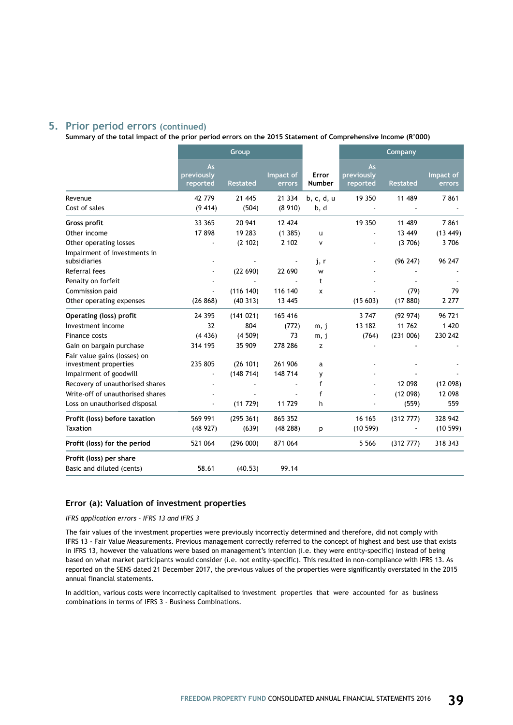## **5. Prior period errors (continued)**

**Summary of the total impact of the prior period errors on the 2015 Statement of Comprehensive Income (R'000)**

|                                                       | Group                        |                 |                     |                 | Company                      |                 |                     |
|-------------------------------------------------------|------------------------------|-----------------|---------------------|-----------------|------------------------------|-----------------|---------------------|
|                                                       | As<br>previously<br>reported | <b>Restated</b> | Impact of<br>errors | Error<br>Number | As<br>previously<br>reported | <b>Restated</b> | Impact of<br>errors |
| Revenue                                               | 42 779                       | 21 4 45         | 21 3 34             | b, c, d, u      | 19 350                       | 11 489          | 7861                |
| Cost of sales                                         | (9414)                       | (504)           | (8910)              | b, d            |                              |                 |                     |
| <b>Gross profit</b>                                   | 33 365                       | 20 941          | 12 424              |                 | 19 350                       | 11 489          | 7861                |
| Other income                                          | 17898                        | 19 283          | (1385)              | u               |                              | 13 449          | (13449)             |
| Other operating losses                                |                              | (2 102)         | 2 1 0 2             | ٧               |                              | (3706)          | 3706                |
| Impairment of investments in<br>subsidiaries          |                              |                 |                     | j, r            |                              | (96 247)        | 96 247              |
| Referral fees                                         |                              | (22690)         | 22 690              | W               |                              |                 |                     |
| Penalty on forfeit                                    |                              |                 |                     | t               |                              |                 |                     |
| Commission paid                                       |                              | (116 140)       | 116 140             | x               |                              | (79)            | 79                  |
| Other operating expenses                              | (26 868)                     | (40313)         | 13 445              |                 | (15603)                      | (17880)         | 2 2 7 7             |
| Operating (loss) profit                               | 24 3 9 5                     | (141 021)       | 165 416             |                 | 3 7 4 7                      | (92974)         | 96 721              |
| Investment income                                     | 32                           | 804             | (772)               | m, j            | 13 182                       | 11 762          | 1 4 2 0             |
| Finance costs                                         | (4436)                       | (4509)          | 73                  | m, j            | (764)                        | (231 006)       | 230 242             |
| Gain on bargain purchase                              | 314 195                      | 35 909          | 278 286             | z               |                              |                 |                     |
| Fair value gains (losses) on<br>investment properties | 235 805                      | (26 101)        | 261 906             | a               |                              |                 |                     |
| Impairment of goodwill                                |                              | (148714)        | 148 714             | У               |                              |                 |                     |
| Recovery of unauthorised shares                       |                              |                 |                     | f               |                              | 12 098          | (12098)             |
| Write-off of unauthorised shares                      |                              |                 |                     | f               | ä,                           | (12098)         | 12 098              |
| Loss on unauthorised disposal                         |                              | (11729)         | 11 729              | h               |                              | (559)           | 559                 |
| Profit (loss) before taxation                         | 569 991                      | (295 361)       | 865 352             |                 | 16 165                       | (312 777)       | 328 942             |
| Taxation                                              | (48927)                      | (639)           | (48288)             | p               | (10599)                      |                 | (10599)             |
| Profit (loss) for the period                          | 521 064                      | (296 000)       | 871 064             |                 | 5 5 6 6                      | (312 777)       | 318 343             |
| Profit (loss) per share<br>Basic and diluted (cents)  | 58.61                        | (40.53)         | 99.14               |                 |                              |                 |                     |

## **Error (a): Valuation of investment properties**

*IFRS application errors – IFRS 13 and IFRS 3*

The fair values of the investment properties were previously incorrectly determined and therefore, did not comply with IFRS 13 - Fair Value Measurements. Previous management correctly referred to the concept of highest and best use that exists in IFRS 13, however the valuations were based on management's intention (i.e. they were entity-specific) instead of being based on what market participants would consider (i.e. not entity-specific). This resulted in non-compliance with IFRS 13. As reported on the SENS dated 21 December 2017, the previous values of the properties were significantly overstated in the 2015 annual financial statements.

In addition, various costs were incorrectly capitalised to investment properties that were accounted for as business combinations in terms of IFRS 3 - Business Combinations.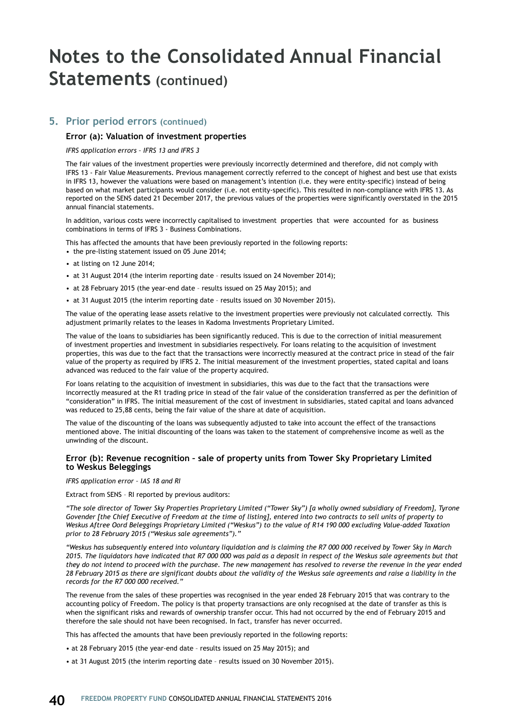## **5. Prior period errors (continued)**

### **Error (a): Valuation of investment properties**

*IFRS application errors – IFRS 13 and IFRS 3*

The fair values of the investment properties were previously incorrectly determined and therefore, did not comply with IFRS 13 - Fair Value Measurements. Previous management correctly referred to the concept of highest and best use that exists in IFRS 13, however the valuations were based on management's intention (i.e. they were entity-specific) instead of being based on what market participants would consider (i.e. not entity-specific). This resulted in non-compliance with IFRS 13. As reported on the SENS dated 21 December 2017, the previous values of the properties were significantly overstated in the 2015 annual financial statements.

In addition, various costs were incorrectly capitalised to investment properties that were accounted for as business combinations in terms of IFRS 3 - Business Combinations.

This has affected the amounts that have been previously reported in the following reports:

- the pre-listing statement issued on 05 June 2014;
- at listing on 12 June 2014;
- at 31 August 2014 (the interim reporting date results issued on 24 November 2014);
- at 28 February 2015 (the year-end date results issued on 25 May 2015); and
- at 31 August 2015 (the interim reporting date results issued on 30 November 2015).

The value of the operating lease assets relative to the investment properties were previously not calculated correctly. This adjustment primarily relates to the leases in Kadoma Investments Proprietary Limited.

The value of the loans to subsidiaries has been significantly reduced. This is due to the correction of initial measurement of investment properties and investment in subsidiaries respectively. For loans relating to the acquisition of investment properties, this was due to the fact that the transactions were incorrectly measured at the contract price in stead of the fair value of the property as required by IFRS 2. The initial measurement of the investment properties, stated capital and loans advanced was reduced to the fair value of the property acquired.

For loans relating to the acquisition of investment in subsidiaries, this was due to the fact that the transactions were incorrectly measured at the R1 trading price in stead of the fair value of the consideration transferred as per the definition of "consideration" in IFRS. The initial measurement of the cost of investment in subsidiaries, stated capital and loans advanced was reduced to 25,88 cents, being the fair value of the share at date of acquisition.

The value of the discounting of the loans was subsequently adjusted to take into account the effect of the transactions mentioned above. The initial discounting of the loans was taken to the statement of comprehensive income as well as the unwinding of the discount.

#### **Error (b): Revenue recognition – sale of property units from Tower Sky Proprietary Limited to Weskus Beleggings**

*IFRS application error – IAS 18 and RI*

Extract from SENS – RI reported by previous auditors:

*"The sole director of Tower Sky Properties Proprietary Limited ("Tower Sky") [a wholly owned subsidiary of Freedom], Tyrone Govender [the Chief Executive of Freedom at the time of listing], entered into two contracts to sell units of property to Weskus Aftree Oord Beleggings Proprietary Limited ("Weskus") to the value of R14 190 000 excluding Value-added Taxation prior to 28 February 2015 ("Weskus sale agreements")."*

*"Weskus has subsequently entered into voluntary liquidation and is claiming the R7 000 000 received by Tower Sky in March 2015. The liquidators have indicated that R7 000 000 was paid as a deposit in respect of the Weskus sale agreements but that they do not intend to proceed with the purchase. The new management has resolved to reverse the revenue in the year ended 28 February 2015 as there are significant doubts about the validity of the Weskus sale agreements and raise a liability in the records for the R7 000 000 received."*

The revenue from the sales of these properties was recognised in the year ended 28 February 2015 that was contrary to the accounting policy of Freedom. The policy is that property transactions are only recognised at the date of transfer as this is when the significant risks and rewards of ownership transfer occur. This had not occurred by the end of February 2015 and therefore the sale should not have been recognised. In fact, transfer has never occurred.

This has affected the amounts that have been previously reported in the following reports:

- at 28 February 2015 (the year-end date results issued on 25 May 2015); and
- at 31 August 2015 (the interim reporting date results issued on 30 November 2015).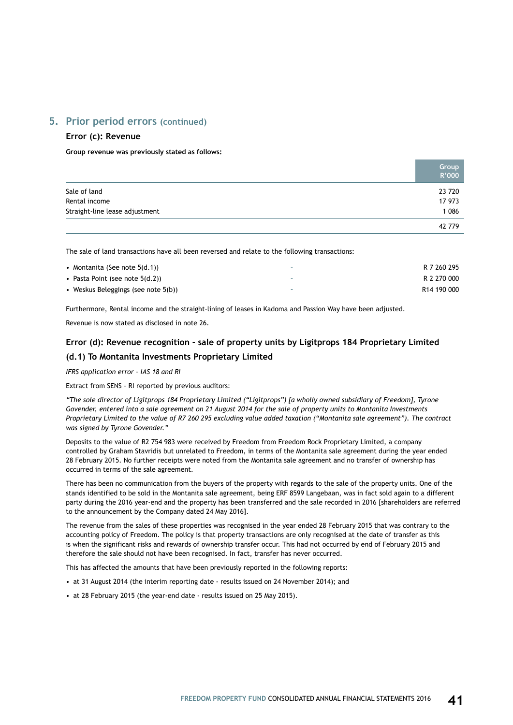## **5. Prior period errors (continued)**

## **Error (c): Revenue**

**Group revenue was previously stated as follows:**

|                                | Group<br>R'000 |
|--------------------------------|----------------|
| Sale of land                   | 23 720         |
| Rental income                  | 17 973         |
| Straight-line lease adjustment | 1 0 8 6        |
|                                | 42 779         |

The sale of land transactions have all been reversed and relate to the following transactions:

| • Montanita (See note $5(d.1)$ )    | - | R 7 260 295             |
|-------------------------------------|---|-------------------------|
| • Pasta Point (see note $5(d.2)$ )  | - | R 2 270 000             |
| • Weskus Beleggings (see note 5(b)) | - | R <sub>14</sub> 190 000 |

Furthermore, Rental income and the straight-lining of leases in Kadoma and Passion Way have been adjusted.

Revenue is now stated as disclosed in note 26.

## **Error (d): Revenue recognition - sale of property units by Ligitprops 184 Proprietary Limited**

## **(d.1) To Montanita Investments Proprietary Limited**

*IFRS application error – IAS 18 and RI*

Extract from SENS – RI reported by previous auditors:

*"The sole director of Ligitprops 184 Proprietary Limited ("Ligitprops") [a wholly owned subsidiary of Freedom], Tyrone*  Govender, entered into a sale agreement on 21 August 2014 for the sale of property units to Montanita Investments *Proprietary Limited to the value of R7 260 295 excluding value added taxation ("Montanita sale agreement"). The contract was signed by Tyrone Govender."*

Deposits to the value of R2 754 983 were received by Freedom from Freedom Rock Proprietary Limited, a company controlled by Graham Stavridis but unrelated to Freedom, in terms of the Montanita sale agreement during the year ended 28 February 2015. No further receipts were noted from the Montanita sale agreement and no transfer of ownership has occurred in terms of the sale agreement.

There has been no communication from the buyers of the property with regards to the sale of the property units. One of the stands identified to be sold in the Montanita sale agreement, being ERF 8599 Langebaan, was in fact sold again to a different party during the 2016 year-end and the property has been transferred and the sale recorded in 2016 [shareholders are referred to the announcement by the Company dated 24 May 2016].

The revenue from the sales of these properties was recognised in the year ended 28 February 2015 that was contrary to the accounting policy of Freedom. The policy is that property transactions are only recognised at the date of transfer as this is when the significant risks and rewards of ownership transfer occur. This had not occurred by end of February 2015 and therefore the sale should not have been recognised. In fact, transfer has never occurred.

This has affected the amounts that have been previously reported in the following reports:

- at 31 August 2014 (the interim reporting date results issued on 24 November 2014); and
- at 28 February 2015 (the year-end date results issued on 25 May 2015).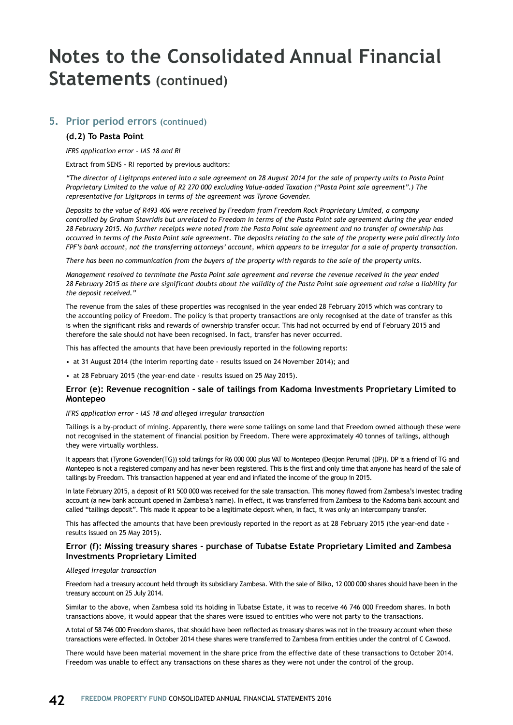## **5. Prior period errors (continued)**

## **(d.2) To Pasta Point**

*IFRS application error - IAS 18 and RI*

Extract from SENS - RI reported by previous auditors:

*"The director of Ligitprops entered into a sale agreement on 28 August 2014 for the sale of property units to Pasta Point Proprietary Limited to the value of R2 270 000 excluding Value-added Taxation ("Pasta Point sale agreement".) The representative for Ligitprops in terms of the agreement was Tyrone Govender.*

*Deposits to the value of R493 406 were received by Freedom from Freedom Rock Proprietary Limited, a company controlled by Graham Stavridis but unrelated to Freedom in terms of the Pasta Point sale agreement during the year ended 28 February 2015. No further receipts were noted from the Pasta Point sale agreement and no transfer of ownership has occurred in terms of the Pasta Point sale agreement. The deposits relating to the sale of the property were paid directly into FPF's bank account, not the transferring attorneys' account, which appears to be irregular for a sale of property transaction.*

*There has been no communication from the buyers of the property with regards to the sale of the property units.*

*Management resolved to terminate the Pasta Point sale agreement and reverse the revenue received in the year ended 28 February 2015 as there are significant doubts about the validity of the Pasta Point sale agreement and raise a liability for the deposit received."*

The revenue from the sales of these properties was recognised in the year ended 28 February 2015 which was contrary to the accounting policy of Freedom. The policy is that property transactions are only recognised at the date of transfer as this is when the significant risks and rewards of ownership transfer occur. This had not occurred by end of February 2015 and therefore the sale should not have been recognised. In fact, transfer has never occurred.

This has affected the amounts that have been previously reported in the following reports:

- at 31 August 2014 (the interim reporting date results issued on 24 November 2014); and
- at 28 February 2015 (the year-end date results issued on 25 May 2015).

## **Error (e): Revenue recognition - sale of tailings from Kadoma Investments Proprietary Limited to Montepeo**

#### *IFRS application error - IAS 18 and alleged irregular transaction*

Tailings is a by-product of mining. Apparently, there were some tailings on some land that Freedom owned although these were not recognised in the statement of financial position by Freedom. There were approximately 40 tonnes of tailings, although they were virtually worthless.

It appears that (Tyrone Govender(TG)) sold tailings for R6 000 000 plus VAT to Montepeo (Deojon Perumal (DP)). DP is a friend of TG and Montepeo is not a registered company and has never been registered. This is the first and only time that anyone has heard of the sale of tailings by Freedom. This transaction happened at year end and inflated the income of the group in 2015.

In late February 2015, a deposit of R1 500 000 was received for the sale transaction. This money flowed from Zambesa's Investec trading account (a new bank account opened in Zambesa's name). In effect, it was transferred from Zambesa to the Kadoma bank account and called "tailings deposit". This made it appear to be a legitimate deposit when, in fact, it was only an intercompany transfer.

This has affected the amounts that have been previously reported in the report as at 28 February 2015 (the year-end date results issued on 25 May 2015).

#### **Error (f): Missing treasury shares - purchase of Tubatse Estate Proprietary Limited and Zambesa Investments Proprietary Limited**

#### *Alleged irregular transaction*

Freedom had a treasury account held through its subsidiary Zambesa. With the sale of Bilko, 12 000 000 shares should have been in the treasury account on 25 July 2014.

Similar to the above, when Zambesa sold its holding in Tubatse Estate, it was to receive 46 746 000 Freedom shares. In both transactions above, it would appear that the shares were issued to entities who were not party to the transactions.

A total of 58 746 000 Freedom shares, that should have been reflected as treasury shares was not in the treasury account when these transactions were effected. In October 2014 these shares were transferred to Zambesa from entities under the control of C Cawood.

There would have been material movement in the share price from the effective date of these transactions to October 2014. Freedom was unable to effect any transactions on these shares as they were not under the control of the group.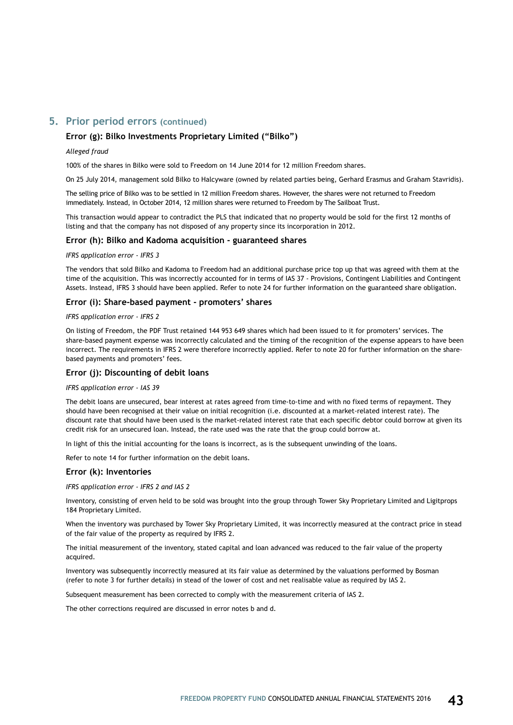## **5. Prior period errors (continued)**

## **Error (g): Bilko Investments Proprietary Limited ("Bilko")**

#### *Alleged fraud*

100% of the shares in Bilko were sold to Freedom on 14 June 2014 for 12 million Freedom shares.

On 25 July 2014, management sold Bilko to Halcyware (owned by related parties being, Gerhard Erasmus and Graham Stavridis).

The selling price of Bilko was to be settled in 12 million Freedom shares. However, the shares were not returned to Freedom immediately. Instead, in October 2014, 12 million shares were returned to Freedom by The Sailboat Trust.

This transaction would appear to contradict the PLS that indicated that no property would be sold for the first 12 months of listing and that the company has not disposed of any property since its incorporation in 2012.

#### **Error (h): Bilko and Kadoma acquisition - guaranteed shares**

*IFRS application error - IFRS 3*

The vendors that sold Bilko and Kadoma to Freedom had an additional purchase price top up that was agreed with them at the time of the acquisition. This was incorrectly accounted for in terms of IAS 37 - Provisions, Contingent Liabilities and Contingent Assets. Instead, IFRS 3 should have been applied. Refer to note 24 for further information on the guaranteed share obligation.

#### **Error (i): Share-based payment - promoters' shares**

#### *IFRS application error - IFRS 2*

On listing of Freedom, the PDF Trust retained 144 953 649 shares which had been issued to it for promoters' services. The share-based payment expense was incorrectly calculated and the timing of the recognition of the expense appears to have been incorrect. The requirements in IFRS 2 were therefore incorrectly applied. Refer to note 20 for further information on the sharebased payments and promoters' fees.

### **Error (j): Discounting of debit loans**

*IFRS application error - IAS 39*

The debit loans are unsecured, bear interest at rates agreed from time-to-time and with no fixed terms of repayment. They should have been recognised at their value on initial recognition (i.e. discounted at a market-related interest rate). The discount rate that should have been used is the market-related interest rate that each specific debtor could borrow at given its credit risk for an unsecured loan. Instead, the rate used was the rate that the group could borrow at.

In light of this the initial accounting for the loans is incorrect, as is the subsequent unwinding of the loans.

Refer to note 14 for further information on the debit loans.

#### **Error (k): Inventories**

*IFRS application error - IFRS 2 and IAS 2* 

Inventory, consisting of erven held to be sold was brought into the group through Tower Sky Proprietary Limited and Ligitprops 184 Proprietary Limited.

When the inventory was purchased by Tower Sky Proprietary Limited, it was incorrectly measured at the contract price in stead of the fair value of the property as required by IFRS 2.

The initial measurement of the inventory, stated capital and loan advanced was reduced to the fair value of the property acquired.

Inventory was subsequently incorrectly measured at its fair value as determined by the valuations performed by Bosman (refer to note 3 for further details) in stead of the lower of cost and net realisable value as required by IAS 2.

Subsequent measurement has been corrected to comply with the measurement criteria of IAS 2.

The other corrections required are discussed in error notes b and d.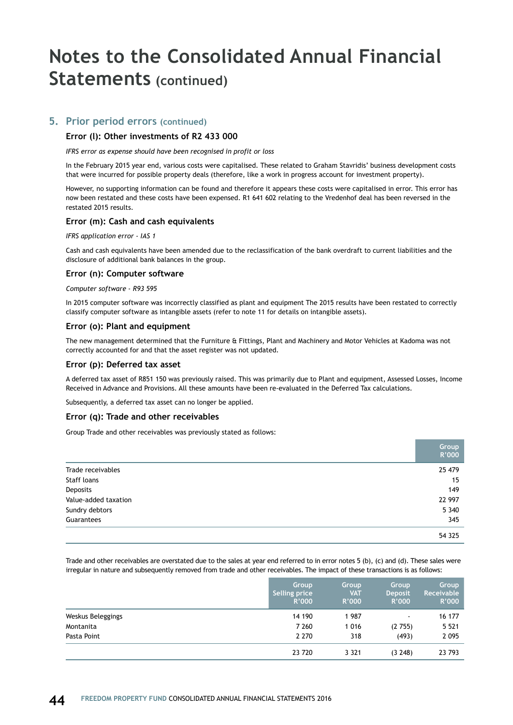## **5. Prior period errors (continued)**

### **Error (l): Other investments of R2 433 000**

*IFRS error as expense should have been recognised in profit or loss*

In the February 2015 year end, various costs were capitalised. These related to Graham Stavridis' business development costs that were incurred for possible property deals (therefore, like a work in progress account for investment property).

However, no supporting information can be found and therefore it appears these costs were capitalised in error. This error has now been restated and these costs have been expensed. R1 641 602 relating to the Vredenhof deal has been reversed in the restated 2015 results.

## **Error (m): Cash and cash equivalents**

*IFRS application error - IAS 1*

Cash and cash equivalents have been amended due to the reclassification of the bank overdraft to current liabilities and the disclosure of additional bank balances in the group.

#### **Error (n): Computer software**

*Computer software - R93 595*

In 2015 computer software was incorrectly classified as plant and equipment The 2015 results have been restated to correctly classify computer software as intangible assets (refer to note 11 for details on intangible assets).

#### **Error (o): Plant and equipment**

The new management determined that the Furniture & Fittings, Plant and Machinery and Motor Vehicles at Kadoma was not correctly accounted for and that the asset register was not updated.

#### **Error (p): Deferred tax asset**

A deferred tax asset of R851 150 was previously raised. This was primarily due to Plant and equipment, Assessed Losses, Income Received in Advance and Provisions. All these amounts have been re-evaluated in the Deferred Tax calculations.

Subsequently, a deferred tax asset can no longer be applied.

#### **Error (q): Trade and other receivables**

Group Trade and other receivables was previously stated as follows:

|                      | Group<br>R'000 |
|----------------------|----------------|
| Trade receivables    | 25 479         |
| Staff loans          | 15             |
| Deposits             | 149            |
| Value-added taxation | 22 997         |
| Sundry debtors       | 5 3 4 0        |
| Guarantees           | 345            |
|                      | 54 325         |

Trade and other receivables are overstated due to the sales at year end referred to in error notes 5 (b), (c) and (d). These sales were irregular in nature and subsequently removed from trade and other receivables. The impact of these transactions is as follows:

|                   | Group<br>Selling price<br>R'000 | Group<br><b>VAT</b><br>R'000 | Group<br><b>Deposit</b><br>R'000 | Group<br>Receivable <b>b</b><br>R'000 |
|-------------------|---------------------------------|------------------------------|----------------------------------|---------------------------------------|
| Weskus Beleggings | 14 190                          | 1987                         | $\sim$                           | 16 177                                |
| Montanita         | 7 2 6 0                         | 1016                         | (2755)                           | 5 5 2 1                               |
| Pasta Point       | 2 2 7 0                         | 318                          | (493)                            | 2 0 9 5                               |
|                   | 23 720                          | 3 3 2 1                      | (3 248)                          | 23 793                                |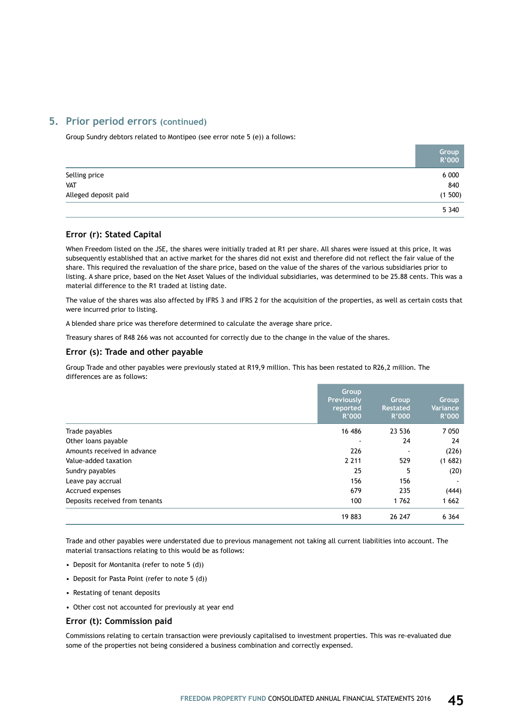## **5. Prior period errors (continued)**

Group Sundry debtors related to Montipeo (see error note 5 (e)) a follows:

|                      | Group<br>R'000 |
|----------------------|----------------|
| Selling price        | 6 000          |
| <b>VAT</b>           | 840            |
| Alleged deposit paid | (1500)         |
|                      | 5 3 4 0        |

### **Error (r): Stated Capital**

When Freedom listed on the JSE, the shares were initially traded at R1 per share. All shares were issued at this price, It was subsequently established that an active market for the shares did not exist and therefore did not reflect the fair value of the share. This required the revaluation of the share price, based on the value of the shares of the various subsidiaries prior to listing. A share price, based on the Net Asset Values of the individual subsidiaries, was determined to be 25.88 cents. This was a material difference to the R1 traded at listing date.

The value of the shares was also affected by IFRS 3 and IFRS 2 for the acquisition of the properties, as well as certain costs that were incurred prior to listing.

A blended share price was therefore determined to calculate the average share price.

Treasury shares of R48 266 was not accounted for correctly due to the change in the value of the shares.

#### **Error (s): Trade and other payable**

Group Trade and other payables were previously stated at R19,9 million. This has been restated to R26,2 million. The differences are as follows:

|                                | Group<br>Previously<br>reported<br><b>R'000</b> | <b>Group</b><br><b>Restated</b><br>R'000 | Group<br><b>Variance</b><br>R'000 |
|--------------------------------|-------------------------------------------------|------------------------------------------|-----------------------------------|
| Trade payables                 | 16 486                                          | 23 536                                   | 7 0 5 0                           |
| Other loans payable            |                                                 | 24                                       | 24                                |
| Amounts received in advance    | 226                                             | $\blacksquare$                           | (226)                             |
| Value-added taxation           | 2 2 1 1                                         | 529                                      | (1682)                            |
| Sundry payables                | 25                                              | 5                                        | (20)                              |
| Leave pay accrual              | 156                                             | 156                                      |                                   |
| Accrued expenses               | 679                                             | 235                                      | (444)                             |
| Deposits received from tenants | 100                                             | 1762                                     | 1 6 6 2                           |
|                                | 19883                                           | 26 247                                   | 6 3 6 4                           |

Trade and other payables were understated due to previous management not taking all current liabilities into account. The material transactions relating to this would be as follows:

- Deposit for Montanita (refer to note 5 (d))
- Deposit for Pasta Point (refer to note 5 (d))
- Restating of tenant deposits
- Other cost not accounted for previously at year end

#### **Error (t): Commission paid**

Commissions relating to certain transaction were previously capitalised to investment properties. This was re-evaluated due some of the properties not being considered a business combination and correctly expensed.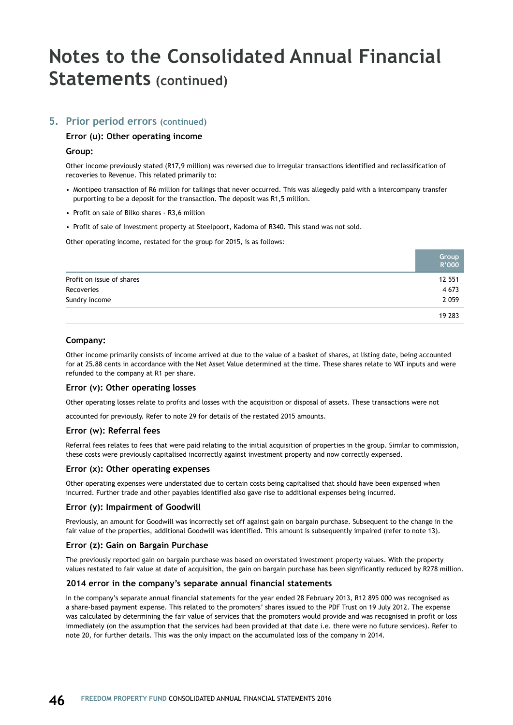## **5. Prior period errors (continued)**

## **Error (u): Other operating income**

## **Group:**

Other income previously stated (R17,9 million) was reversed due to irregular transactions identified and reclassification of recoveries to Revenue. This related primarily to:

- Montipeo transaction of R6 million for tailings that never occurred. This was allegedly paid with a intercompany transfer purporting to be a deposit for the transaction. The deposit was R1,5 million.
- Profit on sale of Bilko shares R3,6 million
- Profit of sale of Investment property at Steelpoort, Kadoma of R340. This stand was not sold.

Other operating income, restated for the group for 2015, is as follows:

|                           | Group<br>R'000 |
|---------------------------|----------------|
| Profit on issue of shares | 12 551         |
| Recoveries                | 4 6 7 3        |
| Sundry income             | 2 0 5 9        |
|                           | 19 283         |

## **Company:**

Other income primarily consists of income arrived at due to the value of a basket of shares, at listing date, being accounted for at 25.88 cents in accordance with the Net Asset Value determined at the time. These shares relate to VAT inputs and were refunded to the company at R1 per share.

## **Error (v): Other operating losses**

Other operating losses relate to profits and losses with the acquisition or disposal of assets. These transactions were not

accounted for previously. Refer to note 29 for details of the restated 2015 amounts.

#### **Error (w): Referral fees**

Referral fees relates to fees that were paid relating to the initial acquisition of properties in the group. Similar to commission, these costs were previously capitalised incorrectly against investment property and now correctly expensed.

#### **Error (x): Other operating expenses**

Other operating expenses were understated due to certain costs being capitalised that should have been expensed when incurred. Further trade and other payables identified also gave rise to additional expenses being incurred.

## **Error (y): Impairment of Goodwill**

Previously, an amount for Goodwill was incorrectly set off against gain on bargain purchase. Subsequent to the change in the fair value of the properties, additional Goodwill was identified. This amount is subsequently impaired (refer to note 13).

#### **Error (z): Gain on Bargain Purchase**

The previously reported gain on bargain purchase was based on overstated investment property values. With the property values restated to fair value at date of acquisition, the gain on bargain purchase has been significantly reduced by R278 million.

#### **2014 error in the company's separate annual financial statements**

In the company's separate annual financial statements for the year ended 28 February 2013, R12 895 000 was recognised as a share-based payment expense. This related to the promoters' shares issued to the PDF Trust on 19 July 2012. The expense was calculated by determining the fair value of services that the promoters would provide and was recognised in profit or loss immediately (on the assumption that the services had been provided at that date i.e. there were no future services). Refer to note 20, for further details. This was the only impact on the accumulated loss of the company in 2014.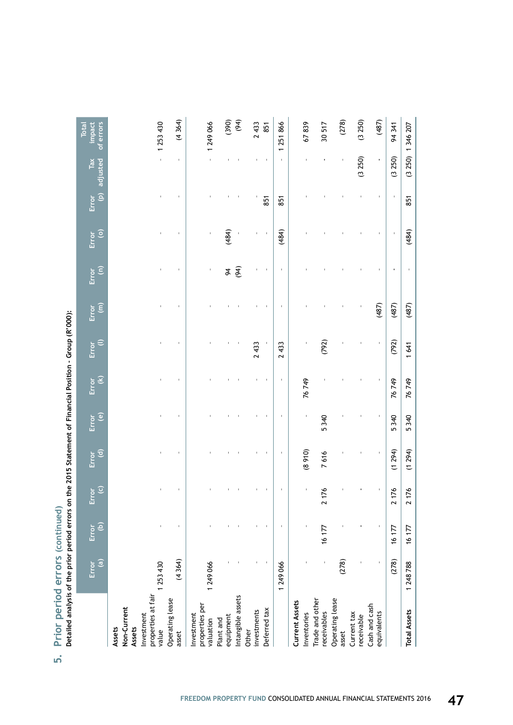5. Prior period errors (continued) **5. Prior period errors (continued)**

| ֛ |  |
|---|--|
|   |  |
|   |  |
|   |  |
|   |  |
|   |  |
|   |  |
|   |  |
|   |  |
|   |  |
|   |  |
|   |  |
|   |  |
|   |  |
|   |  |
|   |  |
|   |  |
|   |  |
|   |  |
|   |  |
|   |  |
|   |  |
|   |  |
|   |  |
|   |  |
|   |  |
|   |  |
|   |  |
|   |  |
|   |  |
|   |  |
|   |  |
|   |  |
|   |  |
|   |  |
|   |  |
|   |  |
| ֕ |  |
|   |  |
|   |  |
|   |  |
|   |  |
|   |  |
|   |  |
|   |  |
|   |  |
|   |  |
|   |  |
|   |  |
|   |  |
|   |  |
|   |  |
|   |  |
|   |  |
|   |  |
|   |  |
|   |  |
|   |  |
|   |  |
|   |  |
|   |  |
|   |  |
|   |  |
|   |  |
|   |  |
|   |  |
|   |  |
|   |  |
|   |  |
|   |  |
|   |  |
|   |  |
|   |  |
|   |  |
|   |  |
|   |  |
|   |  |
|   |  |
|   |  |
|   |  |

|                                           | $\mathbf{a}$<br>Error | $\Theta$<br>Error | $\epsilon$<br>Error         | $\Theta$<br>Error | $\odot$<br>Error | $\mathfrak{S}$<br>Error | $\oplus$<br>Error | $\widehat{\epsilon}$<br>Error | $\widehat{\epsilon}$<br>Error | $\widehat{\mathbf{e}}$<br>Error | $\widehat{e}$<br>Error | TaX<br>adjusted | of errors<br>impact<br>Total |
|-------------------------------------------|-----------------------|-------------------|-----------------------------|-------------------|------------------|-------------------------|-------------------|-------------------------------|-------------------------------|---------------------------------|------------------------|-----------------|------------------------------|
| Non-Current<br>Assets<br>Assets           |                       |                   |                             |                   |                  |                         |                   |                               |                               |                                 |                        |                 |                              |
| properties at fair<br>Investment<br>value | 1253430               |                   |                             |                   |                  |                         |                   |                               |                               |                                 |                        |                 | 1253430                      |
| Operating lease<br>asset                  | (4364)                |                   | ï                           |                   |                  |                         |                   |                               |                               |                                 |                        | $\mathbf{I}$    | (4364)                       |
| properties per<br>Investment<br>valuation | 1 249 066             |                   |                             |                   |                  |                         |                   |                               | ı                             |                                 |                        |                 | 1 249 066                    |
| equipment<br>Plant and                    |                       |                   |                             |                   |                  |                         |                   |                               | $\frac{1}{2}$                 | (484)                           |                        |                 | (390)                        |
| Intangible assets                         |                       |                   |                             |                   |                  |                         |                   |                               | (66)                          |                                 |                        |                 | (94)                         |
| investments<br>Other                      |                       |                   |                             |                   |                  |                         | 2433              |                               |                               |                                 |                        |                 | 2433                         |
| Deferred tax                              |                       |                   |                             |                   |                  |                         |                   |                               |                               |                                 | 851                    |                 | 851                          |
|                                           | 1 249 066             |                   | $\mathbf{I}$                | $\mathbf{I}$      | $\mathbf{I}$     | $\mathbf{I}$            | 2433              | $\mathbf{I}$                  | $\mathbf{I}$                  | (484)                           | 851                    | $\mathbf{I}$    | 1251866                      |
| <b>Current Assets</b><br>Inventories      |                       |                   |                             | (0168)            | $\mathbf{I}$     | 76749                   | $\overline{1}$    |                               |                               |                                 |                        |                 | 67839                        |
| Trade and other<br>receivables            | $\mathfrak l$         | 16177             | 176<br>$\mathbf{\tilde{c}}$ | 7616              | 5340             |                         | (792)             |                               |                               |                                 |                        |                 | 30517                        |
| Operating lease<br>asset                  | (278)                 |                   |                             |                   |                  |                         |                   |                               |                               |                                 |                        | f,              | (278)                        |
| Current tax<br>receivable                 |                       |                   |                             |                   |                  |                         |                   |                               |                               |                                 |                        | (3 250)         | (3 250)                      |
| Cash and cash<br>equivalents              | $\mathbf{I}$          |                   | $\mathbf{I}$                | $\bar{\rm I}$     | $\mathbf{I}$     | $\mathbf{I}$            | $\bar{1}$         | (487)                         |                               |                                 | $\mathbf{I}$           | $\cdot$         | (487)                        |
|                                           | (278)                 | 16 177            | 176<br>$\mathbf 2$          | (1294)            | 5340             | 76749                   | (792)             | (487)                         | ٠                             | $\mathbf{I}$                    | $\bar{\Gamma}$         | (3 250)         | 94 341                       |
| <b>Total Assets</b>                       | 1 248 788             | 16 177            | 176<br>2                    | (1294)            | 5340             | 76749                   | 1641              | (487)                         |                               | (484)                           | 851                    | (3 250)         | 1346207                      |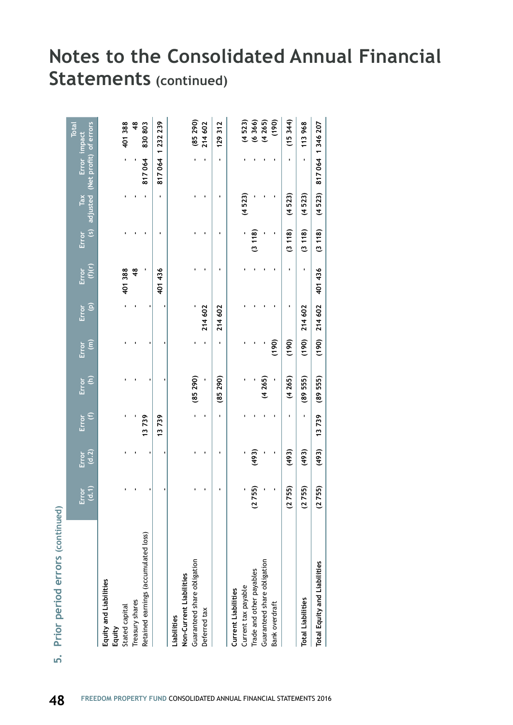|                                      | (d.1)<br>Error | (d.2)<br>Error | $\oplus$<br>Error | $\widehat{\epsilon}$<br>Error | $\widehat{\epsilon}$<br>Error | $\widehat{e}$<br>Error | (f)(r)<br>Error | $\overline{\mathbf{S}}$<br>Error | adjusted<br>$\overline{\mathsf{A}}$ | (Net profit) of errors | <b>Total</b><br>Error impact |
|--------------------------------------|----------------|----------------|-------------------|-------------------------------|-------------------------------|------------------------|-----------------|----------------------------------|-------------------------------------|------------------------|------------------------------|
| Equity and Liabilities               |                |                |                   |                               |                               |                        |                 |                                  |                                     |                        |                              |
| Equity                               |                |                |                   |                               |                               |                        |                 |                                  |                                     |                        |                              |
| Stated capital                       |                |                |                   |                               |                               |                        | 401388          |                                  |                                     |                        | 401388                       |
| Treasury shares                      |                |                |                   |                               |                               |                        | $\frac{8}{3}$   |                                  |                                     |                        | $\frac{8}{4}$                |
| Retained earnings (accumulated loss) |                |                | 13739             |                               |                               |                        |                 |                                  |                                     | 817064                 | 830803                       |
|                                      |                |                | 13739             |                               |                               |                        | 401436          | ٠                                |                                     | 817064                 | 1232239                      |
| Liabilities                          |                |                |                   |                               |                               |                        |                 |                                  |                                     |                        |                              |
| Non-Current Liabilities              |                |                |                   |                               |                               |                        |                 |                                  |                                     |                        |                              |
| Guaranteed share obligation          |                | ı              | ٠                 | (85 290)                      |                               |                        |                 |                                  | ı                                   |                        | (85 290)                     |
| Deferred tax                         |                | ı              |                   |                               |                               | 214 602                |                 |                                  |                                     |                        | 214 602                      |
|                                      |                | ı              | f,                | (85 290)                      | ٠                             | 214 602                |                 |                                  |                                     | f,                     | 129312                       |
| Current Liabilities                  |                |                |                   |                               |                               |                        |                 |                                  |                                     |                        |                              |
| Current tax payable                  |                |                |                   |                               |                               |                        |                 |                                  | (4523)                              |                        | (4523)                       |
| Trade and other payables             | (2755)         | (493)          |                   |                               |                               |                        |                 | (3118)                           |                                     |                        | (6366)                       |
| Guaranteed share obligation          |                |                |                   | (4265)                        |                               |                        |                 |                                  |                                     |                        | (4265)                       |
| Bank overdraft                       |                |                |                   |                               | (190)                         |                        |                 |                                  |                                     |                        | (190)                        |
|                                      | (2755)         | (493)          | $\mathbf{I}$      | (4265)                        | (190)                         |                        |                 | (3118)                           | (4523)                              |                        | (15344)                      |
| Total Liabilities                    | (2755)         | (493)          | ı                 | (8955)                        | (061)                         | 214 602                |                 | (3118)                           | (4523)                              | ı                      | 113968                       |
| Total Equity and Liabilities         | (2755)         | (493)          | 13739             | (89555)                       | (061)                         | 214 602                | 401 436         | (3118)                           | (4523)                              | 817064 1346207         |                              |

 $\mathbb{R}$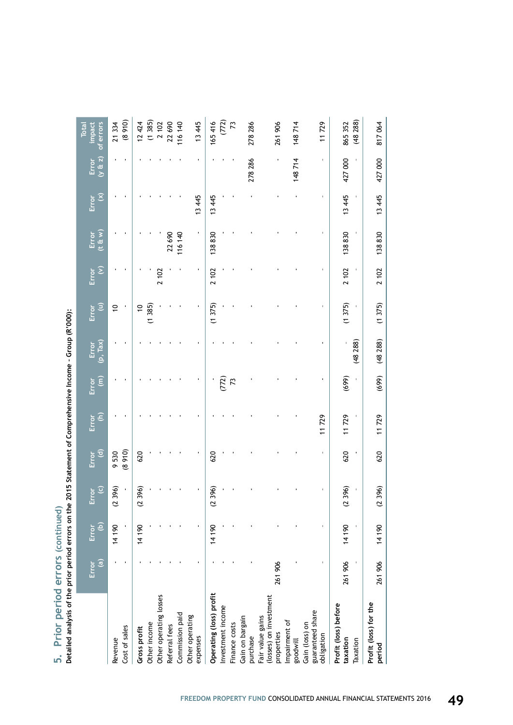**5. Prior period errors (continued)**

|                                                          | $\mathbf{e}$<br>Error | ê<br>Error | $\Theta$<br><b>Tror</b><br>ū | $\widehat{\mathbf{c}}$<br>Error | $\widehat{\epsilon}$<br>Error | $\widehat{\epsilon}$<br>Error | $(p, \overline{Tax})$<br>Error | $\widehat{a}$<br>Error | $\hat{\epsilon}$<br>Error | $(t \& w)$<br>Error | $\widehat{\mathbf{x}}$<br>Error | (y & z)<br>Error | of errors<br>impact<br>Total |
|----------------------------------------------------------|-----------------------|------------|------------------------------|---------------------------------|-------------------------------|-------------------------------|--------------------------------|------------------------|---------------------------|---------------------|---------------------------------|------------------|------------------------------|
| Cost of sales<br>Revenue                                 |                       | 14190      | 396)<br>$\tilde{a}$          | (0168)<br>9530                  |                               |                               |                                | $\tilde{=}$            |                           |                     |                                 |                  | (8910)<br>21334              |
| Gross profit                                             |                       | 14 190     | 396)<br>$\sigma$             | 620                             |                               |                               |                                | $\tilde{=}$            |                           |                     |                                 |                  | 12424                        |
| Other income                                             |                       |            |                              |                                 |                               |                               |                                | (1385)                 |                           |                     |                                 |                  |                              |
| Other operating losses                                   |                       |            |                              |                                 |                               |                               |                                |                        | 2 102                     |                     |                                 |                  | $(1\ 385)$<br>2 1 0 2        |
| Referral fees                                            |                       |            |                              |                                 |                               |                               |                                |                        |                           | 22 690              |                                 |                  | 22690                        |
| Commission paid                                          |                       |            |                              |                                 |                               |                               |                                |                        |                           | 116 140             |                                 |                  | 116 140                      |
| Other operating<br>expenses                              |                       |            |                              |                                 |                               |                               |                                |                        |                           |                     | 13445                           |                  | 13445                        |
| Operating (loss) profit                                  |                       | 14 190     | 396)<br>$\tilde{a}$          | 620                             |                               |                               |                                | (1375)                 | 2102                      | 138830              | 13445                           |                  | 165416                       |
| Investment income                                        |                       |            |                              |                                 |                               | $(772)$                       |                                |                        |                           |                     |                                 |                  | $\frac{772}{73}$             |
| Finance costs                                            |                       |            |                              |                                 |                               | $\overline{73}$               |                                |                        |                           |                     |                                 |                  |                              |
| Gain on bargain<br>purchase                              |                       |            |                              |                                 |                               |                               |                                |                        |                           |                     |                                 | 278 286          | 278286                       |
| (losses) on investment<br>Fair value gains<br>properties | 261906                |            |                              |                                 |                               |                               |                                |                        |                           |                     |                                 |                  | 261906                       |
| Impairment of<br>goodwill                                |                       |            |                              |                                 |                               |                               |                                |                        |                           |                     |                                 | 148714           | 148714                       |
| guaranteed share<br>Gain (loss) on<br>obligation         |                       |            |                              |                                 | 11729                         |                               |                                |                        |                           |                     |                                 |                  | 11729                        |
| Profit (loss) before<br>taxation<br>Taxation             | 261906                | 14 190     | 396)<br>$\sigma$             | 620                             | 11729                         | (699)                         | (48 288)                       | (1375)                 | 2102                      | 138830              | 13445                           | 427000           | (48 288)<br>865352           |
| Profit (loss) for the<br>period                          | 261906                | 14 190     | 396)<br>$\tilde{a}$          | 620                             | 11729                         | (699)                         | (48 288)                       | (1375)                 | 2 102                     | 138830              | 13445                           | 427 000          | 817064                       |

5. Prior period errors (continued)<br>Detailed analysis of the prior period errors on the 2015 Statement of Comprehensive Income - Group (R'000): **Detailed analysis of the prior period errors on the 2015 Statement of Comprehensive Income – Group (R'000):**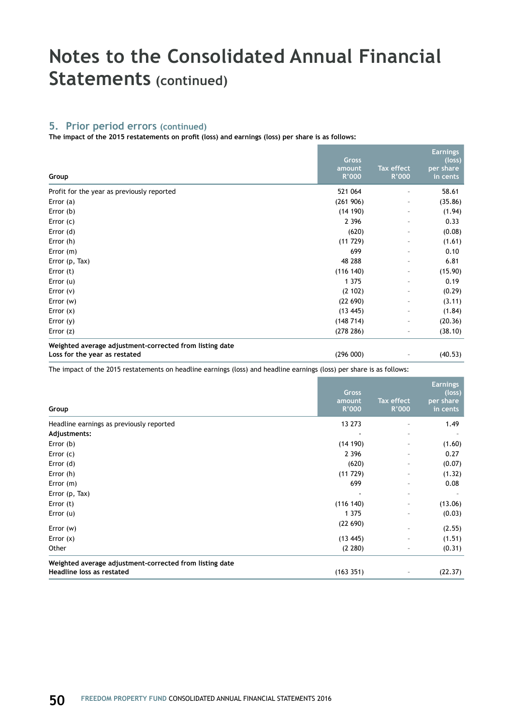## **5. Prior period errors (continued)**

**The impact of the 2015 restatements on profit (loss) and earnings (loss) per share is as follows:**

| Group                                                                                    | <b>Gross</b><br>amount<br>R'000 | Tax effect<br>R'000      | <b>Earnings</b><br>(loss)<br>per share<br>in cents |
|------------------------------------------------------------------------------------------|---------------------------------|--------------------------|----------------------------------------------------|
| Profit for the year as previously reported                                               | 521 064                         |                          | 58.61                                              |
| Error (a)                                                                                | (261906)                        | $\overline{\phantom{a}}$ | (35.86)                                            |
| Error (b)                                                                                | (14190)                         |                          | (1.94)                                             |
| Error (c)                                                                                | 2 3 9 6                         |                          | 0.33                                               |
| Error (d)                                                                                | (620)                           |                          | (0.08)                                             |
| Error (h)                                                                                | (11729)                         |                          | (1.61)                                             |
| Error (m)                                                                                | 699                             | $\overline{\phantom{0}}$ | 0.10                                               |
| Error (p, Tax)                                                                           | 48 288                          | ٠                        | 6.81                                               |
| Error (t)                                                                                | (116 140)                       |                          | (15.90)                                            |
| Error (u)                                                                                | 1 3 7 5                         |                          | 0.19                                               |
| Error (v)                                                                                | (2 102)                         |                          | (0.29)                                             |
| Error $(w)$                                                                              | (22 690)                        |                          | (3.11)                                             |
| Error $(x)$                                                                              | (13, 445)                       |                          | (1.84)                                             |
| Error $(y)$                                                                              | (148714)                        | $\overline{\phantom{0}}$ | (20.36)                                            |
| Error $(z)$                                                                              | (278 286)                       | $\overline{\phantom{0}}$ | (38.10)                                            |
| Weighted average adjustment-corrected from listing date<br>Loss for the year as restated | (296000)                        |                          | (40.53)                                            |

The impact of the 2015 restatements on headline earnings (loss) and headline earnings (loss) per share is as follows:

| Group                                                                                | <b>Gross</b><br>amount<br>R'000 | <b>Tax effect</b><br>R'000 | <b>Earnings</b><br>(loss)<br>per share<br>in cents |
|--------------------------------------------------------------------------------------|---------------------------------|----------------------------|----------------------------------------------------|
| Headline earnings as previously reported                                             | 13 273                          |                            | 1.49                                               |
| Adjustments:                                                                         |                                 | ۰                          |                                                    |
| Error (b)                                                                            | (14190)                         |                            | (1.60)                                             |
| Error $(c)$                                                                          | 2 3 9 6                         |                            | 0.27                                               |
| Error (d)                                                                            | (620)                           |                            | (0.07)                                             |
| Error (h)                                                                            | (11 729)                        |                            | (1.32)                                             |
| Error $(m)$                                                                          | 699                             | $\overline{\phantom{0}}$   | 0.08                                               |
| Error (p, Tax)                                                                       |                                 | ۰                          |                                                    |
| Error (t)                                                                            | (116 140)                       | $\overline{\phantom{0}}$   | (13.06)                                            |
| Error (u)                                                                            | 1 3 7 5                         |                            | (0.03)                                             |
| Error (w)                                                                            | (22 690)                        |                            | (2.55)                                             |
| Error $(x)$                                                                          | (13 445)                        |                            | (1.51)                                             |
| Other                                                                                | (2 280)                         |                            | (0.31)                                             |
| Weighted average adjustment-corrected from listing date<br>Headline loss as restated | (163 351)                       |                            | (22.37)                                            |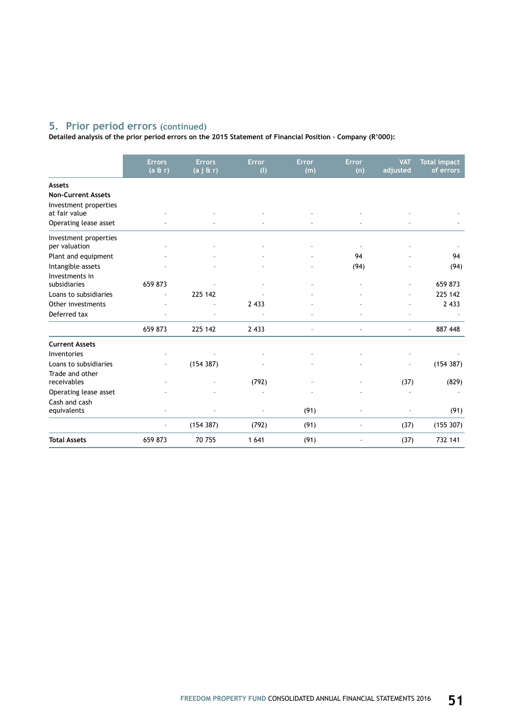## **5. Prior period errors (continued)**

**Detailed analysis of the prior period errors on the 2015 Statement of Financial Position – Company (R'000):**

|                                        | <b>Errors</b><br>$(a \& r)$ | <b>Errors</b><br>(a j & r) | <b>Error</b><br>(1) | <b>Error</b><br>(m) | <b>Error</b><br>(n) | <b>VAT</b><br>adjusted   | <b>Total impact</b><br>of errors |
|----------------------------------------|-----------------------------|----------------------------|---------------------|---------------------|---------------------|--------------------------|----------------------------------|
| Assets                                 |                             |                            |                     |                     |                     |                          |                                  |
| <b>Non-Current Assets</b>              |                             |                            |                     |                     |                     |                          |                                  |
| Investment properties<br>at fair value |                             |                            |                     |                     |                     |                          |                                  |
| Operating lease asset                  |                             |                            |                     |                     |                     |                          |                                  |
| Investment properties                  |                             |                            |                     |                     |                     |                          |                                  |
| per valuation                          |                             |                            |                     |                     | 94                  |                          | 94                               |
| Plant and equipment                    |                             |                            |                     |                     |                     |                          |                                  |
| Intangible assets<br>Investments in    |                             |                            |                     |                     | (94)                |                          | (94)                             |
| subsidiaries                           | 659 873                     |                            |                     |                     |                     |                          | 659 873                          |
| Loans to subsidiaries                  |                             | 225 142                    |                     |                     |                     |                          | 225 142                          |
| Other investments                      |                             |                            | 2 4 3 3             |                     |                     |                          | 2 4 3 3                          |
| Deferred tax                           |                             |                            |                     |                     |                     |                          |                                  |
|                                        | 659 873                     | 225 142                    | 2 4 3 3             |                     |                     | $\overline{\phantom{0}}$ | 887 448                          |
| <b>Current Assets</b>                  |                             |                            |                     |                     |                     |                          |                                  |
| Inventories                            |                             |                            |                     |                     |                     |                          |                                  |
| Loans to subsidiaries                  |                             | (154 387)                  |                     |                     |                     |                          | (154387)                         |
| Trade and other<br>receivables         |                             |                            | (792)               |                     |                     | (37)                     | (829)                            |
| Operating lease asset                  |                             |                            |                     |                     |                     |                          |                                  |
| Cash and cash                          |                             |                            |                     |                     |                     |                          |                                  |
| equivalents                            |                             |                            |                     | (91)                |                     |                          | (91)                             |
|                                        |                             | (154 387)                  | (792)               | (91)                |                     | (37)                     | (155 307)                        |
| <b>Total Assets</b>                    | 659 873                     | 70 755                     | 1 641               | (91)                |                     | (37)                     | 732 141                          |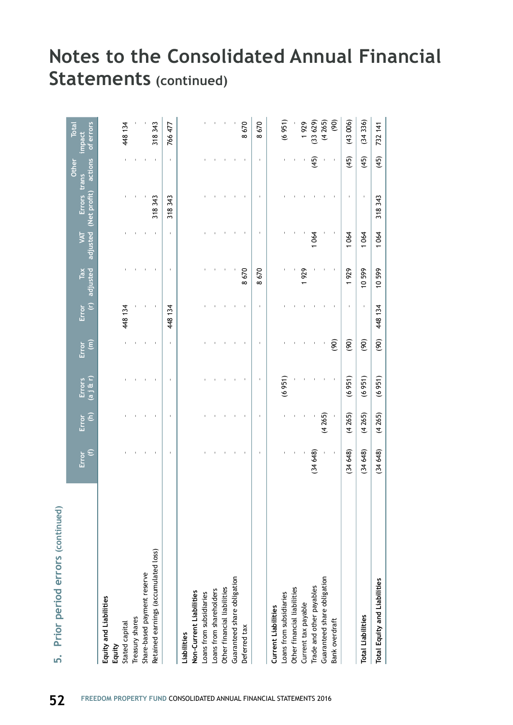|                                      | Error        | <b>Error</b>         | Errors      | Error                    | Error        | TaX          | <b>NT</b>      | Errors trans | Other                                                                                                                                                                                                                                                                                                                                                | Total<br>impact |
|--------------------------------------|--------------|----------------------|-------------|--------------------------|--------------|--------------|----------------|--------------|------------------------------------------------------------------------------------------------------------------------------------------------------------------------------------------------------------------------------------------------------------------------------------------------------------------------------------------------------|-----------------|
|                                      | $\epsilon$   | $\widehat{\epsilon}$ | (a j & n)   | $\widehat{\epsilon}$     |              | (r) adjusted | adjusted       | (Net profit) | actions                                                                                                                                                                                                                                                                                                                                              | of errors       |
| Equity and Liabilities               |              |                      |             |                          |              |              |                |              |                                                                                                                                                                                                                                                                                                                                                      |                 |
| Equity                               |              |                      |             |                          |              |              |                |              |                                                                                                                                                                                                                                                                                                                                                      |                 |
| Stated capital                       |              |                      |             |                          | 448 134      |              |                |              |                                                                                                                                                                                                                                                                                                                                                      | 448134          |
| Treasury shares                      | $\mathbf{I}$ |                      |             | $\mathbf{I}$             |              | $\mathbf{I}$ | $\mathbf{I}$   | $\,$ I       | $\mathbf{I}$                                                                                                                                                                                                                                                                                                                                         |                 |
| Share-based payment reserve          | $\mathbf{I}$ |                      | I           | $\overline{\phantom{a}}$ | J            | $\,$         | $\mathbf{I}$   |              |                                                                                                                                                                                                                                                                                                                                                      |                 |
| Retained earnings (accumulated loss) | $\mathbf{I}$ | $\mathbf{I}$         | $\,$        | $\,$                     | $\,$         | $\,$         | $\,$ $\,$      | 318343       | $\,$                                                                                                                                                                                                                                                                                                                                                 | 318343          |
|                                      | $\mathbf{1}$ | $\,$                 | $\mathbf I$ | $\mathbf I$              | 448134       | $\,$ 1       | $\mathbf{I}$   | 318343       | $\mathbf{I}$                                                                                                                                                                                                                                                                                                                                         | 766 477         |
| Liabilities                          |              |                      |             |                          |              |              |                |              |                                                                                                                                                                                                                                                                                                                                                      |                 |
| Non-Current Liabilities              |              |                      |             |                          |              |              |                |              |                                                                                                                                                                                                                                                                                                                                                      |                 |
| -oans from subsidiaries              | J.           |                      |             |                          |              |              |                |              |                                                                                                                                                                                                                                                                                                                                                      |                 |
| Loans from shareholders              |              |                      |             |                          |              |              |                |              |                                                                                                                                                                                                                                                                                                                                                      |                 |
| Other financial liabilities          | $\mathbf I$  |                      |             |                          |              |              |                |              |                                                                                                                                                                                                                                                                                                                                                      |                 |
| Guaranteed share obligation          | $\mathbf I$  |                      |             | $\mathbf{I}$             | $\mathbf{I}$ |              | $\mathbf{1}$   | $\mathbf I$  |                                                                                                                                                                                                                                                                                                                                                      |                 |
| Deferred tax                         | $\mathbf{I}$ |                      | $\mathbf I$ | $\mathbf{I}$             | $\,$         | 8670         |                |              |                                                                                                                                                                                                                                                                                                                                                      | 8670            |
|                                      | $\mathbf I$  | $\,$                 | $\mathsf I$ | $\mathsf I$              | $\,$         | 8670         | $\mathbf{I}$   | $\mathbf{I}$ | $\mathbf{I}$                                                                                                                                                                                                                                                                                                                                         | 8670            |
| Current Liabilities                  |              |                      |             |                          |              |              |                |              |                                                                                                                                                                                                                                                                                                                                                      |                 |
| Loans from subsidiaries              | J.           |                      | (6951)      |                          |              |              |                |              | $\mathbf{I}$                                                                                                                                                                                                                                                                                                                                         | (6951)          |
| Other financial liabilities          | $\,$         |                      | f,          |                          |              |              |                |              | $\begin{array}{c} \rule{0.2cm}{0.15mm} \rule{0.2cm}{0.15mm} \rule{0.2cm}{0.15mm} \rule{0.2cm}{0.15mm} \rule{0.2cm}{0.15mm} \rule{0.2cm}{0.15mm} \rule{0.2cm}{0.15mm} \rule{0.2cm}{0.15mm} \rule{0.2cm}{0.15mm} \rule{0.2cm}{0.15mm} \rule{0.2cm}{0.15mm} \rule{0.2cm}{0.15mm} \rule{0.2cm}{0.15mm} \rule{0.2cm}{0.15mm} \rule{0.2cm}{0.15mm} \rule{$ |                 |
| Current tax payable                  |              | $\mathbf{I}$         |             |                          |              | 1929         |                |              | $\mathsf I$                                                                                                                                                                                                                                                                                                                                          | 1929            |
| Trade and other payables             | (34648)      |                      | $\,$        | $\mathbf{I}$             |              |              | 1064           | $\mathbf I$  | (45)                                                                                                                                                                                                                                                                                                                                                 | (33629)         |
| Guaranteed share obligation          |              | (4265)               | $\mathbf I$ |                          |              |              | $\mathbf{I}$   | $\mathbf I$  | $\mathbf{I}$                                                                                                                                                                                                                                                                                                                                         | (4265)          |
| Bank overdraft                       | $\bar{1}$    |                      | $\mathbf I$ | (90)                     |              | $\mathbf{I}$ | $\mathfrak{t}$ | $\mathbf{I}$ | $\bar{1}$                                                                                                                                                                                                                                                                                                                                            | (90)            |
|                                      | (34648)      | (4265)               | (6951)      | (90)                     | $\mathbf{I}$ | 1929         | 1064           | $\mathbf{I}$ | (45)                                                                                                                                                                                                                                                                                                                                                 | (43006)         |
| <b>Total Liabilities</b>             | (34648)      | (4265)               | (6951)      | (90)                     | $\mathbf I$  | 10599        | 1064           | $\mathbf I$  | (45)                                                                                                                                                                                                                                                                                                                                                 | (34336)         |
| Total Equity and Liabilities         | (34648)      | (4265)               | (6951)      | (90)                     | 448134       | 10599        | 1064           | 318 343      | $(45)$                                                                                                                                                                                                                                                                                                                                               | 732 141         |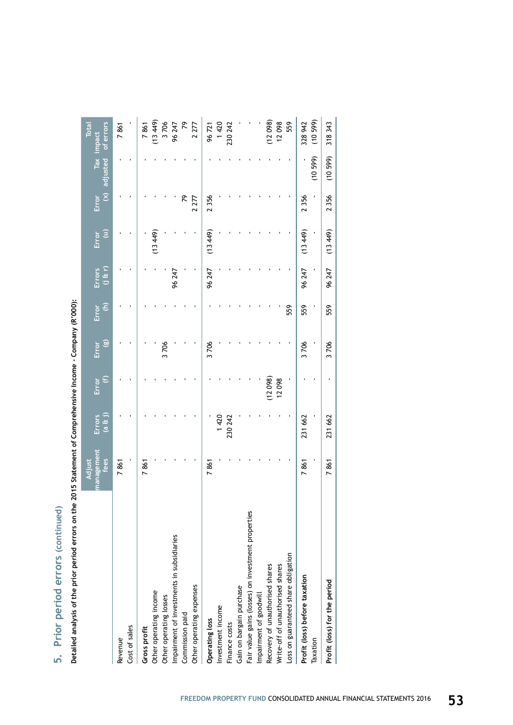Prior period errors (continued) **5. Prior period errors (continued)**  $\overline{5}$ .

| ֓             |  |
|---------------|--|
|               |  |
|               |  |
|               |  |
| ĺ             |  |
|               |  |
|               |  |
|               |  |
|               |  |
|               |  |
|               |  |
|               |  |
|               |  |
|               |  |
|               |  |
|               |  |
|               |  |
|               |  |
|               |  |
|               |  |
|               |  |
|               |  |
|               |  |
|               |  |
|               |  |
|               |  |
|               |  |
|               |  |
|               |  |
|               |  |
|               |  |
|               |  |
|               |  |
|               |  |
|               |  |
|               |  |
|               |  |
|               |  |
| í             |  |
|               |  |
|               |  |
|               |  |
|               |  |
|               |  |
|               |  |
|               |  |
| $\frac{1}{2}$ |  |
|               |  |
|               |  |
|               |  |
|               |  |
|               |  |
|               |  |
|               |  |
|               |  |
|               |  |
|               |  |
|               |  |
|               |  |
|               |  |
|               |  |
|               |  |
|               |  |
|               |  |
|               |  |
|               |  |
| l             |  |

|                                                    | nanagement<br>fees<br>Adjust | $(a \& j)$<br>Errors | $\in$<br>Error | $\circledcirc$<br>Error | $\widehat{\epsilon}$<br>Error | $(i \land r)$<br>Errors | $\widehat{a}$<br>Error | Error | $(x)$ adjusted | of errors<br><b>Total</b><br>Tax impact |
|----------------------------------------------------|------------------------------|----------------------|----------------|-------------------------|-------------------------------|-------------------------|------------------------|-------|----------------|-----------------------------------------|
| Revenue                                            | 7861                         |                      |                |                         |                               |                         |                        |       |                | 7861                                    |
| Cost of sales                                      |                              |                      |                |                         |                               |                         |                        |       |                |                                         |
| Gross profit                                       | 7861                         |                      |                |                         |                               |                         |                        |       |                | 7861                                    |
| Other operating income                             |                              |                      |                |                         |                               |                         | (13449)                |       |                | (13449)                                 |
| Other operating losses                             |                              |                      |                | 3706                    |                               |                         |                        |       |                | 3706                                    |
| Impairment of investments in subsidiaries          |                              |                      |                |                         |                               | 96 247                  |                        |       |                | 96 247                                  |
| Commission paid                                    |                              |                      |                |                         |                               |                         |                        | R     |                | 79                                      |
| Other operating expenses                           |                              |                      |                |                         |                               |                         |                        | 2277  |                | 2277                                    |
| Operating loss                                     | 7861                         |                      |                | 3706                    |                               | 96 247                  | (13449)                | 2 356 |                | 96721                                   |
| Investment income                                  |                              | 1420                 |                |                         |                               |                         |                        |       |                | 1420                                    |
| Finance costs                                      |                              | 230 242              |                |                         |                               |                         |                        |       |                | 230 242                                 |
| Gain on bargain purchase                           |                              |                      |                |                         |                               |                         |                        |       |                |                                         |
| Fair value gains (losses) on investment properties |                              |                      |                |                         |                               |                         |                        |       |                |                                         |
| Impairment of goodwill                             |                              |                      |                |                         |                               |                         |                        |       |                |                                         |
| Recovery of unauthorised shares                    |                              |                      | (12098)        |                         |                               |                         |                        |       |                | (12098)                                 |
| Write-off of unauthorised shares                   |                              |                      | 12098          |                         |                               |                         |                        |       |                | 12 098                                  |
| Loss on guaranteed share obligation                |                              |                      |                |                         | 559                           |                         |                        |       |                | 559                                     |
| Profit (loss) before taxation                      | 7861                         | 231 662              |                | 3706                    | 559                           | 96 247                  | (13449)                | 2356  |                | 328 942                                 |
| Taxation                                           |                              |                      |                |                         |                               |                         |                        |       | (10599)        | (10599)                                 |
| Profit (loss) for the period                       | 7861                         | 231662               |                | 3706                    | 559                           | 96 247                  | (13449)                | 2356  | (10599)        | 318 343                                 |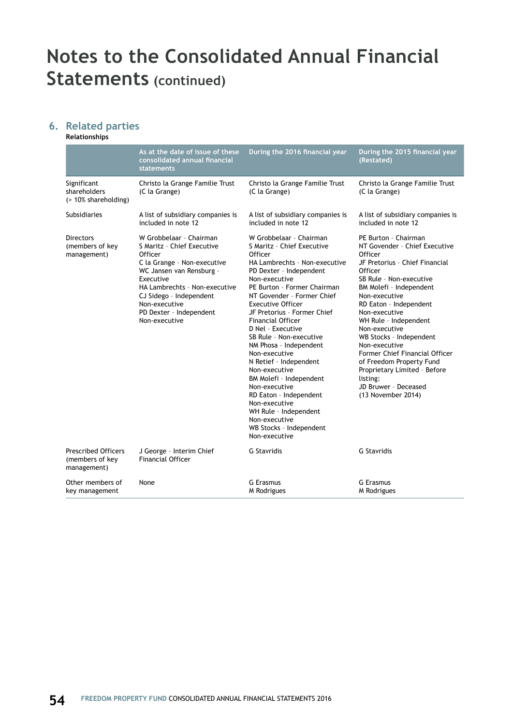## **6. Related parties**

| Relationships |
|---------------|
|---------------|

|                                                              | As at the date of issue of these<br>consolidated annual financial<br><b>statements</b>                                                                                                                                                                                   | During the 2016 financial year                                                                                                                                                                                                                                                                                                                                                                                                                                                                                                                                                                                       | During the 2015 financial year<br>(Restated)                                                                                                                                                                                                                                                                                                                                                                                                                                  |
|--------------------------------------------------------------|--------------------------------------------------------------------------------------------------------------------------------------------------------------------------------------------------------------------------------------------------------------------------|----------------------------------------------------------------------------------------------------------------------------------------------------------------------------------------------------------------------------------------------------------------------------------------------------------------------------------------------------------------------------------------------------------------------------------------------------------------------------------------------------------------------------------------------------------------------------------------------------------------------|-------------------------------------------------------------------------------------------------------------------------------------------------------------------------------------------------------------------------------------------------------------------------------------------------------------------------------------------------------------------------------------------------------------------------------------------------------------------------------|
| Significant<br>shareholders<br>(> 10% shareholding)          | Christo la Grange Familie Trust<br>(C la Grange)                                                                                                                                                                                                                         | Christo la Grange Familie Trust<br>(C la Grange)                                                                                                                                                                                                                                                                                                                                                                                                                                                                                                                                                                     | Christo la Grange Familie Trust<br>(C la Grange)                                                                                                                                                                                                                                                                                                                                                                                                                              |
| <b>Subsidiaries</b>                                          | A list of subsidiary companies is<br>included in note 12                                                                                                                                                                                                                 | A list of subsidiary companies is<br>included in note 12                                                                                                                                                                                                                                                                                                                                                                                                                                                                                                                                                             | A list of subsidiary companies is<br>included in note 12                                                                                                                                                                                                                                                                                                                                                                                                                      |
| Directors<br>(members of key<br>management)                  | W Grobbelaar - Chairman<br>S Maritz - Chief Executive<br><b>Officer</b><br>C la Grange - Non-executive<br>WC Jansen van Rensburg -<br>Executive<br>HA Lambrechts - Non-executive<br>CJ Sidego - Independent<br>Non-executive<br>PD Dexter - Independent<br>Non-executive | W Grobbelaar - Chairman<br>S Maritz - Chief Executive<br>Officer<br>HA Lambrechts - Non-executive<br>PD Dexter - Independent<br>Non-executive<br>PE Burton - Former Chairman<br>NT Govender - Former Chief<br><b>Executive Officer</b><br>JF Pretorius - Former Chief<br><b>Financial Officer</b><br>D Nel - Executive<br>SB Rule - Non-executive<br>NM Phosa - Independent<br>Non-executive<br>N Retief - Independent<br>Non-executive<br>BM Molefi - Independent<br>Non-executive<br>RD Eaton - Independent<br>Non-executive<br>WH Rule - Independent<br>Non-executive<br>WB Stocks - Independent<br>Non-executive | PE Burton - Chairman<br>NT Govender - Chief Executive<br>Officer<br>JF Pretorius - Chief Financial<br>Officer<br>SB Rule - Non-executive<br>BM Molefi - Independent<br>Non-executive<br>RD Eaton - Independent<br>Non-executive<br>WH Rule - Independent<br>Non-executive<br>WB Stocks - Independent<br>Non-executive<br>Former Chief Financial Officer<br>of Freedom Property Fund<br>Proprietary Limited - Before<br>listing:<br>JD Bruwer - Deceased<br>(13 November 2014) |
| <b>Prescribed Officers</b><br>(members of key<br>management) | J George - Interim Chief<br><b>Financial Officer</b>                                                                                                                                                                                                                     | <b>G</b> Stavridis                                                                                                                                                                                                                                                                                                                                                                                                                                                                                                                                                                                                   | <b>G Stavridis</b>                                                                                                                                                                                                                                                                                                                                                                                                                                                            |
| Other members of<br>key management                           | None                                                                                                                                                                                                                                                                     | <b>G</b> Erasmus<br>M Rodrigues                                                                                                                                                                                                                                                                                                                                                                                                                                                                                                                                                                                      | <b>G</b> Erasmus<br>M Rodrigues                                                                                                                                                                                                                                                                                                                                                                                                                                               |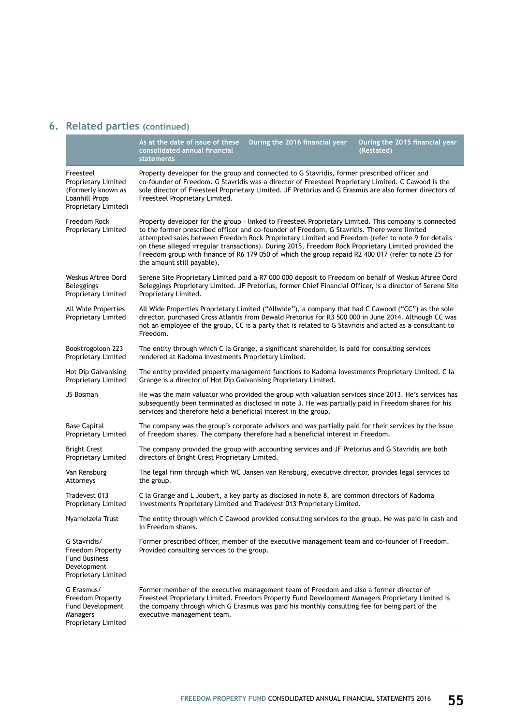## **6. Related parties (continued)**

|                                                                                                  | As at the date of issue of these<br>During the 2016 financial year<br>During the 2015 financial year<br>consolidated annual financial<br>(Restated)<br>statements                                                                                                                                                                                                                                                                                                                                                                                      |  |  |  |  |
|--------------------------------------------------------------------------------------------------|--------------------------------------------------------------------------------------------------------------------------------------------------------------------------------------------------------------------------------------------------------------------------------------------------------------------------------------------------------------------------------------------------------------------------------------------------------------------------------------------------------------------------------------------------------|--|--|--|--|
| Freesteel<br>Proprietary Limited<br>(Formerly known as<br>Loanhill Props<br>Proprietary Limited) | Property developer for the group and connected to G Stavridis, former prescribed officer and<br>co-founder of Freedom. G Stavridis was a director of Freesteel Proprietary Limited. C Cawood is the<br>sole director of Freesteel Proprietary Limited. JF Pretorius and G Erasmus are also former directors of<br>Freesteel Proprietary Limited.                                                                                                                                                                                                       |  |  |  |  |
| Freedom Rock<br>Proprietary Limited                                                              | Property developer for the group - linked to Freesteel Proprietary Limited. This company is connected<br>to the former prescribed officer and co-founder of Freedom, G Stavridis. There were limited<br>attempted sales between Freedom Rock Proprietary Limited and Freedom (refer to note 9 for details<br>on these alleged irregular transactions). During 2015, Freedom Rock Proprietary Limited provided the<br>Freedom group with finance of R6 179 050 of which the group repaid R2 400 017 (refer to note 25 for<br>the amount still payable). |  |  |  |  |
| Weskus Aftree Oord<br><b>Beleggings</b><br>Proprietary Limited                                   | Serene Site Proprietary Limited paid a R7 000 000 deposit to Freedom on behalf of Weskus Aftree Oord<br>Beleggings Proprietary Limited. JF Pretorius, former Chief Financial Officer, is a director of Serene Site<br>Proprietary Limited.                                                                                                                                                                                                                                                                                                             |  |  |  |  |
| All Wide Properties<br>Proprietary Limited                                                       | All Wide Properties Proprietary Limited ("Allwide"), a company that had C Cawood ("CC") as the sole<br>director, purchased Cross Atlantis from Dewald Pretorius for R3 500 000 in June 2014. Although CC was<br>not an employee of the group, CC is a party that is related to G Stavridis and acted as a consultant to<br>Freedom.                                                                                                                                                                                                                    |  |  |  |  |
| Booktrogoloon 223<br>Proprietary Limited                                                         | The entity through which C la Grange, a significant shareholder, is paid for consulting services<br>rendered at Kadoma Investments Proprietary Limited.                                                                                                                                                                                                                                                                                                                                                                                                |  |  |  |  |
| Hot Dip Galvanising<br>Proprietary Limited                                                       | The entity provided property management functions to Kadoma Investments Proprietary Limited. C la<br>Grange is a director of Hot Dip Galvanising Proprietary Limited.                                                                                                                                                                                                                                                                                                                                                                                  |  |  |  |  |
| JS Bosman                                                                                        | He was the main valuator who provided the group with valuation services since 2013. He's services has<br>subsequently been terminated as disclosed in note 3. He was partially paid in Freedom shares for his<br>services and therefore held a beneficial interest in the group.                                                                                                                                                                                                                                                                       |  |  |  |  |
| <b>Base Capital</b><br>Proprietary Limited                                                       | The company was the group's corporate advisors and was partially paid for their services by the issue<br>of Freedom shares. The company therefore had a beneficial interest in Freedom.                                                                                                                                                                                                                                                                                                                                                                |  |  |  |  |
| <b>Bright Crest</b><br>Proprietary Limited                                                       | The company provided the group with accounting services and JF Pretorius and G Stavridis are both<br>directors of Bright Crest Proprietary Limited.                                                                                                                                                                                                                                                                                                                                                                                                    |  |  |  |  |
| Van Rensburg<br>Attorneys                                                                        | The legal firm through which WC Jansen van Rensburg, executive director, provides legal services to<br>the group.                                                                                                                                                                                                                                                                                                                                                                                                                                      |  |  |  |  |
| Tradevest 013<br>Proprietary Limited                                                             | C la Grange and L Joubert, a key party as disclosed in note 8, are common directors of Kadoma<br>Investments Proprietary Limited and Tradevest 013 Proprietary Limited.                                                                                                                                                                                                                                                                                                                                                                                |  |  |  |  |
| Nyamelzela Trust                                                                                 | The entity through which C Cawood provided consulting services to the group. He was paid in cash and<br>in Freedom shares.                                                                                                                                                                                                                                                                                                                                                                                                                             |  |  |  |  |
| G Stavridis/<br>Freedom Property<br><b>Fund Business</b><br>Development<br>Proprietary Limited   | Former prescribed officer, member of the executive management team and co-founder of Freedom.<br>Provided consulting services to the group.                                                                                                                                                                                                                                                                                                                                                                                                            |  |  |  |  |
| G Erasmus/<br>Freedom Property<br>Fund Development<br>Managers<br>Proprietary Limited            | Former member of the executive management team of Freedom and also a former director of<br>Freesteel Proprietary Limited. Freedom Property Fund Development Managers Proprietary Limited is<br>the company through which G Erasmus was paid his monthly consulting fee for being part of the<br>executive management team.                                                                                                                                                                                                                             |  |  |  |  |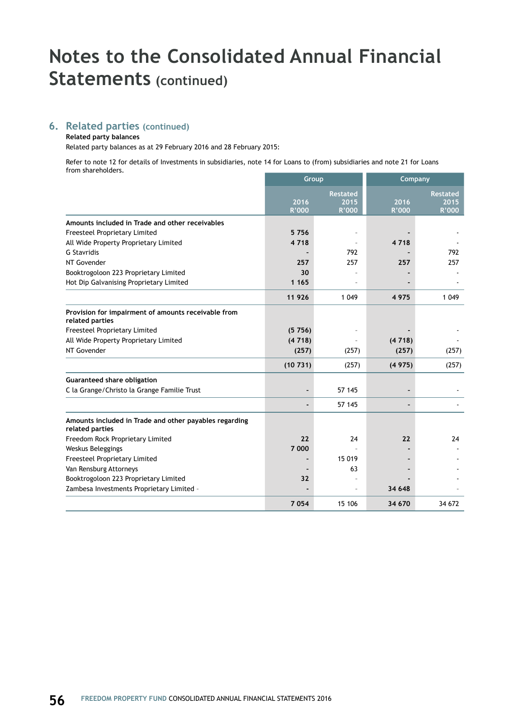## **6. Related parties (continued)**

## **Related party balances**

Related party balances as at 29 February 2016 and 28 February 2015:

Refer to note 12 for details of Investments in subsidiaries, note 14 for Loans to (from) subsidiaries and note 21 for Loans from shareholders.

|                                                                           |                      | Group                            |                          | Company                          |  |
|---------------------------------------------------------------------------|----------------------|----------------------------------|--------------------------|----------------------------------|--|
|                                                                           | 2016<br><b>R'000</b> | <b>Restated</b><br>2015<br>R'000 | 2016<br>R'000            | <b>Restated</b><br>2015<br>R'000 |  |
| Amounts included in Trade and other receivables                           |                      |                                  |                          |                                  |  |
| Freesteel Proprietary Limited                                             | 5756                 |                                  |                          |                                  |  |
| All Wide Property Proprietary Limited                                     | 4 7 1 8              |                                  | 4 7 1 8                  |                                  |  |
| <b>G</b> Stavridis                                                        |                      | 792                              |                          | 792                              |  |
| NT Govender                                                               | 257                  | 257                              | 257                      | 257                              |  |
| Booktrogoloon 223 Proprietary Limited                                     | 30                   |                                  |                          |                                  |  |
| Hot Dip Galvanising Proprietary Limited                                   | 1 1 6 5              |                                  |                          |                                  |  |
|                                                                           | 11926                | 1 0 4 9                          | 4975                     | 1 0 4 9                          |  |
| Provision for impairment of amounts receivable from<br>related parties    |                      |                                  |                          |                                  |  |
| Freesteel Proprietary Limited                                             | (5756)               |                                  |                          |                                  |  |
| All Wide Property Proprietary Limited                                     | (4718)               |                                  | (4718)                   |                                  |  |
| NT Govender                                                               | (257)                | (257)                            | (257)                    | (257)                            |  |
|                                                                           | (10731)              | (257)                            | (4975)                   | (257)                            |  |
| Guaranteed share obligation                                               |                      |                                  |                          |                                  |  |
| C la Grange/Christo la Grange Familie Trust                               |                      | 57 145                           | $\overline{\phantom{0}}$ |                                  |  |
|                                                                           |                      | 57 145                           |                          |                                  |  |
| Amounts included in Trade and other payables regarding<br>related parties |                      |                                  |                          |                                  |  |
| Freedom Rock Proprietary Limited                                          | 22                   | 24                               | 22                       | 24                               |  |
| Weskus Beleggings                                                         | 7 000                |                                  |                          |                                  |  |
| Freesteel Proprietary Limited                                             |                      | 15 019                           |                          |                                  |  |
| Van Rensburg Attorneys                                                    |                      | 63                               |                          |                                  |  |
| Booktrogoloon 223 Proprietary Limited                                     | 32                   |                                  |                          |                                  |  |
| Zambesa Investments Proprietary Limited -                                 |                      |                                  | 34 648                   |                                  |  |
|                                                                           | 7 0 5 4              | 15 106                           | 34 670                   | 34 672                           |  |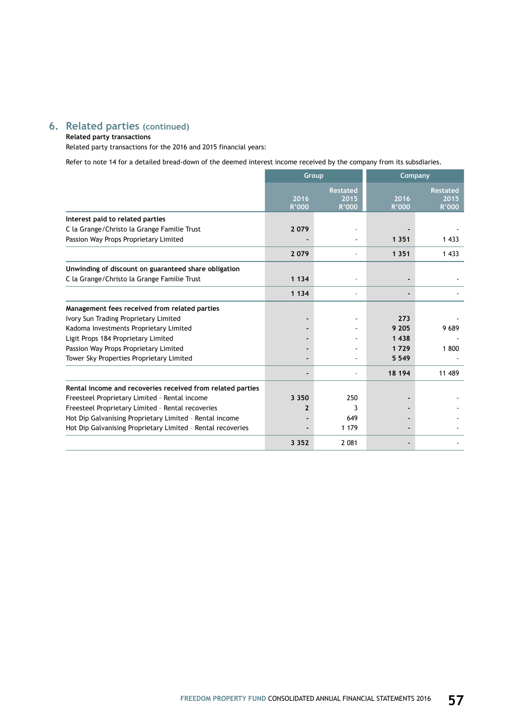## **6. Related parties (continued)**

## **Related party transactions**

Related party transactions for the 2016 and 2015 financial years:

Refer to note 14 for a detailed bread-down of the deemed interest income received by the company from its subsdiaries.

|                                                             | Group                |                                         | Company              |                                  |
|-------------------------------------------------------------|----------------------|-----------------------------------------|----------------------|----------------------------------|
|                                                             | 2016<br><b>R'000</b> | <b>Restated</b><br>2015<br><b>R'000</b> | 2016<br><b>R'000</b> | <b>Restated</b><br>2015<br>R'000 |
| Interest paid to related parties                            |                      |                                         |                      |                                  |
| C la Grange/Christo la Grange Familie Trust                 | 2079                 |                                         |                      |                                  |
| Passion Way Props Proprietary Limited                       |                      |                                         | 1 3 5 1              | 1 4 3 3                          |
|                                                             | 2079                 |                                         | 1 3 5 1              | 1 4 3 3                          |
| Unwinding of discount on guaranteed share obligation        |                      |                                         |                      |                                  |
| C la Grange/Christo la Grange Familie Trust                 | 1 1 3 4              |                                         |                      |                                  |
|                                                             | 1 1 3 4              |                                         |                      |                                  |
| Management fees received from related parties               |                      |                                         |                      |                                  |
| Ivory Sun Trading Proprietary Limited                       |                      |                                         | 273                  |                                  |
| Kadoma Investments Proprietary Limited                      |                      |                                         | 9 2 0 5              | 9689                             |
| Ligit Props 184 Proprietary Limited                         |                      |                                         | 1 4 3 8              |                                  |
| Passion Way Props Proprietary Limited                       |                      |                                         | 1 7 2 9              | 1 800                            |
| Tower Sky Properties Proprietary Limited                    |                      |                                         | 5 5 4 9              |                                  |
|                                                             |                      |                                         | 18 194               | 11 489                           |
| Rental income and recoveries received from related parties  |                      |                                         |                      |                                  |
| Freesteel Proprietary Limited - Rental income               | 3 3 5 0              | 250                                     |                      |                                  |
| Freesteel Proprietary Limited - Rental recoveries           | 2                    |                                         |                      |                                  |
| Hot Dip Galvanising Proprietary Limited - Rental income     |                      | 649                                     |                      |                                  |
| Hot Dip Galvanising Proprietary Limited - Rental recoveries |                      | 1 1 7 9                                 |                      |                                  |
|                                                             | 3 3 5 2              | 2 0 8 1                                 |                      |                                  |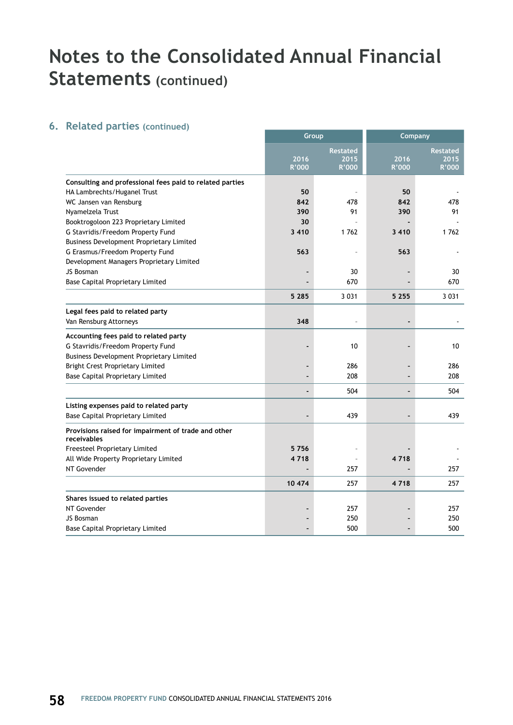## **6. Related parties (continued)**

|                                                                    |               | Group                                   |                      | Company                          |
|--------------------------------------------------------------------|---------------|-----------------------------------------|----------------------|----------------------------------|
|                                                                    | 2016<br>R'000 | <b>Restated</b><br>2015<br><b>R'000</b> | 2016<br><b>R'000</b> | <b>Restated</b><br>2015<br>R'000 |
| Consulting and professional fees paid to related parties           |               |                                         |                      |                                  |
| HA Lambrechts/Huganel Trust                                        | 50            |                                         | 50                   |                                  |
| WC Jansen van Rensburg                                             | 842           | 478                                     | 842                  | 478                              |
| Nyamelzela Trust                                                   | 390           | 91                                      | 390                  | 91                               |
| Booktrogoloon 223 Proprietary Limited                              | 30            |                                         |                      |                                  |
| G Stavridis/Freedom Property Fund                                  | 3 4 1 0       | 1762                                    | 3 4 1 0              | 1762                             |
| <b>Business Development Proprietary Limited</b>                    |               |                                         |                      |                                  |
| G Erasmus/Freedom Property Fund                                    | 563           |                                         | 563                  |                                  |
| Development Managers Proprietary Limited                           |               |                                         |                      |                                  |
| JS Bosman                                                          |               | 30                                      |                      | 30                               |
| <b>Base Capital Proprietary Limited</b>                            |               | 670                                     |                      | 670                              |
|                                                                    | 5 2 8 5       | 3 0 3 1                                 | 5 2 5 5              | 3 0 3 1                          |
| Legal fees paid to related party                                   |               |                                         |                      |                                  |
| Van Rensburg Attorneys                                             | 348           |                                         | -                    |                                  |
| Accounting fees paid to related party                              |               |                                         |                      |                                  |
| G Stavridis/Freedom Property Fund                                  |               | 10                                      |                      | 10                               |
| <b>Business Development Proprietary Limited</b>                    |               |                                         |                      |                                  |
| <b>Bright Crest Proprietary Limited</b>                            |               | 286                                     |                      | 286                              |
| <b>Base Capital Proprietary Limited</b>                            |               | 208                                     |                      | 208                              |
|                                                                    |               | 504                                     |                      | 504                              |
| Listing expenses paid to related party                             |               |                                         |                      |                                  |
| <b>Base Capital Proprietary Limited</b>                            |               | 439                                     |                      | 439                              |
| Provisions raised for impairment of trade and other<br>receivables |               |                                         |                      |                                  |
| Freesteel Proprietary Limited                                      | 5756          |                                         |                      |                                  |
| All Wide Property Proprietary Limited                              | 4718          |                                         | 4718                 |                                  |
| NT Govender                                                        |               | 257                                     |                      | 257                              |
|                                                                    | 10 474        | 257                                     | 4718                 | 257                              |
| Shares issued to related parties                                   |               |                                         |                      |                                  |
| NT Govender                                                        |               | 257                                     |                      | 257                              |
| JS Bosman                                                          |               | 250                                     |                      | 250                              |
| <b>Base Capital Proprietary Limited</b>                            |               | 500                                     |                      | 500                              |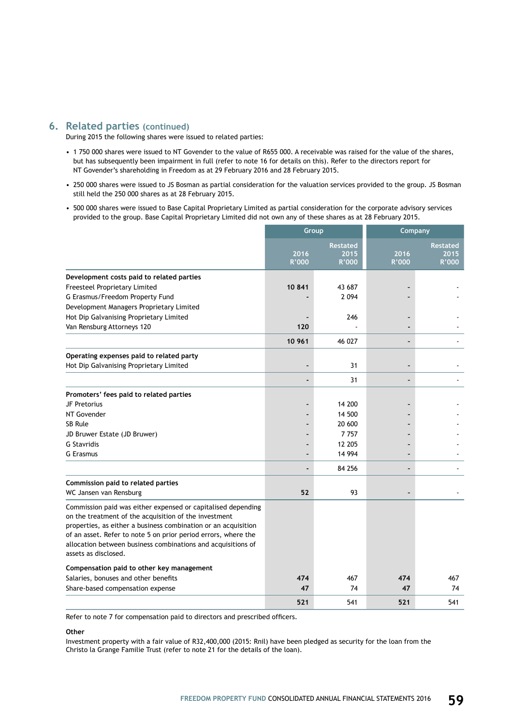## **6. Related parties (continued)**

During 2015 the following shares were issued to related parties:

- 1 750 000 shares were issued to NT Govender to the value of R655 000. A receivable was raised for the value of the shares, but has subsequently been impairment in full (refer to note 16 for details on this). Refer to the directors report for NT Govender's shareholding in Freedom as at 29 February 2016 and 28 February 2015.
- 250 000 shares were issued to JS Bosman as partial consideration for the valuation services provided to the group. JS Bosman still held the 250 000 shares as at 28 February 2015.
- 500 000 shares were issued to Base Capital Proprietary Limited as partial consideration for the corporate advisory services provided to the group. Base Capital Proprietary Limited did not own any of these shares as at 28 February 2015.

|                                                                                                                                                                                                                                                                                                                                                   |               | Group                | Company                  |                 |
|---------------------------------------------------------------------------------------------------------------------------------------------------------------------------------------------------------------------------------------------------------------------------------------------------------------------------------------------------|---------------|----------------------|--------------------------|-----------------|
|                                                                                                                                                                                                                                                                                                                                                   |               | <b>Restated</b>      |                          | <b>Restated</b> |
|                                                                                                                                                                                                                                                                                                                                                   | 2016<br>R'000 | 2015<br><b>R'000</b> | 2016<br><b>R'000</b>     | 2015<br>R'000   |
| Development costs paid to related parties                                                                                                                                                                                                                                                                                                         |               |                      |                          |                 |
| Freesteel Proprietary Limited                                                                                                                                                                                                                                                                                                                     | 10841         | 43 687               |                          |                 |
| G Erasmus/Freedom Property Fund                                                                                                                                                                                                                                                                                                                   |               | 2 0 9 4              |                          |                 |
| Development Managers Proprietary Limited                                                                                                                                                                                                                                                                                                          |               |                      |                          |                 |
| Hot Dip Galvanising Proprietary Limited                                                                                                                                                                                                                                                                                                           |               | 246                  |                          |                 |
| Van Rensburg Attorneys 120                                                                                                                                                                                                                                                                                                                        | 120           |                      |                          |                 |
|                                                                                                                                                                                                                                                                                                                                                   | 10 961        | 46 027               | $\overline{\phantom{0}}$ |                 |
| Operating expenses paid to related party                                                                                                                                                                                                                                                                                                          |               |                      |                          |                 |
| Hot Dip Galvanising Proprietary Limited                                                                                                                                                                                                                                                                                                           |               | 31                   |                          |                 |
|                                                                                                                                                                                                                                                                                                                                                   |               | 31                   | $\overline{\phantom{0}}$ |                 |
| Promoters' fees paid to related parties                                                                                                                                                                                                                                                                                                           |               |                      |                          |                 |
| JF Pretorius                                                                                                                                                                                                                                                                                                                                      |               | 14 200               |                          |                 |
| NT Govender                                                                                                                                                                                                                                                                                                                                       |               | 14 500               |                          |                 |
| <b>SB Rule</b>                                                                                                                                                                                                                                                                                                                                    |               | 20 600               |                          |                 |
| JD Bruwer Estate (JD Bruwer)                                                                                                                                                                                                                                                                                                                      |               | 7757                 |                          |                 |
| <b>G</b> Stavridis                                                                                                                                                                                                                                                                                                                                |               | 12 205               |                          |                 |
| G Erasmus                                                                                                                                                                                                                                                                                                                                         |               | 14 994               |                          |                 |
|                                                                                                                                                                                                                                                                                                                                                   |               | 84 256               | $\overline{\phantom{0}}$ |                 |
| Commission paid to related parties                                                                                                                                                                                                                                                                                                                |               |                      |                          |                 |
| WC Jansen van Rensburg                                                                                                                                                                                                                                                                                                                            | 52            | 93                   |                          |                 |
| Commission paid was either expensed or capitalised depending<br>on the treatment of the acquisition of the investment<br>properties, as either a business combination or an acquisition<br>of an asset. Refer to note 5 on prior period errors, where the<br>allocation between business combinations and acquisitions of<br>assets as disclosed. |               |                      |                          |                 |
| Compensation paid to other key management                                                                                                                                                                                                                                                                                                         |               |                      |                          |                 |
| Salaries, bonuses and other benefits                                                                                                                                                                                                                                                                                                              | 474           | 467                  | 474                      | 467             |
| Share-based compensation expense                                                                                                                                                                                                                                                                                                                  | 47            | 74                   | 47                       | 74              |
|                                                                                                                                                                                                                                                                                                                                                   | 521           | 541                  | 521                      | 541             |

Refer to note 7 for compensation paid to directors and prescribed officers.

#### **Other**

Investment property with a fair value of R32,400,000 (2015: Rnil) have been pledged as security for the loan from the Christo la Grange Familie Trust (refer to note 21 for the details of the loan).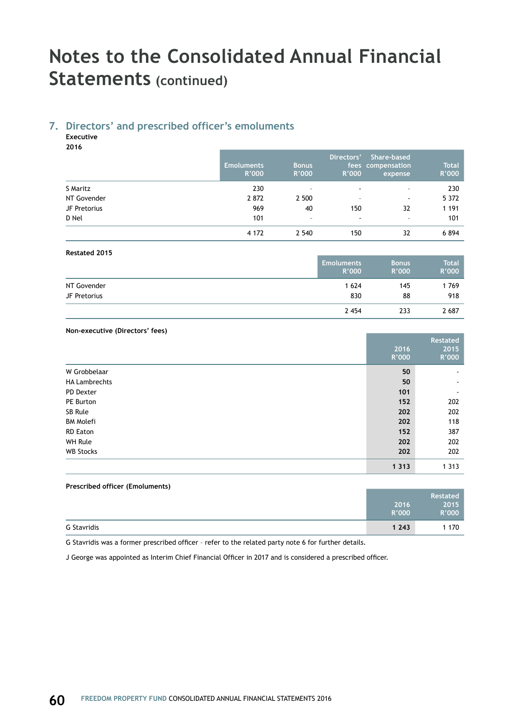## **7. Directors' and prescribed officer's emoluments**

**Executive**

| 2016         |                            |                              |                            |                                             |                       |
|--------------|----------------------------|------------------------------|----------------------------|---------------------------------------------|-----------------------|
|              | <b>Emoluments</b><br>R'000 | <b>Bonus</b><br><b>R'000</b> | Directors'<br><b>R'000</b> | Share-based<br>fees compensation<br>expense | <b>Total</b><br>R'000 |
| S Maritz     | 230                        | $\overline{\phantom{a}}$     | $\overline{\phantom{0}}$   | -                                           | 230                   |
| NT Govender  | 2 872                      | 2 500                        | $\overline{\phantom{0}}$   | $\overline{\phantom{a}}$                    | 5 3 7 2               |
| JF Pretorius | 969                        | 40                           | 150                        | 32                                          | 1 1 9 1               |
| D Nel        | 101                        | $\overline{\phantom{a}}$     | $\blacksquare$             | $\overline{\phantom{a}}$                    | 101                   |
|              | 4 1 7 2                    | 2 5 4 0                      | 150                        | 32                                          | 6894                  |

**Restated 2015**

|              | <b>Emoluments</b><br>R'000 | <b>Bonus</b><br>R'000 | <b>Total</b><br>R'000 |
|--------------|----------------------------|-----------------------|-----------------------|
| NT Govender  | 1 6 2 4                    | 145                   | 1769                  |
| JF Pretorius | 830                        | 88                    | 918                   |
|              | 2 4 5 4                    | 233                   | 2 6 8 7               |

### **Non-executive (Directors' fees)**

|                      | 2016<br>R'000 | <b>Restated</b><br>2015<br>R'000 |
|----------------------|---------------|----------------------------------|
| W Grobbelaar         | 50            |                                  |
| <b>HA Lambrechts</b> | 50            |                                  |
| PD Dexter            | 101           |                                  |
| PE Burton            | 152           | 202                              |
| SB Rule              | 202           | 202                              |
| <b>BM Molefi</b>     | 202           | 118                              |
| <b>RD Eaton</b>      | 152           | 387                              |
| <b>WH Rule</b>       | 202           | 202                              |
| <b>WB Stocks</b>     | 202           | 202                              |
|                      | 1 3 1 3       | 1 3 1 3                          |

| <b>Prescribed officer (Emoluments)</b> |                      |                                  |
|----------------------------------------|----------------------|----------------------------------|
|                                        | 2016<br><b>R'000</b> | <b>Restated</b><br>2015<br>R'000 |
| G Stavridis                            | 1 2 4 3              | 1 1 7 0                          |

G Stavridis was a former prescribed officer – refer to the related party note 6 for further details.

J George was appointed as Interim Chief Financial Officer in 2017 and is considered a prescribed officer.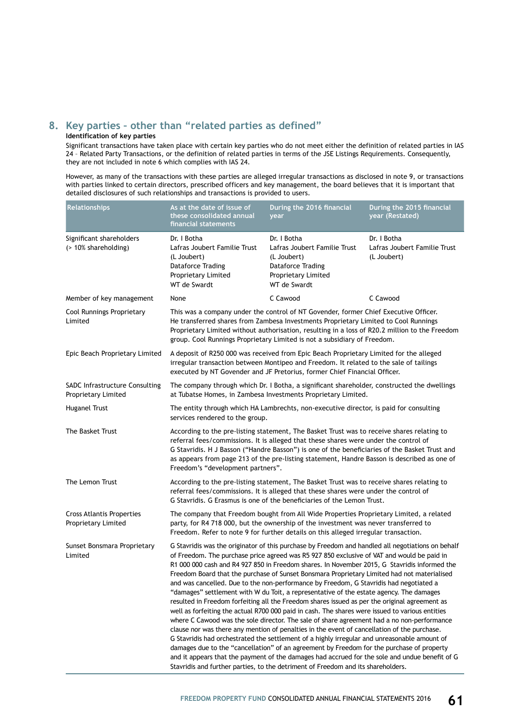## **8. Key parties – other than "related parties as defined"**

### **Identification of key parties**

Significant transactions have taken place with certain key parties who do not meet either the definition of related parties in IAS 24 – Related Party Transactions, or the definition of related parties in terms of the JSE Listings Requirements. Consequently, they are not included in note 6 which complies with IAS 24.

However, as many of the transactions with these parties are alleged irregular transactions as disclosed in note 9, or transactions with parties linked to certain directors, prescribed officers and key management, the board believes that it is important that with parties linked to certain directors, prescribed officers and key management, the board bel detailed disclosures of such relationships and transactions is provided to users.

| Relationships                                           | As at the date of issue of<br>these consolidated annual<br>financial statements                                                                                                                                                                                                                                                                                                                                         | During the 2016 financial<br>year                                                                                                                                                                                                                                                                                                                                                                                                                                                                                                                                                                                                                                                                                                                                                                                                                                                                                                                                                                                                                                                                                                                                                                                                                                                                                                                                       | During the 2015 financial<br>year (Restated)               |  |  |
|---------------------------------------------------------|-------------------------------------------------------------------------------------------------------------------------------------------------------------------------------------------------------------------------------------------------------------------------------------------------------------------------------------------------------------------------------------------------------------------------|-------------------------------------------------------------------------------------------------------------------------------------------------------------------------------------------------------------------------------------------------------------------------------------------------------------------------------------------------------------------------------------------------------------------------------------------------------------------------------------------------------------------------------------------------------------------------------------------------------------------------------------------------------------------------------------------------------------------------------------------------------------------------------------------------------------------------------------------------------------------------------------------------------------------------------------------------------------------------------------------------------------------------------------------------------------------------------------------------------------------------------------------------------------------------------------------------------------------------------------------------------------------------------------------------------------------------------------------------------------------------|------------------------------------------------------------|--|--|
| Significant shareholders<br>(> 10% shareholding)        | Dr. I Botha<br>Lafras Joubert Familie Trust<br>(L Joubert)<br>Dataforce Trading<br>Proprietary Limited<br>WT de Swardt                                                                                                                                                                                                                                                                                                  | Dr. I Botha<br>Lafras Joubert Familie Trust<br>(L Joubert)<br><b>Dataforce Trading</b><br>Proprietary Limited<br>WT de Swardt                                                                                                                                                                                                                                                                                                                                                                                                                                                                                                                                                                                                                                                                                                                                                                                                                                                                                                                                                                                                                                                                                                                                                                                                                                           | Dr. I Botha<br>Lafras Joubert Familie Trust<br>(L Joubert) |  |  |
| Member of key management                                | None                                                                                                                                                                                                                                                                                                                                                                                                                    | C Cawood                                                                                                                                                                                                                                                                                                                                                                                                                                                                                                                                                                                                                                                                                                                                                                                                                                                                                                                                                                                                                                                                                                                                                                                                                                                                                                                                                                | C Cawood                                                   |  |  |
| Cool Runnings Proprietary<br>Limited                    |                                                                                                                                                                                                                                                                                                                                                                                                                         | This was a company under the control of NT Govender, former Chief Executive Officer.<br>He transferred shares from Zambesa Investments Proprietary Limited to Cool Runnings<br>Proprietary Limited without authorisation, resulting in a loss of R20.2 million to the Freedom<br>group. Cool Runnings Proprietary Limited is not a subsidiary of Freedom.                                                                                                                                                                                                                                                                                                                                                                                                                                                                                                                                                                                                                                                                                                                                                                                                                                                                                                                                                                                                               |                                                            |  |  |
| Epic Beach Proprietary Limited                          |                                                                                                                                                                                                                                                                                                                                                                                                                         | A deposit of R250 000 was received from Epic Beach Proprietary Limited for the alleged<br>irregular transaction between Montipeo and Freedom. It related to the sale of tailings<br>executed by NT Govender and JF Pretorius, former Chief Financial Officer.                                                                                                                                                                                                                                                                                                                                                                                                                                                                                                                                                                                                                                                                                                                                                                                                                                                                                                                                                                                                                                                                                                           |                                                            |  |  |
| SADC Infrastructure Consulting<br>Proprietary Limited   | The company through which Dr. I Botha, a significant shareholder, constructed the dwellings<br>at Tubatse Homes, in Zambesa Investments Proprietary Limited.                                                                                                                                                                                                                                                            |                                                                                                                                                                                                                                                                                                                                                                                                                                                                                                                                                                                                                                                                                                                                                                                                                                                                                                                                                                                                                                                                                                                                                                                                                                                                                                                                                                         |                                                            |  |  |
| <b>Huganel Trust</b>                                    | The entity through which HA Lambrechts, non-executive director, is paid for consulting<br>services rendered to the group.                                                                                                                                                                                                                                                                                               |                                                                                                                                                                                                                                                                                                                                                                                                                                                                                                                                                                                                                                                                                                                                                                                                                                                                                                                                                                                                                                                                                                                                                                                                                                                                                                                                                                         |                                                            |  |  |
| The Basket Trust                                        | According to the pre-listing statement, The Basket Trust was to receive shares relating to<br>referral fees/commissions. It is alleged that these shares were under the control of<br>G Stavridis. H J Basson ("Handre Basson") is one of the beneficiaries of the Basket Trust and<br>as appears from page 213 of the pre-listing statement, Handre Basson is described as one of<br>Freedom's "development partners". |                                                                                                                                                                                                                                                                                                                                                                                                                                                                                                                                                                                                                                                                                                                                                                                                                                                                                                                                                                                                                                                                                                                                                                                                                                                                                                                                                                         |                                                            |  |  |
| The Lemon Trust                                         | According to the pre-listing statement, The Basket Trust was to receive shares relating to<br>referral fees/commissions. It is alleged that these shares were under the control of<br>G Stavridis. G Erasmus is one of the beneficiaries of the Lemon Trust.                                                                                                                                                            |                                                                                                                                                                                                                                                                                                                                                                                                                                                                                                                                                                                                                                                                                                                                                                                                                                                                                                                                                                                                                                                                                                                                                                                                                                                                                                                                                                         |                                                            |  |  |
| <b>Cross Atlantis Properties</b><br>Proprietary Limited | The company that Freedom bought from All Wide Properties Proprietary Limited, a related<br>party, for R4 718 000, but the ownership of the investment was never transferred to<br>Freedom. Refer to note 9 for further details on this alleged irregular transaction.                                                                                                                                                   |                                                                                                                                                                                                                                                                                                                                                                                                                                                                                                                                                                                                                                                                                                                                                                                                                                                                                                                                                                                                                                                                                                                                                                                                                                                                                                                                                                         |                                                            |  |  |
| Sunset Bonsmara Proprietary<br>Limited                  |                                                                                                                                                                                                                                                                                                                                                                                                                         | G Stavridis was the originator of this purchase by Freedom and handled all negotiations on behalf<br>of Freedom. The purchase price agreed was R5 927 850 exclusive of VAT and would be paid in<br>R1 000 000 cash and R4 927 850 in Freedom shares. In November 2015, G Stavridis informed the<br>Freedom Board that the purchase of Sunset Bonsmara Proprietary Limited had not materialised<br>and was cancelled. Due to the non-performance by Freedom, G Stavridis had negotiated a<br>"damages" settlement with W du Toit, a representative of the estate agency. The damages<br>resulted in Freedom forfeiting all the Freedom shares issued as per the original agreement as<br>well as forfeiting the actual R700 000 paid in cash. The shares were issued to various entities<br>where C Cawood was the sole director. The sale of share agreement had a no non-performance<br>clause nor was there any mention of penalties in the event of cancellation of the purchase.<br>G Stavridis had orchestrated the settlement of a highly irregular and unreasonable amount of<br>damages due to the "cancellation" of an agreement by Freedom for the purchase of property<br>and it appears that the payment of the damages had accrued for the sole and undue benefit of G<br>Stavridis and further parties, to the detriment of Freedom and its shareholders. |                                                            |  |  |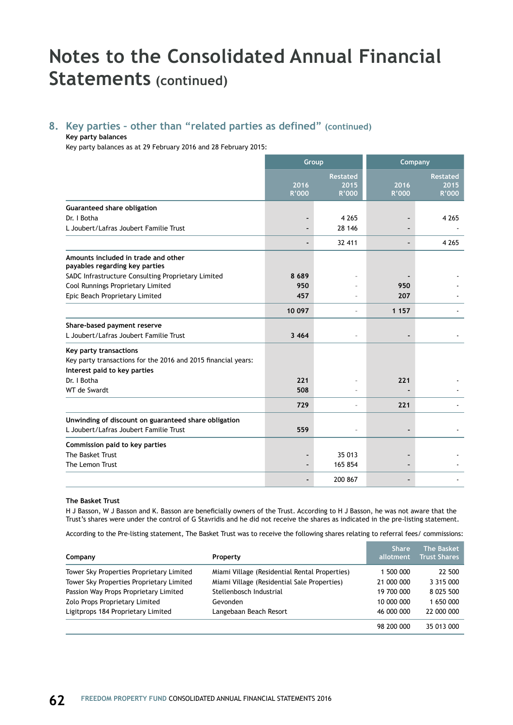## **8. Key parties – other than "related parties as defined" (continued)**

## **Key party balances**

Key party balances as at 29 February 2016 and 28 February 2015:

|                                                                       |                      | Group                            | Company        |                                  |
|-----------------------------------------------------------------------|----------------------|----------------------------------|----------------|----------------------------------|
|                                                                       | 2016<br><b>R'000</b> | <b>Restated</b><br>2015<br>R'000 | 2016<br>R'000  | <b>Restated</b><br>2015<br>R'000 |
| Guaranteed share obligation                                           |                      |                                  |                |                                  |
| Dr. I Botha                                                           |                      | 4 2 6 5                          |                | 4 2 6 5                          |
| L Joubert/Lafras Joubert Familie Trust                                |                      | 28 14 6                          |                |                                  |
|                                                                       |                      | 32 411                           |                | 4 2 6 5                          |
| Amounts included in trade and other<br>payables regarding key parties |                      |                                  |                |                                  |
| SADC Infrastructure Consulting Proprietary Limited                    | 8689                 |                                  |                |                                  |
| Cool Runnings Proprietary Limited                                     | 950                  |                                  | 950            |                                  |
| Epic Beach Proprietary Limited                                        | 457                  |                                  | 207            |                                  |
|                                                                       | 10 097               |                                  | 1 1 5 7        |                                  |
| Share-based payment reserve                                           |                      |                                  |                |                                  |
| L Joubert/Lafras Joubert Familie Trust                                | 3 4 6 4              |                                  |                |                                  |
| Key party transactions                                                |                      |                                  |                |                                  |
| Key party transactions for the 2016 and 2015 financial years:         |                      |                                  |                |                                  |
| Interest paid to key parties                                          |                      |                                  |                |                                  |
| Dr. I Botha                                                           | 221                  |                                  | 221            |                                  |
| WT de Swardt                                                          | 508                  |                                  |                |                                  |
|                                                                       | 729                  |                                  | 221            |                                  |
| Unwinding of discount on guaranteed share obligation                  |                      |                                  |                |                                  |
| L Joubert/Lafras Joubert Familie Trust                                | 559                  |                                  | $\overline{a}$ |                                  |
| Commission paid to key parties                                        |                      |                                  |                |                                  |
| The Basket Trust                                                      |                      | 35 013                           |                |                                  |
| The Lemon Trust                                                       |                      | 165 854                          |                |                                  |
|                                                                       |                      | 200 867                          |                |                                  |

#### **The Basket Trust**

H J Basson, W J Basson and K. Basson are beneficially owners of the Trust. According to H J Basson, he was not aware that the Trust's shares were under the control of G Stavridis and he did not receive the shares as indicated in the pre-listing statement.

According to the Pre-listing statement, The Basket Trust was to receive the following shares relating to referral fees/ commissions:

| Company                                  | Property                                      | <b>Share</b><br>allotment | The Basket<br><b>Trust Shares</b> |
|------------------------------------------|-----------------------------------------------|---------------------------|-----------------------------------|
| Tower Sky Properties Proprietary Limited | Miami Village (Residential Rental Properties) | 500 000                   | 22 500                            |
| Tower Sky Properties Proprietary Limited | Miami Village (Residential Sale Properties)   | 21 000 000                | 3 315 000                         |
| Passion Way Props Proprietary Limited    | Stellenbosch Industrial                       | 19 700 000                | 8 025 500                         |
| Zolo Props Proprietary Limited           | Gevonden                                      | 10 000 000                | 1 650 000                         |
| Ligitprops 184 Proprietary Limited       | Langebaan Beach Resort                        | 46 000 000                | 22 000 000                        |
|                                          |                                               | 98 200 000                | 35 013 000                        |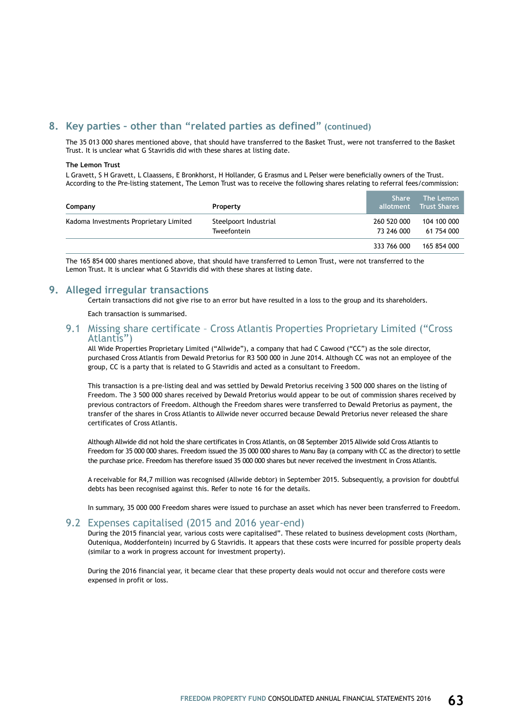## **8. Key parties – other than "related parties as defined" (continued)**

The 35 013 000 shares mentioned above, that should have transferred to the Basket Trust, were not transferred to the Basket Trust. It is unclear what G Stavridis did with these shares at listing date.

#### **The Lemon Trust**

L Gravett, S H Gravett, L Claassens, E Bronkhorst, H Hollander, G Erasmus and L Pelser were beneficially owners of the Trust. According to the Pre-listing statement, The Lemon Trust was to receive the following shares relating to referral fees/commission:

| Company                                | Property                             | <b>Share</b><br>allotment | The Lemon<br><b>Trust Shares</b> |
|----------------------------------------|--------------------------------------|---------------------------|----------------------------------|
| Kadoma Investments Proprietary Limited | Steelpoort Industrial<br>Tweefontein | 260 520 000<br>73 246 000 | 104 100 000<br>61 754 000        |
|                                        |                                      | 333 766 000               | 165 854 000                      |

The 165 854 000 shares mentioned above, that should have transferred to Lemon Trust, were not transferred to the Lemon Trust. It is unclear what G Stavridis did with these shares at listing date.

## **9. Alleged irregular transactions**

Certain transactions did not give rise to an error but have resulted in a loss to the group and its shareholders.

Each transaction is summarised.

## 9.1 Missing share certificate – Cross Atlantis Properties Proprietary Limited ("Cross Atlantis")

All Wide Properties Proprietary Limited ("Allwide"), a company that had C Cawood ("CC") as the sole director, purchased Cross Atlantis from Dewald Pretorius for R3 500 000 in June 2014. Although CC was not an employee of the group, CC is a party that is related to G Stavridis and acted as a consultant to Freedom.

This transaction is a pre-listing deal and was settled by Dewald Pretorius receiving 3 500 000 shares on the listing of Freedom. The 3 500 000 shares received by Dewald Pretorius would appear to be out of commission shares received by previous contractors of Freedom. Although the Freedom shares were transferred to Dewald Pretorius as payment, the transfer of the shares in Cross Atlantis to Allwide never occurred because Dewald Pretorius never released the share certificates of Cross Atlantis.

Although Allwide did not hold the share certificates in Cross Atlantis, on 08 September 2015 Allwide sold Cross Atlantis to Freedom for 35 000 000 shares. Freedom issued the 35 000 000 shares to Manu Bay (a company with CC as the director) to settle the purchase price. Freedom has therefore issued 35 000 000 shares but never received the investment in Cross Atlantis.

A receivable for R4,7 million was recognised (Allwide debtor) in September 2015. Subsequently, a provision for doubtful debts has been recognised against this. Refer to note 16 for the details.

In summary, 35 000 000 Freedom shares were issued to purchase an asset which has never been transferred to Freedom.

## 9.2 Expenses capitalised (2015 and 2016 year-end)

During the 2015 financial year, various costs were capitalised". These related to business development costs (Northam, Outeniqua, Modderfontein) incurred by G Stavridis. It appears that these costs were incurred for possible property deals (similar to a work in progress account for investment property).

During the 2016 financial year, it became clear that these property deals would not occur and therefore costs were expensed in profit or loss.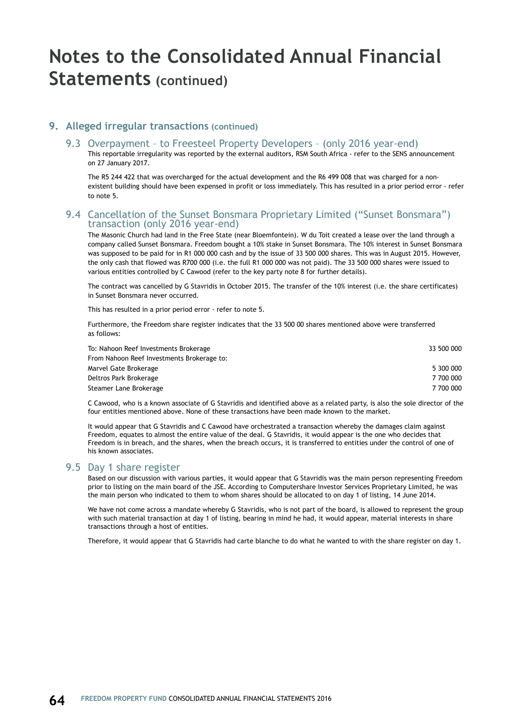## **9. Alleged irregular transactions (continued)**

9.3 Overpayment – to Freesteel Property Developers – (only 2016 year-end)

This reportable irregularity was reported by the external auditors, RSM South Africa - refer to the SENS announcement on 27 January 2017.

The R5 244 422 that was overcharged for the actual development and the R6 499 008 that was charged for a nonexistent building should have been expensed in profit or loss immediately. This has resulted in a prior period error - refer to note 5.

## 9.4 Cancellation of the Sunset Bonsmara Proprietary Limited ("Sunset Bonsmara") transaction (only 2016 year-end)

The Masonic Church had land in the Free State (near Bloemfontein). W du Toit created a lease over the land through a company called Sunset Bonsmara. Freedom bought a 10% stake in Sunset Bonsmara. The 10% interest in Sunset Bonsmara was supposed to be paid for in R1 000 000 cash and by the issue of 33 500 000 shares. This was in August 2015. However, the only cash that flowed was R700 000 (i.e. the full R1 000 000 was not paid). The 33 500 000 shares were issued to various entities controlled by C Cawood (refer to the key party note 8 for further details).

The contract was cancelled by G Stavridis in October 2015. The transfer of the 10% interest (i.e. the share certificates) in Sunset Bonsmara never occurred.

This has resulted in a prior period error - refer to note 5.

Furthermore, the Freedom share register indicates that the 33 500 00 shares mentioned above were transferred as follows:

| To: Nahoon Reef Investments Brokerage      | 33 500 000 |
|--------------------------------------------|------------|
| From Nahoon Reef Investments Brokerage to: |            |
| Marvel Gate Brokerage                      | 5 300 000  |
| Deltros Park Brokerage                     | 7 700 000  |
| Steamer Lane Brokerage                     | 7 700 000  |

C Cawood, who is a known associate of G Stavridis and identified above as a related party, is also the sole director of the four entities mentioned above. None of these transactions have been made known to the market.

It would appear that G Stavridis and C Cawood have orchestrated a transaction whereby the damages claim against Freedom, equates to almost the entire value of the deal. G Stavridis, it would appear is the one who decides that Freedom is in breach, and the shares, when the breach occurs, it is transferred to entities under the control of one of his known associates.

## 9.5 Day 1 share register

Based on our discussion with various parties, it would appear that G Stavridis was the main person representing Freedom prior to listing on the main board of the JSE. According to Computershare Investor Services Proprietary Limited, he was the main person who indicated to them to whom shares should be allocated to on day 1 of listing, 14 June 2014.

We have not come across a mandate whereby G Stavridis, who is not part of the board, is allowed to represent the group with such material transaction at day 1 of listing, bearing in mind he had, it would appear, material interests in share transactions through a host of entities.

Therefore, it would appear that G Stavridis had carte blanche to do what he wanted to with the share register on day 1.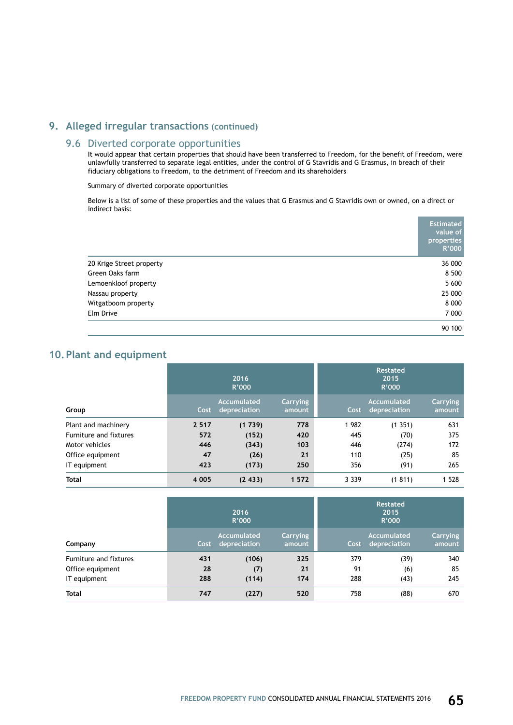## **9. Alleged irregular transactions (continued)**

## 9.6 Diverted corporate opportunities

It would appear that certain properties that should have been transferred to Freedom, for the benefit of Freedom, were unlawfully transferred to separate legal entities, under the control of G Stavridis and G Erasmus, in breach of their fiduciary obligations to Freedom, to the detriment of Freedom and its shareholders

Summary of diverted corporate opportunities

Below is a list of some of these properties and the values that G Erasmus and G Stavridis own or owned, on a direct or indirect basis:

|                          | <b>Estimated</b><br>value of<br>properties<br>R'000 |
|--------------------------|-----------------------------------------------------|
| 20 Krige Street property | 36 000                                              |
| Green Oaks farm          | 8 500                                               |
| Lemoenkloof property     | 5 600                                               |
| Nassau property          | 25 000                                              |
| Witgatboom property      | 8 0 0 0                                             |
| Elm Drive                | 7 0 0 0                                             |
|                          | 90 100                                              |

## **10.Plant and equipment**

|                        |         | 2016<br>R'000                      |                           |         | <b>Restated</b><br>2015<br>R'000   |                           |
|------------------------|---------|------------------------------------|---------------------------|---------|------------------------------------|---------------------------|
| Group                  | Cost    | <b>Accumulated</b><br>depreciation | <b>Carrying</b><br>amount | Cost    | <b>Accumulated</b><br>depreciation | <b>Carrying</b><br>amount |
| Plant and machinery    | 2 5 1 7 | (1739)                             | 778                       | 1982    | (1351)                             | 631                       |
| Furniture and fixtures | 572     | (152)                              | 420                       | 445     | (70)                               | 375                       |
| Motor vehicles         | 446     | (343)                              | 103                       | 446     | (274)                              | 172                       |
| Office equipment       | 47      | (26)                               | 21                        | 110     | (25)                               | 85                        |
| IT equipment           | 423     | (173)                              | 250                       | 356     | (91)                               | 265                       |
| Total                  | 4 0 0 5 | (2, 433)                           | 1 5 7 2                   | 3 3 3 9 | (1811)                             | 1 5 2 8                   |

|                                                            | 2016<br>R'000    |                                    |                           | <b>Restated</b><br>2015<br>R'000 |                                    |                    |
|------------------------------------------------------------|------------------|------------------------------------|---------------------------|----------------------------------|------------------------------------|--------------------|
| Company                                                    | Cost             | <b>Accumulated</b><br>depreciation | <b>Carrying</b><br>amount | Cost                             | <b>Accumulated</b><br>depreciation | Carrying<br>amount |
| Furniture and fixtures<br>Office equipment<br>IT equipment | 431<br>28<br>288 | (106)<br>(7)<br>(114)              | 325<br>21<br>174          | 379<br>91<br>288                 | (39)<br>(6)<br>(43)                | 340<br>85<br>245   |
| <b>Total</b>                                               | 747              | (227)                              | 520                       | 758                              | (88)                               | 670                |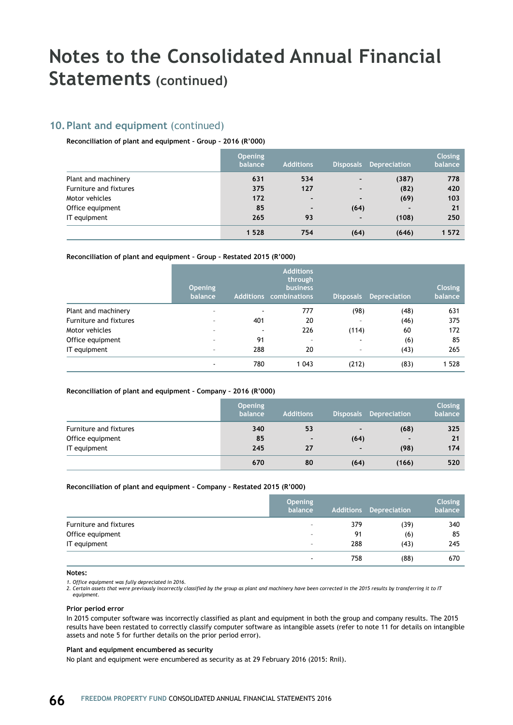## **10.Plant and equipment** (continued)

#### **Reconciliation of plant and equipment – Group – 2016 (R'000)**

|                        | <b>Opening</b><br>balance | <b>Additions</b>         | <b>Disposals</b>         | <b>Depreciation</b>      | <b>Closing</b><br>balance |
|------------------------|---------------------------|--------------------------|--------------------------|--------------------------|---------------------------|
| Plant and machinery    | 631                       | 534                      | $\overline{\phantom{0}}$ | (387)                    | 778                       |
| Furniture and fixtures | 375                       | 127                      | $\overline{\phantom{a}}$ | (82)                     | 420                       |
| Motor vehicles         | 172                       |                          | $\blacksquare$           | (69)                     | 103                       |
| Office equipment       | 85                        | $\overline{\phantom{0}}$ | (64)                     | $\overline{\phantom{a}}$ | 21                        |
| IT equipment           | 265                       | 93                       | $\blacksquare$           | (108)                    | 250                       |
|                        | 1 5 2 8                   | 754                      | (64)                     | (646)                    | 1572                      |

### **Reconciliation of plant and equipment – Group – Restated 2015 (R'000)**

|                        | <b>Opening</b><br>balance |     | <b>Additions</b><br>through<br><b>business</b><br><b>Additions combinations</b> | <b>Disposals</b>         | <b>Depreciation</b> | <b>Closing</b><br>balance |
|------------------------|---------------------------|-----|---------------------------------------------------------------------------------|--------------------------|---------------------|---------------------------|
| Plant and machinery    |                           |     | 777                                                                             | (98)                     | (48)                | 631                       |
| Furniture and fixtures |                           | 401 | 20                                                                              | $\overline{\phantom{a}}$ | (46)                | 375                       |
| Motor vehicles         |                           |     | 226                                                                             | (114)                    | 60                  | 172                       |
| Office equipment       | -                         | 91  | $\overline{\phantom{a}}$                                                        | $\overline{a}$           | (6)                 | 85                        |
| IT equipment           | -                         | 288 | 20                                                                              | $\overline{\phantom{a}}$ | (43)                | 265                       |
|                        |                           | 780 | 1 0 4 3                                                                         | (212)                    | (83)                | 1 5 2 8                   |

#### **Reconciliation of plant and equipment – Company – 2016 (R'000)**

|                        | <b>Opening</b><br>balance | <b>Additions</b> | <b>Disposals</b>         | <b>Depreciation</b>      | <b>Closing</b><br>balance |
|------------------------|---------------------------|------------------|--------------------------|--------------------------|---------------------------|
| Furniture and fixtures | 340                       | 53               | $\overline{\phantom{0}}$ | (68)                     | 325                       |
| Office equipment       | 85                        | $\blacksquare$   | (64)                     | $\overline{\phantom{a}}$ | 21                        |
| IT equipment           | 245                       | 27               | $\blacksquare$           | (98)                     | 174                       |
|                        | 670                       | 80               | (64)                     | (166)                    | 520                       |

#### **Reconciliation of plant and equipment – Company – Restated 2015 (R'000)**

|                        | <b>Opening</b><br>balance |     | Additions Depreciation | <b>Closing</b><br>balance |
|------------------------|---------------------------|-----|------------------------|---------------------------|
| Furniture and fixtures |                           | 379 | (39)                   | 340                       |
| Office equipment       |                           | 91  | (6)                    | 85                        |
| IT equipment           | $\overline{\phantom{a}}$  | 288 | (43)                   | 245                       |
|                        | $\overline{a}$            | 758 | (88)                   | 670                       |

#### **Notes:**

1. Office equipment was fully depreciated in 2016.<br>2. Certain assets that were previously incorrectly classified by the group as plant and machinery have been corrected in the 2015 results by transferring it to IT *equipment.*

#### **Prior period error**

In 2015 computer software was incorrectly classified as plant and equipment in both the group and company results. The 2015 results have been restated to correctly classify computer software as intangible assets (refer to note 11 for details on intangible assets and note 5 for further details on the prior period error).

#### **Plant and equipment encumbered as security**

No plant and equipment were encumbered as security as at 29 February 2016 (2015: Rnil).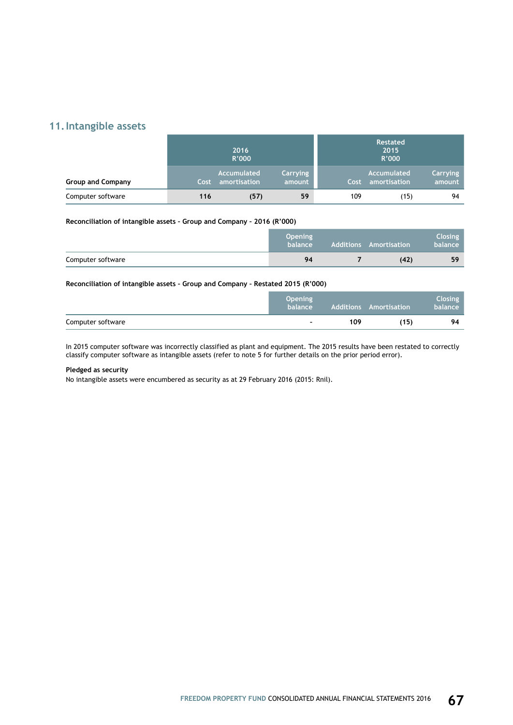## **11.Intangible assets**

|                          |      | 2016<br>R'000               |                           |      | Restated<br>2015<br>R'000   |                           |
|--------------------------|------|-----------------------------|---------------------------|------|-----------------------------|---------------------------|
| <b>Group and Company</b> | Cost | Accumulated<br>amortisation | <b>Carrying</b><br>amount | Cost | Accumulated<br>amortisation | <b>Carrying</b><br>amount |
| Computer software        | 116  | (57)                        | 59                        | 109  | (15)                        | 94                        |

### **Reconciliation of intangible assets – Group and Company – 2016 (R'000)**

|                   | <b>Opening</b><br>balance | Additions Amortisation | Closing<br>balance |
|-------------------|---------------------------|------------------------|--------------------|
| Computer software | 94                        | (42)                   | 59                 |

### **Reconciliation of intangible assets – Group and Company – Restated 2015 (R'000)**

|                   | <b>Opening</b><br><b>balance</b> |     | Additions Amortisation | <b>Closing</b><br>balance |
|-------------------|----------------------------------|-----|------------------------|---------------------------|
| Computer software | $\overline{\phantom{0}}$         | 109 | (15)                   | 94                        |

In 2015 computer software was incorrectly classified as plant and equipment. The 2015 results have been restated to correctly classify computer software as intangible assets (refer to note 5 for further details on the prior period error).

#### **Pledged as security**

No intangible assets were encumbered as security as at 29 February 2016 (2015: Rnil).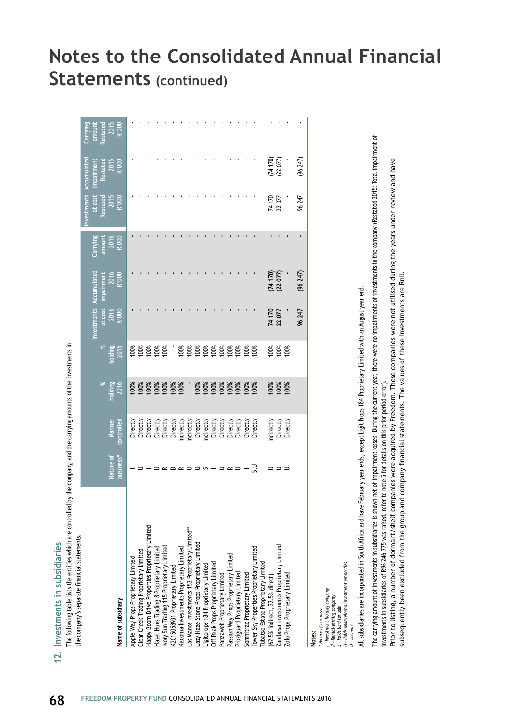|                                                 |                        |                      |                    |                  | <b>Investments</b><br>at cost | Accumulated<br><u>impairment</u> | Carrying<br>amount   | nvestments<br>at cost<br>Restatec | Accumulated<br>Restated<br>impairment |
|-------------------------------------------------|------------------------|----------------------|--------------------|------------------|-------------------------------|----------------------------------|----------------------|-----------------------------------|---------------------------------------|
| Name of subsidiary                              | business*<br>Nature of | controlled<br>Manner | holding<br>2016    | holding<br>2015  | 2016<br><b>R'000</b>          | 2016<br><b>R'000</b>             | 2016<br><b>R'000</b> | 2015<br>R'000                     | <b>R'000</b><br>2015                  |
| Apple Way Props Proprietary Limited             |                        | Directly             | $\tilde{g}$        | õ                |                               |                                  |                      |                                   |                                       |
| Clear Creek Trading Proprietary Limited         |                        | Directly             | $\tilde{8}$        | 100%             |                               |                                  |                      |                                   |                                       |
| Happy Boom Drive Properties Proprietary Limited |                        | Directly             | $\tilde{8}$        | 100%             |                               |                                  |                      |                                   |                                       |
| Hazel Hues Trading 8 Proprietary Limited        |                        | Directly             |                    |                  |                               |                                  |                      |                                   |                                       |
| vory Sun Trading 115 Proprietary Limited        |                        | Directly             |                    | $\frac{88}{100}$ |                               |                                  |                      |                                   |                                       |
| <2015058931 Proprietary Limited                 | ≃≏∝                    | Directly             |                    |                  |                               |                                  |                      |                                   |                                       |
| Kadoma Investments Proprietary Limited          |                        | Indirectly           |                    |                  |                               |                                  |                      |                                   |                                       |
| Las Manos Investments 152 Proprietary Limited** |                        | ndirectly            |                    |                  |                               |                                  |                      |                                   |                                       |
| Lazy Haze Stone Props Proprietary Limited       | ⊃∽                     | Directly             |                    |                  |                               |                                  |                      |                                   |                                       |
| Ligitprops 184 Proprietary Limited              |                        | ndirectly            |                    |                  |                               |                                  |                      |                                   |                                       |
| Off Peak Props Proprietary Limited              |                        | Directly             |                    |                  |                               |                                  |                      |                                   |                                       |
| Panzaweb Proprietary Limited                    |                        | Directly             |                    |                  |                               |                                  |                      |                                   |                                       |
| Passion Way Props Proprietary Limited           | ⊃ ∝ ⊃                  | Directly             |                    |                  |                               |                                  |                      |                                   |                                       |
| Proziguard Proprietary Limited                  |                        | Directly             |                    |                  |                               |                                  |                      |                                   |                                       |
| Somnitrax Proprietary Limited                   |                        | Directly             |                    |                  |                               |                                  |                      |                                   |                                       |
| Tower Sky Properties Proprietary Limited        | ςņ                     | Directly             |                    |                  |                               |                                  |                      |                                   |                                       |
| <b>Tubatse Estate Proprietary Limited</b>       |                        |                      |                    |                  |                               |                                  |                      |                                   |                                       |
| (62.5% indirect, 32.5% direct)                  |                        | Indirectly           | $\frac{800}{1000}$ |                  | 74 170<br>22 077              | $(74170)$<br>$(22077)$           |                      | 74 170<br>22 077                  | (74 170)<br>(22 077)                  |
| Zambesa Investments Proprietary Limited         |                        | Directly             |                    | 100%<br>100%     |                               |                                  |                      |                                   |                                       |
| Zolo Props Proprietary Limited                  |                        | Directly             | $\tilde{g}$        |                  |                               |                                  |                      |                                   |                                       |
|                                                 |                        |                      |                    |                  | 96 247                        | (96 247)                         |                      | 96247                             | (96 247)                              |

S - Holds land for sale *S – Holds land for sale*

*U – Holds undeveloped investment properties*

U - Holds undeveloped investment properties<br>D - Dormant *D – Dormant*

All subsidiaries are incorporated in South Africa and have February year ends, except Ligit Props 184 Proprietary Limited with an August year end. All subsidiaries are incorporated in South Africa and have February year ends, except Ligit Props 184 Proprietary Limited with an August year end.

The carrying amount of investments in subsidiaries is shown net of impairment losses. During the current year, there were no impairments of investments in the company (Restated 2015: Total impairment of The carrying amount of investments in subsidiaries is shown net of impairment losses. During the current year, there were no impairments of investments in the company (Restated 2015: Total impairment of investments in subsidiaries of R96 246 775 was raised, refer to note 5 for details on this prior period error). investments in subsidiaries of R96 246 775 was raised, refer to note 5 for details on this prior period error).

Prior to listing, a number of dormant/shelf companies were acquired by Freedom. These companies were not utilised during the years under review and have Prior to listing, a number of dormant/shelf companies were acquired by Freedom. These companies were not utilised during the years under review and have subsequently been excluded from the group and company financial statements. The values of these investments are Rnil. subsequently been excluded from the group and company financial statements. The values of these investments are Rnil.

# **Notes to the Consolidated Annual Financial Statements (continued)**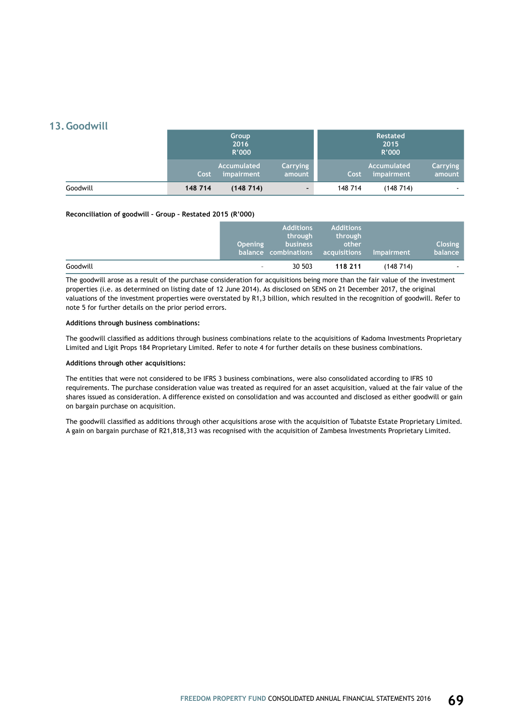## **13.Goodwill**

| .        |         | Group<br>2016<br>R'000           |                           |         | <b>Restated</b><br>2015<br>R'000 |                           |
|----------|---------|----------------------------------|---------------------------|---------|----------------------------------|---------------------------|
|          | Cost    | <b>Accumulated</b><br>impairment | <b>Carrying</b><br>amount | Cost    | Accumulated<br>impairment        | <b>Carrying</b><br>amount |
| Goodwill | 148 714 | (148714)                         | -                         | 148 714 | (148714)                         | $\sim$                    |

#### **Reconciliation of goodwill – Group – Restated 2015 (R'000)**

|          | <b>Opening</b>           | <b>Additions</b><br>through<br>business<br>balance combinations acquisitions Impairment | <b>Additions</b><br>through<br>other |          | <b>Closing</b><br>balance |
|----------|--------------------------|-----------------------------------------------------------------------------------------|--------------------------------------|----------|---------------------------|
| Goodwill | $\overline{\phantom{a}}$ | 30 503                                                                                  | 118 211                              | (148714) | $\sim$                    |

The goodwill arose as a result of the purchase consideration for acquisitions being more than the fair value of the investment properties (i.e. as determined on listing date of 12 June 2014). As disclosed on SENS on 21 December 2017, the original valuations of the investment properties were overstated by R1,3 billion, which resulted in the recognition of goodwill. Refer to note 5 for further details on the prior period errors.

#### **Additions through business combinations:**

The goodwill classified as additions through business combinations relate to the acquisitions of Kadoma Investments Proprietary Limited and Ligit Props 184 Proprietary Limited. Refer to note 4 for further details on these business combinations.

#### **Additions through other acquisitions:**

The entities that were not considered to be IFRS 3 business combinations, were also consolidated according to IFRS 10 requirements. The purchase consideration value was treated as required for an asset acquisition, valued at the fair value of the shares issued as consideration. A difference existed on consolidation and was accounted and disclosed as either goodwill or gain on bargain purchase on acquisition.

The goodwill classified as additions through other acquisitions arose with the acquisition of Tubatste Estate Proprietary Limited. A gain on bargain purchase of R21,818,313 was recognised with the acquisition of Zambesa Investments Proprietary Limited.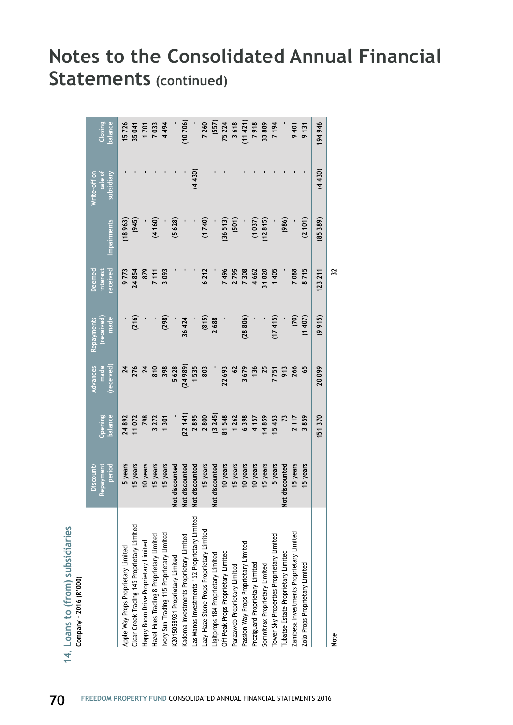| 14. Loans to (from) subsidiaries<br>Company - 2016 (R'000) |                                               |                           |                              |                                       |                               |             |                                       |  |
|------------------------------------------------------------|-----------------------------------------------|---------------------------|------------------------------|---------------------------------------|-------------------------------|-------------|---------------------------------------|--|
|                                                            | <b>period</b><br>Repayment<br><b>Discount</b> | <b>Opening</b><br>balance | received<br>made<br>Advances | made<br><b>Repayments</b><br>received | eceived<br>Jeemed<br>interest | Impairments | Write-off on<br>sale of<br>subsidiary |  |
| Apple Way Props Proprietary Limited                        | 5 years                                       | 24892                     | $\overline{24}$              |                                       | 9773                          | (18963)     |                                       |  |
| Clear Creek Trading 145 Proprietary Limited                | 15 years                                      | 11072                     | 276                          | (216)                                 | 24854                         | (945)       |                                       |  |
| Happy Boom Drive Proprietary Limited                       | 10 years                                      | 798                       | $\overline{24}$              |                                       | 879                           |             |                                       |  |
| Hazel Hues Trading 8 Proprietary Limited                   | 15 years                                      | 3 272                     | 810                          |                                       | 7111                          | (4 160)     |                                       |  |
| Ivory Sun Trading 115 Proprietary Limited                  | 15 years                                      | 1301                      | 398                          | (298)                                 | 3093                          |             |                                       |  |
| K2015058931 Proprietary Limited                            | lot discounted                                |                           | 5628                         |                                       |                               | (5628)      |                                       |  |
| Kadoma Investments Proprietary Limited                     | <b>Vot discounted</b>                         | (22141)                   | (24989)                      | 36 424                                |                               |             |                                       |  |
| as Manos Investments 152 Proprietary Limited               | <b>Vot discounted</b>                         | 2895                      | 1535                         |                                       |                               |             | (4430)                                |  |
| Lazy Haze Stone Props Proprietary Limited                  | 15 years                                      | 2800                      | 803                          | (815)                                 | 6212                          | (1740)      |                                       |  |
| Ligitprops 184 Proprietary Limited                         | <b>Jot discounted</b>                         | (3245)                    |                              | 2688                                  |                               |             |                                       |  |
| Off Peak Props Proprietary Limited                         | 10 years                                      | 81548                     | 22693                        |                                       | 7496                          | (36513)     |                                       |  |
| Panzaweb Proprietary Limited                               | 15 years                                      | 1262                      | 62                           |                                       | 2795                          | (501)       |                                       |  |
| Passion Way Props Proprietary Limited                      | 10 years                                      | 6398                      | 3679                         | (28 806)                              | 7308                          |             |                                       |  |
| Proziguard Proprietary Limited                             | 10 years                                      | 4 157                     | 136                          |                                       | 4662                          | (1037)      |                                       |  |
| Somnitrax Proprietary Limited                              | 15 years                                      | 14859                     | 25                           |                                       | 31820                         | (12815)     |                                       |  |
| Tower Sky Properties Proprietary Limited                   | 5 years                                       | 15453                     | 7751                         | (17415)                               | 1405                          |             |                                       |  |
| Tubatse Estate Proprietary Limited                         | <b>Vot discounted</b>                         | 73                        | 913                          |                                       |                               | (986)       |                                       |  |
| Zambesa Investments Proprietary Limited                    | 15 years                                      | 2117                      | 266                          | $\overline{5}$                        | 7088                          |             |                                       |  |
| Zolo Props Proprietary Limited                             | 15 years                                      | 3859                      | 59                           | (1407)                                | 8715                          | (2101)      |                                       |  |
|                                                            |                                               | 151370                    | 20099                        | (9915)                                | 123211                        | (85, 389)   | (4430)                                |  |
| Note                                                       |                                               |                           |                              |                                       | 32                            |             |                                       |  |

| <b>Notes to the Consolidated Annual Financial</b> |
|---------------------------------------------------|
| <b>Statements (continued)</b>                     |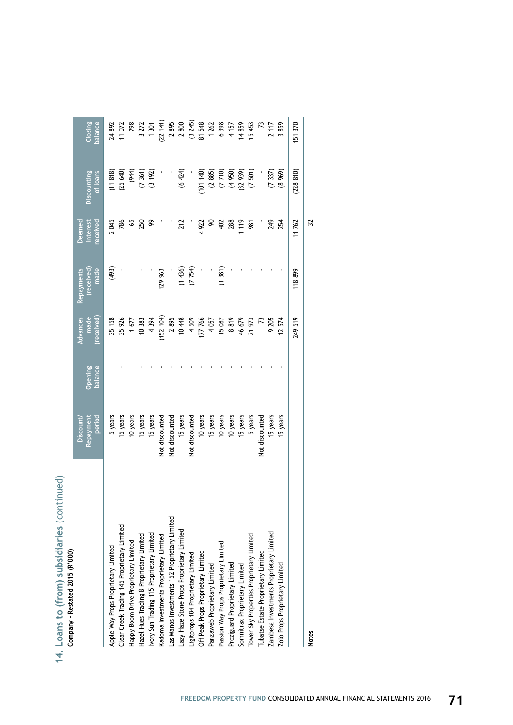| "continuar"                    |                            |
|--------------------------------|----------------------------|
| $\text{tes}$<br>om) subsidiari |                            |
|                                | iy - Restated 2015 (R'000) |
| Loans to (from                 | Company                    |
| ٦                              |                            |

|                                               | Period<br><b>Discount/</b><br>Repayment | balance<br>Opening | received<br>made<br>dvances | (received)<br>made<br>Repayments | eceived<br>Deemed<br>interest | Discounting<br>of loans | balance<br>Closing |
|-----------------------------------------------|-----------------------------------------|--------------------|-----------------------------|----------------------------------|-------------------------------|-------------------------|--------------------|
| Apple Way Props Proprietary Limited           | 5 years                                 |                    | 35 158                      | (493)                            | 2045                          | (11818)                 | 24892              |
| Clear Creek Trading 145 Proprietary Limited   | 15 years                                |                    | 35926                       |                                  | 786                           | (25640)                 | 11072              |
| Happy Boom Drive Proprietary Limited          | 10 years                                |                    | 1677                        |                                  | 65                            |                         | 798                |
| Hazel Hues Trading 8 Proprietary Limited      | 15 years                                |                    | 10383                       |                                  | 250                           | $(3192)$<br>(1936)      | 3272               |
| Ivory Sun Trading 115 Proprietary Limited     | 15 years                                |                    | 4394                        |                                  | g                             |                         | 1301               |
| Kadoma Investments Proprietary Limited        | Not discounted                          |                    | (152, 104)                  | 129 963                          |                               |                         | (22141)            |
| Las Manos Investments 152 Proprietary Limited | Not discounted                          |                    | 2895                        |                                  |                               |                         | 2895               |
| Lazy Haze Stone Props Proprietary Limited     | 15 years                                |                    | 10448                       | (1436)                           | 212                           | (6424)                  | 2800               |
| -igitprops 184 Proprietary Limited            | Not discounted                          |                    | 4509                        | (7754)                           |                               |                         | (3245)             |
| Off Peak Props Proprietary Limited            | 10 years                                |                    | 177 766                     |                                  | 4922                          | (101140)                | 81548              |
| Panzaweb Proprietary Limited                  | 15 years                                |                    | 4057                        |                                  | 8                             | (2885)                  | 1262               |
| Passion Way Props Proprietary Limited         | 10 years                                |                    | 15087                       | (1381)                           | 402                           | (7710)                  | 6398               |
| Proziguard Proprietary Limited                | 10 years                                |                    | 8819                        |                                  | 288                           | (4950)                  | 4 157              |
| Somnitrax Proprietary Limited                 | 15 years                                |                    | 46 679                      |                                  | 1119                          | (32939)                 | 14859              |
| Tower Sky Properties Proprietary Limited      | 5 years                                 |                    | 21973                       |                                  | 981                           | (7501)                  | 15453              |
| Tubatse Estate Proprietary Limited            | Not discounted                          |                    | $\mathfrak{r}$              |                                  |                               |                         | $\mathfrak{p}$     |
| Cambesa Investments Proprietary Limited       | 15 years                                |                    | 9 205                       |                                  | 249                           | (7337)                  | 2117               |
| Zolo Props Proprietary Limited                | 15 years                                |                    | 12574                       |                                  | 254                           | (8969)                  | 3859               |
|                                               |                                         |                    | 249 519                     | 118899                           | 11762                         | (228810)                | 51370              |
| <b>Notes</b>                                  |                                         |                    |                             |                                  | 32                            |                         |                    |

**Notes** 32**Notes**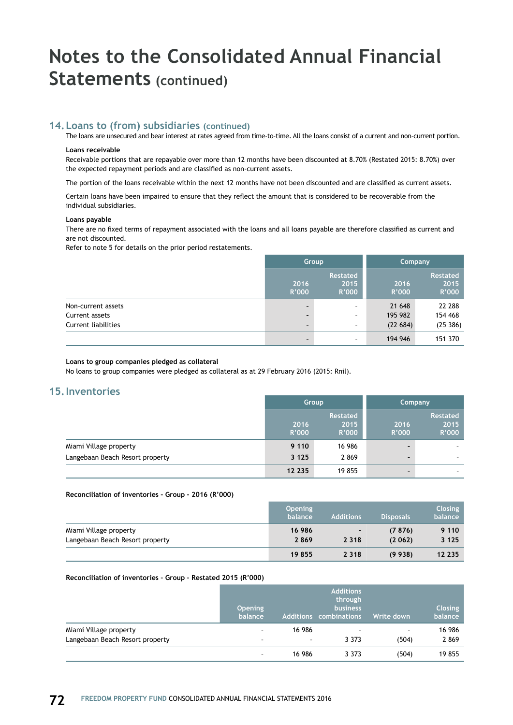# **14.Loans to (from) subsidiaries (continued)**

The loans are unsecured and bear interest at rates agreed from time-to-time. All the loans consist of a current and non-current portion.

### **Loans receivable**

Receivable portions that are repayable over more than 12 months have been discounted at 8.70% (Restated 2015: 8.70%) over the expected repayment periods and are classified as non-current assets.

The portion of the loans receivable within the next 12 months have not been discounted and are classified as current assets.

Certain loans have been impaired to ensure that they reflect the amount that is considered to be recoverable from the individual subsidiaries.

#### **Loans payable**

There are no fixed terms of repayment associated with the loans and all loans payable are therefore classified as current and are not discounted.

Refer to note 5 for details on the prior period restatements.

|                     |               | Group                            |               | <b>Company</b>                   |
|---------------------|---------------|----------------------------------|---------------|----------------------------------|
|                     | 2016<br>R'000 | <b>Restated</b><br>2015<br>R'000 | 2016<br>R'000 | <b>Restated</b><br>2015<br>R'000 |
| Non-current assets  | -             | $\overline{\phantom{a}}$         | 21 648        | 22 288                           |
| Current assets      | -             | $\overline{\phantom{a}}$         | 195 982       | 154 468                          |
| Current liabilities | -             | $\overline{\phantom{a}}$         | (22684)       | (25386)                          |
|                     | ۰             | $\overline{\phantom{a}}$         | 194 946       | 151 370                          |

### **Loans to group companies pledged as collateral**

No loans to group companies were pledged as collateral as at 29 February 2016 (2015: Rnil).

# **15.Inventories**

|                                 |               | Group                            |                          | <b>Company</b>                   |
|---------------------------------|---------------|----------------------------------|--------------------------|----------------------------------|
|                                 | 2016<br>R'000 | <b>Restated</b><br>2015<br>R'000 | 2016<br>R'000            | <b>Restated</b><br>2015<br>R'000 |
| Miami Village property          | 9 1 1 0       | 16 986                           | -                        | $\overline{\phantom{a}}$         |
| Langebaan Beach Resort property | 3 1 2 5       | 2869                             | -                        | $\overline{\phantom{a}}$         |
|                                 | 12 2 3 5      | 19 855                           | $\overline{\phantom{0}}$ | $\overline{\phantom{a}}$         |

#### **Reconciliation of inventories – Group – 2016 (R'000)**

|                                                           | <b>Opening</b><br>balance | <b>Additions</b> | <b>Disposals</b> | <b>Closing</b><br>balance |
|-----------------------------------------------------------|---------------------------|------------------|------------------|---------------------------|
| Miami Village property<br>Langebaan Beach Resort property | 16 986<br>2869            | -<br>2 3 1 8     | (7876)<br>(2062) | 9 1 1 0<br>3 1 2 5        |
|                                                           | 19855                     | 2 3 1 8          | (9938)           | 12 2 3 5                  |

### **Reconciliation of inventories – Group – Restated 2015 (R'000)**

|                                 | <b>Opening</b><br>balance | <b>Additions</b>         | <b>Additions</b><br>through<br><b>business</b><br>combinations | Write down               | <b>Closing</b><br>balance |
|---------------------------------|---------------------------|--------------------------|----------------------------------------------------------------|--------------------------|---------------------------|
| Miami Village property          | -                         | 16 986                   | -                                                              | $\overline{\phantom{a}}$ | 16 986                    |
| Langebaan Beach Resort property | -                         | $\overline{\phantom{a}}$ | 3 3 7 3                                                        | (504)                    | 2869                      |
|                                 | -                         | 16 986                   | 3 3 7 3                                                        | (504)                    | 19 855                    |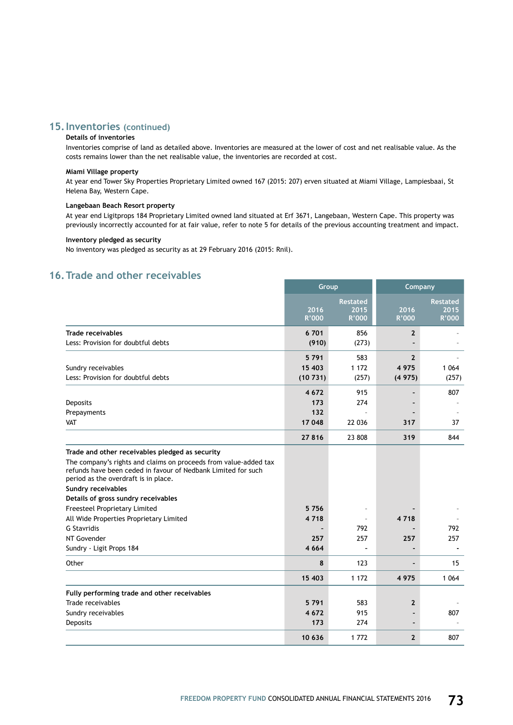## **15.Inventories (continued)**

### **Details of inventories**

Inventories comprise of land as detailed above. Inventories are measured at the lower of cost and net realisable value. As the costs remains lower than the net realisable value, the inventories are recorded at cost.

### **Miami Village property**

At year end Tower Sky Properties Proprietary Limited owned 167 (2015: 207) erven situated at Miami Village, Lampiesbaai, St Helena Bay, Western Cape.

### **Langebaan Beach Resort property**

At year end Ligitprops 184 Proprietary Limited owned land situated at Erf 3671, Langebaan, Western Cape. This property was previously incorrectly accounted for at fair value, refer to note 5 for details of the previous accounting treatment and impact.

### **Inventory pledged as security**

No inventory was pledged as security as at 29 February 2016 (2015: Rnil).

# **16.Trade and other receivables**

|                                                                                                                                                                                                                                                                                                                                                                                                                                               | Group                             |                                         |                                     | Company                                 |
|-----------------------------------------------------------------------------------------------------------------------------------------------------------------------------------------------------------------------------------------------------------------------------------------------------------------------------------------------------------------------------------------------------------------------------------------------|-----------------------------------|-----------------------------------------|-------------------------------------|-----------------------------------------|
|                                                                                                                                                                                                                                                                                                                                                                                                                                               | 2016<br><b>R'000</b>              | <b>Restated</b><br>2015<br><b>R'000</b> | 2016<br>R'000                       | <b>Restated</b><br>2015<br><b>R'000</b> |
| <b>Trade receivables</b><br>Less: Provision for doubtful debts                                                                                                                                                                                                                                                                                                                                                                                | 6 701<br>(910)                    | 856<br>(273)                            | $\overline{2}$                      |                                         |
| Sundry receivables<br>Less: Provision for doubtful debts                                                                                                                                                                                                                                                                                                                                                                                      | 5791<br>15 403<br>(10731)         | 583<br>1 1 7 2<br>(257)                 | $\overline{2}$<br>4 9 7 5<br>(4975) | 1 0 6 4<br>(257)                        |
| Deposits<br>Prepayments<br>VAT                                                                                                                                                                                                                                                                                                                                                                                                                | 4672<br>173<br>132<br>17 048      | 915<br>274<br>22 0 36                   | 317                                 | 807<br>37                               |
|                                                                                                                                                                                                                                                                                                                                                                                                                                               | 27816                             | 23 808                                  | 319                                 | 844                                     |
| Trade and other receivables pledged as security<br>The company's rights and claims on proceeds from value-added tax<br>refunds have been ceded in favour of Nedbank Limited for such<br>period as the overdraft is in place.<br><b>Sundry receivables</b><br>Details of gross sundry receivables<br>Freesteel Proprietary Limited<br>All Wide Properties Proprietary Limited<br><b>G Stavridis</b><br>NT Govender<br>Sundry - Ligit Props 184 | 5756<br>4 7 1 8<br>257<br>4 6 6 4 | 792<br>257                              | 4 7 1 8<br>257                      | 792<br>257                              |
| Other                                                                                                                                                                                                                                                                                                                                                                                                                                         | 8                                 | 123                                     |                                     | 15                                      |
|                                                                                                                                                                                                                                                                                                                                                                                                                                               | 15 403                            | 1 1 7 2                                 | 4975                                | 1 0 6 4                                 |
| Fully performing trade and other receivables<br>Trade receivables<br>Sundry receivables<br>Deposits                                                                                                                                                                                                                                                                                                                                           | 5791<br>4672<br>173<br>10 636     | 583<br>915<br>274<br>1 7 7 2            | $\overline{2}$<br>$\overline{2}$    | 807<br>807                              |
|                                                                                                                                                                                                                                                                                                                                                                                                                                               |                                   |                                         |                                     |                                         |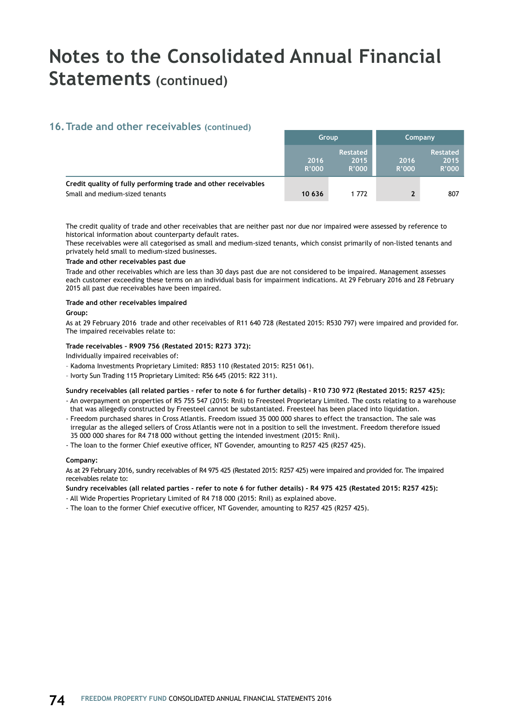## **16.Trade and other receivables (continued)**

|                                                                                                  |               | Group                            |               | Company                          |
|--------------------------------------------------------------------------------------------------|---------------|----------------------------------|---------------|----------------------------------|
|                                                                                                  | 2016<br>R'000 | Restated<br>2015<br><b>R'000</b> | 2016<br>R'000 | <b>Restated</b><br>2015<br>R'000 |
| Credit quality of fully performing trade and other receivables<br>Small and medium-sized tenants | 10 636        | 1 772                            |               | 807                              |

The credit quality of trade and other receivables that are neither past nor due nor impaired were assessed by reference to historical information about counterparty default rates.

These receivables were all categorised as small and medium-sized tenants, which consist primarily of non-listed tenants and privately held small to medium-sized businesses.

### **Trade and other receivables past due**

Trade and other receivables which are less than 30 days past due are not considered to be impaired. Management assesses each customer exceeding these terms on an individual basis for impairment indications. At 29 February 2016 and 28 February 2015 all past due receivables have been impaired.

### **Trade and other receivables impaired**

**Group:**

As at 29 February 2016 trade and other receivables of R11 640 728 (Restated 2015: R530 797) were impaired and provided for. The impaired receivables relate to:

### **Trade receivables – R909 756 (Restated 2015: R273 372):**

Individually impaired receivables of:

- Kadoma Investments Proprietary Limited: R853 110 (Restated 2015: R251 061).
- Ivorty Sun Trading 115 Proprietary Limited: R56 645 (2015: R22 311).

### **Sundry receivables (all related parties – refer to note 6 for further details) – R10 730 972 (Restated 2015: R257 425):**

- An overpayment on properties of R5 755 547 (2015: Rnil) to Freesteel Proprietary Limited. The costs relating to a warehouse that was allegedly constructed by Freesteel cannot be substantiated. Freesteel has been placed into liquidation.
- Freedom purchased shares in Cross Atlantis. Freedom issued 35 000 000 shares to effect the transaction. The sale was irregular as the alleged sellers of Cross Atlantis were not in a position to sell the investment. Freedom therefore issued 35 000 000 shares for R4 718 000 without getting the intended investment (2015: Rnil).
- The loan to the former Chief exeutive officer, NT Govender, amounting to R257 425 (R257 425).

#### **Company:**

As at 29 February 2016, sundry receivables of R4 975 425 (Restated 2015: R257 425) were impaired and provided for. The impaired receivables relate to:

### **Sundry receivables (all related parties - refer to note 6 for futher details) - R4 975 425 (Restated 2015: R257 425):**

- All Wide Properties Proprietary Limited of R4 718 000 (2015: Rnil) as explained above.
- The loan to the former Chief executive officer. NT Govender, amounting to R257 425 (R257 425).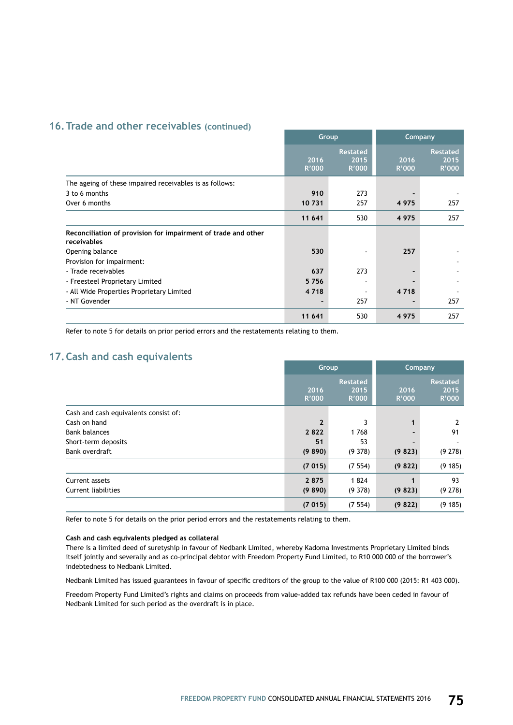## **16.Trade and other receivables (continued)**

|                                                                                           |               | Group                            | Company       |                                  |
|-------------------------------------------------------------------------------------------|---------------|----------------------------------|---------------|----------------------------------|
|                                                                                           | 2016<br>R'000 | <b>Restated</b><br>2015<br>R'000 | 2016<br>R'000 | <b>Restated</b><br>2015<br>R'000 |
| The ageing of these impaired receivables is as follows:<br>3 to 6 months<br>Over 6 months | 910<br>10 731 | 273<br>257                       | 4975          | 257                              |
|                                                                                           | 11 641        | 530                              | 4975          | 257                              |
| Reconciliation of provision for impairment of trade and other<br>receivables              |               |                                  |               |                                  |
| Opening balance<br>Provision for impairment:                                              | 530           | -                                | 257           |                                  |
| - Trade receivables                                                                       | 637           | 273                              |               |                                  |
| - Freesteel Proprietary Limited                                                           | 5756          | $\overline{\phantom{0}}$         |               |                                  |
| - All Wide Properties Proprietary Limited                                                 | 4 7 1 8       | $\overline{\phantom{0}}$         | 4 7 1 8       |                                  |
| - NT Govender                                                                             | -             | 257                              | -             | 257                              |
|                                                                                           | 11 641        | 530                              | 4975          | 257                              |

Refer to note 5 for details on prior period errors and the restatements relating to them.

# **17.Cash and cash equivalents**

|                                       | Group          |                                  | Company       |                                  |
|---------------------------------------|----------------|----------------------------------|---------------|----------------------------------|
|                                       | 2016<br>R'000  | <b>Restated</b><br>2015<br>R'000 | 2016<br>R'000 | <b>Restated</b><br>2015<br>R'000 |
| Cash and cash equivalents consist of: |                |                                  |               |                                  |
| Cash on hand                          | $\overline{2}$ | 3                                |               | 2                                |
| <b>Bank balances</b>                  | 2822           | 1768                             |               | 91                               |
| Short-term deposits                   | 51             | 53                               |               |                                  |
| Bank overdraft                        | (9890)         | (9378)                           | (9823)        | (9 278)                          |
|                                       | (7015)         | (7554)                           | (9822)        | (9185)                           |
| Current assets                        | 2875           | 1824                             |               | 93                               |
| Current liabilities                   | (9890)         | (9378)                           | (9823)        | (9 278)                          |
|                                       | (7015)         | (7554)                           | (9822)        | (9185)                           |

Refer to note 5 for details on the prior period errors and the restatements relating to them.

### **Cash and cash equivalents pledged as collateral**

There is a limited deed of suretyship in favour of Nedbank Limited, whereby Kadoma Investments Proprietary Limited binds itself jointly and severally and as co-principal debtor with Freedom Property Fund Limited, to R10 000 000 of the borrower's indebtedness to Nedbank Limited.

Nedbank Limited has issued guarantees in favour of specific creditors of the group to the value of R100 000 (2015: R1 403 000).

Freedom Property Fund Limited's rights and claims on proceeds from value-added tax refunds have been ceded in favour of Nedbank Limited for such period as the overdraft is in place.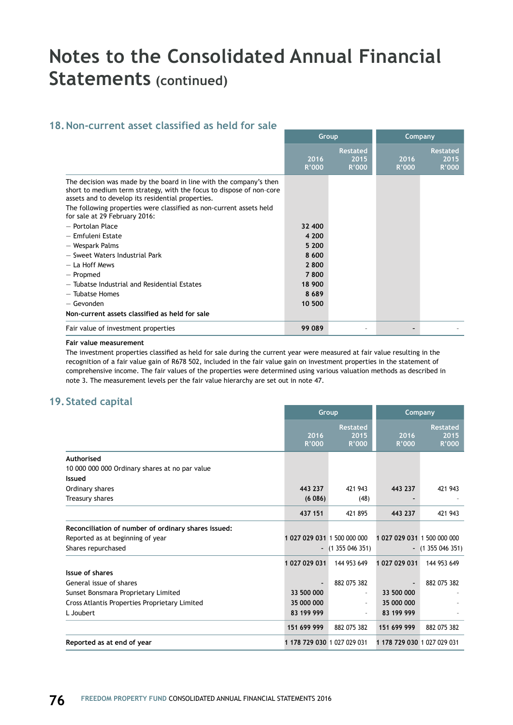# **18.Non-current asset classified as held for sale**

|                                                                                                                                                                                                 |               | Group                            | Company       |                                  |
|-------------------------------------------------------------------------------------------------------------------------------------------------------------------------------------------------|---------------|----------------------------------|---------------|----------------------------------|
|                                                                                                                                                                                                 | 2016<br>R'000 | <b>Restated</b><br>2015<br>R'000 | 2016<br>R'000 | <b>Restated</b><br>2015<br>R'000 |
| The decision was made by the board in line with the company's then<br>short to medium term strategy, with the focus to dispose of non-core<br>assets and to develop its residential properties. |               |                                  |               |                                  |
| The following properties were classified as non-current assets held<br>for sale at 29 February 2016:                                                                                            |               |                                  |               |                                  |
| - Portolan Place                                                                                                                                                                                | 32 400        |                                  |               |                                  |
| - Emfuleni Estate                                                                                                                                                                               | 4 200         |                                  |               |                                  |
| - Wespark Palms                                                                                                                                                                                 | 5 200         |                                  |               |                                  |
| - Sweet Waters Industrial Park                                                                                                                                                                  | 8 600         |                                  |               |                                  |
| $-$ La Hoff Mews                                                                                                                                                                                | 2 8 0 0       |                                  |               |                                  |
| - Propmed                                                                                                                                                                                       | 7800          |                                  |               |                                  |
| - Tubatse Industrial and Residential Estates                                                                                                                                                    | 18 900        |                                  |               |                                  |
| - Tubatse Homes                                                                                                                                                                                 | 8689          |                                  |               |                                  |
| $-$ Gevonden                                                                                                                                                                                    | 10 500        |                                  |               |                                  |
| Non-current assets classified as held for sale                                                                                                                                                  |               |                                  |               |                                  |
| Fair value of investment properties                                                                                                                                                             | 99 089        |                                  |               |                                  |

### **Fair value measurement**

The investment properties classified as held for sale during the current year were measured at fair value resulting in the recognition of a fair value gain of R678 502, included in the fair value gain on investment properties in the statement of comprehensive income. The fair values of the properties were determined using various valuation methods as described in note 3. The measurement levels per the fair value hierarchy are set out in note 47.

# **19.Stated capital**

|                                                                               |                             | Group                                   |                             | Company                          |
|-------------------------------------------------------------------------------|-----------------------------|-----------------------------------------|-----------------------------|----------------------------------|
|                                                                               | 2016<br><b>R'000</b>        | <b>Restated</b><br>2015<br><b>R'000</b> | 2016<br><b>R'000</b>        | <b>Restated</b><br>2015<br>R'000 |
| Authorised<br>10 000 000 000 Ordinary shares at no par value<br><b>Issued</b> |                             |                                         |                             |                                  |
| Ordinary shares                                                               | 443 237                     | 421 943                                 | 443 237                     | 421 943                          |
| Treasury shares                                                               | (6086)                      | (48)                                    |                             |                                  |
|                                                                               | 437 151                     | 421 895                                 | 443 237                     | 421 943                          |
| Reconciliation of number of ordinary shares issued:                           |                             |                                         |                             |                                  |
| Reported as at beginning of year                                              | 1 027 029 031 1 500 000 000 |                                         | 1 027 029 031 1 500 000 000 |                                  |
| Shares repurchased                                                            | ۰.                          | $(1\;355\;046\;351)$                    | $\overline{\phantom{0}}$    | (1355046351)                     |
|                                                                               | 1027029031                  | 144 953 649                             | 1027029031                  | 144 953 649                      |
| Issue of shares                                                               |                             |                                         |                             |                                  |
| General issue of shares                                                       | $\overline{\phantom{a}}$    | 882 075 382                             |                             | 882 075 382                      |
| Sunset Bonsmara Proprietary Limited                                           | 33 500 000                  | $\overline{\phantom{a}}$                | 33 500 000                  |                                  |
| Cross Atlantis Properties Proprietary Limited                                 | 35 000 000                  | $\overline{\phantom{a}}$                | 35 000 000                  |                                  |
| L Joubert                                                                     | 83 199 999                  | $\overline{\phantom{a}}$                | 83 199 999                  |                                  |
|                                                                               | 151 699 999                 | 882 075 382                             | 151 699 999                 | 882 075 382                      |
| Reported as at end of year                                                    | 1 178 729 030 1 027 029 031 |                                         | 1 178 729 030 1 027 029 031 |                                  |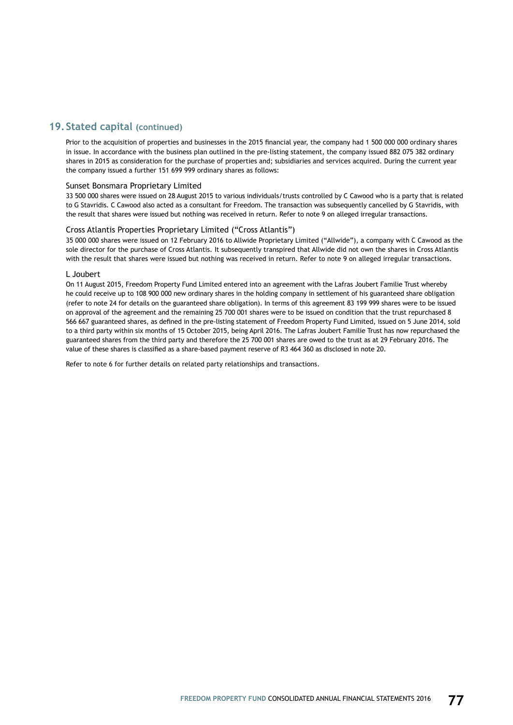## **19.Stated capital (continued)**

Prior to the acquisition of properties and businesses in the 2015 financial year, the company had 1 500 000 000 ordinary shares in issue. In accordance with the business plan outlined in the pre-listing statement, the company issued 882 075 382 ordinary shares in 2015 as consideration for the purchase of properties and; subsidiaries and services acquired. During the current year the company issued a further 151 699 999 ordinary shares as follows:

### Sunset Bonsmara Proprietary Limited

33 500 000 shares were issued on 28 August 2015 to various individuals/trusts controlled by C Cawood who is a party that is related to G Stavridis. C Cawood also acted as a consultant for Freedom. The transaction was subsequently cancelled by G Stavridis, with the result that shares were issued but nothing was received in return. Refer to note 9 on alleged irregular transactions.

### Cross Atlantis Properties Proprietary Limited ("Cross Atlantis")

35 000 000 shares were issued on 12 February 2016 to Allwide Proprietary Limited ("Allwide"), a company with C Cawood as the sole director for the purchase of Cross Atlantis. It subsequently transpired that Allwide did not own the shares in Cross Atlantis with the result that shares were issued but nothing was received in return. Refer to note 9 on alleged irregular transactions.

### L Joubert

On 11 August 2015, Freedom Property Fund Limited entered into an agreement with the Lafras Joubert Familie Trust whereby he could receive up to 108 900 000 new ordinary shares in the holding company in settlement of his guaranteed share obligation (refer to note 24 for details on the guaranteed share obligation). In terms of this agreement 83 199 999 shares were to be issued on approval of the agreement and the remaining 25 700 001 shares were to be issued on condition that the trust repurchased 8 566 667 guaranteed shares, as defined in the pre-listing statement of Freedom Property Fund Limited, issued on 5 June 2014, sold to a third party within six months of 15 October 2015, being April 2016. The Lafras Joubert Familie Trust has now repurchased the guaranteed shares from the third party and therefore the 25 700 001 shares are owed to the trust as at 29 February 2016. The value of these shares is classified as a share-based payment reserve of R3 464 360 as disclosed in note 20.

Refer to note 6 for further details on related party relationships and transactions.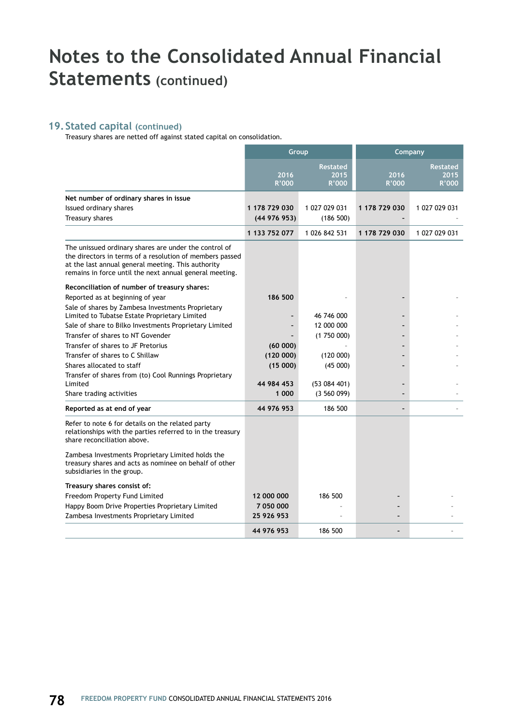## **19.Stated capital (continued)**

Treasury shares are netted off against stated capital on consolidation.

|                                                                                                                                                                                                                                    | Group                       |                                         | Company              |                                         |  |
|------------------------------------------------------------------------------------------------------------------------------------------------------------------------------------------------------------------------------------|-----------------------------|-----------------------------------------|----------------------|-----------------------------------------|--|
|                                                                                                                                                                                                                                    | 2016<br><b>R'000</b>        | <b>Restated</b><br>2015<br><b>R'000</b> | 2016<br><b>R'000</b> | <b>Restated</b><br>2015<br><b>R'000</b> |  |
| Net number of ordinary shares in issue<br>Issued ordinary shares<br>Treasury shares                                                                                                                                                | 1 178 729 030<br>(44976953) | 1 027 029 031<br>(186 500)              | 1 178 729 030        | 1 027 029 031                           |  |
|                                                                                                                                                                                                                                    | 1 133 752 077               | 1 026 842 531                           | 1 178 729 030        | 1 027 029 031                           |  |
| The unissued ordinary shares are under the control of<br>the directors in terms of a resolution of members passed<br>at the last annual general meeting. This authority<br>remains in force until the next annual general meeting. |                             |                                         |                      |                                         |  |
| Reconciliation of number of treasury shares:                                                                                                                                                                                       |                             |                                         |                      |                                         |  |
| Reported as at beginning of year                                                                                                                                                                                                   | 186 500                     |                                         |                      |                                         |  |
| Sale of shares by Zambesa Investments Proprietary<br>Limited to Tubatse Estate Proprietary Limited                                                                                                                                 |                             | 46 746 000                              |                      |                                         |  |
| Sale of share to Bilko Investments Proprietary Limited                                                                                                                                                                             |                             | 12 000 000                              |                      |                                         |  |
| Transfer of shares to NT Govender                                                                                                                                                                                                  |                             | (1750000)                               |                      |                                         |  |
| Transfer of shares to JF Pretorius                                                                                                                                                                                                 | (60000)                     |                                         |                      |                                         |  |
| Transfer of shares to C Shillaw                                                                                                                                                                                                    | (120000)                    | (120000)                                |                      |                                         |  |
| Shares allocated to staff                                                                                                                                                                                                          | (15000)                     | (45000)                                 |                      |                                         |  |
| Transfer of shares from (to) Cool Runnings Proprietary<br>Limited                                                                                                                                                                  | 44 984 453                  | (53084401)                              |                      |                                         |  |
| Share trading activities                                                                                                                                                                                                           | 1 000                       | (3560099)                               |                      |                                         |  |
|                                                                                                                                                                                                                                    |                             |                                         |                      |                                         |  |
| Reported as at end of year                                                                                                                                                                                                         | 44 976 953                  | 186 500                                 |                      |                                         |  |
| Refer to note 6 for details on the related party<br>relationships with the parties referred to in the treasury<br>share reconciliation above.                                                                                      |                             |                                         |                      |                                         |  |
| Zambesa Investments Proprietary Limited holds the<br>treasury shares and acts as nominee on behalf of other<br>subsidiaries in the group.                                                                                          |                             |                                         |                      |                                         |  |
| Treasury shares consist of:                                                                                                                                                                                                        |                             |                                         |                      |                                         |  |
| Freedom Property Fund Limited                                                                                                                                                                                                      | 12 000 000                  | 186 500                                 |                      |                                         |  |
| Happy Boom Drive Properties Proprietary Limited                                                                                                                                                                                    | 7 050 000                   |                                         |                      |                                         |  |
| Zambesa Investments Proprietary Limited                                                                                                                                                                                            | 25 926 953                  |                                         |                      |                                         |  |
|                                                                                                                                                                                                                                    | 44 976 953                  | 186 500                                 |                      |                                         |  |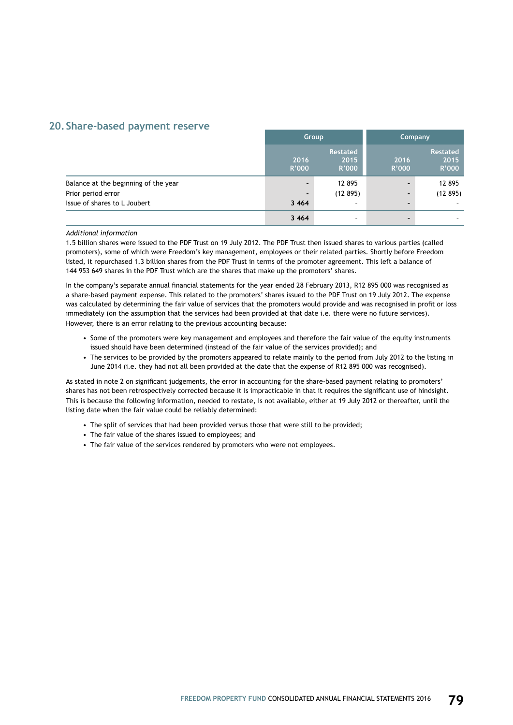# **20.Share-based payment reserve**

|                                                            | Group         |                                  | Company                                              |                                  |
|------------------------------------------------------------|---------------|----------------------------------|------------------------------------------------------|----------------------------------|
|                                                            | 2016<br>R'000 | <b>Restated</b><br>2015<br>R'000 | 2016<br>R'000                                        | <b>Restated</b><br>2015<br>R'000 |
| Balance at the beginning of the year<br>Prior period error | -<br>-        | 12 895<br>(12895)                | $\overline{\phantom{0}}$<br>$\overline{\phantom{a}}$ | 12 895<br>(12895)                |
| Issue of shares to L Joubert                               | 3 4 6 4       | $\overline{\phantom{a}}$         | $\blacksquare$                                       |                                  |
|                                                            | 3 4 6 4       |                                  |                                                      |                                  |

### *Additional information*

1.5 billion shares were issued to the PDF Trust on 19 July 2012. The PDF Trust then issued shares to various parties (called promoters), some of which were Freedom's key management, employees or their related parties. Shortly before Freedom listed, it repurchased 1.3 billion shares from the PDF Trust in terms of the promoter agreement. This left a balance of 144 953 649 shares in the PDF Trust which are the shares that make up the promoters' shares.

In the company's separate annual financial statements for the year ended 28 February 2013, R12 895 000 was recognised as a share-based payment expense. This related to the promoters' shares issued to the PDF Trust on 19 July 2012. The expense was calculated by determining the fair value of services that the promoters would provide and was recognised in profit or loss immediately (on the assumption that the services had been provided at that date i.e. there were no future services). However, there is an error relating to the previous accounting because:

- Some of the promoters were key management and employees and therefore the fair value of the equity instruments issued should have been determined (instead of the fair value of the services provided); and
- The services to be provided by the promoters appeared to relate mainly to the period from July 2012 to the listing in June 2014 (i.e. they had not all been provided at the date that the expense of R12 895 000 was recognised).

As stated in note 2 on significant judgements, the error in accounting for the share-based payment relating to promoters' shares has not been retrospectively corrected because it is impracticable in that it requires the significant use of hindsight. This is because the following information, needed to restate, is not available, either at 19 July 2012 or thereafter, until the listing date when the fair value could be reliably determined:

- The split of services that had been provided versus those that were still to be provided;
- The fair value of the shares issued to employees; and
- The fair value of the services rendered by promoters who were not employees.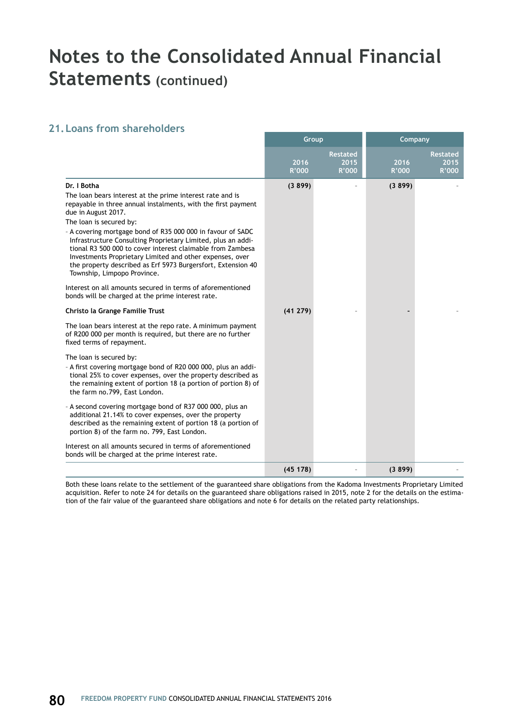# **21.Loans from shareholders**

|                                                                                                                                                                                                                                                                                                                                                                                                                                                                                                                                                                                                                                                                        | Group                |                                         | Company       |                                  |  |
|------------------------------------------------------------------------------------------------------------------------------------------------------------------------------------------------------------------------------------------------------------------------------------------------------------------------------------------------------------------------------------------------------------------------------------------------------------------------------------------------------------------------------------------------------------------------------------------------------------------------------------------------------------------------|----------------------|-----------------------------------------|---------------|----------------------------------|--|
|                                                                                                                                                                                                                                                                                                                                                                                                                                                                                                                                                                                                                                                                        | 2016<br><b>R'000</b> | <b>Restated</b><br>2015<br><b>R'000</b> | 2016<br>R'000 | <b>Restated</b><br>2015<br>R'000 |  |
| Dr. I Botha<br>The loan bears interest at the prime interest rate and is<br>repayable in three annual instalments, with the first payment<br>due in August 2017.<br>The loan is secured by:<br>- A covering mortgage bond of R35 000 000 in favour of SADC<br>Infrastructure Consulting Proprietary Limited, plus an addi-<br>tional R3 500 000 to cover interest claimable from Zambesa<br>Investments Proprietary Limited and other expenses, over<br>the property described as Erf 5973 Burgersfort, Extension 40<br>Township, Limpopo Province.<br>Interest on all amounts secured in terms of aforementioned<br>bonds will be charged at the prime interest rate. | (3899)               |                                         | (3899)        |                                  |  |
| Christo la Grange Familie Trust                                                                                                                                                                                                                                                                                                                                                                                                                                                                                                                                                                                                                                        | (41 279)             |                                         |               |                                  |  |
| The loan bears interest at the repo rate. A minimum payment<br>of R200 000 per month is required, but there are no further<br>fixed terms of repayment.                                                                                                                                                                                                                                                                                                                                                                                                                                                                                                                |                      |                                         |               |                                  |  |
| The loan is secured by:<br>- A first covering mortgage bond of R20 000 000, plus an addi-<br>tional 25% to cover expenses, over the property described as<br>the remaining extent of portion 18 (a portion of portion 8) of<br>the farm no.799, East London.                                                                                                                                                                                                                                                                                                                                                                                                           |                      |                                         |               |                                  |  |
| - A second covering mortgage bond of R37 000 000, plus an<br>additional 21.14% to cover expenses, over the property<br>described as the remaining extent of portion 18 (a portion of<br>portion 8) of the farm no. 799, East London.                                                                                                                                                                                                                                                                                                                                                                                                                                   |                      |                                         |               |                                  |  |
| Interest on all amounts secured in terms of aforementioned<br>bonds will be charged at the prime interest rate.                                                                                                                                                                                                                                                                                                                                                                                                                                                                                                                                                        |                      |                                         |               |                                  |  |
|                                                                                                                                                                                                                                                                                                                                                                                                                                                                                                                                                                                                                                                                        | (45178)              |                                         | (3899)        |                                  |  |

Both these loans relate to the settlement of the guaranteed share obligations from the Kadoma Investments Proprietary Limited acquisition. Refer to note 24 for details on the guaranteed share obligations raised in 2015, note 2 for the details on the estimation of the fair value of the guaranteed share obligations and note 6 for details on the related party relationships.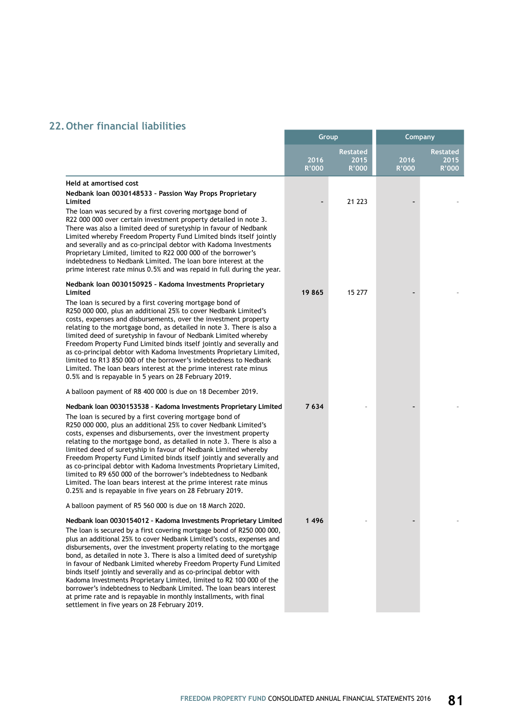# **22.Other financial liabilities**

| , Other financial liabilities                                                                                                                                                                                                                                                                                                                                                                                                                                                                                                                                                                                                                                                                                                                                                            | Group                |                      | Company       |                 |
|------------------------------------------------------------------------------------------------------------------------------------------------------------------------------------------------------------------------------------------------------------------------------------------------------------------------------------------------------------------------------------------------------------------------------------------------------------------------------------------------------------------------------------------------------------------------------------------------------------------------------------------------------------------------------------------------------------------------------------------------------------------------------------------|----------------------|----------------------|---------------|-----------------|
|                                                                                                                                                                                                                                                                                                                                                                                                                                                                                                                                                                                                                                                                                                                                                                                          |                      | <b>Restated</b>      |               | <b>Restated</b> |
|                                                                                                                                                                                                                                                                                                                                                                                                                                                                                                                                                                                                                                                                                                                                                                                          | 2016<br><b>R'000</b> | 2015<br><b>R'000</b> | 2016<br>R'000 | 2015<br>R'000   |
| <b>Held at amortised cost</b><br>Nedbank loan 0030148533 - Passion Way Props Proprietary<br>Limited                                                                                                                                                                                                                                                                                                                                                                                                                                                                                                                                                                                                                                                                                      |                      | 21 2 23              |               |                 |
| The loan was secured by a first covering mortgage bond of<br>R22 000 000 over certain investment property detailed in note 3.<br>There was also a limited deed of suretyship in favour of Nedbank<br>Limited whereby Freedom Property Fund Limited binds itself jointly<br>and severally and as co-principal debtor with Kadoma Investments<br>Proprietary Limited, limited to R22 000 000 of the borrower's<br>indebtedness to Nedbank Limited. The loan bore interest at the<br>prime interest rate minus 0.5% and was repaid in full during the year.                                                                                                                                                                                                                                 |                      |                      |               |                 |
| Nedbank loan 0030150925 - Kadoma Investments Proprietary<br>Limited                                                                                                                                                                                                                                                                                                                                                                                                                                                                                                                                                                                                                                                                                                                      | 19865                | 15 277               |               |                 |
| The loan is secured by a first covering mortgage bond of<br>R250 000 000, plus an additional 25% to cover Nedbank Limited's<br>costs, expenses and disbursements, over the investment property<br>relating to the mortgage bond, as detailed in note 3. There is also a<br>limited deed of suretyship in favour of Nedbank Limited whereby<br>Freedom Property Fund Limited binds itself jointly and severally and<br>as co-principal debtor with Kadoma Investments Proprietary Limited,<br>limited to R13 850 000 of the borrower's indebtedness to Nedbank<br>Limited. The loan bears interest at the prime interest rate minus<br>0.5% and is repayable in 5 years on 28 February 2019.                                                                                              |                      |                      |               |                 |
| A balloon payment of R8 400 000 is due on 18 December 2019.                                                                                                                                                                                                                                                                                                                                                                                                                                                                                                                                                                                                                                                                                                                              |                      |                      |               |                 |
| Nedbank loan 0030153538 - Kadoma Investments Proprietary Limited<br>The loan is secured by a first covering mortgage bond of<br>R250 000 000, plus an additional 25% to cover Nedbank Limited's<br>costs, expenses and disbursements, over the investment property<br>relating to the mortgage bond, as detailed in note 3. There is also a<br>limited deed of suretyship in favour of Nedbank Limited whereby<br>Freedom Property Fund Limited binds itself jointly and severally and<br>as co-principal debtor with Kadoma Investments Proprietary Limited,<br>limited to R9 650 000 of the borrower's indebtedness to Nedbank<br>Limited. The loan bears interest at the prime interest rate minus<br>0.25% and is repayable in five years on 28 February 2019.                       | 7634                 |                      |               |                 |
| A balloon payment of R5 560 000 is due on 18 March 2020.                                                                                                                                                                                                                                                                                                                                                                                                                                                                                                                                                                                                                                                                                                                                 |                      |                      |               |                 |
| Nedbank loan 0030154012 - Kadoma Investments Proprietary Limited<br>The loan is secured by a first covering mortgage bond of R250 000 000,<br>plus an additional 25% to cover Nedbank Limited's costs, expenses and<br>disbursements, over the investment property relating to the mortgage<br>bond, as detailed in note 3. There is also a limited deed of suretyship<br>in favour of Nedbank Limited whereby Freedom Property Fund Limited<br>binds itself jointly and severally and as co-principal debtor with<br>Kadoma Investments Proprietary Limited, limited to R2 100 000 of the<br>borrower's indebtedness to Nedbank Limited. The loan bears interest<br>at prime rate and is repayable in monthly installments, with final<br>settlement in five years on 28 February 2019. | 1496                 |                      |               |                 |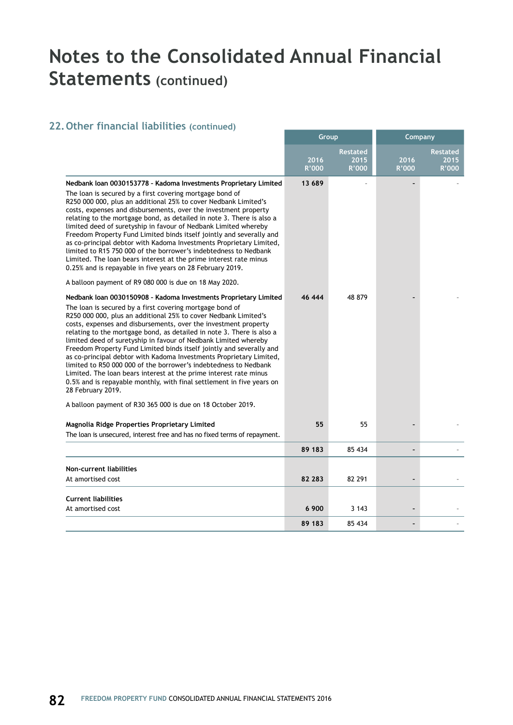# **22.Other financial liabilities (continued)**

|                                                                                                                                                                                                                                                                                                                                                                                                                                                                                                                                                                                                                                                                                                                                                                                                                                                                     |               | Group                                   | Company       |                                  |
|---------------------------------------------------------------------------------------------------------------------------------------------------------------------------------------------------------------------------------------------------------------------------------------------------------------------------------------------------------------------------------------------------------------------------------------------------------------------------------------------------------------------------------------------------------------------------------------------------------------------------------------------------------------------------------------------------------------------------------------------------------------------------------------------------------------------------------------------------------------------|---------------|-----------------------------------------|---------------|----------------------------------|
|                                                                                                                                                                                                                                                                                                                                                                                                                                                                                                                                                                                                                                                                                                                                                                                                                                                                     | 2016<br>R'000 | <b>Restated</b><br>2015<br><b>R'000</b> | 2016<br>R'000 | <b>Restated</b><br>2015<br>R'000 |
| Nedbank loan 0030153778 - Kadoma Investments Proprietary Limited<br>The loan is secured by a first covering mortgage bond of<br>R250 000 000, plus an additional 25% to cover Nedbank Limited's<br>costs, expenses and disbursements, over the investment property<br>relating to the mortgage bond, as detailed in note 3. There is also a<br>limited deed of suretyship in favour of Nedbank Limited whereby<br>Freedom Property Fund Limited binds itself jointly and severally and<br>as co-principal debtor with Kadoma Investments Proprietary Limited,<br>limited to R15 750 000 of the borrower's indebtedness to Nedbank<br>Limited. The loan bears interest at the prime interest rate minus<br>0.25% and is repayable in five years on 28 February 2019.<br>A balloon payment of R9 080 000 is due on 18 May 2020.                                       | 13 689        |                                         |               |                                  |
| Nedbank loan 0030150908 - Kadoma Investments Proprietary Limited<br>The loan is secured by a first covering mortgage bond of<br>R250 000 000, plus an additional 25% to cover Nedbank Limited's<br>costs, expenses and disbursements, over the investment property<br>relating to the mortgage bond, as detailed in note 3. There is also a<br>limited deed of suretyship in favour of Nedbank Limited whereby<br>Freedom Property Fund Limited binds itself jointly and severally and<br>as co-principal debtor with Kadoma Investments Proprietary Limited,<br>limited to R50 000 000 of the borrower's indebtedness to Nedbank<br>Limited. The loan bears interest at the prime interest rate minus<br>0.5% and is repayable monthly, with final settlement in five years on<br>28 February 2019.<br>A balloon payment of R30 365 000 is due on 18 October 2019. | 46 444        | 48 879                                  |               |                                  |
| Magnolia Ridge Properties Proprietary Limited<br>The loan is unsecured, interest free and has no fixed terms of repayment.                                                                                                                                                                                                                                                                                                                                                                                                                                                                                                                                                                                                                                                                                                                                          | 55            | 55                                      |               |                                  |
|                                                                                                                                                                                                                                                                                                                                                                                                                                                                                                                                                                                                                                                                                                                                                                                                                                                                     | 89 183        | 85 434                                  |               |                                  |
| <b>Non-current liabilities</b><br>At amortised cost                                                                                                                                                                                                                                                                                                                                                                                                                                                                                                                                                                                                                                                                                                                                                                                                                 | 82 283        | 82 291                                  |               |                                  |
| <b>Current liabilities</b><br>At amortised cost                                                                                                                                                                                                                                                                                                                                                                                                                                                                                                                                                                                                                                                                                                                                                                                                                     | 6 900         | 3 1 4 3                                 |               |                                  |
|                                                                                                                                                                                                                                                                                                                                                                                                                                                                                                                                                                                                                                                                                                                                                                                                                                                                     | 89 183        | 85 434                                  |               |                                  |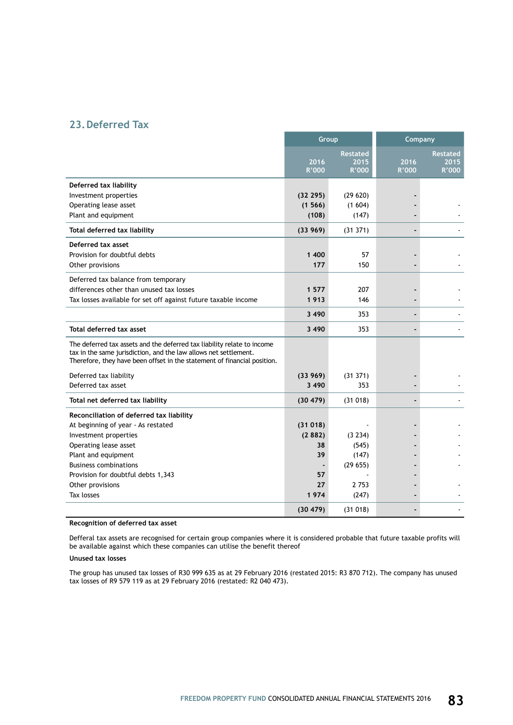## **23.Deferred Tax**

|                                                                                                                                                                                                                         | Group                |                                         | Company              |                                  |
|-------------------------------------------------------------------------------------------------------------------------------------------------------------------------------------------------------------------------|----------------------|-----------------------------------------|----------------------|----------------------------------|
|                                                                                                                                                                                                                         | 2016<br><b>R'000</b> | <b>Restated</b><br>2015<br><b>R'000</b> | 2016<br><b>R'000</b> | <b>Restated</b><br>2015<br>R'000 |
| Deferred tax liability                                                                                                                                                                                                  |                      |                                         |                      |                                  |
| Investment properties                                                                                                                                                                                                   | (32 295)             | (29620)                                 |                      |                                  |
| Operating lease asset                                                                                                                                                                                                   | (1566)               | (1604)                                  |                      |                                  |
| Plant and equipment                                                                                                                                                                                                     | (108)                | (147)                                   |                      |                                  |
| Total deferred tax liability                                                                                                                                                                                            | (33969)              | (31 371)                                |                      |                                  |
| Deferred tax asset                                                                                                                                                                                                      |                      |                                         |                      |                                  |
| Provision for doubtful debts                                                                                                                                                                                            | 1 400                | 57                                      |                      |                                  |
| Other provisions                                                                                                                                                                                                        | 177                  | 150                                     |                      |                                  |
| Deferred tax balance from temporary                                                                                                                                                                                     |                      |                                         |                      |                                  |
| differences other than unused tax losses                                                                                                                                                                                | 1577                 | 207                                     |                      |                                  |
| Tax losses available for set off against future taxable income                                                                                                                                                          | 1913                 | 146                                     |                      |                                  |
|                                                                                                                                                                                                                         | 3 4 9 0              | 353                                     |                      |                                  |
| Total deferred tax asset                                                                                                                                                                                                | 3 4 9 0              | 353                                     |                      |                                  |
| The deferred tax assets and the deferred tax liability relate to income<br>tax in the same jurisdiction, and the law allows net settlement.<br>Therefore, they have been offset in the statement of financial position. |                      |                                         |                      |                                  |
| Deferred tax liability                                                                                                                                                                                                  | (33969)              | (31 371)                                |                      |                                  |
| Deferred tax asset                                                                                                                                                                                                      | 3 4 9 0              | 353                                     |                      |                                  |
| Total net deferred tax liability                                                                                                                                                                                        | (30 479)             | (31018)                                 |                      |                                  |
| Reconciliation of deferred tax liability                                                                                                                                                                                |                      |                                         |                      |                                  |
| At beginning of year - As restated                                                                                                                                                                                      | (31018)              |                                         |                      |                                  |
| Investment properties                                                                                                                                                                                                   | (2882)               | (3 234)                                 |                      |                                  |
| Operating lease asset                                                                                                                                                                                                   | 38                   | (545)                                   |                      |                                  |
| Plant and equipment                                                                                                                                                                                                     | 39                   | (147)                                   |                      |                                  |
| <b>Business combinations</b>                                                                                                                                                                                            |                      | (29655)                                 |                      |                                  |
| Provision for doubtful debts 1,343                                                                                                                                                                                      | 57                   |                                         |                      |                                  |
| Other provisions                                                                                                                                                                                                        | 27                   | 2 7 5 3                                 |                      |                                  |
| Tax losses                                                                                                                                                                                                              | 1974                 | (247)                                   |                      |                                  |
|                                                                                                                                                                                                                         | (30 479)             | (31018)                                 |                      |                                  |

### **Recognition of deferred tax asset**

Defferal tax assets are recognised for certain group companies where it is considered probable that future taxable profits will be available against which these companies can utilise the benefit thereof

### **Unused tax losses**

The group has unused tax losses of R30 999 635 as at 29 February 2016 (restated 2015: R3 870 712). The company has unused tax losses of R9 579 119 as at 29 February 2016 (restated: R2 040 473).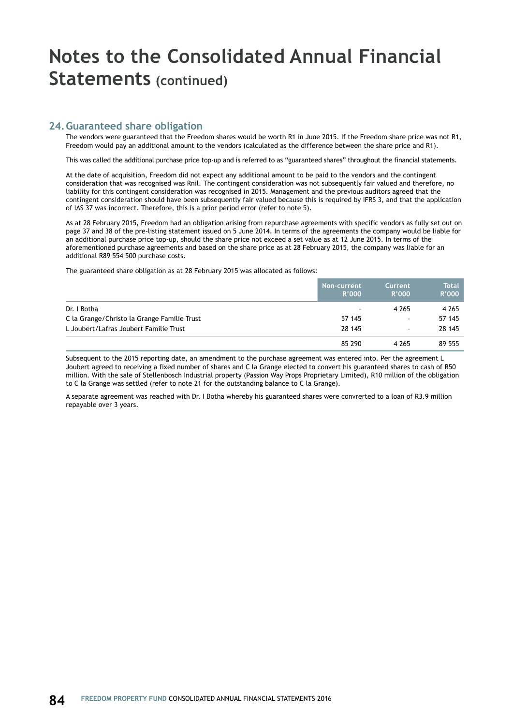## **24.Guaranteed share obligation**

The vendors were guaranteed that the Freedom shares would be worth R1 in June 2015. If the Freedom share price was not R1, Freedom would pay an additional amount to the vendors (calculated as the difference between the share price and R1).

This was called the additional purchase price top-up and is referred to as "guaranteed shares" throughout the financial statements.

At the date of acquisition, Freedom did not expect any additional amount to be paid to the vendors and the contingent consideration that was recognised was Rnil. The contingent consideration was not subsequently fair valued and therefore, no liability for this contingent consideration was recognised in 2015. Management and the previous auditors agreed that the contingent consideration should have been subsequently fair valued because this is required by IFRS 3, and that the application of IAS 37 was incorrect. Therefore, this is a prior period error (refer to note 5).

As at 28 February 2015, Freedom had an obligation arising from repurchase agreements with specific vendors as fully set out on page 37 and 38 of the pre-listing statement issued on 5 June 2014. In terms of the agreements the company would be liable for an additional purchase price top-up, should the share price not exceed a set value as at 12 June 2015. In terms of the aforementioned purchase agreements and based on the share price as at 28 February 2015, the company was liable for an additional R89 554 500 purchase costs.

The guaranteed share obligation as at 28 February 2015 was allocated as follows:

|                                             | Non-current<br><b>R'000</b> | Current<br><b>R'000</b>  | <b>Total</b><br>R'000 |
|---------------------------------------------|-----------------------------|--------------------------|-----------------------|
| Dr. I Botha                                 | -                           | 4 2 6 5                  | 4 2 6 5               |
| C la Grange/Christo la Grange Familie Trust | 57 145                      | $\overline{\phantom{a}}$ | 57 145                |
| L Joubert/Lafras Joubert Familie Trust      | 28 145                      | $\overline{\phantom{a}}$ | 28 145                |
|                                             | 85 290                      | 4 2 6 5                  | 89 555                |

Subsequent to the 2015 reporting date, an amendment to the purchase agreement was entered into. Per the agreement L Joubert agreed to receiving a fixed number of shares and C la Grange elected to convert his guaranteed shares to cash of R50 million. With the sale of Stellenbosch Industrial property (Passion Way Props Proprietary Limited), R10 million of the obligation to C la Grange was settled (refer to note 21 for the outstanding balance to C la Grange).

A separate agreement was reached with Dr. I Botha whereby his guaranteed shares were convrerted to a loan of R3.9 million repayable over 3 years.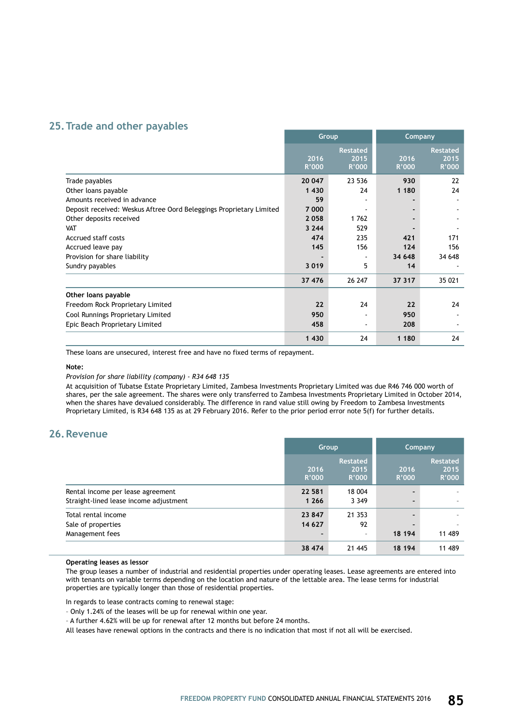# **25.Trade and other payables**

|                                                                     | Group         |                                  | Company       |                                  |
|---------------------------------------------------------------------|---------------|----------------------------------|---------------|----------------------------------|
|                                                                     | 2016<br>R'000 | <b>Restated</b><br>2015<br>R'000 | 2016<br>R'000 | <b>Restated</b><br>2015<br>R'000 |
| Trade payables                                                      | 20 047        | 23 536                           | 930           | 22                               |
| Other loans payable                                                 | 1 4 3 0       | 24                               | 1 180         | 24                               |
| Amounts received in advance                                         | 59            |                                  |               |                                  |
| Deposit received: Weskus Aftree Oord Beleggings Proprietary Limited | 7 000         | ٠                                |               |                                  |
| Other deposits received                                             | 2058          | 1762                             |               |                                  |
| <b>VAT</b>                                                          | 3 2 4 4       | 529                              |               |                                  |
| Accrued staff costs                                                 | 474           | 235                              | 421           | 171                              |
| Accrued leave pay                                                   | 145           | 156                              | 124           | 156                              |
| Provision for share liability                                       |               |                                  | 34 648        | 34 648                           |
| Sundry payables                                                     | 3 0 1 9       | 5                                | 14            |                                  |
|                                                                     | 37 476        | 26 247                           | 37 317        | 35 021                           |
| Other loans payable                                                 |               |                                  |               |                                  |
| Freedom Rock Proprietary Limited                                    | 22            | 24                               | 22            | 24                               |
| Cool Runnings Proprietary Limited                                   | 950           | $\overline{\phantom{a}}$         | 950           |                                  |
| Epic Beach Proprietary Limited                                      | 458           | $\blacksquare$                   | 208           |                                  |
|                                                                     | 1 4 3 0       | 24                               | 1 180         | 24                               |

These loans are unsecured, interest free and have no fixed terms of repayment.

### **Note:**

*Provision for share liability (company) - R34 648 135*

At acquisition of Tubatse Estate Proprietary Limited, Zambesa Investments Proprietary Limited was due R46 746 000 worth of shares, per the sale agreement. The shares were only transferred to Zambesa Investments Proprietary Limited in October 2014, when the shares have devalued considerably. The difference in rand value still owing by Freedom to Zambesa Investments Proprietary Limited, is R34 648 135 as at 29 February 2016. Refer to the prior period error note 5(f) for further details.

### **26.Revenue**

|                                                                             | Group                                         |                                            | Company       |                                  |
|-----------------------------------------------------------------------------|-----------------------------------------------|--------------------------------------------|---------------|----------------------------------|
|                                                                             | 2016<br>R'000                                 | <b>Restated</b><br>2015<br>R'000           | 2016<br>R'000 | <b>Restated</b><br>2015<br>R'000 |
| Rental income per lease agreement<br>Straight-lined lease income adjustment | 22 581<br>1 2 6 6                             | 18 004<br>3 3 4 9                          |               | $\overline{\phantom{a}}$         |
| Total rental income<br>Sale of properties<br>Management fees                | 23 847<br>14 6 27<br>$\overline{\phantom{a}}$ | 21 3 5 3<br>92<br>$\overline{\phantom{a}}$ | 18 194        | 11 489                           |
|                                                                             | 38 474                                        | 21 445                                     | 18 194        | 11 489                           |

### **Operating leases as lessor**

The group leases a number of industrial and residential properties under operating leases. Lease agreements are entered into with tenants on variable terms depending on the location and nature of the lettable area. The lease terms for industrial properties are typically longer than those of residential properties.

In regards to lease contracts coming to renewal stage:

– Only 1.24% of the leases will be up for renewal within one year.

– A further 4.62% will be up for renewal after 12 months but before 24 months.

All leases have renewal options in the contracts and there is no indication that most if not all will be exercised.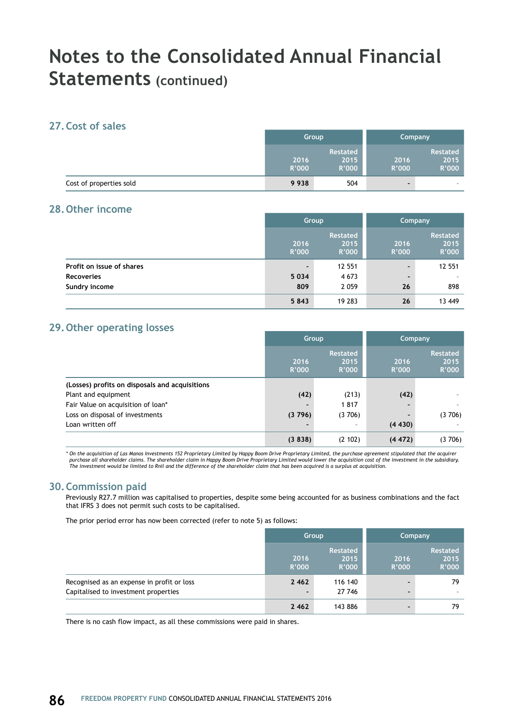## **27.Cost of sales**

|                         | Group         |                           | Company       |                           |
|-------------------------|---------------|---------------------------|---------------|---------------------------|
|                         | 2016<br>R'000 | Restated<br>2015<br>R'000 | 2016<br>R'000 | Restated<br>2015<br>R'000 |
| Cost of properties sold | 9938          | 504                       | ٠             | $\overline{\phantom{a}}$  |

## **28.Other income**

|                           | Group         |                                  | Company                  |                                  |
|---------------------------|---------------|----------------------------------|--------------------------|----------------------------------|
|                           | 2016<br>R'000 | <b>Restated</b><br>2015<br>R'000 | 2016<br>R'000            | <b>Restated</b><br>2015<br>R'000 |
| Profit on issue of shares | -             | 12 551                           | $\overline{\phantom{0}}$ | 12 551                           |
| <b>Recoveries</b>         | 5 0 3 4       | 4 6 7 3                          | $\blacksquare$           |                                  |
| Sundry income             | 809           | 2 0 5 9                          | 26                       | 898                              |
|                           | 5843          | 19 283                           | 26                       | 13 449                           |

# **29.Other operating losses**

|                                                | <b>Group</b>  |                                         | Company                  |                                  |
|------------------------------------------------|---------------|-----------------------------------------|--------------------------|----------------------------------|
|                                                | 2016<br>R'000 | <b>Restated</b><br>2015<br><b>R'000</b> | 2016<br>R'000            | <b>Restated</b><br>2015<br>R'000 |
| (Losses) profits on disposals and acquisitions |               |                                         |                          |                                  |
| Plant and equipment                            | (42)          | (213)                                   | (42)                     |                                  |
| Fair Value on acquisition of loan*             |               | 1817                                    | $\overline{\phantom{0}}$ |                                  |
| Loss on disposal of investments                | (3796)        | (3706)                                  | $\overline{\phantom{0}}$ | (3706)                           |
| Loan written off                               |               | $\overline{\phantom{a}}$                | (4430)                   |                                  |
|                                                | (3838)        | (2 102)                                 | (4472)                   | (3706)                           |

\* On the acquisition of Las Manos Investments 152 Proprietary Limited by Happy Boom Drive Proprietary Limited, the purchase agreement stipulated that the acquirer<br>purchase all shareholder claims. The shareholder claim in H

## **30.Commission paid**

Previously R27.7 million was capitalised to properties, despite some being accounted for as business combinations and the fact that IFRS 3 does not permit such costs to be capitalised.

The prior period error has now been corrected (refer to note 5) as follows:

|                                            | Group         |                                  | <b>Company</b>           |                                  |
|--------------------------------------------|---------------|----------------------------------|--------------------------|----------------------------------|
|                                            | 2016<br>R'000 | <b>Restated</b><br>2015<br>R'000 | 2016<br>R'000            | <b>Restated</b><br>2015<br>R'000 |
| Recognised as an expense in profit or loss | 2 4 6 2       | 116 140                          | $\overline{\phantom{0}}$ | 79                               |
| Capitalised to investment properties       |               | 27 746                           | $\overline{\phantom{0}}$ | $\overline{\phantom{a}}$         |
|                                            | 2 4 6 2       | 143 886                          | $\overline{\phantom{0}}$ | 79                               |

There is no cash flow impact, as all these commissions were paid in shares.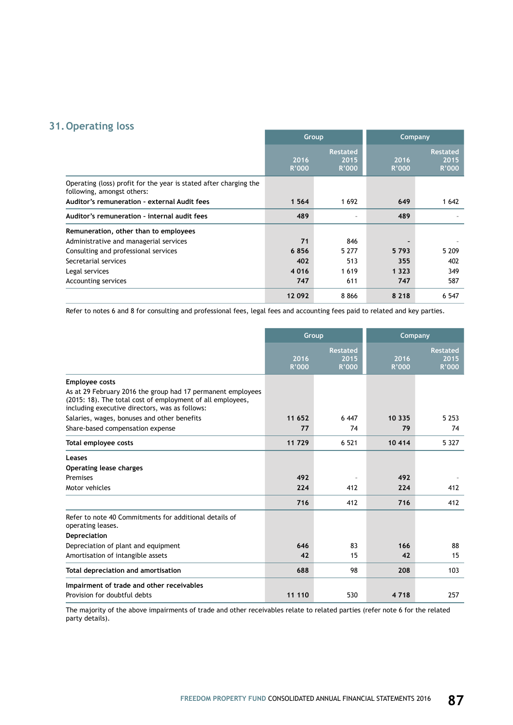# **31.Operating loss**

|                                                                                                 | Group         |                                  | Company       |                                  |
|-------------------------------------------------------------------------------------------------|---------------|----------------------------------|---------------|----------------------------------|
|                                                                                                 | 2016<br>R'000 | <b>Restated</b><br>2015<br>R'000 | 2016<br>R'000 | <b>Restated</b><br>2015<br>R'000 |
| Operating (loss) profit for the year is stated after charging the<br>following, amongst others: |               |                                  |               |                                  |
| Auditor's remuneration - external Audit fees                                                    | 1 5 6 4       | 1692                             | 649           | 1 642                            |
| Auditor's remuneration - internal audit fees                                                    | 489           |                                  | 489           |                                  |
| Remuneration, other than to employees                                                           |               |                                  |               |                                  |
| Administrative and managerial services                                                          | 71            | 846                              |               |                                  |
| Consulting and professional services                                                            | 6856          | 5 2 7 7                          | 5793          | 5 209                            |
| Secretarial services                                                                            | 402           | 513                              | 355           | 402                              |
| Legal services                                                                                  | 4016          | 1619                             | 1 3 2 3       | 349                              |
| Accounting services                                                                             | 747           | 611                              | 747           | 587                              |
|                                                                                                 | 12 092        | 8866                             | 8 2 1 8       | 6 5 4 7                          |

Refer to notes 6 and 8 for consulting and professional fees, legal fees and accounting fees paid to related and key parties.

|                                                                                                                                                                             |               | Group                                   | Company              |                                  |
|-----------------------------------------------------------------------------------------------------------------------------------------------------------------------------|---------------|-----------------------------------------|----------------------|----------------------------------|
|                                                                                                                                                                             | 2016<br>R'000 | <b>Restated</b><br>2015<br><b>R'000</b> | 2016<br><b>R'000</b> | <b>Restated</b><br>2015<br>R'000 |
| <b>Employee costs</b>                                                                                                                                                       |               |                                         |                      |                                  |
| As at 29 February 2016 the group had 17 permanent employees<br>(2015: 18). The total cost of employment of all employees,<br>including executive directors, was as follows: |               |                                         |                      |                                  |
| Salaries, wages, bonuses and other benefits                                                                                                                                 | 11 652        | 6 4 4 7                                 | 10 3 3 5             | 5 2 5 3                          |
| Share-based compensation expense                                                                                                                                            | 77            | 74                                      | 79                   | 74                               |
| Total employee costs                                                                                                                                                        | 11729         | 6 5 21                                  | 10 4 14              | 5 3 2 7                          |
| Leases                                                                                                                                                                      |               |                                         |                      |                                  |
| Operating lease charges                                                                                                                                                     |               |                                         |                      |                                  |
| Premises                                                                                                                                                                    | 492           |                                         | 492                  |                                  |
| Motor vehicles                                                                                                                                                              | 224           | 412                                     | 224                  | 412                              |
|                                                                                                                                                                             | 716           | 412                                     | 716                  | 412                              |
| Refer to note 40 Commitments for additional details of<br>operating leases.                                                                                                 |               |                                         |                      |                                  |
| <b>Depreciation</b>                                                                                                                                                         |               |                                         |                      |                                  |
| Depreciation of plant and equipment                                                                                                                                         | 646           | 83                                      | 166                  | 88                               |
| Amortisation of intangible assets                                                                                                                                           | 42            | 15                                      | 42                   | 15                               |
| Total depreciation and amortisation                                                                                                                                         | 688           | 98                                      | 208                  | 103                              |
| Impairment of trade and other receivables                                                                                                                                   |               |                                         |                      |                                  |
| Provision for doubtful debts                                                                                                                                                | 11 110        | 530                                     | 4718                 | 257                              |

The majority of the above impairments of trade and other receivables relate to related parties (refer note 6 for the related party details).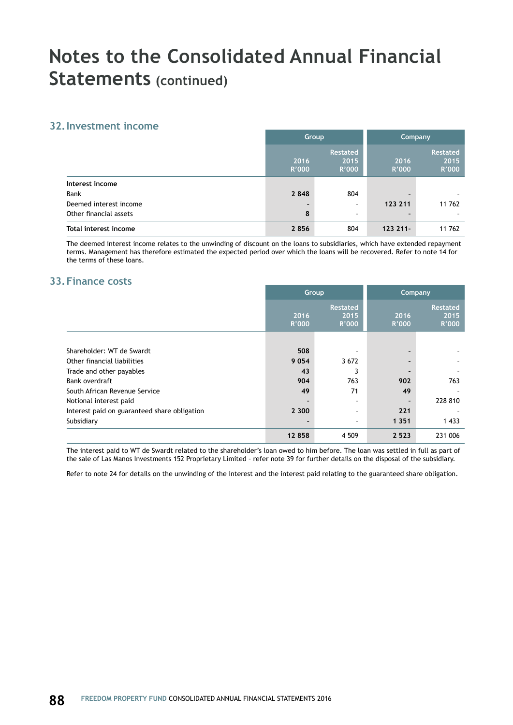## **32.Investment income**

|                        | Group         |                                  | Company                  |                                  |
|------------------------|---------------|----------------------------------|--------------------------|----------------------------------|
|                        | 2016<br>R'000 | <b>Restated</b><br>2015<br>R'000 | 2016<br>R'000            | <b>Restated</b><br>2015<br>R'000 |
| Interest income        |               |                                  |                          |                                  |
| Bank                   | 2848          | 804                              | $\overline{\phantom{0}}$ | $\overline{\phantom{a}}$         |
| Deemed interest income |               | $\overline{\phantom{a}}$         | 123 211                  | 11 762                           |
| Other financial assets | 8             | $\overline{\phantom{a}}$         | $\overline{\phantom{a}}$ |                                  |
| Total interest income  | 2856          | 804                              | $123211 -$               | 11 762                           |

The deemed interest income relates to the unwinding of discount on the loans to subsidiaries, which have extended repayment terms. Management has therefore estimated the expected period over which the loans will be recovered. Refer to note 14 for the terms of these loans.

## **33.Finance costs**

|                                              | Group                |                                  | Company       |                                         |
|----------------------------------------------|----------------------|----------------------------------|---------------|-----------------------------------------|
|                                              | 2016<br><b>R'000</b> | <b>Restated</b><br>2015<br>R'000 | 2016<br>R'000 | <b>Restated</b><br>2015<br><b>R'000</b> |
|                                              |                      |                                  |               |                                         |
| Shareholder: WT de Swardt                    | 508                  |                                  |               |                                         |
| Other financial liabilities                  | 9 0 5 4              | 3 6 7 2                          |               |                                         |
| Trade and other payables                     | 43                   | 3                                |               |                                         |
| Bank overdraft                               | 904                  | 763                              | 902           | 763                                     |
| South African Revenue Service                | 49                   | 71                               | 49            |                                         |
| Notional interest paid                       |                      |                                  |               | 228 810                                 |
| Interest paid on guaranteed share obligation | 2 3 0 0              | $\overline{\phantom{a}}$         | 221           |                                         |
| Subsidiary                                   |                      | $\overline{\phantom{a}}$         | 1 3 5 1       | 1 4 3 3                                 |
|                                              | 12858                | 4 5 0 9                          | 2 5 2 3       | 231 006                                 |

The interest paid to WT de Swardt related to the shareholder's loan owed to him before. The loan was settled in full as part of the sale of Las Manos Investments 152 Proprietary Limited – refer note 39 for further details on the disposal of the subsidiary.

Refer to note 24 for details on the unwinding of the interest and the interest paid relating to the guaranteed share obligation.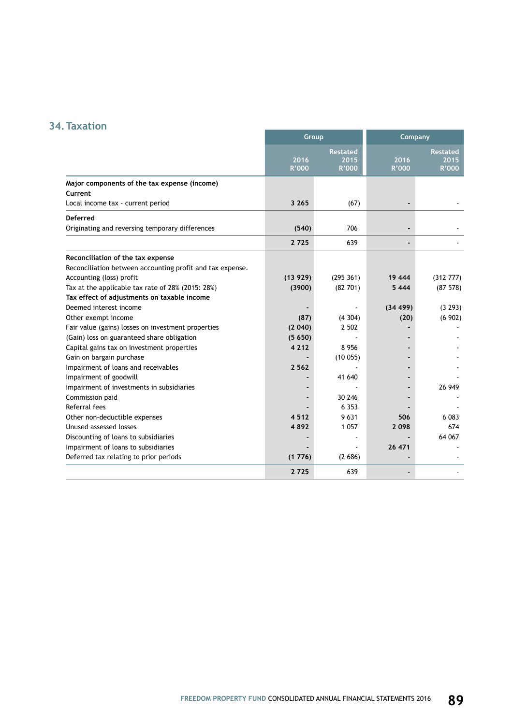# **34.Taxation**

|                                                           | Group                |                                         | Company        |                                  |
|-----------------------------------------------------------|----------------------|-----------------------------------------|----------------|----------------------------------|
|                                                           | 2016<br><b>R'000</b> | <b>Restated</b><br>2015<br><b>R'000</b> | 2016<br>R'000  | <b>Restated</b><br>2015<br>R'000 |
| Major components of the tax expense (income)<br>Current   |                      |                                         |                |                                  |
| Local income tax - current period                         | 3 2 6 5              | (67)                                    |                |                                  |
| <b>Deferred</b>                                           |                      |                                         |                |                                  |
| Originating and reversing temporary differences           | (540)                | 706                                     |                |                                  |
|                                                           | 2725                 | 639                                     | $\overline{a}$ |                                  |
| Reconciliation of the tax expense                         |                      |                                         |                |                                  |
| Reconciliation between accounting profit and tax expense. |                      |                                         |                |                                  |
| Accounting (loss) profit                                  | (13929)              | (295 361)                               | 19 444         | (312 777)                        |
| Tax at the applicable tax rate of 28% (2015: 28%)         | (3900)               | (82701)                                 | 5 4 4 4        | (87578)                          |
| Tax effect of adjustments on taxable income               |                      |                                         |                |                                  |
| Deemed interest income                                    |                      |                                         | (34499)        | (3 293)                          |
| Other exempt income                                       | (87)                 | (4304)                                  | (20)           | (6902)                           |
| Fair value (gains) losses on investment properties        | (2040)               | 2 5 0 2                                 |                |                                  |
| (Gain) loss on guaranteed share obligation                | (5650)               |                                         |                |                                  |
| Capital gains tax on investment properties                | 4 2 1 2              | 8 9 5 6                                 |                |                                  |
| Gain on bargain purchase                                  |                      | (10055)                                 |                |                                  |
| Impairment of loans and receivables                       | 2 5 6 2              |                                         |                |                                  |
| Impairment of goodwill                                    |                      | 41 640                                  |                |                                  |
| Impairment of investments in subsidiaries                 |                      |                                         |                | 26 949                           |
| Commission paid                                           |                      | 30 246                                  |                |                                  |
| Referral fees                                             |                      | 6 3 5 3                                 |                |                                  |
| Other non-deductible expenses                             | 4512                 | 9631                                    | 506            | 6 083                            |
| Unused assessed losses                                    | 4892                 | 1 0 5 7                                 | 2098           | 674                              |
| Discounting of loans to subsidiaries                      |                      |                                         |                | 64 067                           |
| Impairment of loans to subsidiaries                       |                      |                                         | 26 471         |                                  |
| Deferred tax relating to prior periods                    | (1776)               | (2686)                                  |                |                                  |
|                                                           | 2725                 | 639                                     |                |                                  |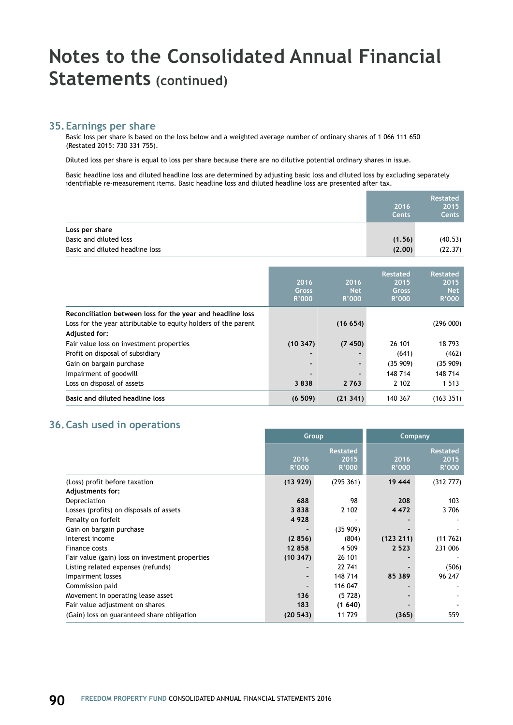### **35.Earnings per share**

Basic loss per share is based on the loss below and a weighted average number of ordinary shares of 1 066 111 650 (Restated 2015: 730 331 755).

Diluted loss per share is equal to loss per share because there are no dilutive potential ordinary shares in issue.

Basic headline loss and diluted headline loss are determined by adjusting basic loss and diluted loss by excluding separately identifiable re-measurement items. Basic headline loss and diluted headline loss are presented after tax.

|                                 | 2016<br><b>Cents</b> | <b>Restated</b><br>2015<br><b>Cents</b> |
|---------------------------------|----------------------|-----------------------------------------|
| Loss per share                  |                      |                                         |
| Basic and diluted loss          | (1.56)               | (40.53)                                 |
| Basic and diluted headline loss | (2.00)               | (22.37)                                 |
|                                 |                      |                                         |

|                                                                | 2016<br><b>Gross</b><br>R'000 | 2016<br><b>Net</b><br><b>R'000</b> | <b>Restated</b><br>2015<br>Gross<br>R'000 | <b>Restated</b><br>2015<br><b>Net</b><br>R'000 |
|----------------------------------------------------------------|-------------------------------|------------------------------------|-------------------------------------------|------------------------------------------------|
| Reconciliation between loss for the year and headline loss     |                               |                                    |                                           |                                                |
| Loss for the year attributable to equity holders of the parent |                               | (16654)                            |                                           | (296000)                                       |
| Adjusted for:                                                  |                               |                                    |                                           |                                                |
| Fair value loss on investment properties                       | (10347)                       | (7450)                             | 26 101                                    | 18793                                          |
| Profit on disposal of subsidiary                               | -                             |                                    | (641)                                     | (462)                                          |
| Gain on bargain purchase                                       |                               |                                    | (35909)                                   | (35909)                                        |
| Impairment of goodwill                                         |                               | $\overline{\phantom{0}}$           | 148 714                                   | 148 714                                        |
| Loss on disposal of assets                                     | 3838                          | 2 7 6 3                            | 2 102                                     | 1 5 1 3                                        |
| Basic and diluted headline loss                                | (6509)                        | (21341)                            | 140 367                                   | (163 351)                                      |

# **36.Cash used in operations**

|                                                 | Group         |                                         | Company       |                                  |
|-------------------------------------------------|---------------|-----------------------------------------|---------------|----------------------------------|
|                                                 | 2016<br>R'000 | <b>Restated</b><br>2015<br><b>R'000</b> | 2016<br>R'000 | <b>Restated</b><br>2015<br>R'000 |
| (Loss) profit before taxation                   | (13929)       | (295 361)                               | 19 444        | (312 777)                        |
| Adjustments for:                                |               |                                         |               |                                  |
| Depreciation                                    | 688           | 98                                      | 208           | 103                              |
| Losses (profits) on disposals of assets         | 3838          | 2 102                                   | 4 4 7 2       | 3 706                            |
| Penalty on forfeit                              | 4928          |                                         |               |                                  |
| Gain on bargain purchase                        |               | (35909)                                 |               |                                  |
| Interest income                                 | (2856)        | (804)                                   | (123 211)     | (11762)                          |
| Finance costs                                   | 12858         | 4 5 0 9                                 | 2 5 2 3       | 231 006                          |
| Fair value (gain) loss on investment properties | (10347)       | 26 101                                  |               |                                  |
| Listing related expenses (refunds)              |               | 22 741                                  |               | (506)                            |
| Impairment losses                               |               | 148 714                                 | 85 389        | 96 247                           |
| Commission paid                                 |               | 116 047                                 |               |                                  |
| Movement in operating lease asset               | 136           | (5728)                                  |               |                                  |
| Fair value adjustment on shares                 | 183           | (1640)                                  |               |                                  |
| (Gain) loss on guaranteed share obligation      | (20543)       | 11 729                                  | (365)         | 559                              |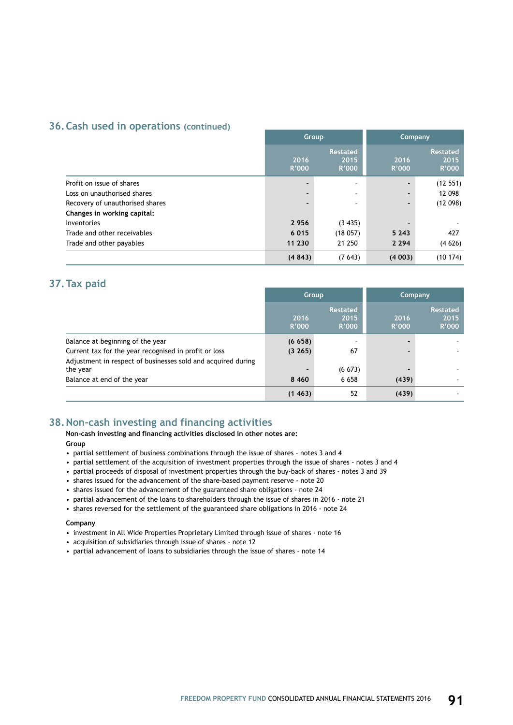## **36.Cash used in operations (continued)**

|                                 | Group         |                                         | Company                  |                                  |
|---------------------------------|---------------|-----------------------------------------|--------------------------|----------------------------------|
|                                 | 2016<br>R'000 | <b>Restated</b><br>2015<br><b>R'000</b> | 2016<br>R'000            | <b>Restated</b><br>2015<br>R'000 |
| Profit on issue of shares       |               | $\overline{\phantom{a}}$                | $\overline{\phantom{0}}$ | (12 551)                         |
| Loss on unauthorised shares     |               |                                         | -                        | 12 098                           |
| Recovery of unauthorised shares |               |                                         | $\overline{\phantom{a}}$ | (12098)                          |
| Changes in working capital:     |               |                                         |                          |                                  |
| Inventories                     | 2956          | (3, 435)                                | -                        |                                  |
| Trade and other receivables     | 6015          | (18057)                                 | 5 2 4 3                  | 427                              |
| Trade and other payables        | 11 230        | 21 250                                  | 2 2 9 4                  | (4626)                           |
|                                 | (4843)        | (7643)                                  | (4003)                   | (10174)                          |

# **37.Tax paid**

|                                                                          | Group         |                                  | Company                  |                                         |
|--------------------------------------------------------------------------|---------------|----------------------------------|--------------------------|-----------------------------------------|
|                                                                          | 2016<br>R'000 | <b>Restated</b><br>2015<br>R'000 | 2016<br>R'000            | <b>Restated</b><br>2015<br><b>R'000</b> |
| Balance at beginning of the year                                         | (6658)        |                                  | $\overline{\phantom{0}}$ |                                         |
| Current tax for the year recognised in profit or loss                    | (3 265)       | 67                               | $\overline{\phantom{0}}$ |                                         |
| Adjustment in respect of businesses sold and acquired during<br>the year |               | (6673)                           | $\overline{\phantom{0}}$ |                                         |
| Balance at end of the year                                               | 8 4 6 0       | 6 6 5 8                          | (439)                    |                                         |
|                                                                          | (1463)        | 52                               | (439)                    |                                         |

## **38.Non-cash investing and financing activities**

**Non-cash investing and financing activities disclosed in other notes are: Group**

- partial settlement of business combinations through the issue of shares notes 3 and 4
- partial settlement of the acquisition of investment properties through the issue of shares notes 3 and 4
- partial proceeds of disposal of investment properties through the buy-back of shares notes 3 and 39
- shares issued for the advancement of the share-based payment reserve note 20
- shares issued for the advancement of the guaranteed share obligations note 24
- partial advancement of the loans to shareholders through the issue of shares in 2016 note 21
- shares reversed for the settlement of the guaranteed share obligations in 2016 note 24

### **Company**

- investment in All Wide Properties Proprietary Limited through issue of shares note 16
- acquisition of subsidiaries through issue of shares note 12
- partial advancement of loans to subsidiaries through the issue of shares note 14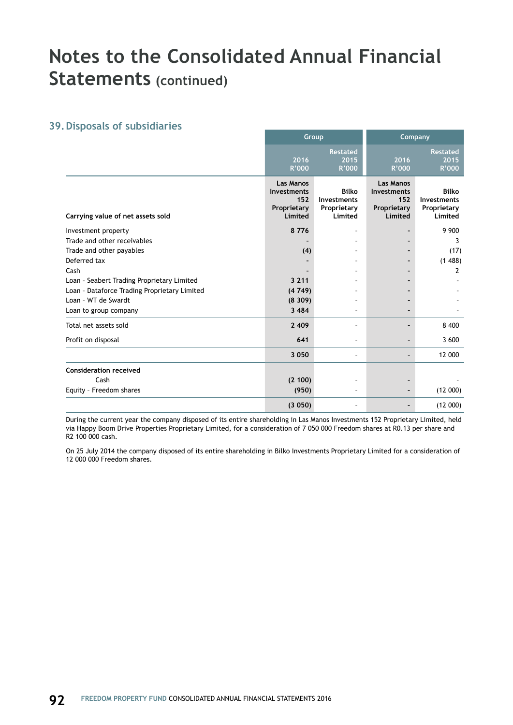# **39.Disposals of subsidiaries**

|                                                                                                                                                    |                                                                         | Group                                                 |                                                                  | Company                                                      |  |
|----------------------------------------------------------------------------------------------------------------------------------------------------|-------------------------------------------------------------------------|-------------------------------------------------------|------------------------------------------------------------------|--------------------------------------------------------------|--|
|                                                                                                                                                    | 2016<br><b>R'000</b>                                                    | <b>Restated</b><br>2015<br><b>R'000</b>               | 2016<br>R'000                                                    | <b>Restated</b><br>2015<br>R'000                             |  |
| Carrying value of net assets sold                                                                                                                  | <b>Las Manos</b><br><b>Investments</b><br>152<br>Proprietary<br>Limited | <b>Bilko</b><br>Investments<br>Proprietary<br>Limited | <b>Las Manos</b><br>Investments<br>152<br>Proprietary<br>Limited | <b>Bilko</b><br><b>Investments</b><br>Proprietary<br>Limited |  |
| Investment property<br>Trade and other receivables<br>Trade and other payables<br>Deferred tax                                                     | 8776<br>(4)                                                             |                                                       | $\overline{\phantom{0}}$                                         | 9 9 0 0<br>3<br>(17)<br>(1488)                               |  |
| Cash<br>Loan - Seabert Trading Proprietary Limited<br>Loan - Dataforce Trading Proprietary Limited<br>Loan - WT de Swardt<br>Loan to group company | 3 2 1 1<br>(4749)<br>(8309)<br>3 4 8 4                                  |                                                       |                                                                  | 2                                                            |  |
| Total net assets sold<br>Profit on disposal                                                                                                        | 2 4 0 9<br>641                                                          |                                                       | $\overline{a}$                                                   | 8 400<br>3 600                                               |  |
|                                                                                                                                                    | 3 0 5 0                                                                 |                                                       | $\overline{\phantom{0}}$                                         | 12 000                                                       |  |
| <b>Consideration received</b><br>Cash<br>Equity - Freedom shares                                                                                   | (2 100)<br>(950)                                                        |                                                       | $\overline{\phantom{0}}$                                         | (12000)                                                      |  |
|                                                                                                                                                    | (3050)                                                                  |                                                       |                                                                  | (12000)                                                      |  |

During the current year the company disposed of its entire shareholding in Las Manos Investments 152 Proprietary Limited, held via Happy Boom Drive Properties Proprietary Limited, for a consideration of 7 050 000 Freedom shares at R0.13 per share and R2 100 000 cash.

On 25 July 2014 the company disposed of its entire shareholding in Bilko Investments Proprietary Limited for a consideration of 12 000 000 Freedom shares.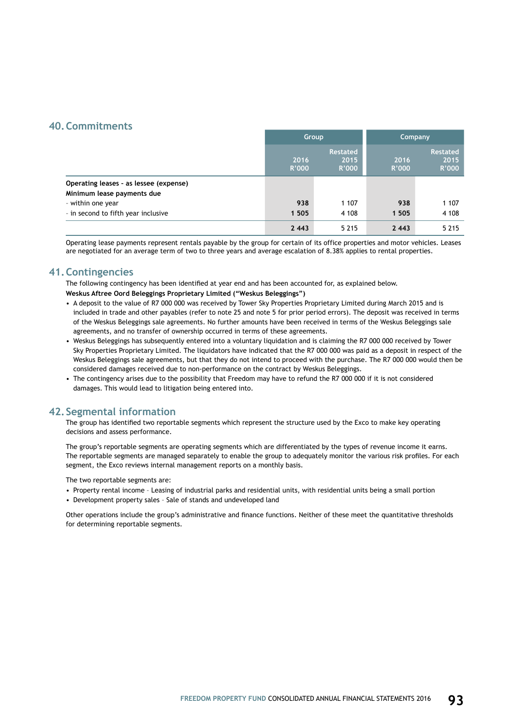## **40.Commitments**

|                                                                      |                      | Group                                   |               | <b>Company</b>                   |
|----------------------------------------------------------------------|----------------------|-----------------------------------------|---------------|----------------------------------|
|                                                                      | 2016<br><b>R'000</b> | <b>Restated</b><br>2015<br><b>R'000</b> | 2016<br>R'000 | <b>Restated</b><br>2015<br>R'000 |
| Operating leases - as lessee (expense)<br>Minimum lease payments due |                      |                                         |               |                                  |
| - within one year                                                    | 938                  | 1 1 0 7                                 | 938           | 1 107                            |
| - in second to fifth year inclusive                                  | 1 505                | 4 1 0 8                                 | 1 5 0 5       | 4 1 0 8                          |
|                                                                      | 2 4 4 3              | 5 2 1 5                                 | 2 4 4 3       | 5 2 1 5                          |

Operating lease payments represent rentals payable by the group for certain of its office properties and motor vehicles. Leases are negotiated for an average term of two to three years and average escalation of 8.38% applies to rental properties.

### **41.Contingencies**

The following contingency has been identified at year end and has been accounted for, as explained below. **Weskus Aftree Oord Beleggings Proprietary Limited ("Weskus Beleggings")**

- A deposit to the value of R7 000 000 was received by Tower Sky Properties Proprietary Limited during March 2015 and is included in trade and other payables (refer to note 25 and note 5 for prior period errors). The deposit was received in terms of the Weskus Beleggings sale agreements. No further amounts have been received in terms of the Weskus Beleggings sale agreements, and no transfer of ownership occurred in terms of these agreements.
- Weskus Beleggings has subsequently entered into a voluntary liquidation and is claiming the R7 000 000 received by Tower Sky Properties Proprietary Limited. The liquidators have indicated that the R7 000 000 was paid as a deposit in respect of the Weskus Beleggings sale agreements, but that they do not intend to proceed with the purchase. The R7 000 000 would then be considered damages received due to non-performance on the contract by Weskus Beleggings.
- The contingency arises due to the possibility that Freedom may have to refund the R7 000 000 if it is not considered damages. This would lead to litigation being entered into.

## **42.Segmental information**

The group has identified two reportable segments which represent the structure used by the Exco to make key operating decisions and assess performance.

The group's reportable segments are operating segments which are differentiated by the types of revenue income it earns. The reportable segments are managed separately to enable the group to adequately monitor the various risk profiles. For each segment, the Exco reviews internal management reports on a monthly basis.

The two reportable segments are:

- Property rental income Leasing of industrial parks and residential units, with residential units being a small portion
- Development property sales Sale of stands and undeveloped land

Other operations include the group's administrative and finance functions. Neither of these meet the quantitative thresholds for determining reportable segments.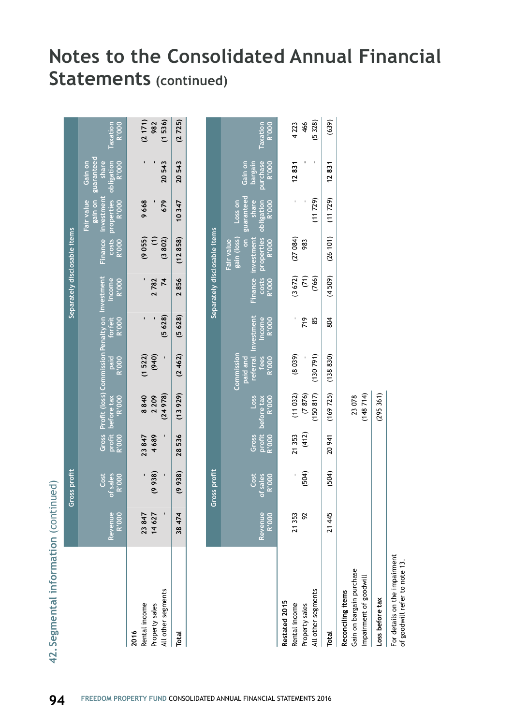|                                                                         |                         | <b>Gross profit</b>              |                                 |                                    |                                                            |                                                                           |                                         | Separately disclosable items                                                 |                                                                     |                                                              |
|-------------------------------------------------------------------------|-------------------------|----------------------------------|---------------------------------|------------------------------------|------------------------------------------------------------|---------------------------------------------------------------------------|-----------------------------------------|------------------------------------------------------------------------------|---------------------------------------------------------------------|--------------------------------------------------------------|
|                                                                         |                         |                                  |                                 |                                    |                                                            |                                                                           |                                         |                                                                              |                                                                     |                                                              |
|                                                                         | Revenue<br><b>R'000</b> | of sales<br>Cost<br><b>R'000</b> | profit<br>Gross<br><b>R'000</b> | before tax<br><b>000.8</b>         | paid<br><b>R'000</b>                                       | Profit (loss) Commission Penalty on Investment<br>forfeit<br><b>R'000</b> | Income<br><b>R'000</b>                  | <b>Finance</b><br><b>COStS</b><br><b>R'000</b>                               | investment<br>properties<br>gain on<br>Fair value<br><b>R'000</b>   | guaranteed<br>share<br>obligation<br>Gain on<br><b>R'000</b> |
| All other segments<br>Rental income<br>Property sales<br>2016           | 14627<br>23847          | (9938)                           | 4689<br>23847                   | (24978)<br>2 2 0 9<br>8840         | (940)<br>(1522)                                            | (5628)                                                                    | $\overline{7}$<br>2782                  | (9055)<br>$\widehat{z}$<br>(3802)                                            | 679<br>9668                                                         | 20543                                                        |
| Total                                                                   | 38 474                  | (9938)                           | 28536                           | (13929)                            | (2462)                                                     | (5628)                                                                    | 2856                                    | (12858)                                                                      | 10347                                                               | 20543                                                        |
|                                                                         |                         | <b>Gross profit</b>              |                                 |                                    |                                                            |                                                                           |                                         | Separately disclosable items                                                 |                                                                     |                                                              |
|                                                                         | Revenue<br><b>R'000</b> | of sales<br>Cost<br><b>R'000</b> | profit<br>Gross<br><b>R'000</b> | Loss<br>before tax<br><b>R'000</b> | Commission<br>referral<br>paid and<br>fees<br><b>R'000</b> | nvestment<br>Income<br><b>R'000</b>                                       | <b>COStS</b><br>Finance<br><b>R'000</b> | investment<br><b>Properties</b><br>gain (loss)<br>Fair value<br><b>R'000</b> | guaranteed<br>share<br>Loss on<br><b>obligation</b><br><b>R'000</b> | purchase<br>Gain on<br>bargain<br><b>R'000</b>               |
| Restated 2015<br>Rental income                                          | 21353                   |                                  | 21353                           | (11032)                            | (8039)                                                     |                                                                           | (3672)                                  | (27084)                                                                      |                                                                     | 12831                                                        |
| All other segments<br>Property sales                                    | $\,$<br>55              | (504)                            | (412)                           | (150817)<br>(7876)                 | (130791)                                                   | 719<br>85                                                                 | $\widehat{\epsilon}$<br>(766)           | 983                                                                          | (11729)                                                             | ı                                                            |
| Total                                                                   | 21445                   | (504)                            | 20941                           | (169725)                           | (138830)                                                   | 804                                                                       | (4509)                                  | (26101)                                                                      | (11729)                                                             | 12831                                                        |
| Gain on bargain purchase<br>Impairment of goodwill<br>Reconciling items |                         |                                  |                                 | (148714)<br>23078                  |                                                            |                                                                           |                                         |                                                                              |                                                                     |                                                              |
| Loss before tax                                                         |                         |                                  |                                 | (295361)                           |                                                            |                                                                           |                                         |                                                                              |                                                                     |                                                              |
|                                                                         |                         |                                  |                                 |                                    |                                                            |                                                                           |                                         |                                                                              |                                                                     |                                                              |

For details on the impairment<br>of goodwill refer to note 13. For details on the impairment of goodwill refer to note 13.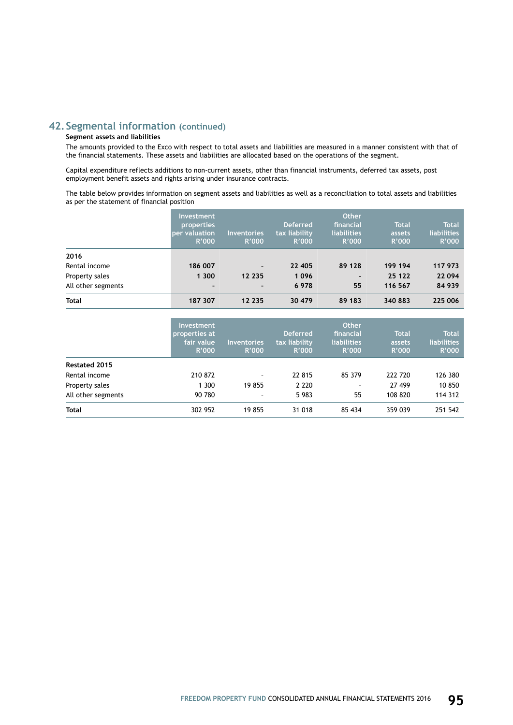## **42.Segmental information (continued)**

### **Segment assets and liabilities**

The amounts provided to the Exco with respect to total assets and liabilities are measured in a manner consistent with that of the financial statements. These assets and liabilities are allocated based on the operations of the segment.

Capital expenditure reflects additions to non-current assets, other than financial instruments, deferred tax assets, post employment benefit assets and rights arising under insurance contracts.

The table below provides information on segment assets and liabilities as well as a reconciliation to total assets and liabilities as per the statement of financial position

|                    | <b>Investment</b><br>properties<br>per valuation<br>R'000 | <b>Inventories</b><br>R'000 | <b>Deferred</b><br>tax liability<br>R'000 | <b>Other</b><br>financial<br><b>liabilities</b><br><b>R'000</b> | <b>Total</b><br>assets<br>R'000 | <b>Total</b><br><b>liabilities</b><br>R'000 |
|--------------------|-----------------------------------------------------------|-----------------------------|-------------------------------------------|-----------------------------------------------------------------|---------------------------------|---------------------------------------------|
| 2016               |                                                           |                             |                                           |                                                                 |                                 |                                             |
| Rental income      | 186 007                                                   | -                           | 22 4 05                                   | 89 128                                                          | 199 194                         | 117 973                                     |
| Property sales     | 1 300                                                     | 12 235                      | 1096                                      | $\overline{\phantom{a}}$                                        | 25 1 22                         | 22 094                                      |
| All other segments |                                                           |                             | 6978                                      | 55                                                              | 116 567                         | 84 939                                      |
| Total              | 187 307                                                   | 12 2 3 5                    | 30 479                                    | 89 183                                                          | 340 883                         | 225 006                                     |

|                    | Investment<br>properties at<br>fair value<br>R'000 | <b>Inventories</b><br><b>R'000</b> | <b>Deferred</b><br>tax liability<br>R'000 | <b>Other</b><br>financial<br><b>liabilities</b><br>R'000 | <b>Total</b><br>assets<br>R'000 | <b>Total</b><br><b>liabilities</b><br>R'000 |
|--------------------|----------------------------------------------------|------------------------------------|-------------------------------------------|----------------------------------------------------------|---------------------------------|---------------------------------------------|
| Restated 2015      |                                                    |                                    |                                           |                                                          |                                 |                                             |
| Rental income      | 210 872                                            | $\overline{\phantom{a}}$           | 22 815                                    | 85 379                                                   | 222 720                         | 126 380                                     |
| Property sales     | 1 300                                              | 19 855                             | 2 2 2 0                                   | $\overline{\phantom{a}}$                                 | 27 499                          | 10 850                                      |
| All other segments | 90 780                                             | $\overline{\phantom{a}}$           | 5 9 8 3                                   | 55                                                       | 108 820                         | 114 312                                     |
| Total              | 302 952                                            | 19 855                             | 31 018                                    | 85 434                                                   | 359 039                         | 251 542                                     |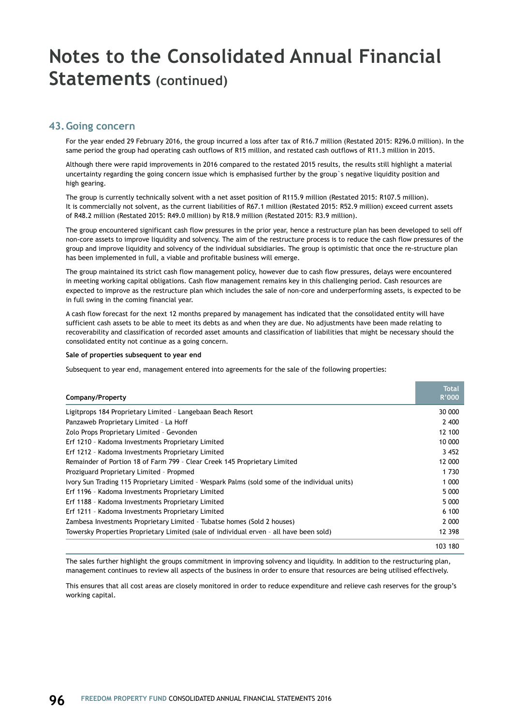## **43.Going concern**

For the year ended 29 February 2016, the group incurred a loss after tax of R16.7 million (Restated 2015: R296.0 million). In the same period the group had operating cash outflows of R15 million, and restated cash outflows of R11.3 million in 2015.

Although there were rapid improvements in 2016 compared to the restated 2015 results, the results still highlight a material uncertainty regarding the going concern issue which is emphasised further by the group`s negative liquidity position and high gearing.

The group is currently technically solvent with a net asset position of R115.9 million (Restated 2015: R107.5 million). It is commercially not solvent, as the current liabilities of R67.1 million (Restated 2015: R52.9 million) exceed current assets of R48.2 million (Restated 2015: R49.0 million) by R18.9 million (Restated 2015: R3.9 million).

The group encountered significant cash flow pressures in the prior year, hence a restructure plan has been developed to sell off non-core assets to improve liquidity and solvency. The aim of the restructure process is to reduce the cash flow pressures of the group and improve liquidity and solvency of the individual subsidiaries. The group is optimistic that once the re-structure plan has been implemented in full, a viable and profitable business will emerge.

The group maintained its strict cash flow management policy, however due to cash flow pressures, delays were encountered in meeting working capital obligations. Cash flow management remains key in this challenging period. Cash resources are expected to improve as the restructure plan which includes the sale of non-core and underperforming assets, is expected to be in full swing in the coming financial year.

A cash flow forecast for the next 12 months prepared by management has indicated that the consolidated entity will have sufficient cash assets to be able to meet its debts as and when they are due. No adjustments have been made relating to recoverability and classification of recorded asset amounts and classification of liabilities that might be necessary should the consolidated entity not continue as a going concern.

### **Sale of properties subsequent to year end**

Subsequent to year end, management entered into agreements for the sale of the following properties:

| Company/Property                                                                              | <b>Total</b><br>R'000 |
|-----------------------------------------------------------------------------------------------|-----------------------|
| Ligitprops 184 Proprietary Limited - Langebaan Beach Resort                                   | 30 000                |
| Panzaweb Proprietary Limited - La Hoff                                                        | 2 400                 |
| Zolo Props Proprietary Limited - Gevonden                                                     | 12 100                |
| Erf 1210 - Kadoma Investments Proprietary Limited                                             | 10 000                |
| Erf 1212 - Kadoma Investments Proprietary Limited                                             | 3 4 5 2               |
| Remainder of Portion 18 of Farm 799 - Clear Creek 145 Proprietary Limited                     | 12 000                |
| Proziguard Proprietary Limited - Propmed                                                      | 1 7 3 0               |
| Ivory Sun Trading 115 Proprietary Limited - Wespark Palms (sold some of the individual units) | 1 000                 |
| Erf 1196 - Kadoma Investments Proprietary Limited                                             | 5 000                 |
| Erf 1188 - Kadoma Investments Proprietary Limited                                             | 5 000                 |
| Erf 1211 - Kadoma Investments Proprietary Limited                                             | 6 100                 |
| Zambesa Investments Proprietary Limited - Tubatse homes (Sold 2 houses)                       | 2 000                 |
| Towersky Properties Proprietary Limited (sale of individual erven - all have been sold)       | 12 398                |
|                                                                                               | 103 180               |

The sales further highlight the groups commitment in improving solvency and liquidity. In addition to the restructuring plan, management continues to review all aspects of the business in order to ensure that resources are being utilised effectively.

This ensures that all cost areas are closely monitored in order to reduce expenditure and relieve cash reserves for the group's working capital.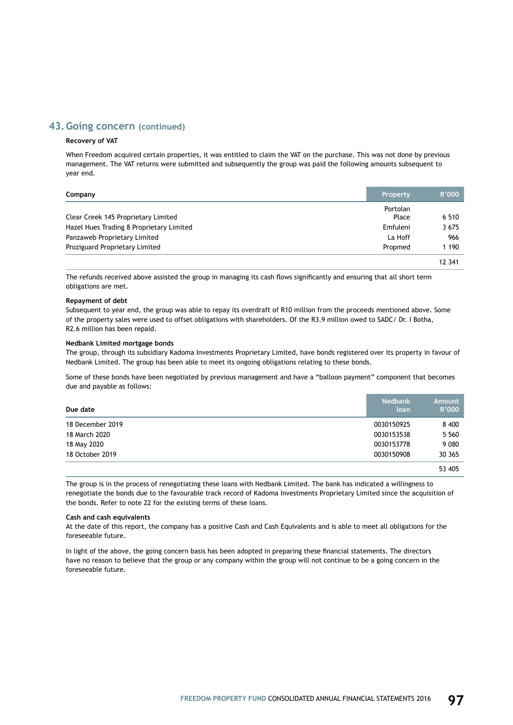# **43.Going concern (continued)**

### **Recovery of VAT**

When Freedom acquired certain properties, it was entitled to claim the VAT on the purchase. This was not done by previous management. The VAT returns were submitted and subsequently the group was paid the following amounts subsequent to year end.

| Company                                  | Property          | R'000   |
|------------------------------------------|-------------------|---------|
| Clear Creek 145 Proprietary Limited      | Portolan<br>Place | 6 5 1 0 |
| Hazel Hues Trading 8 Proprietary Limited | Emfuleni          | 3 6 7 5 |
| Panzaweb Proprietary Limited             | La Hoff           | 966     |
| Proziguard Proprietary Limited           | Propmed           | 1 1 9 0 |
|                                          |                   | 12 341  |

The refunds received above assisted the group in managing its cash flows significantly and ensuring that all short term obligations are met.

#### **Repayment of debt**

Subsequent to year end, the group was able to repay its overdraft of R10 million from the proceeds mentioned above. Some of the property sales were used to offset obligations with shareholders. Of the R3.9 million owed to SADC/ Dr. I Botha, R2.6 million has been repaid.

### **Nedbank Limited mortgage bonds**

The group, through its subsidiary Kadoma Investments Proprietary Limited, have bonds registered over its property in favour of Nedbank Limited. The group has been able to meet its ongoing obligations relating to these bonds.

Some of these bonds have been negotiated by previous management and have a "balloon payment" component that becomes due and payable as follows:

| Due date         | <b>Nedbank</b><br>loan | <b>Amount</b><br>R'000 |
|------------------|------------------------|------------------------|
| 18 December 2019 | 0030150925             | 8 400                  |
| 18 March 2020    | 0030153538             | 5 5 6 0                |
| 18 May 2020      | 0030153778             | 9 0 8 0                |
| 18 October 2019  | 0030150908             | 30 365                 |
|                  |                        | 53 405                 |

The group is in the process of renegotiating these loans with Nedbank Limited. The bank has indicated a willingness to renegotiate the bonds due to the favourable track record of Kadoma Investments Proprietary Limited since the acquisition of the bonds. Refer to note 22 for the existing terms of these loans.

#### **Cash and cash equivalents**

At the date of this report, the company has a positive Cash and Cash Equivalents and is able to meet all obligations for the foreseeable future.

In light of the above, the going concern basis has been adopted in preparing these financial statements. The directors have no reason to believe that the group or any company within the group will not continue to be a going concern in the foreseeable future.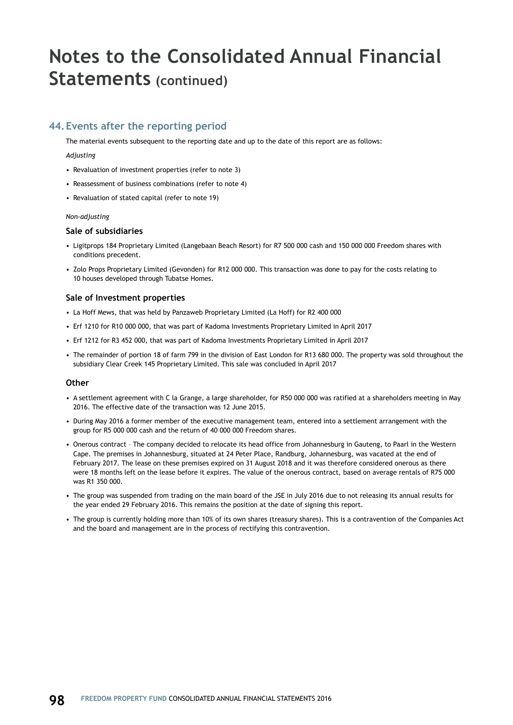# **44.Events after the reporting period**

The material events subsequent to the reporting date and up to the date of this report are as follows:

### *Adjusting*

- Revaluation of investment properties (refer to note 3)
- Reassessment of business combinations (refer to note 4)
- Revaluation of stated capital (refer to note 19)

### *Non-adjusting*

### **Sale of subsidiaries**

- Ligitprops 184 Proprietary Limited (Langebaan Beach Resort) for R7 500 000 cash and 150 000 000 Freedom shares with conditions precedent.
- Zolo Props Proprietary Limited (Gevonden) for R12 000 000. This transaction was done to pay for the costs relating to 10 houses developed through Tubatse Homes.

### **Sale of Investment properties**

- La Hoff Mews, that was held by Panzaweb Proprietary Limited (La Hoff) for R2 400 000
- Erf 1210 for R10 000 000, that was part of Kadoma Investments Proprietary Limited in April 2017
- Erf 1212 for R3 452 000, that was part of Kadoma Investments Proprietary Limited in April 2017
- The remainder of portion 18 of farm 799 in the division of East London for R13 680 000. The property was sold throughout the subsidiary Clear Creek 145 Proprietary Limited. This sale was concluded in April 2017

### **Other**

- A settlement agreement with C la Grange, a large shareholder, for R50 000 000 was ratified at a shareholders meeting in May 2016. The effective date of the transaction was 12 June 2015.
- During May 2016 a former member of the executive management team, entered into a settlement arrangement with the group for R5 000 000 cash and the return of 40 000 000 Freedom shares.
- Onerous contract The company decided to relocate its head office from Johannesburg in Gauteng, to Paarl in the Western Cape. The premises in Johannesburg, situated at 24 Peter Place, Randburg, Johannesburg, was vacated at the end of February 2017. The lease on these premises expired on 31 August 2018 and it was therefore considered onerous as there were 18 months left on the lease before it expires. The value of the onerous contract, based on average rentals of R75 000 was R1 350 000.
- The group was suspended from trading on the main board of the JSE in July 2016 due to not releasing its annual results for the year ended 29 February 2016. This remains the position at the date of signing this report.
- The group is currently holding more than 10% of its own shares (treasury shares). This is a contravention of the Companies Act and the board and management are in the process of rectifying this contravention.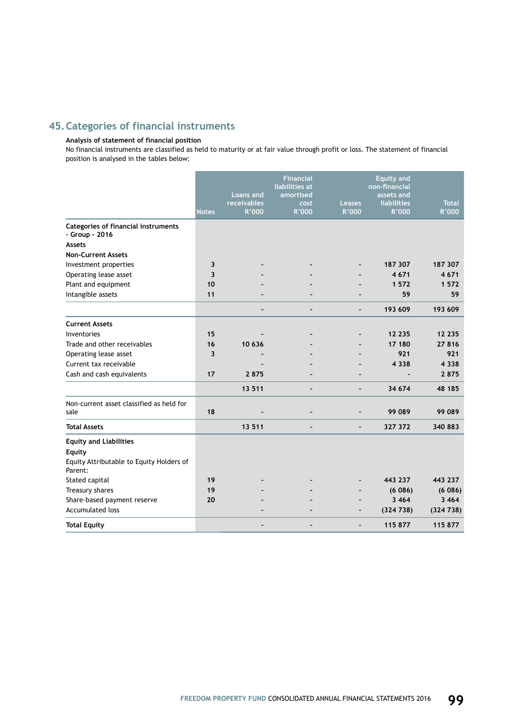# **45.Categories of financial instruments**

### **Analysis of statement of financial position**

No financial instruments are classified as held to maturity or at fair value through profit or loss. The statement of financial position is analysed in the tables below:

|                                                     | <b>Notes</b> | <b>Loans and</b><br>receivables<br>R'000 | <b>Financial</b><br>liabilities at<br>amortised<br>cost<br>R'000 | <b>Leases</b><br><b>R'000</b> | <b>Equity and</b><br>non-financial<br>assets and<br>liabilities<br>R'000 | <b>Total</b><br><b>R'000</b> |
|-----------------------------------------------------|--------------|------------------------------------------|------------------------------------------------------------------|-------------------------------|--------------------------------------------------------------------------|------------------------------|
| <b>Categories of financial instruments</b>          |              |                                          |                                                                  |                               |                                                                          |                              |
| - Group - 2016                                      |              |                                          |                                                                  |                               |                                                                          |                              |
| <b>Assets</b>                                       |              |                                          |                                                                  |                               |                                                                          |                              |
| <b>Non-Current Assets</b>                           |              |                                          |                                                                  |                               |                                                                          |                              |
| Investment properties                               | 3            |                                          |                                                                  | $\overline{a}$                | 187 307                                                                  | 187 307                      |
| Operating lease asset                               | 3            |                                          |                                                                  |                               | 4 6 7 1                                                                  | 4671                         |
| Plant and equipment                                 | 10           |                                          |                                                                  |                               | 1 5 7 2                                                                  | 1 5 7 2                      |
| Intangible assets                                   | 11           |                                          |                                                                  |                               | 59                                                                       | 59                           |
|                                                     |              | $\overline{a}$                           | $\overline{a}$                                                   | $\overline{a}$                | 193 609                                                                  | 193 609                      |
| <b>Current Assets</b>                               |              |                                          |                                                                  |                               |                                                                          |                              |
| Inventories                                         | 15           |                                          |                                                                  |                               | 12 2 3 5                                                                 | 12 2 3 5                     |
| Trade and other receivables                         | 16           | 10 636                                   |                                                                  |                               | 17 180                                                                   | 27816                        |
| Operating lease asset                               | 3            |                                          |                                                                  |                               | 921                                                                      | 921                          |
| Current tax receivable                              |              |                                          |                                                                  |                               | 4 3 3 8                                                                  | 4 3 3 8                      |
| Cash and cash equivalents                           | 17           | 2875                                     |                                                                  |                               |                                                                          | 2875                         |
|                                                     |              | 13 511                                   | $\overline{\phantom{0}}$                                         | $\overline{\phantom{0}}$      | 34 674                                                                   | 48 185                       |
| Non-current asset classified as held for            |              |                                          |                                                                  |                               |                                                                          |                              |
| sale                                                | 18           |                                          |                                                                  |                               | 99 089                                                                   | 99 089                       |
| <b>Total Assets</b>                                 |              | 13 5 11                                  |                                                                  | $\overline{\phantom{0}}$      | 327 372                                                                  | 340 883                      |
| <b>Equity and Liabilities</b>                       |              |                                          |                                                                  |                               |                                                                          |                              |
| Equity                                              |              |                                          |                                                                  |                               |                                                                          |                              |
| Equity Attributable to Equity Holders of<br>Parent: |              |                                          |                                                                  |                               |                                                                          |                              |
| Stated capital                                      | 19           |                                          |                                                                  |                               | 443 237                                                                  | 443 237                      |
| Treasury shares                                     | 19           |                                          |                                                                  |                               | (6086)                                                                   | (6086)                       |
| Share-based payment reserve                         | 20           |                                          |                                                                  |                               | 3 4 6 4                                                                  | 3 4 6 4                      |
| <b>Accumulated loss</b>                             |              |                                          |                                                                  | $\overline{\phantom{0}}$      | (324738)                                                                 | (324738)                     |
| <b>Total Equity</b>                                 |              |                                          |                                                                  | ÷                             | 115877                                                                   | 115 877                      |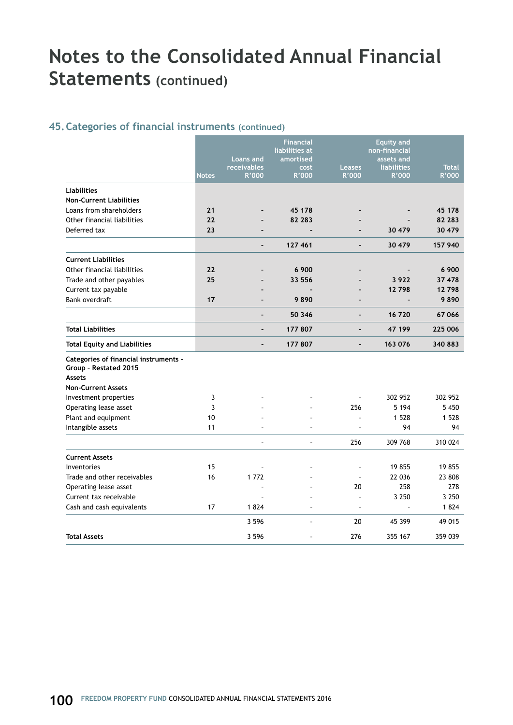|                                       |              |                          | <b>Financial</b>            |                | <b>Equity and</b>           |              |
|---------------------------------------|--------------|--------------------------|-----------------------------|----------------|-----------------------------|--------------|
|                                       |              | <b>Loans and</b>         | liabilities at<br>amortised |                | non-financial<br>assets and |              |
|                                       |              | receivables              | cost                        | <b>Leases</b>  | liabilities                 | <b>Total</b> |
|                                       | <b>Notes</b> | R'000                    | R'000                       | R'000          | R'000                       | R'000        |
| <b>Liabilities</b>                    |              |                          |                             |                |                             |              |
| <b>Non-Current Liabilities</b>        |              |                          |                             |                |                             |              |
| Loans from shareholders               | 21           |                          | 45 178                      |                |                             | 45 178       |
| Other financial liabilities           | 22           |                          | 82 283                      |                |                             | 82 283       |
| Deferred tax                          | 23           |                          |                             |                | 30 479                      | 30 479       |
|                                       |              |                          | 127 461                     |                | 30 479                      | 157 940      |
| <b>Current Liabilities</b>            |              |                          |                             |                |                             |              |
| Other financial liabilities           | 22           |                          | 6 900                       |                |                             | 6 900        |
| Trade and other payables              | 25           |                          | 33 556                      |                | 3922                        | 37 478       |
| Current tax payable                   |              |                          |                             |                | 12798                       | 12798        |
| Bank overdraft                        | 17           |                          | 9890                        |                |                             | 9890         |
|                                       |              | $\overline{\phantom{a}}$ | 50 346                      | $\overline{a}$ | 16 720                      | 67066        |
| <b>Total Liabilities</b>              |              |                          | 177 807                     |                | 47 199                      | 225 006      |
| <b>Total Equity and Liabilities</b>   |              | $\overline{\phantom{a}}$ | 177 807                     | $\blacksquare$ | 163 076                     | 340 883      |
| Categories of financial instruments - |              |                          |                             |                |                             |              |
| Group - Restated 2015                 |              |                          |                             |                |                             |              |
| Assets                                |              |                          |                             |                |                             |              |
| <b>Non-Current Assets</b>             |              |                          |                             |                |                             |              |
| Investment properties                 | 3            |                          |                             |                | 302 952                     | 302 952      |
| Operating lease asset                 | 3            |                          |                             | 256            | 5 1 9 4                     | 5 4 5 0      |
| Plant and equipment                   | 10           |                          |                             | ÷.             | 1 5 2 8                     | 1 5 2 8      |
| Intangible assets                     | 11           |                          |                             | ÷              | 94                          | 94           |
|                                       |              | ä,                       |                             | 256            | 309 768                     | 310 024      |
| <b>Current Assets</b>                 |              |                          |                             |                |                             |              |
| Inventories                           | 15           | $\overline{\phantom{a}}$ |                             | $\sim$         | 19855                       | 19855        |
| Trade and other receivables           | 16           | 1772                     |                             | $\sim$         | 22 036                      | 23 808       |
| Operating lease asset                 |              | $\overline{\phantom{a}}$ |                             | 20             | 258                         | 278          |
| Current tax receivable                |              |                          |                             |                | 3 2 5 0                     | 3 2 5 0      |
| Cash and cash equivalents             | 17           | 1824                     |                             | L.             |                             | 1824         |
|                                       |              | 3 5 9 6                  | ÷                           | 20             | 45 399                      | 49 015       |
| <b>Total Assets</b>                   |              | 3 5 9 6                  | ٠                           | 276            | 355 167                     | 359 039      |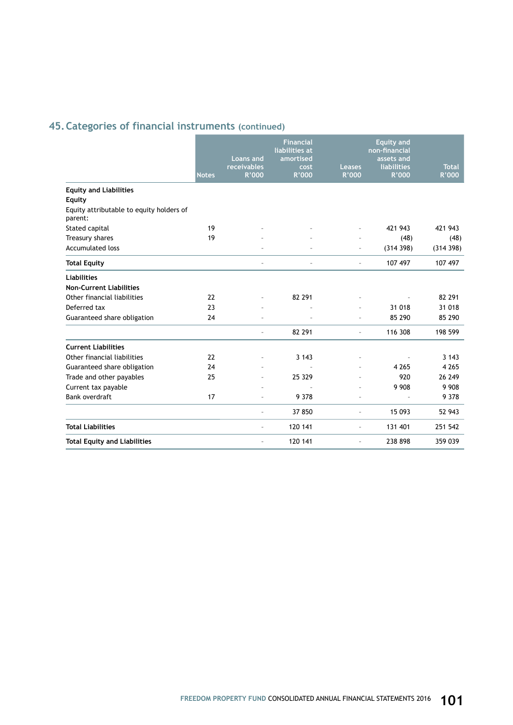|                                                     |              | <b>Loans and</b><br>receivables | <b>Financial</b><br>liabilities at<br>amortised<br>cost | <b>Leases</b>            | <b>Equity and</b><br>non-financial<br>assets and<br>liabilities | <b>Total</b> |
|-----------------------------------------------------|--------------|---------------------------------|---------------------------------------------------------|--------------------------|-----------------------------------------------------------------|--------------|
|                                                     | <b>Notes</b> | R'000                           | <b>R'000</b>                                            | <b>R'000</b>             | R'000                                                           | R'000        |
| <b>Equity and Liabilities</b>                       |              |                                 |                                                         |                          |                                                                 |              |
| <b>Equity</b>                                       |              |                                 |                                                         |                          |                                                                 |              |
| Equity attributable to equity holders of<br>parent: |              |                                 |                                                         |                          |                                                                 |              |
| Stated capital                                      | 19           |                                 |                                                         |                          | 421 943                                                         | 421 943      |
| Treasury shares                                     | 19           |                                 |                                                         |                          | (48)                                                            | (48)         |
| <b>Accumulated loss</b>                             |              |                                 |                                                         | ÷,                       | (314398)                                                        | (314 398)    |
| <b>Total Equity</b>                                 |              | $\overline{a}$                  | $\overline{\phantom{a}}$                                | $\overline{\phantom{0}}$ | 107 497                                                         | 107 497      |
| Liabilities                                         |              |                                 |                                                         |                          |                                                                 |              |
| <b>Non-Current Liabilities</b>                      |              |                                 |                                                         |                          |                                                                 |              |
| Other financial liabilities                         | 22           |                                 | 82 291                                                  |                          |                                                                 | 82 291       |
| Deferred tax                                        | 23           |                                 |                                                         |                          | 31 018                                                          | 31 018       |
| Guaranteed share obligation                         | 24           |                                 |                                                         |                          | 85 290                                                          | 85 290       |
|                                                     |              |                                 | 82 291                                                  | ÷.                       | 116 308                                                         | 198 599      |
| <b>Current Liabilities</b>                          |              |                                 |                                                         |                          |                                                                 |              |
| Other financial liabilities                         | 22           |                                 | 3 1 4 3                                                 |                          |                                                                 | 3 1 4 3      |
| Guaranteed share obligation                         | 24           |                                 |                                                         |                          | 4 2 6 5                                                         | 4 2 6 5      |
| Trade and other payables                            | 25           |                                 | 25 3 29                                                 |                          | 920                                                             | 26 249       |
| Current tax payable                                 |              |                                 |                                                         |                          | 9 9 0 8                                                         | 9 9 0 8      |
| Bank overdraft                                      | 17           |                                 | 9 3 7 8                                                 |                          |                                                                 | 9 3 7 8      |
|                                                     |              |                                 | 37 850                                                  |                          | 15 093                                                          | 52 943       |
| <b>Total Liabilities</b>                            |              | ä,                              | 120 141                                                 | ÷,                       | 131 401                                                         | 251 542      |
| <b>Total Equity and Liabilities</b>                 |              |                                 | 120 141                                                 |                          | 238 898                                                         | 359 039      |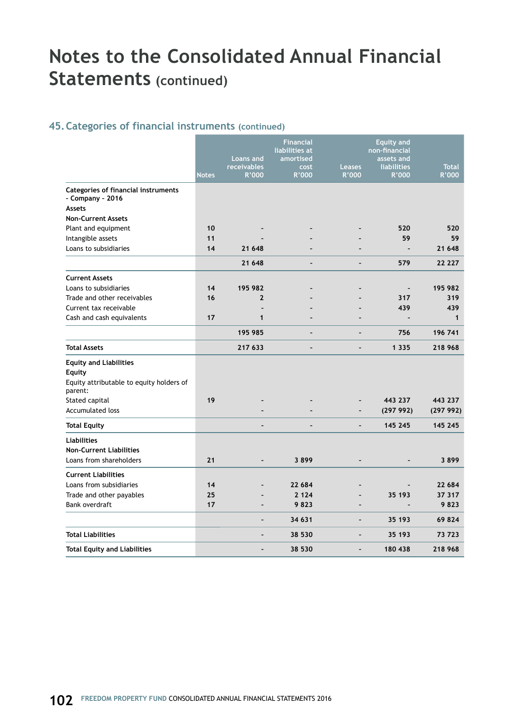|                                                         | <b>Notes</b> | <b>Loans and</b><br>receivables<br>R'000 | <b>Financial</b><br>liabilities at<br>amortised<br>cost<br><b>R'000</b> | <b>Leases</b><br><b>R'000</b> | <b>Equity and</b><br>non-financial<br>assets and<br>liabilities<br>$\overline{R'000}$ | <b>Total</b><br><b>R'000</b> |
|---------------------------------------------------------|--------------|------------------------------------------|-------------------------------------------------------------------------|-------------------------------|---------------------------------------------------------------------------------------|------------------------------|
| Categories of financial instruments<br>- Company - 2016 |              |                                          |                                                                         |                               |                                                                                       |                              |
| <b>Assets</b>                                           |              |                                          |                                                                         |                               |                                                                                       |                              |
| <b>Non-Current Assets</b>                               |              |                                          |                                                                         |                               |                                                                                       |                              |
| Plant and equipment                                     | 10           |                                          |                                                                         |                               | 520                                                                                   | 520                          |
| Intangible assets                                       | 11           |                                          |                                                                         |                               | 59                                                                                    | 59                           |
| Loans to subsidiaries                                   | 14           | 21 648                                   |                                                                         |                               | $\overline{a}$                                                                        | 21 648                       |
|                                                         |              | 21 648                                   |                                                                         |                               | 579                                                                                   | 22 2 2 7                     |
| <b>Current Assets</b>                                   |              |                                          |                                                                         |                               |                                                                                       |                              |
| Loans to subsidiaries                                   | 14           | 195 982                                  |                                                                         |                               |                                                                                       | 195 982                      |
| Trade and other receivables                             | 16           | $\overline{2}$                           |                                                                         |                               | 317                                                                                   | 319                          |
| Current tax receivable                                  |              | ÷                                        |                                                                         |                               | 439                                                                                   | 439                          |
| Cash and cash equivalents                               | 17           | $\mathbf{1}$                             |                                                                         |                               | $\overline{\phantom{a}}$                                                              | $\mathbf{1}$                 |
|                                                         |              | 195 985                                  |                                                                         |                               | 756                                                                                   | 196 741                      |
| <b>Total Assets</b>                                     |              | 217 633                                  |                                                                         |                               | 1 3 3 5                                                                               | 218 968                      |
| <b>Equity and Liabilities</b><br><b>Equity</b>          |              |                                          |                                                                         |                               |                                                                                       |                              |
| Equity attributable to equity holders of<br>parent:     |              |                                          |                                                                         |                               |                                                                                       |                              |
| Stated capital                                          | 19           |                                          |                                                                         |                               | 443 237                                                                               | 443 237                      |
| <b>Accumulated loss</b>                                 |              |                                          |                                                                         |                               | (297992)                                                                              | (297992)                     |
| <b>Total Equity</b>                                     |              |                                          |                                                                         |                               | 145 245                                                                               | 145 245                      |
| <b>Liabilities</b>                                      |              |                                          |                                                                         |                               |                                                                                       |                              |
| <b>Non-Current Liabilities</b>                          |              |                                          |                                                                         |                               |                                                                                       |                              |
| Loans from shareholders                                 | 21           |                                          | 3899                                                                    |                               |                                                                                       | 3899                         |
| <b>Current Liabilities</b>                              |              |                                          |                                                                         |                               |                                                                                       |                              |
| Loans from subsidiaries                                 | 14           |                                          | 22 684                                                                  |                               |                                                                                       | 22 684                       |
| Trade and other payables                                | 25           |                                          | 2 1 2 4                                                                 |                               | 35 193                                                                                | 37 317                       |
| Bank overdraft                                          | 17           | $\overline{\phantom{0}}$                 | 9823                                                                    | $\overline{a}$                |                                                                                       | 9823                         |
|                                                         |              | $\overline{\phantom{0}}$                 | 34 631                                                                  |                               | 35 193                                                                                | 69824                        |
| <b>Total Liabilities</b>                                |              |                                          | 38 530                                                                  |                               | 35 193                                                                                | 73723                        |
| <b>Total Equity and Liabilities</b>                     |              |                                          | 38 530                                                                  | $\overline{a}$                | 180 438                                                                               | 218 968                      |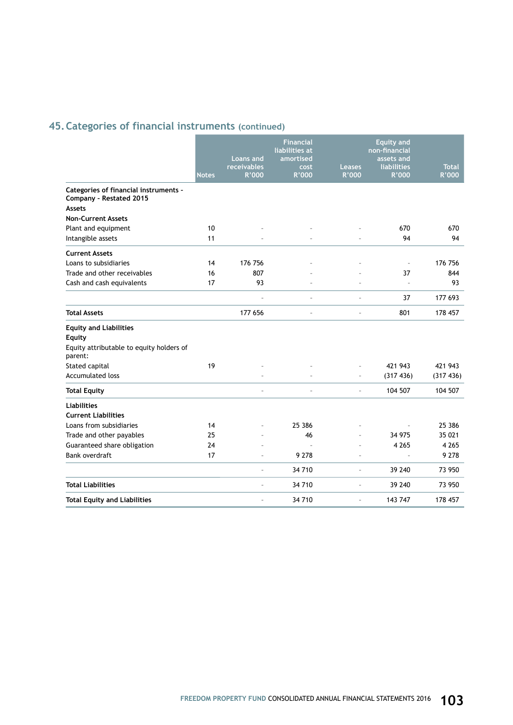|                                                                  |              |                  | <b>Financial</b><br>liabilities at |                | <b>Equity and</b><br>non-financial |              |
|------------------------------------------------------------------|--------------|------------------|------------------------------------|----------------|------------------------------------|--------------|
|                                                                  |              | <b>Loans and</b> | amortised                          |                | assets and                         |              |
|                                                                  |              | receivables      | cost                               | <b>Leases</b>  | liabilities                        | <b>Total</b> |
|                                                                  | <b>Notes</b> | <b>R'000</b>     | <b>R'000</b>                       | <b>R'000</b>   | R'000                              | R'000        |
| Categories of financial instruments -<br>Company - Restated 2015 |              |                  |                                    |                |                                    |              |
| <b>Assets</b>                                                    |              |                  |                                    |                |                                    |              |
| <b>Non-Current Assets</b>                                        |              |                  |                                    |                |                                    |              |
| Plant and equipment                                              | 10           |                  |                                    |                | 670                                | 670          |
| Intangible assets                                                | 11           |                  |                                    |                | 94                                 | 94           |
| <b>Current Assets</b>                                            |              |                  |                                    |                |                                    |              |
| Loans to subsidiaries                                            | 14           | 176 756          |                                    |                | ÷,                                 | 176 756      |
| Trade and other receivables                                      | 16           | 807              |                                    |                | 37                                 | 844          |
| Cash and cash equivalents                                        | 17           | 93               |                                    |                | ÷,                                 | 93           |
|                                                                  |              | ä,               | $\sim$                             | $\overline{a}$ | 37                                 | 177 693      |
| <b>Total Assets</b>                                              |              | 177 656          | $\sim$                             | ٠              | 801                                | 178 457      |
| <b>Equity and Liabilities</b>                                    |              |                  |                                    |                |                                    |              |
| <b>Equity</b>                                                    |              |                  |                                    |                |                                    |              |
| Equity attributable to equity holders of<br>parent:              |              |                  |                                    |                |                                    |              |
| Stated capital                                                   | 19           |                  |                                    |                | 421 943                            | 421 943      |
| <b>Accumulated loss</b>                                          |              |                  |                                    |                | (317 436)                          | (317 436)    |
| <b>Total Equity</b>                                              |              |                  |                                    | ÷              | 104 507                            | 104 507      |
| <b>Liabilities</b>                                               |              |                  |                                    |                |                                    |              |
| <b>Current Liabilities</b>                                       |              |                  |                                    |                |                                    |              |
| Loans from subsidiaries                                          | 14           |                  | 25 38 6                            |                |                                    | 25 38 6      |
| Trade and other payables                                         | 25           |                  | 46                                 |                | 34 975                             | 35 021       |
| Guaranteed share obligation                                      | 24           |                  |                                    |                | 4 2 6 5                            | 4 2 6 5      |
| Bank overdraft                                                   | 17           |                  | 9 2 7 8                            |                |                                    | 9 2 7 8      |
|                                                                  |              |                  | 34 710                             |                | 39 240                             | 73 950       |
| <b>Total Liabilities</b>                                         |              |                  | 34 710                             |                | 39 240                             | 73 950       |
| <b>Total Equity and Liabilities</b>                              |              |                  | 34 710                             |                | 143 747                            | 178 457      |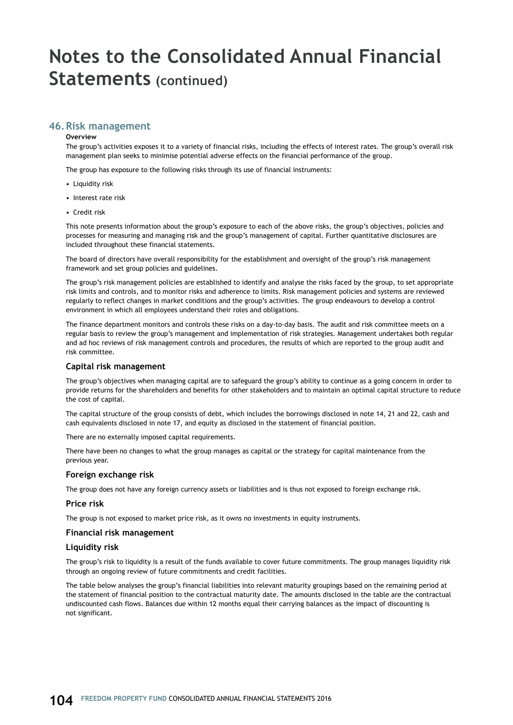### **46.Risk management**

#### **Overview**

The group's activities exposes it to a variety of financial risks, including the effects of interest rates. The group's overall risk management plan seeks to minimise potential adverse effects on the financial performance of the group.

The group has exposure to the following risks through its use of financial instruments:

- Liquidity risk
- Interest rate risk
- Credit risk

This note presents information about the group's exposure to each of the above risks, the group's objectives, policies and processes for measuring and managing risk and the group's management of capital. Further quantitative disclosures are included throughout these financial statements.

The board of directors have overall responsibility for the establishment and oversight of the group's risk management framework and set group policies and guidelines.

The group's risk management policies are established to identify and analyse the risks faced by the group, to set appropriate risk limits and controls, and to monitor risks and adherence to limits. Risk management policies and systems are reviewed regularly to reflect changes in market conditions and the group's activities. The group endeavours to develop a control environment in which all employees understand their roles and obligations.

The finance department monitors and controls these risks on a day-to-day basis. The audit and risk committee meets on a regular basis to review the group's management and implementation of risk strategies. Management undertakes both regular and ad hoc reviews of risk management controls and procedures, the results of which are reported to the group audit and risk committee.

### **Capital risk management**

The group's objectives when managing capital are to safeguard the group's ability to continue as a going concern in order to provide returns for the shareholders and benefits for other stakeholders and to maintain an optimal capital structure to reduce the cost of capital.

The capital structure of the group consists of debt, which includes the borrowings disclosed in note 14, 21 and 22, cash and cash equivalents disclosed in note 17, and equity as disclosed in the statement of financial position.

There are no externally imposed capital requirements.

There have been no changes to what the group manages as capital or the strategy for capital maintenance from the previous year.

### **Foreign exchange risk**

The group does not have any foreign currency assets or liabilities and is thus not exposed to foreign exchange risk.

### **Price risk**

The group is not exposed to market price risk, as it owns no investments in equity instruments.

### **Financial risk management**

### **Liquidity risk**

The group's risk to liquidity is a result of the funds available to cover future commitments. The group manages liquidity risk through an ongoing review of future commitments and credit facilities.

The table below analyses the group's financial liabilities into relevant maturity groupings based on the remaining period at the statement of financial position to the contractual maturity date. The amounts disclosed in the table are the contractual undiscounted cash flows. Balances due within 12 months equal their carrying balances as the impact of discounting is not significant.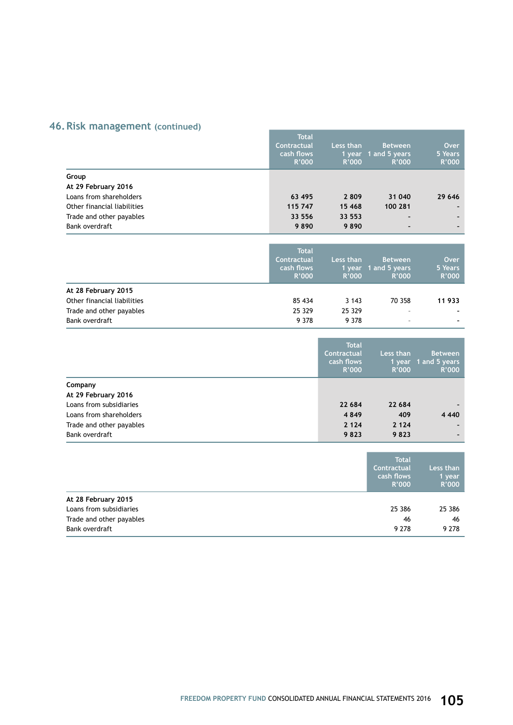# **46.Risk management (continued)**

|                             | <b>Contractual</b><br>cash flows<br>R'000                 | Less than<br>1 year<br>R'000       | <b>Between</b><br>and 5 years<br>R'000 | <b>Over</b><br>5 Years<br>R'000 |
|-----------------------------|-----------------------------------------------------------|------------------------------------|----------------------------------------|---------------------------------|
| Group                       |                                                           |                                    |                                        |                                 |
| At 29 February 2016         |                                                           |                                    |                                        |                                 |
| Loans from shareholders     | 63 495                                                    | 2809                               | 31 040                                 | 29 646                          |
| Other financial liabilities | 115 747                                                   | 15 4 68                            | 100 281                                |                                 |
| Trade and other payables    | 33 556                                                    | 33 553                             |                                        |                                 |
| Bank overdraft              | 9890                                                      | 9890                               |                                        |                                 |
|                             | <b>Total</b><br><b>Contractual</b><br>cash flows<br>R'000 | Less than<br>1 year<br>R'000       | <b>Between</b><br>and 5 years<br>R'000 | Over<br>5 Years<br>R'000        |
| At 28 February 2015         |                                                           |                                    |                                        |                                 |
| Other financial liabilities | 85 434                                                    | 3 1 4 3                            | 70 358                                 | 11933                           |
| Trade and other payables    | 25 3 29                                                   | 25 3 29                            |                                        |                                 |
| Bank overdraft              | 9 3 7 8                                                   | 9 3 7 8                            |                                        |                                 |
|                             |                                                           |                                    |                                        |                                 |
|                             |                                                           | <b>Total</b><br><b>Contractual</b> | Less than                              | <b>Between</b>                  |

**Total Advisory Report** 

|                          | <b>Contractual</b><br>cash flows<br><b>R'000</b> | Less than<br><b>R'000</b> | <b>Between</b><br>1 year 1 and 5 years<br><b>R'000</b> |
|--------------------------|--------------------------------------------------|---------------------------|--------------------------------------------------------|
| Company                  |                                                  |                           |                                                        |
| At 29 February 2016      |                                                  |                           |                                                        |
| Loans from subsidiaries  | 22 684                                           | 22 684                    |                                                        |
| Loans from shareholders  | 4 8 4 9                                          | 409                       | 4 4 4 0                                                |
| Trade and other payables | 2 1 2 4                                          | 2 1 2 4                   |                                                        |
| Bank overdraft           | 9823                                             | 9823                      |                                                        |

|                          | <b>Total</b><br>Contractual<br>cash flows<br><b>R'000</b> | Less than<br>1 year<br>R'000 |
|--------------------------|-----------------------------------------------------------|------------------------------|
| At 28 February 2015      |                                                           |                              |
| Loans from subsidiaries  | 25 386                                                    | 25 386                       |
| Trade and other payables | 46                                                        | 46                           |
| Bank overdraft           | 9 2 7 8                                                   | 9 2 7 8                      |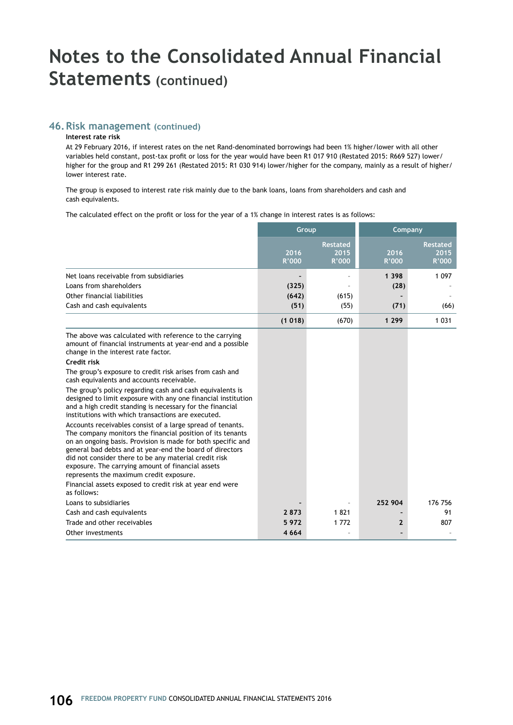### **46.Risk management (continued)**

### **Interest rate risk**

At 29 February 2016, if interest rates on the net Rand-denominated borrowings had been 1% higher/lower with all other variables held constant, post-tax profit or loss for the year would have been R1 017 910 (Restated 2015: R669 527) lower/ higher for the group and R1 299 261 (Restated 2015: R1 030 914) lower/higher for the company, mainly as a result of higher/ lower interest rate.

The group is exposed to interest rate risk mainly due to the bank loans, loans from shareholders and cash and cash equivalents.

The calculated effect on the profit or loss for the year of a 1% change in interest rates is as follows:

|                                                                                                                                                                                                                                                                                                                                                                                                                                                                                                                                                                                                                                                                                                                                                                                                                                                                                                                                                                                                                                   | Group         |                                         | Company              |                                  |
|-----------------------------------------------------------------------------------------------------------------------------------------------------------------------------------------------------------------------------------------------------------------------------------------------------------------------------------------------------------------------------------------------------------------------------------------------------------------------------------------------------------------------------------------------------------------------------------------------------------------------------------------------------------------------------------------------------------------------------------------------------------------------------------------------------------------------------------------------------------------------------------------------------------------------------------------------------------------------------------------------------------------------------------|---------------|-----------------------------------------|----------------------|----------------------------------|
|                                                                                                                                                                                                                                                                                                                                                                                                                                                                                                                                                                                                                                                                                                                                                                                                                                                                                                                                                                                                                                   | 2016<br>R'000 | <b>Restated</b><br>2015<br><b>R'000</b> | 2016<br><b>R'000</b> | <b>Restated</b><br>2015<br>R'000 |
| Net loans receivable from subsidiaries                                                                                                                                                                                                                                                                                                                                                                                                                                                                                                                                                                                                                                                                                                                                                                                                                                                                                                                                                                                            |               |                                         | 1 3 9 8              | 1 0 9 7                          |
| Loans from shareholders                                                                                                                                                                                                                                                                                                                                                                                                                                                                                                                                                                                                                                                                                                                                                                                                                                                                                                                                                                                                           | (325)         |                                         | (28)                 |                                  |
| Other financial liabilities                                                                                                                                                                                                                                                                                                                                                                                                                                                                                                                                                                                                                                                                                                                                                                                                                                                                                                                                                                                                       | (642)         | (615)                                   |                      |                                  |
| Cash and cash equivalents                                                                                                                                                                                                                                                                                                                                                                                                                                                                                                                                                                                                                                                                                                                                                                                                                                                                                                                                                                                                         | (51)          | (55)                                    | (71)                 | (66)                             |
|                                                                                                                                                                                                                                                                                                                                                                                                                                                                                                                                                                                                                                                                                                                                                                                                                                                                                                                                                                                                                                   | (1018)        | (670)                                   | 1 2 9 9              | 1 0 3 1                          |
| The above was calculated with reference to the carrying<br>amount of financial instruments at year-end and a possible<br>change in the interest rate factor.<br>Credit risk<br>The group's exposure to credit risk arises from cash and<br>cash equivalents and accounts receivable.<br>The group's policy regarding cash and cash equivalents is<br>designed to limit exposure with any one financial institution<br>and a high credit standing is necessary for the financial<br>institutions with which transactions are executed.<br>Accounts receivables consist of a large spread of tenants.<br>The company monitors the financial position of its tenants<br>on an ongoing basis. Provision is made for both specific and<br>general bad debts and at year-end the board of directors<br>did not consider there to be any material credit risk<br>exposure. The carrying amount of financial assets<br>represents the maximum credit exposure.<br>Financial assets exposed to credit risk at year end were<br>as follows: |               |                                         |                      |                                  |
| Loans to subsidiaries                                                                                                                                                                                                                                                                                                                                                                                                                                                                                                                                                                                                                                                                                                                                                                                                                                                                                                                                                                                                             |               |                                         | 252 904              | 176 756                          |
| Cash and cash equivalents                                                                                                                                                                                                                                                                                                                                                                                                                                                                                                                                                                                                                                                                                                                                                                                                                                                                                                                                                                                                         | 2873          | 1821                                    |                      | 91                               |
| Trade and other receivables                                                                                                                                                                                                                                                                                                                                                                                                                                                                                                                                                                                                                                                                                                                                                                                                                                                                                                                                                                                                       | 5972          | 1 772                                   | $\mathbf{2}$         | 807                              |
| Other investments                                                                                                                                                                                                                                                                                                                                                                                                                                                                                                                                                                                                                                                                                                                                                                                                                                                                                                                                                                                                                 | 4 6 6 4       |                                         |                      |                                  |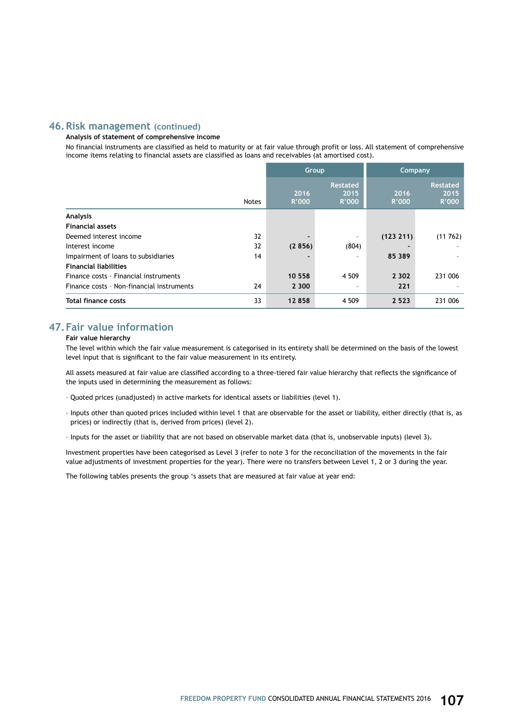## **46.Risk management (continued)**

### **Analysis of statement of comprehensive income**

No financial instruments are classified as held to maturity or at fair value through profit or loss. All statement of comprehensive income items relating to financial assets are classified as loans and receivables (at amortised cost).

|                                           |              | Group         |                                  | Company       |                                  |
|-------------------------------------------|--------------|---------------|----------------------------------|---------------|----------------------------------|
|                                           | <b>Notes</b> | 2016<br>R'000 | <b>Restated</b><br>2015<br>R'000 | 2016<br>R'000 | <b>Restated</b><br>2015<br>R'000 |
| <b>Analysis</b>                           |              |               |                                  |               |                                  |
| <b>Financial assets</b>                   |              |               |                                  |               |                                  |
| Deemed interest income                    | 32           |               |                                  | (123 211)     | (11762)                          |
| Interest income                           | 32           | (2856)        | (804)                            |               |                                  |
| Impairment of loans to subsidiaries       | 14           |               |                                  | 85 389        |                                  |
| <b>Financial liabilities</b>              |              |               |                                  |               |                                  |
| Finance costs - Financial instruments     |              | 10 558        | 4 5 0 9                          | 2 3 0 2       | 231 006                          |
| Finance costs - Non-financial instruments | 24           | 2 3 0 0       |                                  | 221           |                                  |
| <b>Total finance costs</b>                | 33           | 12858         | 4 5 0 9                          | 2 5 2 3       | 231 006                          |

# **47.Fair value information**

### **Fair value hierarchy**

The level within which the fair value measurement is categorised in its entirety shall be determined on the basis of the lowest level input that is significant to the fair value measurement in its entirety.

All assets measured at fair value are classified according to a three-tiered fair value hierarchy that reflects the significance of the inputs used in determining the measurement as follows:

– Quoted prices (unadjusted) in active markets for identical assets or liabilities (level 1).

– Inputs other than quoted prices included within level 1 that are observable for the asset or liability, either directly (that is, as prices) or indirectly (that is, derived from prices) (level 2).

– Inputs for the asset or liability that are not based on observable market data (that is, unobservable inputs) (level 3).

Investment properties have been categorised as Level 3 (refer to note 3 for the reconciliation of the movements in the fair value adjustments of investment properties for the year). There were no transfers between Level 1, 2 or 3 during the year.

The following tables presents the group 's assets that are measured at fair value at year end: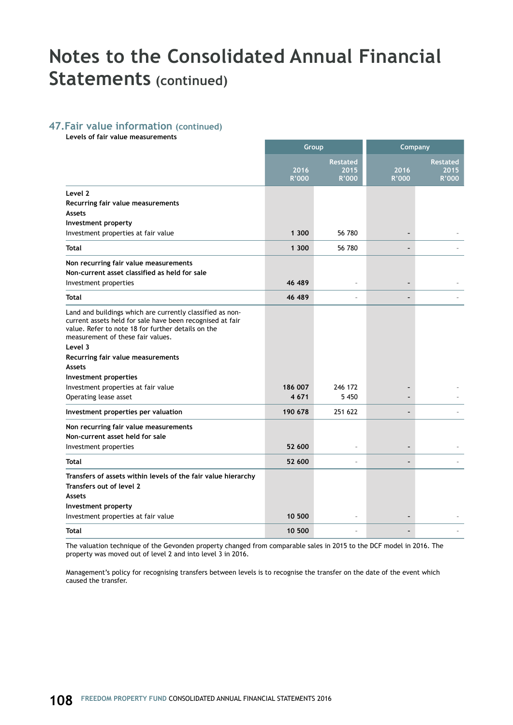# **47.Fair value information (continued)**

**Levels of fair value measurements**

|                                                                                                                                                                                                                              |               | Group                                   | Company        |                                  |  |
|------------------------------------------------------------------------------------------------------------------------------------------------------------------------------------------------------------------------------|---------------|-----------------------------------------|----------------|----------------------------------|--|
|                                                                                                                                                                                                                              | 2016<br>R'000 | <b>Restated</b><br>2015<br><b>R'000</b> | 2016<br>R'000  | <b>Restated</b><br>2015<br>R'000 |  |
| Level 2                                                                                                                                                                                                                      |               |                                         |                |                                  |  |
| Recurring fair value measurements                                                                                                                                                                                            |               |                                         |                |                                  |  |
| Assets                                                                                                                                                                                                                       |               |                                         |                |                                  |  |
| Investment property                                                                                                                                                                                                          |               |                                         |                |                                  |  |
| Investment properties at fair value                                                                                                                                                                                          | 1 300         | 56 780                                  |                |                                  |  |
| Total                                                                                                                                                                                                                        | 1 300         | 56 780                                  |                |                                  |  |
| Non recurring fair value measurements                                                                                                                                                                                        |               |                                         |                |                                  |  |
| Non-current asset classified as held for sale                                                                                                                                                                                |               |                                         |                |                                  |  |
| Investment properties                                                                                                                                                                                                        | 46 489        |                                         |                |                                  |  |
| <b>Total</b>                                                                                                                                                                                                                 | 46 489        |                                         |                |                                  |  |
| Land and buildings which are currently classified as non-<br>current assets held for sale have been recognised at fair<br>value. Refer to note 18 for further details on the<br>measurement of these fair values.<br>Level 3 |               |                                         |                |                                  |  |
| Recurring fair value measurements                                                                                                                                                                                            |               |                                         |                |                                  |  |
| <b>Assets</b>                                                                                                                                                                                                                |               |                                         |                |                                  |  |
| Investment properties                                                                                                                                                                                                        |               |                                         |                |                                  |  |
| Investment properties at fair value                                                                                                                                                                                          | 186 007       | 246 172                                 |                |                                  |  |
| Operating lease asset                                                                                                                                                                                                        | 4 6 7 1       | 5 4 5 0                                 |                |                                  |  |
| Investment properties per valuation                                                                                                                                                                                          | 190 678       | 251 622                                 |                |                                  |  |
| Non recurring fair value measurements                                                                                                                                                                                        |               |                                         |                |                                  |  |
| Non-current asset held for sale                                                                                                                                                                                              |               |                                         |                |                                  |  |
| Investment properties                                                                                                                                                                                                        | 52 600        |                                         |                |                                  |  |
| <b>Total</b>                                                                                                                                                                                                                 | 52 600        | $\overline{a}$                          | $\overline{a}$ |                                  |  |
| Transfers of assets within levels of the fair value hierarchy<br>Transfers out of level 2<br><b>Assets</b><br>Investment property                                                                                            |               |                                         |                |                                  |  |
| Investment properties at fair value                                                                                                                                                                                          | 10 500        |                                         |                |                                  |  |
|                                                                                                                                                                                                                              |               |                                         |                |                                  |  |
| Total                                                                                                                                                                                                                        | 10 500        |                                         |                |                                  |  |

The valuation technique of the Gevonden property changed from comparable sales in 2015 to the DCF model in 2016. The property was moved out of level 2 and into level 3 in 2016.

Management's policy for recognising transfers between levels is to recognise the transfer on the date of the event which caused the transfer.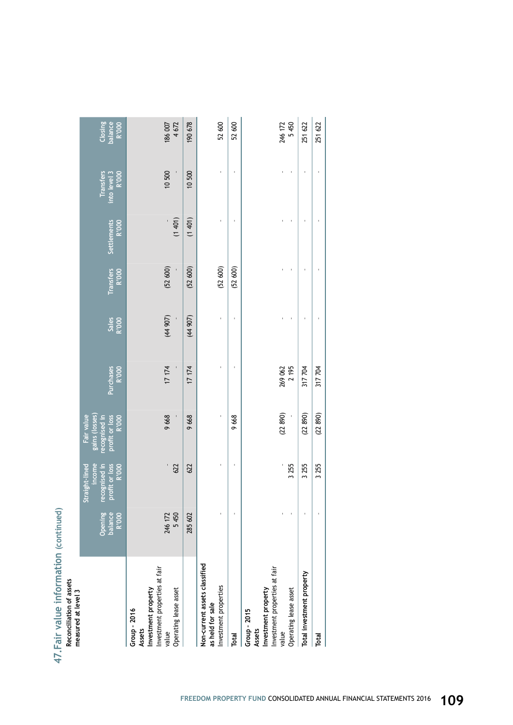# 47. Fair value information (continued)<br>Reconciliation of assets **47.Fair value information (continued) Reconciliation of assets**

| measured at level 3                                                                                              |                                    |                                                                             |                                                                                |                                  |                |                                  |                                    |                                                  |                             |
|------------------------------------------------------------------------------------------------------------------|------------------------------------|-----------------------------------------------------------------------------|--------------------------------------------------------------------------------|----------------------------------|----------------|----------------------------------|------------------------------------|--------------------------------------------------|-----------------------------|
|                                                                                                                  | balance<br><b>R'000</b><br>Opening | income<br>profit or loss<br><b>R'000</b><br>Straight-lined<br>recognised in | gains (losses)<br><b>R'000</b><br>Fair value<br>ecognised in<br>profit or loss | <b>R'000</b><br><b>Purchases</b> | Sales<br>R'000 | <b>Transfers</b><br><b>R'000</b> | <b>Settlements</b><br><b>R'000</b> | <b>Transfers</b><br>into level 3<br><b>R'000</b> | Closing<br>balance<br>R'000 |
| Investment properties at fair<br>Operating lease asset<br>Investment property<br>Group - 2016<br>Assets<br>value | 5450<br>246 172                    | $\overline{\phantom{a}}$<br>622                                             | 9668                                                                           | 17174                            | (44907)        | (52600)                          | (1401)                             | 10500                                            | 186 007<br>4672             |
|                                                                                                                  | 285 602                            | 622                                                                         | 9668                                                                           | 17174                            | (44907)        | (52600)                          | (1401)                             | 10500                                            | 190678                      |
| Non-current assets classified<br>Investment properties<br>as held for sale                                       |                                    | ı                                                                           |                                                                                |                                  |                | (52600)                          |                                    | ı                                                | 52 600                      |
| Total                                                                                                            |                                    | t                                                                           | 9668                                                                           | t                                | t              | (52600)                          | t                                  | ı                                                | 52 600                      |
| Investment properties at fair<br>Investment property<br>Group - 2015<br>Assets<br>value                          |                                    |                                                                             | (22 890)                                                                       | 269 062<br>2 195                 |                | í,                               |                                    | ï                                                | 246 172                     |
| Operating lease asset                                                                                            |                                    | 3255                                                                        |                                                                                |                                  |                | ï                                |                                    | ı                                                | 5450                        |
| Total investment property                                                                                        |                                    | 3 255                                                                       | (22890)                                                                        | 317704                           |                |                                  |                                    |                                                  | 251 622                     |

Total

**Total** – 3 255 (22 890) 317 704 – – – – 251 622

 $(22 890)$ 

3255

 $\frac{1}{2}$ 

317704

251622

 $\overline{\phantom{a}}$ 

 $\overline{1}$ 

 $\bar{1}$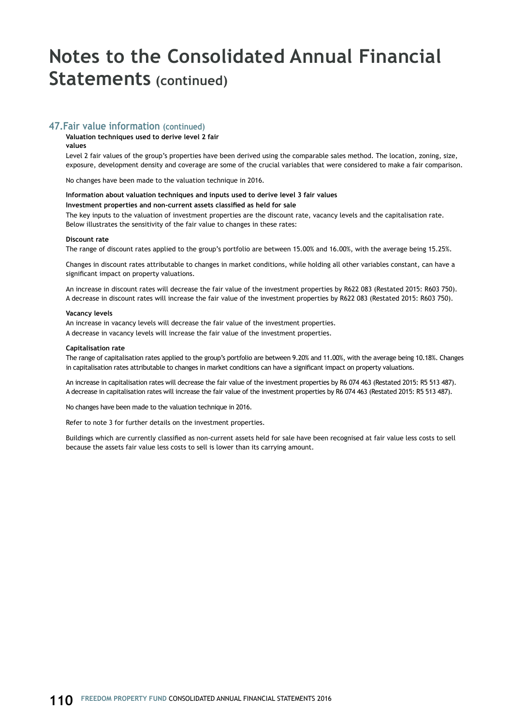## **47.Fair value information (continued)**

## **Valuation techniques used to derive level 2 fair**

#### **values**

Level 2 fair values of the group's properties have been derived using the comparable sales method. The location, zoning, size, exposure, development density and coverage are some of the crucial variables that were considered to make a fair comparison.

No changes have been made to the valuation technique in 2016.

#### **Information about valuation techniques and inputs used to derive level 3 fair values**

**Investment properties and non-current assets classified as held for sale**

The key inputs to the valuation of investment properties are the discount rate, vacancy levels and the capitalisation rate. Below illustrates the sensitivity of the fair value to changes in these rates:

#### **Discount rate**

The range of discount rates applied to the group's portfolio are between 15.00% and 16.00%, with the average being 15.25%.

Changes in discount rates attributable to changes in market conditions, while holding all other variables constant, can have a significant impact on property valuations.

An increase in discount rates will decrease the fair value of the investment properties by R622 083 (Restated 2015: R603 750). A decrease in discount rates will increase the fair value of the investment properties by R622 083 (Restated 2015: R603 750).

#### **Vacancy levels**

An increase in vacancy levels will decrease the fair value of the investment properties. A decrease in vacancy levels will increase the fair value of the investment properties.

#### **Capitalisation rate**

The range of capitalisation rates applied to the group's portfolio are between 9.20% and 11.00%, with the average being 10.18%. Changes in capitalisation rates attributable to changes in market conditions can have a significant impact on property valuations.

An increase in capitalisation rates will decrease the fair value of the investment properties by R6 074 463 (Restated 2015: R5 513 487). A decrease in capitalisation rates will increase the fair value of the investment properties by R6 074 463 (Restated 2015: R5 513 487).

No changes have been made to the valuation technique in 2016.

Refer to note 3 for further details on the investment properties.

Buildings which are currently classified as non-current assets held for sale have been recognised at fair value less costs to sell because the assets fair value less costs to sell is lower than its carrying amount.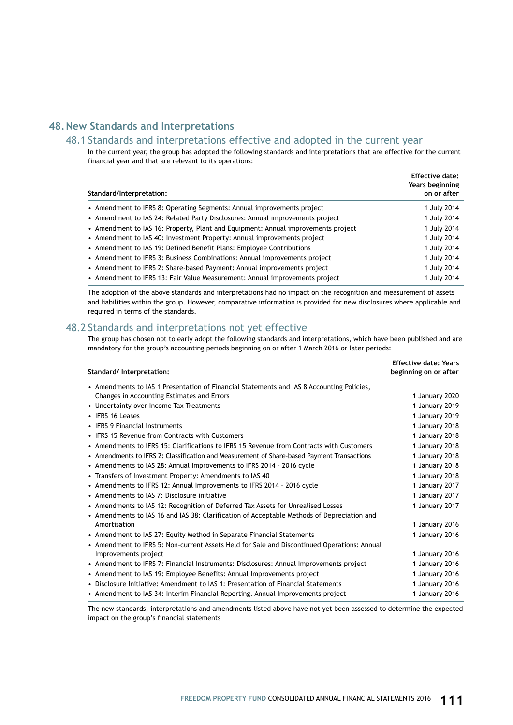# **48.New Standards and Interpretations**

# 48.1 Standards and interpretations effective and adopted in the current year

In the current year, the group has adopted the following standards and interpretations that are effective for the current financial year and that are relevant to its operations:

| Standard/Interpretation:                                                          | <b>Effective date:</b><br>Years beginning<br>on or after |
|-----------------------------------------------------------------------------------|----------------------------------------------------------|
| • Amendment to IFRS 8: Operating Segments: Annual improvements project            | 1 July 2014                                              |
| • Amendment to IAS 24: Related Party Disclosures: Annual improvements project     | 1 July 2014                                              |
| • Amendment to IAS 16: Property, Plant and Equipment: Annual improvements project | 1 July 2014                                              |
| • Amendment to IAS 40: Investment Property: Annual improvements project           | 1 July 2014                                              |
| • Amendment to IAS 19: Defined Benefit Plans: Employee Contributions              | 1 July 2014                                              |
| • Amendment to IFRS 3: Business Combinations: Annual improvements project         | 1 July 2014                                              |
| • Amendment to IFRS 2: Share-based Payment: Annual improvements project           | 1 July 2014                                              |
| • Amendment to IFRS 13: Fair Value Measurement: Annual improvements project       | 1 July 2014                                              |

The adoption of the above standards and interpretations had no impact on the recognition and measurement of assets and liabilities within the group. However, comparative information is provided for new disclosures where applicable and required in terms of the standards.

# 48.2 Standards and interpretations not yet effective

The group has chosen not to early adopt the following standards and interpretations, which have been published and are mandatory for the group's accounting periods beginning on or after 1 March 2016 or later periods:

| Standard/Interpretation:                                                                    | <b>Effective date: Years</b><br>beginning on or after |
|---------------------------------------------------------------------------------------------|-------------------------------------------------------|
| • Amendments to IAS 1 Presentation of Financial Statements and IAS 8 Accounting Policies,   |                                                       |
| Changes in Accounting Estimates and Errors                                                  | 1 January 2020                                        |
| • Uncertainty over Income Tax Treatments                                                    | 1 January 2019                                        |
| • IFRS 16 Leases                                                                            | 1 January 2019                                        |
| • IFRS 9 Financial Instruments                                                              | 1 January 2018                                        |
| • IFRS 15 Revenue from Contracts with Customers                                             | 1 January 2018                                        |
| • Amendments to IFRS 15: Clarifications to IFRS 15 Revenue from Contracts with Customers    | 1 January 2018                                        |
| • Amendments to IFRS 2: Classification and Measurement of Share-based Payment Transactions  | 1 January 2018                                        |
| • Amendments to IAS 28: Annual Improvements to IFRS 2014 - 2016 cycle                       | 1 January 2018                                        |
| • Transfers of Investment Property: Amendments to IAS 40                                    | 1 January 2018                                        |
| • Amendments to IFRS 12: Annual Improvements to IFRS 2014 - 2016 cycle                      | 1 January 2017                                        |
| • Amendments to IAS 7: Disclosure initiative                                                | 1 January 2017                                        |
| • Amendments to IAS 12: Recognition of Deferred Tax Assets for Unrealised Losses            | 1 January 2017                                        |
| • Amendments to IAS 16 and IAS 38: Clarification of Acceptable Methods of Depreciation and  |                                                       |
| Amortisation                                                                                | 1 January 2016                                        |
| • Amendment to IAS 27: Equity Method in Separate Financial Statements                       | 1 January 2016                                        |
| • Amendment to IFRS 5: Non-current Assets Held for Sale and Discontinued Operations: Annual |                                                       |
| Improvements project                                                                        | 1 January 2016                                        |
| • Amendment to IFRS 7: Financial Instruments: Disclosures: Annual Improvements project      | 1 January 2016                                        |
| • Amendment to IAS 19: Employee Benefits: Annual Improvements project                       | 1 January 2016                                        |
| • Disclosure Initiative: Amendment to IAS 1: Presentation of Financial Statements           | 1 January 2016                                        |
| • Amendment to IAS 34: Interim Financial Reporting. Annual Improvements project             | 1 January 2016                                        |

The new standards, interpretations and amendments listed above have not yet been assessed to determine the expected impact on the group's financial statements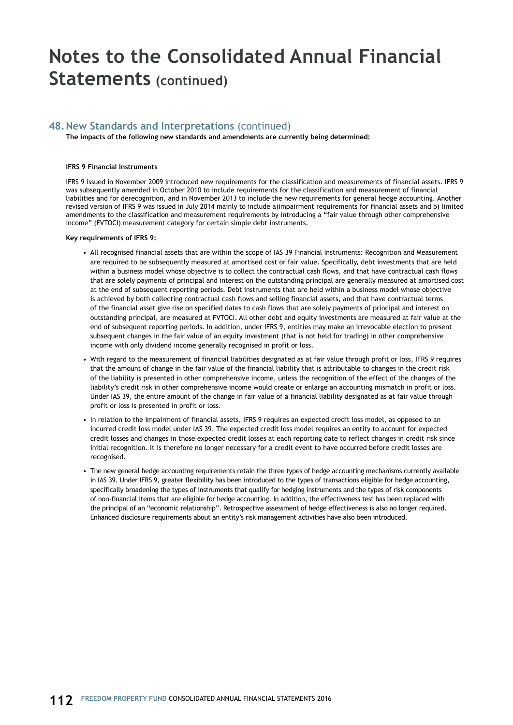# **48.New Standards and Interpretations** (continued)

**The impacts of the following new standards and amendments are currently being determined:**

#### **IFRS 9 Financial Instruments**

IFRS 9 issued in November 2009 introduced new requirements for the classification and measurements of financial assets. IFRS 9 was subsequently amended in October 2010 to include requirements for the classification and measurement of financial liabilities and for derecognition, and in November 2013 to include the new requirements for general hedge accounting. Another revised version of IFRS 9 was issued in July 2014 mainly to include a)impairment requirements for financial assets and b) limited amendments to the classification and measurement requirements by introducing a "fair value through other comprehensive income" (FVTOCI) measurement category for certain simple debt instruments.

#### **Key requirements of IFRS 9:**

- All recognised financial assets that are within the scope of IAS 39 Financial Instruments: Recognition and Measurement are required to be subsequently measured at amortised cost or fair value. Specifically, debt investments that are held within a business model whose objective is to collect the contractual cash flows, and that have contractual cash flows that are solely payments of principal and interest on the outstanding principal are generally measured at amortised cost at the end of subsequent reporting periods. Debt instruments that are held within a business model whose objective is achieved by both collecting contractual cash flows and selling financial assets, and that have contractual terms of the financial asset give rise on specified dates to cash flows that are solely payments of principal and interest on outstanding principal, are measured at FVTOCI. All other debt and equity investments are measured at fair value at the end of subsequent reporting periods. In addition, under IFRS 9, entities may make an irrevocable election to present subsequent changes in the fair value of an equity investment (that is not held for trading) in other comprehensive income with only dividend income generally recognised in profit or loss.
- With regard to the measurement of financial liabilities designated as at fair value through profit or loss, IFRS 9 requires that the amount of change in the fair value of the financial liability that is attributable to changes in the credit risk of the liability is presented in other comprehensive income, unless the recognition of the effect of the changes of the liability's credit risk in other comprehensive income would create or enlarge an accounting mismatch in profit or loss. Under IAS 39, the entire amount of the change in fair value of a financial liability designated as at fair value through profit or loss is presented in profit or loss.
- In relation to the impairment of financial assets, IFRS 9 requires an expected credit loss model, as opposed to an incurred credit loss model under IAS 39. The expected credit loss model requires an entity to account for expected credit losses and changes in those expected credit losses at each reporting date to reflect changes in credit risk since initial recognition. It is therefore no longer necessary for a credit event to have occurred before credit losses are recognised.
- The new general hedge accounting requirements retain the three types of hedge accounting mechanisms currently available in IAS 39. Under IFRS 9, greater flexibility has been introduced to the types of transactions eligible for hedge accounting, specifically broadening the types of instruments that qualify for hedging instruments and the types of risk components of non-financial items that are eligible for hedge accounting. In addition, the effectiveness test has been replaced with the principal of an "economic relationship". Retrospective assessment of hedge effectiveness is also no longer required. Enhanced disclosure requirements about an entity's risk management activities have also been introduced.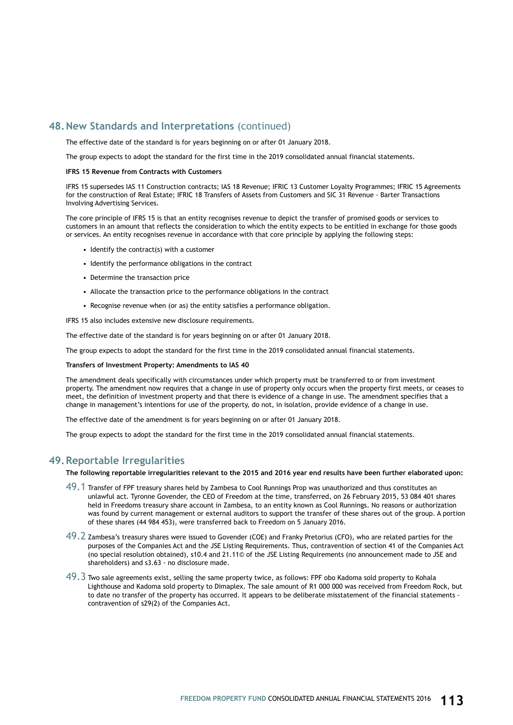# **48.New Standards and Interpretations** (continued)

The effective date of the standard is for years beginning on or after 01 January 2018.

The group expects to adopt the standard for the first time in the 2019 consolidated annual financial statements.

#### **IFRS 15 Revenue from Contracts with Customers**

IFRS 15 supersedes IAS 11 Construction contracts; IAS 18 Revenue; IFRIC 13 Customer Loyalty Programmes; IFRIC 15 Agreements for the construction of Real Estate; IFRIC 18 Transfers of Assets from Customers and SIC 31 Revenue - Barter Transactions Involving Advertising Services.

The core principle of IFRS 15 is that an entity recognises revenue to depict the transfer of promised goods or services to customers in an amount that reflects the consideration to which the entity expects to be entitled in exchange for those goods or services. An entity recognises revenue in accordance with that core principle by applying the following steps:

- Identify the contract(s) with a customer
- Identify the performance obligations in the contract
- Determine the transaction price
- Allocate the transaction price to the performance obligations in the contract
- Recognise revenue when (or as) the entity satisfies a performance obligation.

IFRS 15 also includes extensive new disclosure requirements.

The effective date of the standard is for years beginning on or after 01 January 2018.

The group expects to adopt the standard for the first time in the 2019 consolidated annual financial statements.

#### **Transfers of Investment Property: Amendments to IAS 40**

The amendment deals specifically with circumstances under which property must be transferred to or from investment property. The amendment now requires that a change in use of property only occurs when the property first meets, or ceases to meet, the definition of investment property and that there is evidence of a change in use. The amendment specifies that a change in management's intentions for use of the property, do not, in isolation, provide evidence of a change in use.

The effective date of the amendment is for years beginning on or after 01 January 2018.

The group expects to adopt the standard for the first time in the 2019 consolidated annual financial statements.

## **49.Reportable Irregularities**

## **The following reportable irregularities relevant to the 2015 and 2016 year end results have been further elaborated upon:**

- 49.1 Transfer of FPF treasury shares held by Zambesa to Cool Runnings Prop was unauthorized and thus constitutes an unlawful act. Tyronne Govender, the CEO of Freedom at the time, transferred, on 26 February 2015, 53 084 401 shares held in Freedoms treasury share account in Zambesa, to an entity known as Cool Runnings. No reasons or authorization was found by current management or external auditors to support the transfer of these shares out of the group. A portion of these shares (44 984 453), were transferred back to Freedom on 5 January 2016.
- 49.2 Zambesa's treasury shares were issued to Govender (COE) and Franky Pretorius (CFO), who are related parties for the purposes of the Companies Act and the JSE Listing Requirements. Thus, contravention of section 41 of the Companies Act (no special resolution obtained), s10.4 and 21.11© of the JSE Listing Requirements (no announcement made to JSE and shareholders) and s3.63 - no disclosure made.
- 49.3 Two sale agreements exist, selling the same property twice, as follows: FPF obo Kadoma sold property to Kohala Lighthouse and Kadoma sold property to Dimaplex. The sale amount of R1 000 000 was received from Freedom Rock, but to date no transfer of the property has occurred. It appears to be deliberate misstatement of the financial statements contravention of s29(2) of the Companies Act.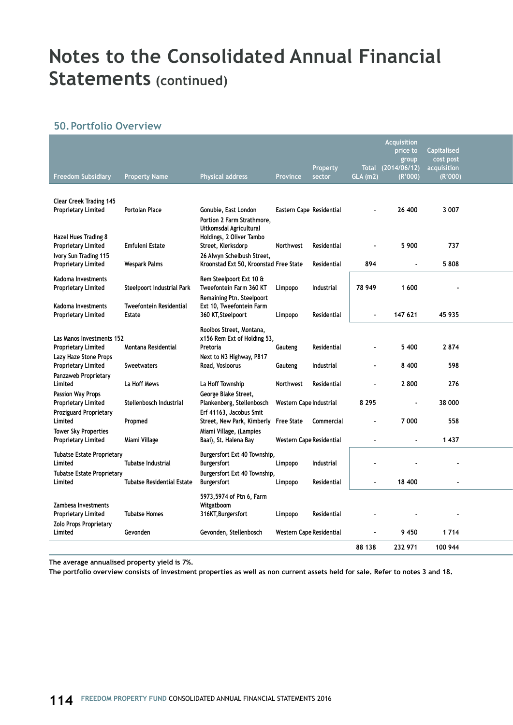# **50.Portfolio Overview**

|                                                           |                                                 |                                                                                 |                         |                                 |                          | <b>Acquisition</b><br>price to<br>group<br>Total (2014/06/12) | Capitalised<br>cost post |  |
|-----------------------------------------------------------|-------------------------------------------------|---------------------------------------------------------------------------------|-------------------------|---------------------------------|--------------------------|---------------------------------------------------------------|--------------------------|--|
| <b>Freedom Subsidiary</b>                                 | <b>Property Name</b>                            | <b>Physical address</b>                                                         | Province                | Property<br>sector              | $GLA$ (m2)               | (R'000)                                                       | acquisition<br>(R'000)   |  |
| Clear Creek Trading 145                                   |                                                 |                                                                                 |                         |                                 |                          |                                                               |                          |  |
| <b>Proprietary Limited</b>                                | Portolan Place                                  | Gonubie, East London<br>Portion 2 Farm Strathmore.<br>Uitkomsdal Agricultural   |                         | Eastern Cape Residential        |                          | 26 400                                                        | 3 0 0 7                  |  |
| <b>Hazel Hues Trading 8</b><br><b>Proprietary Limited</b> | <b>Emfuleni Estate</b>                          | Holdings, 2 Oliver Tambo<br>Street, Klerksdorp                                  | Northwest               | Residential                     | $\overline{\phantom{a}}$ | 5 900                                                         | 737                      |  |
| Ivory Sun Trading 115<br><b>Proprietary Limited</b>       | <b>Wespark Palms</b>                            | 26 Alwyn Schelbush Street,<br>Kroonstad Ext 50, Kroonstad Free State            |                         | Residential                     | 894                      |                                                               | 5 8 0 8                  |  |
| <b>Kadoma Investments</b><br><b>Proprietary Limited</b>   | Steelpoort Industrial Park                      | Rem Steelpoort Ext 10 &<br>Tweefontein Farm 360 KT<br>Remaining Ptn. Steelpoort | Limpopo                 | Industrial                      | 78 949                   | 1 600                                                         |                          |  |
| Kadoma Investments<br><b>Proprietary Limited</b>          | <b>Tweefontein Residential</b><br><b>Estate</b> | Ext 10, Tweefontein Farm<br>360 KT, Steelpoort                                  | Limpopo                 | Residential                     |                          | 147 621                                                       | 45 935                   |  |
| Las Manos Investments 152                                 |                                                 | Rooibos Street, Montana,<br>x156 Rem Ext of Holding 53,                         |                         |                                 |                          |                                                               |                          |  |
| <b>Proprietary Limited</b><br>Lazy Haze Stone Props       | Montana Residential                             | Pretoria<br>Next to N3 Highway, P817                                            | Gauteng                 | <b>Residential</b>              |                          | 5 400                                                         | 2874                     |  |
| <b>Proprietary Limited</b>                                | Sweetwaters                                     | Road, Vosloorus                                                                 | Gauteng                 | Industrial                      | $\overline{\phantom{a}}$ | 8 4 0 0                                                       | 598                      |  |
| Panzaweb Proprietary<br>Limited                           | La Hoff Mews                                    | La Hoff Township                                                                | Northwest               | Residential                     |                          | 2 8 0 0                                                       | 276                      |  |
| Passion Way Props<br><b>Proprietary Limited</b>           | Stellenbosch Industrial                         | George Blake Street,<br>Plankenberg, Stellenbosch                               | Western Cape Industrial |                                 | 8 2 9 5                  | $\sim$                                                        | 38 000                   |  |
| <b>Proziguard Proprietary</b><br>Limited                  | Propmed                                         | Erf 41163, Jacobus Smit<br>Street, New Park, Kimberly Free State                |                         | Commercial                      | $\overline{\phantom{a}}$ | 7 0 0 0                                                       | 558                      |  |
| <b>Tower Sky Properties</b><br><b>Proprietary Limited</b> | Miami Village                                   | Miami Village, (Lampies<br>Baai), St. Halena Bay                                |                         | <b>Western Cape Residential</b> | $\overline{\phantom{a}}$ |                                                               | 1 4 3 7                  |  |
| <b>Tubatse Estate Proprietary</b><br>Limited              | Tubatse Industrial                              | Burgersfort Ext 40 Township,<br>Burgersfort                                     | Limpopo                 | Industrial                      |                          |                                                               |                          |  |
| <b>Tubatse Estate Proprietary</b><br>Limited              | Tubatse Residential Estate Burgersfort          | Burgersfort Ext 40 Township,                                                    | Limpopo                 | Residential                     |                          | 18 400                                                        |                          |  |
| Zambesa Investments                                       |                                                 | 5973,5974 of Ptn 6, Farm<br>Witgatboom                                          |                         |                                 |                          |                                                               |                          |  |
| <b>Proprietary Limited</b><br>Zolo Props Proprietary      | <b>Tubatse Homes</b>                            | 316KT, Burgersfort                                                              | Limpopo                 | Residential                     |                          |                                                               |                          |  |
| Limited                                                   | Gevonden                                        | Gevonden, Stellenbosch                                                          |                         | Western Cape Residential        |                          | 9 4 5 0                                                       | 1714                     |  |
|                                                           |                                                 |                                                                                 |                         |                                 | 88 138                   | 232 971                                                       | 100 944                  |  |

**The average annualised property yield is 7%.**

**The portfolio overview consists of investment properties as well as non current assets held for sale. Refer to notes 3 and 18.**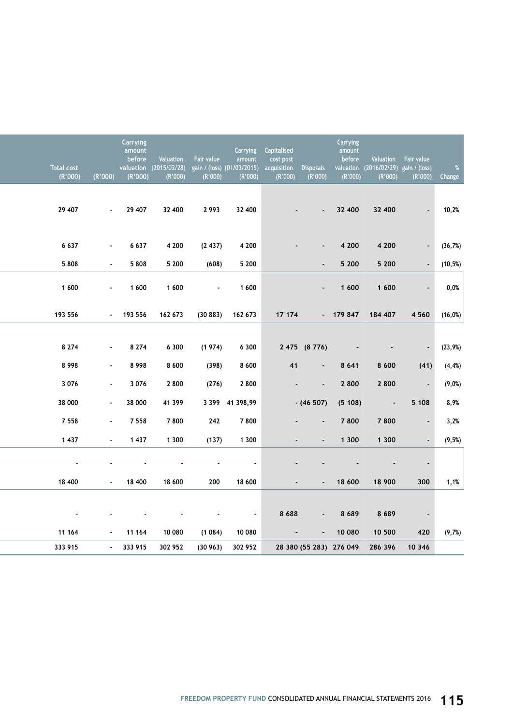| Carrying<br>Carrying<br>Capitalised<br>Carrying<br>amount<br>amount<br>before<br>Valuation<br>Fair value<br>before<br>amount<br>cost post<br>gain / (loss) (01/03/2015)<br>valuation (2015/02/28)<br>acquisition Disposals<br>valuation (2016/02/29) gain / (loss)<br>(R'000)<br>(R'000)<br>(R'000)<br>(R'000)<br>(R'000)<br>(R'000)<br>(R'000)<br>(R'000)<br>(R'000) | Valuation Fair value<br>(R'000) Change          |
|-----------------------------------------------------------------------------------------------------------------------------------------------------------------------------------------------------------------------------------------------------------------------------------------------------------------------------------------------------------------------|-------------------------------------------------|
| $-29407$<br>2993<br>32 400<br>32 400<br>$-32400$ 32400<br>$\sim$                                                                                                                                                                                                                                                                                                      | 10,2%<br>$\blacksquare$                         |
| 6 6 3 7<br>(2437)<br>4 200<br>4 200<br>4 200<br>4 200<br>$\sim 100$<br>$\blacksquare$<br>(608)<br>5808<br>5 200<br>5 200<br>5 200<br>5 200<br>$\sim$ 10 $\pm$<br>$\sim 100$                                                                                                                                                                                           | (36,7%)<br>$\blacksquare$<br>(10, 5%)<br>$\sim$ |
| $- 1600$<br>1 600<br>1 600<br>1 600<br>1 600<br>$\sim$ $-$<br>$\sim 10$                                                                                                                                                                                                                                                                                               | 0,0%<br>$\sim$ 100 $\pm$                        |
| $-193556$<br>162 673<br>$(30883)$ 162 673<br>17 174<br>$-179847$ 184 407                                                                                                                                                                                                                                                                                              | 4 5 6 0<br>(16,0%)                              |
| 8 2 7 4<br>(1974)<br>2 475 (8 776)<br>6 300<br>6 3 0 0<br>$\sim 100$<br>$\sim$ $-$                                                                                                                                                                                                                                                                                    | (23,9%)<br>$\sim$                               |
| (398)<br>8998<br>8 600<br>8 600<br>41<br>8 6 4 1<br>8 6 0 0<br>$\sigma_{\rm{max}}$<br>$\sim$ 100 $\pm$<br>$-3076$<br>(276)<br>2 8 0 0<br>2 8 0 0<br>2 8 0 0<br>2 8 0 0<br>$\sim 100$<br>$\sim$                                                                                                                                                                        | (41)<br>(4, 4%)<br>(9,0%)<br>$\sim$             |
| $-38000$<br>3 399 41 398,99<br>$-(46507)$ $(5108)$<br>41 399<br>$-7558$<br>7800<br>242<br>7800<br>7 8 0 0<br>7 8 0 0<br>$\sim$<br>$\sim$                                                                                                                                                                                                                              | 5 1 0 8<br>8,9%<br>$\sim 100$<br>3,2%<br>$\sim$ |
| $- 1437$<br>1 3 0 0<br>(137)<br>1 3 0 0<br>1 3 0 0<br>1 3 0 0<br>$\sim$<br>$\sim$                                                                                                                                                                                                                                                                                     | (9,5%)<br>$\sim$                                |
| $\sim$<br>$- 18400$<br>18 600<br>200<br>18 600<br>18 600<br>18 900<br>$\blacksquare$<br>$\sim$                                                                                                                                                                                                                                                                        | $\sim$<br>300<br>1,1%                           |
|                                                                                                                                                                                                                                                                                                                                                                       |                                                 |
| 8 6 8 8<br>8 6 8 9<br>8 6 8 9<br>$\sim$<br>$\sim$<br>$\sim$<br>$- 11164$<br>10 080<br>(1084)<br>10 080<br>$-10080$<br>10 500<br>$\blacksquare$                                                                                                                                                                                                                        | $\sim$<br>420<br>(9,7%)                         |
| (30963) 302952<br>302 952<br>28 380 (55 283) 276 049 286 396 10 346<br>$-333915$                                                                                                                                                                                                                                                                                      |                                                 |